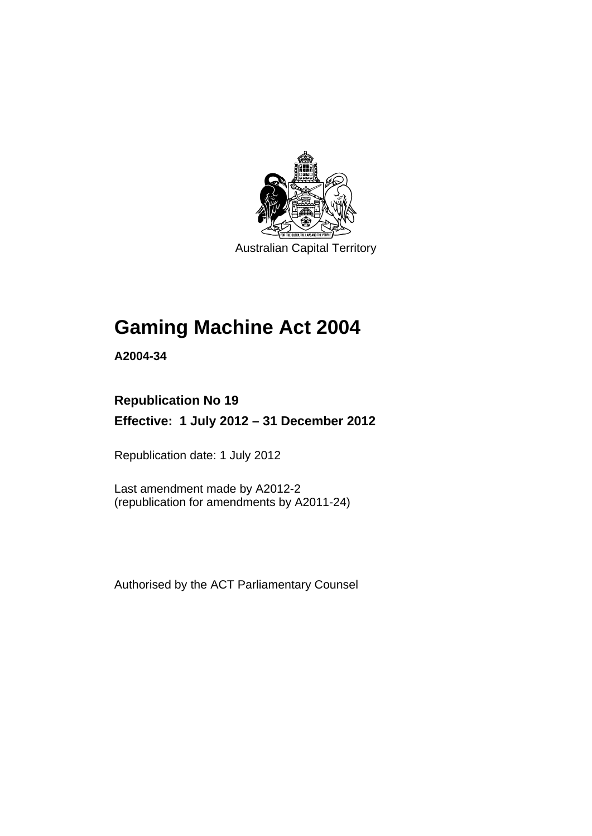

Australian Capital Territory

# **Gaming Machine Act 2004**

**A2004-34** 

# **Republication No 19**

**Effective: 1 July 2012 – 31 December 2012** 

Republication date: 1 July 2012

Last amendment made by A2012-2 (republication for amendments by A2011-24)

Authorised by the ACT Parliamentary Counsel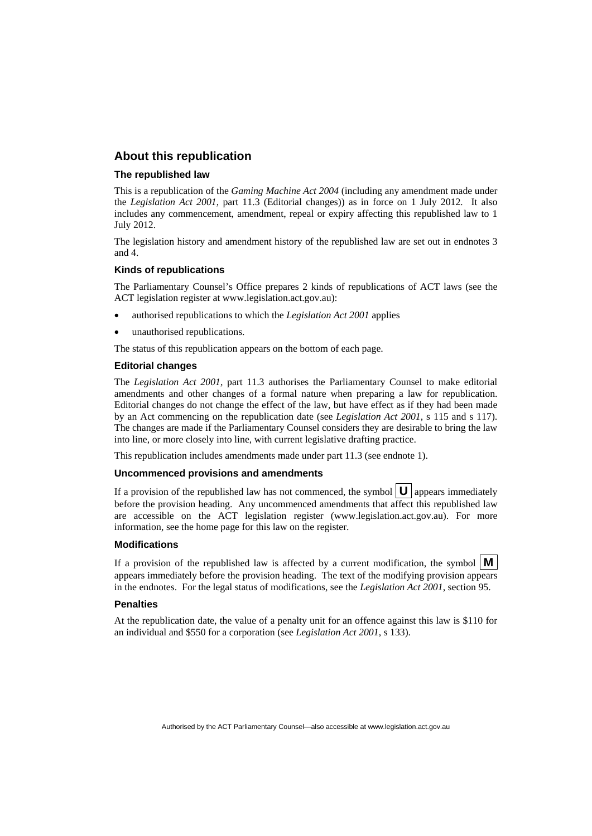### **About this republication**

### **The republished law**

This is a republication of the *Gaming Machine Act 2004* (including any amendment made under the *Legislation Act 2001*, part 11.3 (Editorial changes)) as in force on 1 July 2012*.* It also includes any commencement, amendment, repeal or expiry affecting this republished law to 1 July 2012.

The legislation history and amendment history of the republished law are set out in endnotes 3 and 4.

#### **Kinds of republications**

The Parliamentary Counsel's Office prepares 2 kinds of republications of ACT laws (see the ACT legislation register at www.legislation.act.gov.au):

- authorised republications to which the *Legislation Act 2001* applies
- unauthorised republications.

The status of this republication appears on the bottom of each page.

#### **Editorial changes**

The *Legislation Act 2001*, part 11.3 authorises the Parliamentary Counsel to make editorial amendments and other changes of a formal nature when preparing a law for republication. Editorial changes do not change the effect of the law, but have effect as if they had been made by an Act commencing on the republication date (see *Legislation Act 2001*, s 115 and s 117). The changes are made if the Parliamentary Counsel considers they are desirable to bring the law into line, or more closely into line, with current legislative drafting practice.

This republication includes amendments made under part 11.3 (see endnote 1).

#### **Uncommenced provisions and amendments**

If a provision of the republished law has not commenced, the symbol  $\mathbf{U}$  appears immediately before the provision heading. Any uncommenced amendments that affect this republished law are accessible on the ACT legislation register (www.legislation.act.gov.au). For more information, see the home page for this law on the register.

#### **Modifications**

If a provision of the republished law is affected by a current modification, the symbol  $\mathbf{M}$ appears immediately before the provision heading. The text of the modifying provision appears in the endnotes. For the legal status of modifications, see the *Legislation Act 2001*, section 95.

#### **Penalties**

At the republication date, the value of a penalty unit for an offence against this law is \$110 for an individual and \$550 for a corporation (see *Legislation Act 2001*, s 133).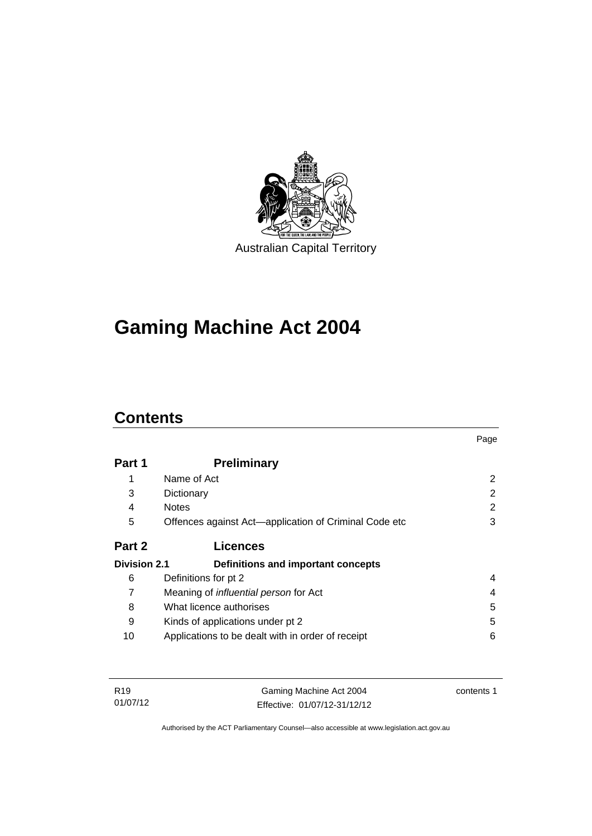

# **Gaming Machine Act 2004**

# **Contents**

|                     |                                                       | Page |
|---------------------|-------------------------------------------------------|------|
| Part 1              | <b>Preliminary</b>                                    |      |
| 1                   | Name of Act                                           | 2    |
| 3                   | Dictionary                                            | 2    |
| 4                   | <b>Notes</b>                                          | 2    |
| 5                   | Offences against Act—application of Criminal Code etc | 3    |
| Part 2              | <b>Licences</b>                                       |      |
| <b>Division 2.1</b> | Definitions and important concepts                    |      |
| 6                   | Definitions for pt 2                                  | 4    |
| 7                   | Meaning of <i>influential person</i> for Act          | 4    |
| 8                   | What licence authorises                               | 5    |
| 9                   | Kinds of applications under pt 2                      | 5    |
| 10                  | Applications to be dealt with in order of receipt     | 6    |

| R19      | Gaming Machine Act 2004      | contents 1 |
|----------|------------------------------|------------|
| 01/07/12 | Effective: 01/07/12-31/12/12 |            |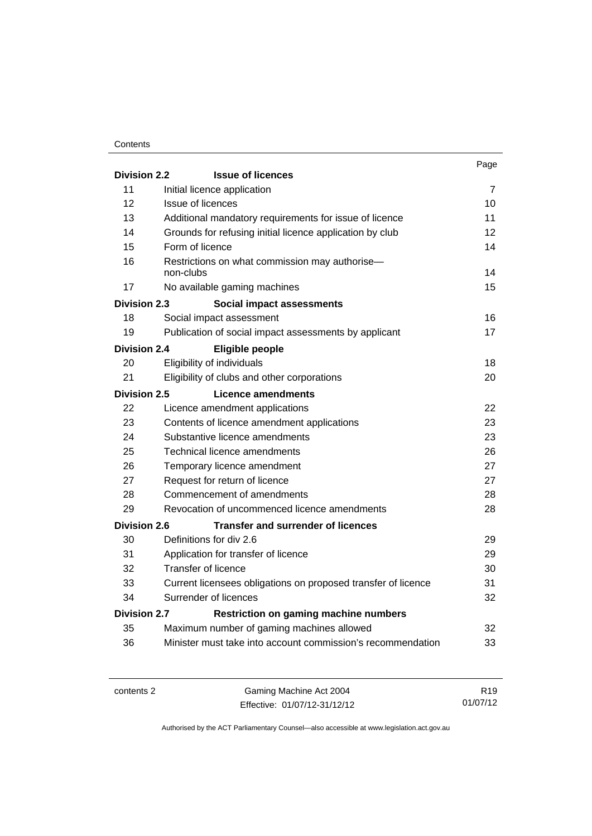### **Contents**

|                     |                                                               | Page |
|---------------------|---------------------------------------------------------------|------|
| <b>Division 2.2</b> | <b>Issue of licences</b>                                      |      |
| 11                  | Initial licence application                                   | 7    |
| 12                  | Issue of licences                                             | 10   |
| 13                  | Additional mandatory requirements for issue of licence        | 11   |
| 14                  | Grounds for refusing initial licence application by club      | 12   |
| 15                  | Form of licence                                               | 14   |
| 16                  | Restrictions on what commission may authorise-<br>non-clubs   | 14   |
| 17                  | No available gaming machines                                  | 15   |
| <b>Division 2.3</b> | Social impact assessments                                     |      |
| 18                  | Social impact assessment                                      | 16   |
| 19                  | Publication of social impact assessments by applicant         | 17   |
| Division 2.4        | Eligible people                                               |      |
| 20                  | Eligibility of individuals                                    | 18   |
| 21                  | Eligibility of clubs and other corporations                   | 20   |
| Division 2.5        | <b>Licence amendments</b>                                     |      |
| 22                  | Licence amendment applications                                | 22   |
| 23                  | Contents of licence amendment applications                    | 23   |
| 24                  | Substantive licence amendments                                | 23   |
| 25                  | Technical licence amendments                                  | 26   |
| 26                  | Temporary licence amendment                                   | 27   |
| 27                  | Request for return of licence                                 | 27   |
| 28                  | Commencement of amendments                                    | 28   |
| 29                  | Revocation of uncommenced licence amendments                  | 28   |
| <b>Division 2.6</b> | <b>Transfer and surrender of licences</b>                     |      |
| 30                  | Definitions for div 2.6                                       | 29   |
| 31                  | Application for transfer of licence                           | 29   |
| 32                  | Transfer of licence                                           | 30   |
| 33                  | Current licensees obligations on proposed transfer of licence | 31   |
| 34                  | Surrender of licences                                         | 32   |
| Division 2.7        | <b>Restriction on gaming machine numbers</b>                  |      |
| 35                  | Maximum number of gaming machines allowed                     | 32   |
| 36                  | Minister must take into account commission's recommendation   | 33   |

contents 2 Gaming Machine Act 2004 Effective: 01/07/12-31/12/12

R19 01/07/12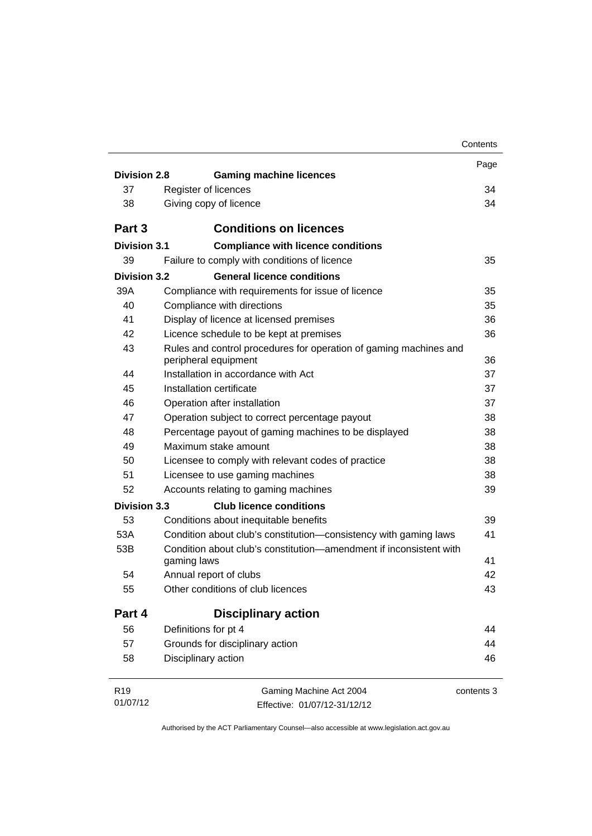|                             |                                                                                           | Contents   |
|-----------------------------|-------------------------------------------------------------------------------------------|------------|
|                             |                                                                                           | Page       |
| Division 2.8                | <b>Gaming machine licences</b>                                                            |            |
| 37                          | Register of licences                                                                      | 34         |
| 38                          | Giving copy of licence                                                                    | 34         |
| Part <sub>3</sub>           | <b>Conditions on licences</b>                                                             |            |
| Division 3.1                | <b>Compliance with licence conditions</b>                                                 |            |
| 39                          | Failure to comply with conditions of licence                                              | 35         |
| Division 3.2                | <b>General licence conditions</b>                                                         |            |
| 39A                         | Compliance with requirements for issue of licence                                         | 35         |
| 40                          | Compliance with directions                                                                | 35         |
| 41                          | Display of licence at licensed premises                                                   | 36         |
| 42                          | Licence schedule to be kept at premises                                                   | 36         |
| 43                          | Rules and control procedures for operation of gaming machines and<br>peripheral equipment | 36         |
| 44                          | Installation in accordance with Act                                                       | 37         |
| 45                          | Installation certificate                                                                  | 37         |
| 46                          | Operation after installation                                                              | 37         |
| 47                          | Operation subject to correct percentage payout                                            | 38         |
| 48                          | Percentage payout of gaming machines to be displayed                                      | 38         |
| 49                          | Maximum stake amount                                                                      | 38         |
| 50                          | Licensee to comply with relevant codes of practice                                        | 38         |
| 51                          | Licensee to use gaming machines                                                           | 38         |
| 52                          | Accounts relating to gaming machines                                                      | 39         |
| <b>Division 3.3</b>         | <b>Club licence conditions</b>                                                            |            |
| 53                          | Conditions about inequitable benefits                                                     | 39         |
| 53A                         | Condition about club's constitution-consistency with gaming laws                          | 41         |
| 53B                         | Condition about club's constitution—amendment if inconsistent with<br>gaming laws         | 41         |
| 54                          | Annual report of clubs                                                                    | 42         |
| 55                          | Other conditions of club licences                                                         | 43         |
| Part 4                      | <b>Disciplinary action</b>                                                                |            |
| 56                          | Definitions for pt 4                                                                      | 44         |
| 57                          | Grounds for disciplinary action                                                           | 44         |
| 58                          | Disciplinary action                                                                       | 46         |
| R <sub>19</sub><br>01/07/12 | Gaming Machine Act 2004<br>Effective: 01/07/12-31/12/12                                   | contents 3 |

Effective: 01/07/12-31/12/12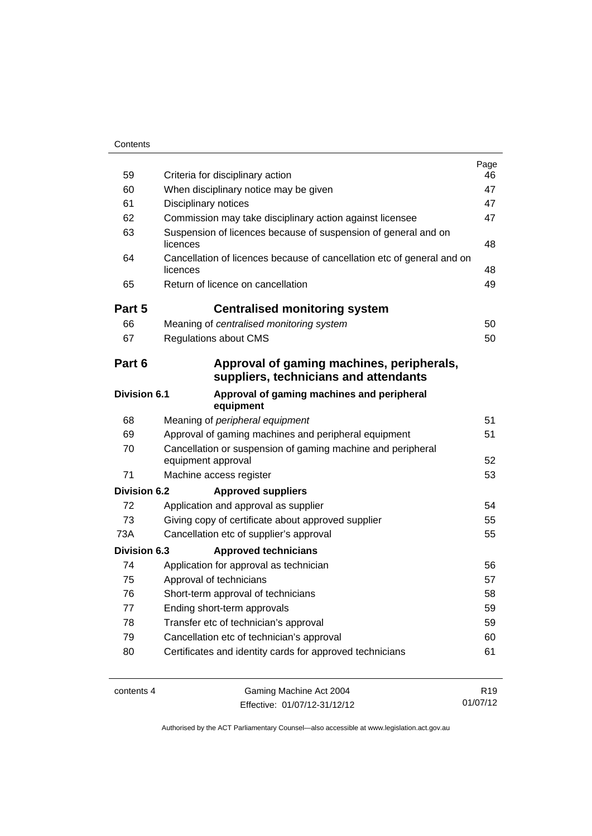| Contents |
|----------|
|----------|

|                     |                                                                                    | Page            |
|---------------------|------------------------------------------------------------------------------------|-----------------|
| 59                  | Criteria for disciplinary action                                                   | 46              |
| 60                  | When disciplinary notice may be given                                              | 47              |
| 61                  | Disciplinary notices                                                               | 47<br>47        |
| 62                  | Commission may take disciplinary action against licensee                           |                 |
| 63                  | Suspension of licences because of suspension of general and on<br>licences         | 48              |
| 64                  | Cancellation of licences because of cancellation etc of general and on<br>licences | 48              |
| 65                  | Return of licence on cancellation                                                  | 49              |
| Part 5              | <b>Centralised monitoring system</b>                                               |                 |
| 66                  | Meaning of centralised monitoring system                                           | 50              |
| 67                  | <b>Regulations about CMS</b>                                                       | 50              |
| Part 6              | Approval of gaming machines, peripherals,<br>suppliers, technicians and attendants |                 |
| <b>Division 6.1</b> | Approval of gaming machines and peripheral<br>equipment                            |                 |
| 68                  | Meaning of peripheral equipment                                                    | 51              |
| 69                  | Approval of gaming machines and peripheral equipment                               | 51              |
| 70                  | Cancellation or suspension of gaming machine and peripheral<br>equipment approval  | 52              |
| 71                  | Machine access register                                                            | 53              |
| Division 6.2        | <b>Approved suppliers</b>                                                          |                 |
| 72                  | Application and approval as supplier                                               | 54              |
| 73                  | Giving copy of certificate about approved supplier                                 | 55              |
| 73A                 | Cancellation etc of supplier's approval                                            | 55              |
| <b>Division 6.3</b> | <b>Approved technicians</b>                                                        |                 |
| 74                  | Application for approval as technician                                             | 56              |
| 75                  | Approval of technicians                                                            | 57              |
| 76                  | Short-term approval of technicians                                                 | 58              |
| 77                  | Ending short-term approvals                                                        | 59              |
| 78                  | Transfer etc of technician's approval                                              | 59              |
| 79                  | Cancellation etc of technician's approval                                          | 60              |
| 80                  | Certificates and identity cards for approved technicians                           | 61              |
| contents 4          | Gaming Machine Act 2004                                                            | R <sub>19</sub> |
|                     |                                                                                    |                 |

Effective: 01/07/12-31/12/12

01/07/12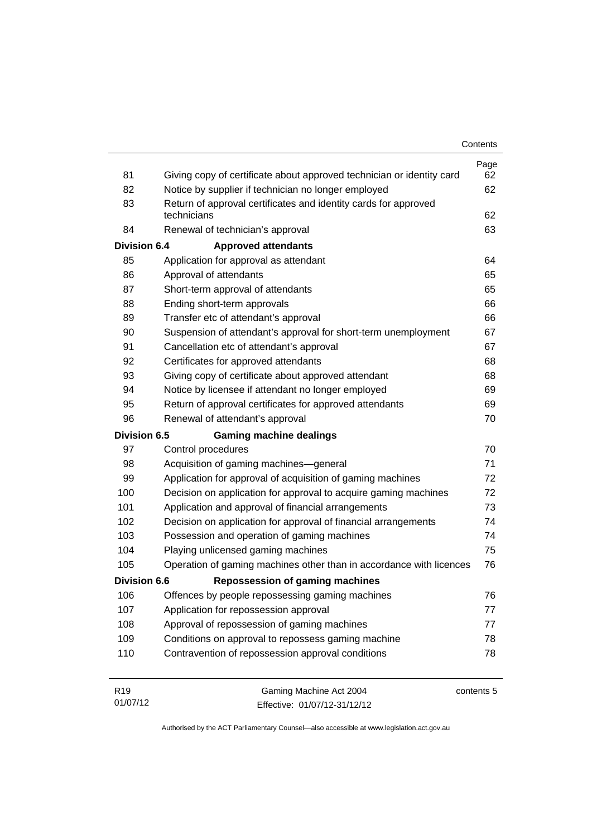| 81                  | Giving copy of certificate about approved technician or identity card | Page<br>62 |
|---------------------|-----------------------------------------------------------------------|------------|
| 82                  | Notice by supplier if technician no longer employed                   | 62         |
| 83                  | Return of approval certificates and identity cards for approved       |            |
|                     | technicians                                                           | 62         |
| 84                  | Renewal of technician's approval                                      | 63         |
| <b>Division 6.4</b> | <b>Approved attendants</b>                                            |            |
| 85                  | Application for approval as attendant                                 | 64         |
| 86                  | Approval of attendants                                                | 65         |
| 87                  | Short-term approval of attendants                                     | 65         |
| 88                  | Ending short-term approvals                                           | 66         |
| 89                  | Transfer etc of attendant's approval                                  | 66         |
| 90                  | Suspension of attendant's approval for short-term unemployment        | 67         |
| 91                  | Cancellation etc of attendant's approval                              | 67         |
| 92                  | Certificates for approved attendants                                  | 68         |
| 93                  | Giving copy of certificate about approved attendant                   | 68         |
| 94                  | Notice by licensee if attendant no longer employed                    | 69         |
| 95                  | Return of approval certificates for approved attendants               | 69         |
| 96                  | Renewal of attendant's approval                                       | 70         |
| <b>Division 6.5</b> | <b>Gaming machine dealings</b>                                        |            |
| 97                  | Control procedures                                                    | 70         |
| 98                  | Acquisition of gaming machines-general                                | 71         |
| 99                  | Application for approval of acquisition of gaming machines            | 72         |
| 100                 | Decision on application for approval to acquire gaming machines       | 72         |
| 101                 | Application and approval of financial arrangements                    | 73         |
| 102                 | Decision on application for approval of financial arrangements        | 74         |
| 103                 | Possession and operation of gaming machines                           | 74         |
| 104                 | Playing unlicensed gaming machines                                    | 75         |
| 105                 | Operation of gaming machines other than in accordance with licences   | 76         |
| <b>Division 6.6</b> | <b>Repossession of gaming machines</b>                                |            |
| 106                 | Offences by people repossessing gaming machines                       | 76         |
| 107                 | Application for repossession approval                                 | 77         |
| 108                 | Approval of repossession of gaming machines                           | 77         |
| 109                 | Conditions on approval to repossess gaming machine                    | 78         |
| 110                 | Contravention of repossession approval conditions                     | 78         |
|                     |                                                                       |            |
| R <sub>19</sub>     | Gaming Machine Act 2004                                               | contents 5 |

Authorised by the ACT Parliamentary Counsel—also accessible at www.legislation.act.gov.au

Effective: 01/07/12-31/12/12

01/07/12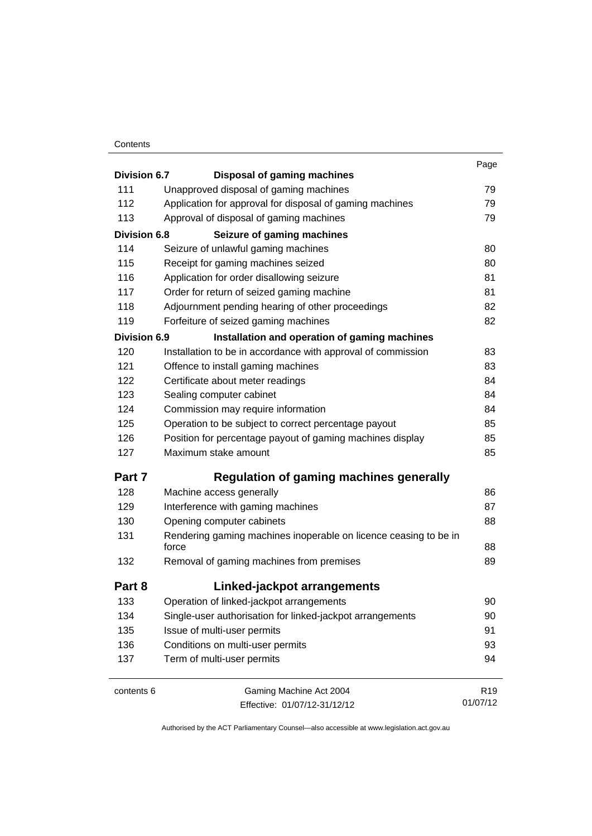### **Contents**

| Division 6.7        | <b>Disposal of gaming machines</b>                               | Page            |
|---------------------|------------------------------------------------------------------|-----------------|
| 111                 | Unapproved disposal of gaming machines                           | 79              |
| 112                 | Application for approval for disposal of gaming machines         | 79              |
| 113                 | Approval of disposal of gaming machines                          | 79              |
| <b>Division 6.8</b> | Seizure of gaming machines                                       |                 |
| 114                 | Seizure of unlawful gaming machines                              | 80              |
| 115                 | Receipt for gaming machines seized                               | 80              |
| 116                 | Application for order disallowing seizure                        | 81              |
| 117                 | Order for return of seized gaming machine                        | 81              |
| 118                 | Adjournment pending hearing of other proceedings                 | 82              |
| 119                 | Forfeiture of seized gaming machines                             | 82              |
| <b>Division 6.9</b> | Installation and operation of gaming machines                    |                 |
| 120                 | Installation to be in accordance with approval of commission     | 83              |
| 121                 | Offence to install gaming machines                               | 83              |
| 122                 | Certificate about meter readings                                 | 84              |
| 123                 | Sealing computer cabinet                                         | 84              |
| 124                 | Commission may require information                               | 84              |
| 125                 | Operation to be subject to correct percentage payout             | 85              |
| 126                 | Position for percentage payout of gaming machines display        | 85              |
| 127                 | Maximum stake amount                                             | 85              |
| Part 7              | <b>Regulation of gaming machines generally</b>                   |                 |
| 128                 | Machine access generally                                         | 86              |
| 129                 | Interference with gaming machines                                | 87              |
| 130                 | Opening computer cabinets                                        | 88              |
| 131                 | Rendering gaming machines inoperable on licence ceasing to be in |                 |
|                     | force                                                            | 88              |
| 132                 | Removal of gaming machines from premises                         | 89              |
| Part 8              | Linked-jackpot arrangements                                      |                 |
| 133                 | Operation of linked-jackpot arrangements                         | 90              |
| 134                 | Single-user authorisation for linked-jackpot arrangements        | 90              |
| 135                 | Issue of multi-user permits                                      | 91              |
| 136                 | Conditions on multi-user permits                                 | 93              |
| 137                 | Term of multi-user permits                                       | 94              |
| contents 6          | Gaming Machine Act 2004                                          | R <sub>19</sub> |

Effective: 01/07/12-31/12/12

01/07/12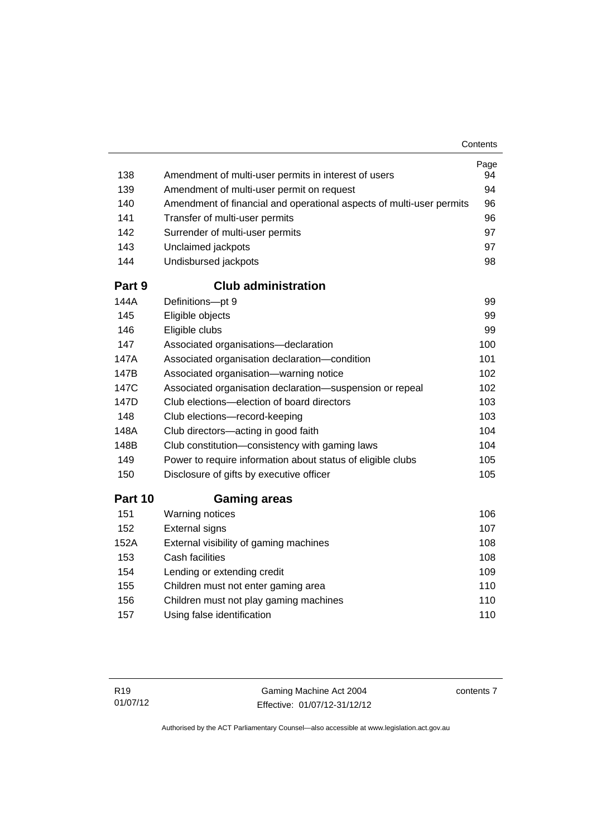|         |                                                                      | Contents   |
|---------|----------------------------------------------------------------------|------------|
| 138     | Amendment of multi-user permits in interest of users                 | Page<br>94 |
| 139     | Amendment of multi-user permit on request                            | 94         |
| 140     | Amendment of financial and operational aspects of multi-user permits | 96         |
| 141     | Transfer of multi-user permits                                       | 96         |
| 142     | Surrender of multi-user permits                                      | 97         |
| 143     | Unclaimed jackpots                                                   | 97         |
| 144     | Undisbursed jackpots                                                 | 98         |
| Part 9  | <b>Club administration</b>                                           |            |
| 144A    | Definitions-pt 9                                                     | 99         |
| 145     | Eligible objects                                                     | 99         |
| 146     | Eligible clubs                                                       | 99         |
| 147     | Associated organisations-declaration                                 | 100        |
| 147A    | Associated organisation declaration-condition                        | 101        |
| 147B    | Associated organisation-warning notice                               | 102        |
| 147C    | Associated organisation declaration-suspension or repeal             | 102        |
| 147D    | Club elections-election of board directors                           | 103        |
| 148     | Club elections-record-keeping                                        | 103        |
| 148A    | Club directors-acting in good faith                                  | 104        |
| 148B    | Club constitution-consistency with gaming laws                       | 104        |
| 149     | Power to require information about status of eligible clubs          | 105        |
| 150     | Disclosure of gifts by executive officer                             | 105        |
| Part 10 | <b>Gaming areas</b>                                                  |            |
| 151     | Warning notices                                                      | 106        |
| 152     | <b>External signs</b>                                                | 107        |
| 152A    | External visibility of gaming machines                               | 108        |
| 153     | Cash facilities                                                      | 108        |
| 154     | Lending or extending credit                                          | 109        |
| 155     | Children must not enter gaming area                                  | 110        |
| 156     | Children must not play gaming machines                               | 110        |
| 157     | Using false identification                                           | 110        |

contents 7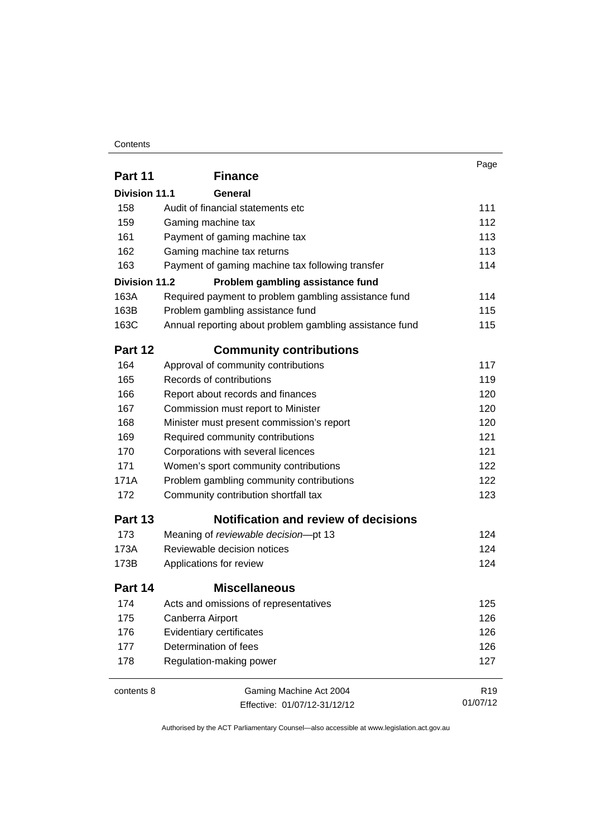### **Contents**

|                      |                                                         | Page            |
|----------------------|---------------------------------------------------------|-----------------|
| Part 11              | <b>Finance</b>                                          |                 |
| <b>Division 11.1</b> | General                                                 |                 |
| 158                  | Audit of financial statements etc                       | 111             |
| 159                  | Gaming machine tax                                      | 112             |
| 161                  | Payment of gaming machine tax                           | 113             |
| 162                  | Gaming machine tax returns                              | 113             |
| 163                  | Payment of gaming machine tax following transfer        | 114             |
| <b>Division 11.2</b> | Problem gambling assistance fund                        |                 |
| 163A                 | Required payment to problem gambling assistance fund    | 114             |
| 163B                 | Problem gambling assistance fund                        | 115             |
| 163C                 | Annual reporting about problem gambling assistance fund | 115             |
| Part 12              | <b>Community contributions</b>                          |                 |
| 164                  | Approval of community contributions                     | 117             |
| 165                  | Records of contributions                                | 119             |
| 166                  | Report about records and finances                       | 120             |
| 167                  | Commission must report to Minister                      | 120             |
| 168                  | Minister must present commission's report               | 120             |
| 169                  | Required community contributions                        | 121             |
| 170                  | Corporations with several licences                      | 121             |
| 171                  | Women's sport community contributions                   | 122             |
| 171A                 | Problem gambling community contributions                | 122             |
| 172                  | Community contribution shortfall tax                    | 123             |
| Part 13              | <b>Notification and review of decisions</b>             |                 |
| 173                  | Meaning of reviewable decision-pt 13                    | 124             |
| 173A                 | Reviewable decision notices                             | 124             |
| 173B                 | Applications for review                                 | 124             |
| Part 14              | <b>Miscellaneous</b>                                    |                 |
| 174                  | Acts and omissions of representatives                   | 125             |
| 175                  | Canberra Airport                                        | 126             |
| 176                  | Evidentiary certificates                                | 126             |
| 177                  | Determination of fees                                   | 126             |
| 178                  | Regulation-making power                                 | 127             |
| contents 8           | Gaming Machine Act 2004                                 | R <sub>19</sub> |
|                      | Effective: 01/07/12-31/12/12                            | 01/07/12        |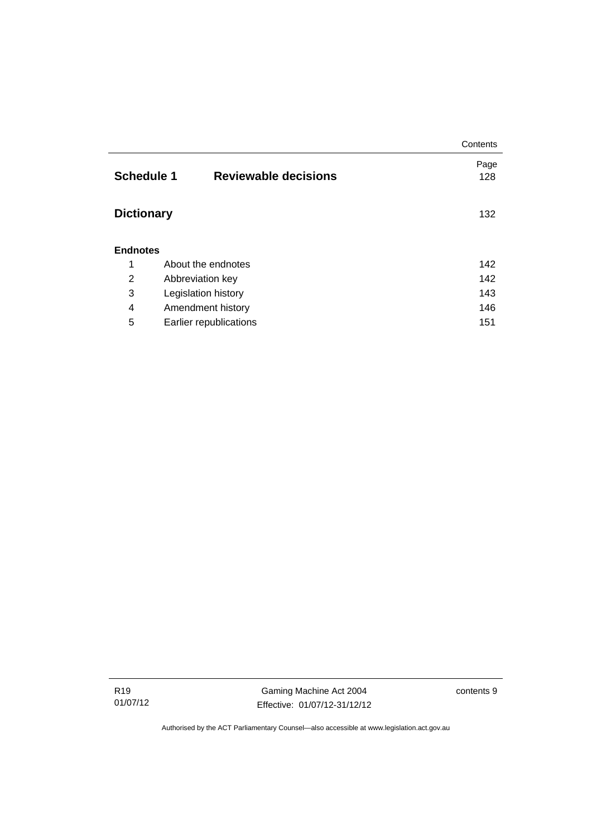|                   |                             | Contents |  |
|-------------------|-----------------------------|----------|--|
|                   |                             | Page     |  |
| <b>Schedule 1</b> | <b>Reviewable decisions</b> | 128      |  |
|                   |                             |          |  |
| <b>Dictionary</b> |                             |          |  |
|                   |                             |          |  |
| <b>Endnotes</b>   |                             |          |  |
|                   |                             |          |  |
| 1                 | About the endnotes          | 142      |  |
| $\overline{2}$    | Abbreviation key            | 142      |  |
| 3                 | Legislation history         | 143      |  |
| 4                 | Amendment history           | 146      |  |
| 5                 | Earlier republications      | 151      |  |

Gaming Machine Act 2004 Effective: 01/07/12-31/12/12 contents 9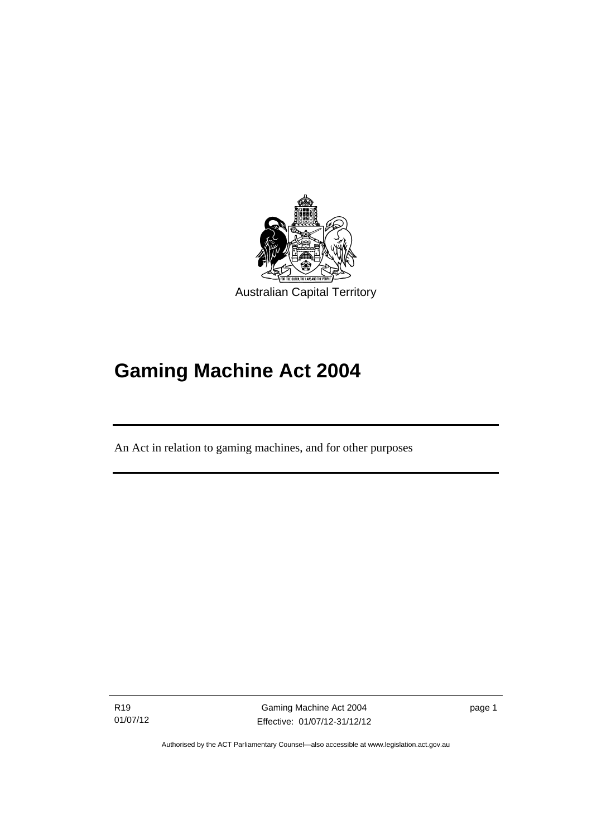

# **Gaming Machine Act 2004**

An Act in relation to gaming machines, and for other purposes

R19 01/07/12

l

Gaming Machine Act 2004 Effective: 01/07/12-31/12/12 page 1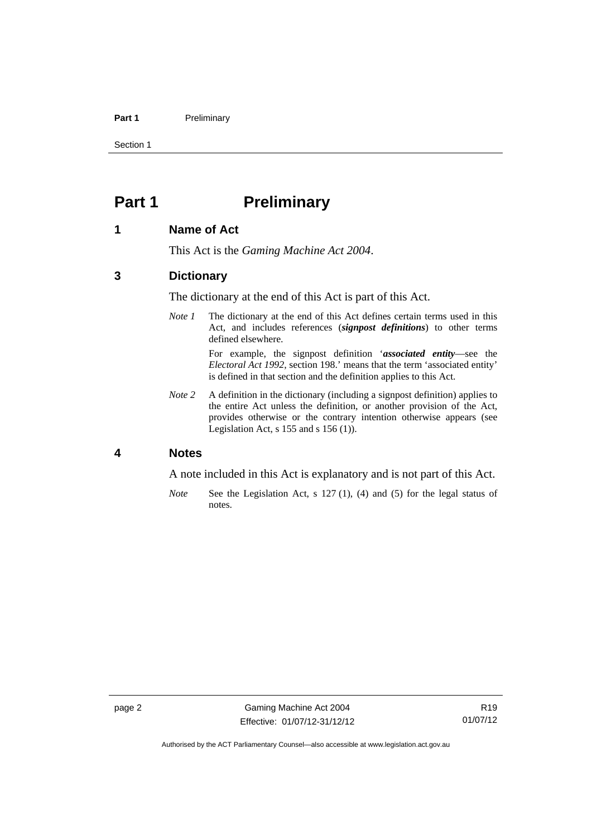### Part 1 **Preliminary**

Section 1

# <span id="page-13-0"></span>**Part 1** Preliminary

### <span id="page-13-1"></span>**1 Name of Act**

This Act is the *Gaming Machine Act 2004*.

### <span id="page-13-2"></span>**3 Dictionary**

The dictionary at the end of this Act is part of this Act.

*Note 1* The dictionary at the end of this Act defines certain terms used in this Act, and includes references (*signpost definitions*) to other terms defined elsewhere.

> For example, the signpost definition '*associated entity*—see the *Electoral Act 1992*, section 198.' means that the term 'associated entity' is defined in that section and the definition applies to this Act.

*Note* 2 A definition in the dictionary (including a signpost definition) applies to the entire Act unless the definition, or another provision of the Act, provides otherwise or the contrary intention otherwise appears (see Legislation Act,  $s$  155 and  $s$  156 (1)).

# <span id="page-13-3"></span>**4 Notes**

A note included in this Act is explanatory and is not part of this Act.

*Note* See the Legislation Act, s 127 (1), (4) and (5) for the legal status of notes.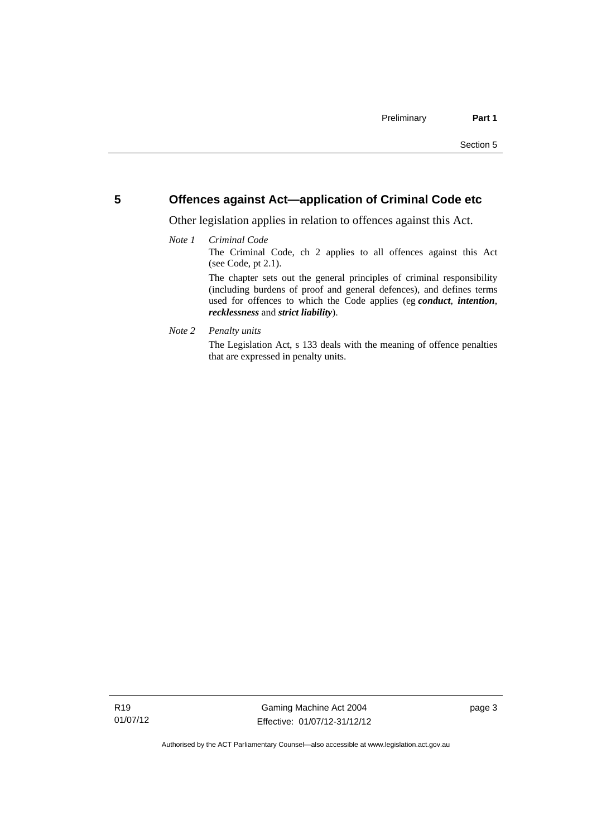# <span id="page-14-0"></span>**5 Offences against Act—application of Criminal Code etc**

Other legislation applies in relation to offences against this Act.

### *Note 1 Criminal Code*

The Criminal Code, ch 2 applies to all offences against this Act (see Code, pt 2.1).

The chapter sets out the general principles of criminal responsibility (including burdens of proof and general defences), and defines terms used for offences to which the Code applies (eg *conduct*, *intention*, *recklessness* and *strict liability*).

### *Note 2 Penalty units*

The Legislation Act, s 133 deals with the meaning of offence penalties that are expressed in penalty units.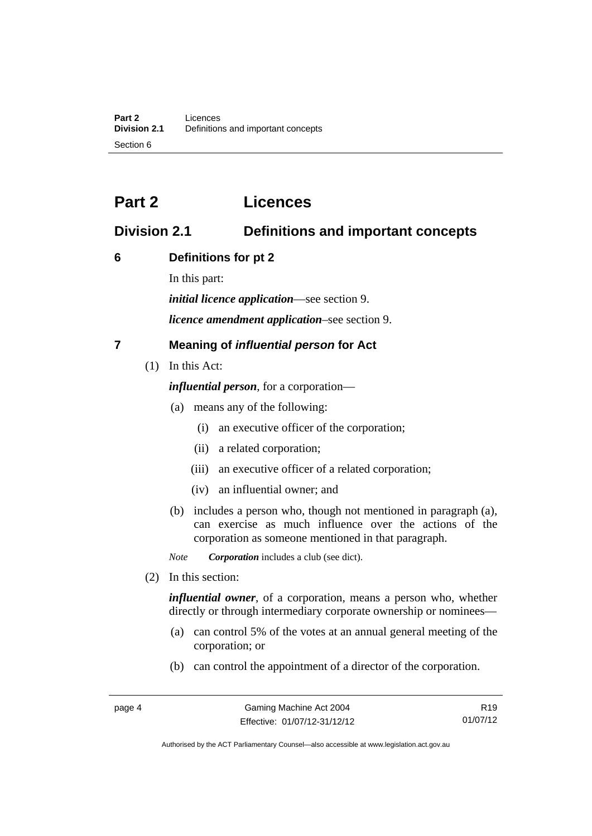# <span id="page-15-0"></span>**Part 2 Licences**

# <span id="page-15-1"></span>**Division 2.1 Definitions and important concepts**

# <span id="page-15-2"></span>**6 Definitions for pt 2**

In this part:

*initial licence application*—see section 9.

*licence amendment application*–see section 9.

# <span id="page-15-3"></span>**7 Meaning of** *influential person* **for Act**

(1) In this Act:

*influential person*, for a corporation—

- (a) means any of the following:
	- (i) an executive officer of the corporation;
	- (ii) a related corporation;
	- (iii) an executive officer of a related corporation;
	- (iv) an influential owner; and
- (b) includes a person who, though not mentioned in paragraph (a), can exercise as much influence over the actions of the corporation as someone mentioned in that paragraph.

*Note Corporation* includes a club (see dict).

(2) In this section:

*influential owner*, of a corporation, means a person who, whether directly or through intermediary corporate ownership or nominees—

- (a) can control 5% of the votes at an annual general meeting of the corporation; or
- (b) can control the appointment of a director of the corporation.

R19 01/07/12

Authorised by the ACT Parliamentary Counsel—also accessible at www.legislation.act.gov.au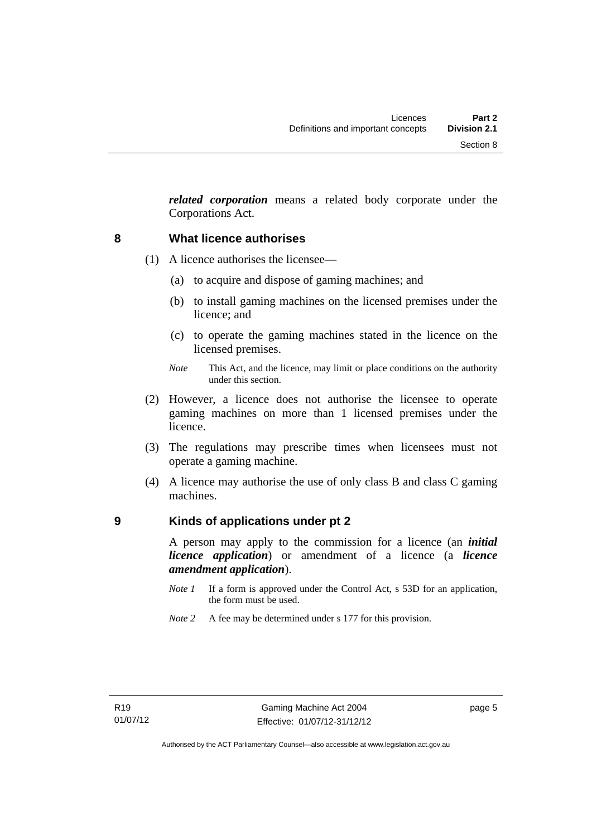*related corporation* means a related body corporate under the Corporations Act.

## <span id="page-16-0"></span>**8 What licence authorises**

- (1) A licence authorises the licensee—
	- (a) to acquire and dispose of gaming machines; and
	- (b) to install gaming machines on the licensed premises under the licence; and
	- (c) to operate the gaming machines stated in the licence on the licensed premises.
	- *Note* This Act, and the licence, may limit or place conditions on the authority under this section.
- (2) However, a licence does not authorise the licensee to operate gaming machines on more than 1 licensed premises under the licence.
- (3) The regulations may prescribe times when licensees must not operate a gaming machine.
- (4) A licence may authorise the use of only class B and class C gaming machines.

## <span id="page-16-1"></span>**9 Kinds of applications under pt 2**

A person may apply to the commission for a licence (an *initial licence application*) or amendment of a licence (a *licence amendment application*).

- *Note 1* If a form is approved under the Control Act, s 53D for an application, the form must be used.
- *Note 2* A fee may be determined under s 177 for this provision.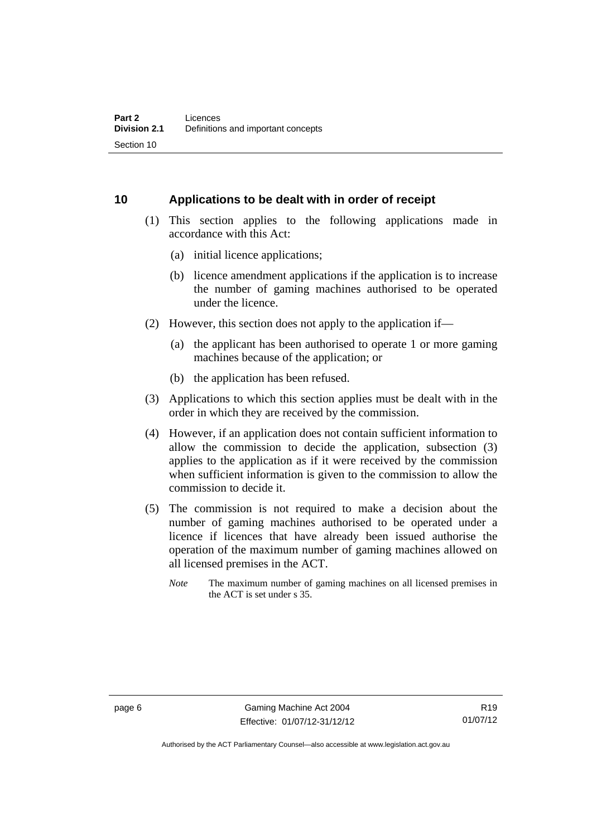# <span id="page-17-0"></span>**10 Applications to be dealt with in order of receipt**

- (1) This section applies to the following applications made in accordance with this Act:
	- (a) initial licence applications;
	- (b) licence amendment applications if the application is to increase the number of gaming machines authorised to be operated under the licence.
- (2) However, this section does not apply to the application if—
	- (a) the applicant has been authorised to operate 1 or more gaming machines because of the application; or
	- (b) the application has been refused.
- (3) Applications to which this section applies must be dealt with in the order in which they are received by the commission.
- (4) However, if an application does not contain sufficient information to allow the commission to decide the application, subsection (3) applies to the application as if it were received by the commission when sufficient information is given to the commission to allow the commission to decide it.
- (5) The commission is not required to make a decision about the number of gaming machines authorised to be operated under a licence if licences that have already been issued authorise the operation of the maximum number of gaming machines allowed on all licensed premises in the ACT.
	- *Note* The maximum number of gaming machines on all licensed premises in the ACT is set under s 35.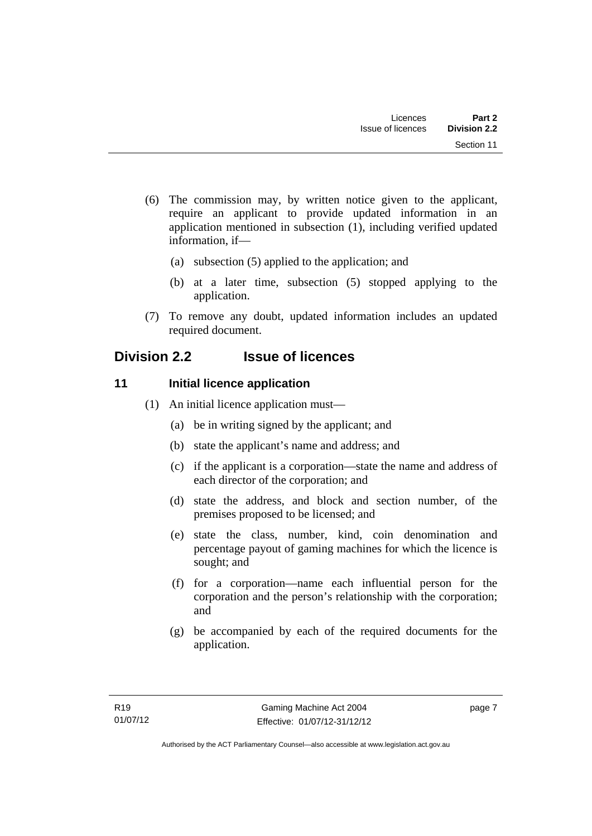- (6) The commission may, by written notice given to the applicant, require an applicant to provide updated information in an application mentioned in subsection (1), including verified updated information, if—
	- (a) subsection (5) applied to the application; and
	- (b) at a later time, subsection (5) stopped applying to the application.
- (7) To remove any doubt, updated information includes an updated required document.

# <span id="page-18-0"></span>**Division 2.2 Issue of licences**

# <span id="page-18-1"></span>**11** Initial licence application

- (1) An initial licence application must—
	- (a) be in writing signed by the applicant; and
	- (b) state the applicant's name and address; and
	- (c) if the applicant is a corporation—state the name and address of each director of the corporation; and
	- (d) state the address, and block and section number, of the premises proposed to be licensed; and
	- (e) state the class, number, kind, coin denomination and percentage payout of gaming machines for which the licence is sought; and
	- (f) for a corporation—name each influential person for the corporation and the person's relationship with the corporation; and
	- (g) be accompanied by each of the required documents for the application.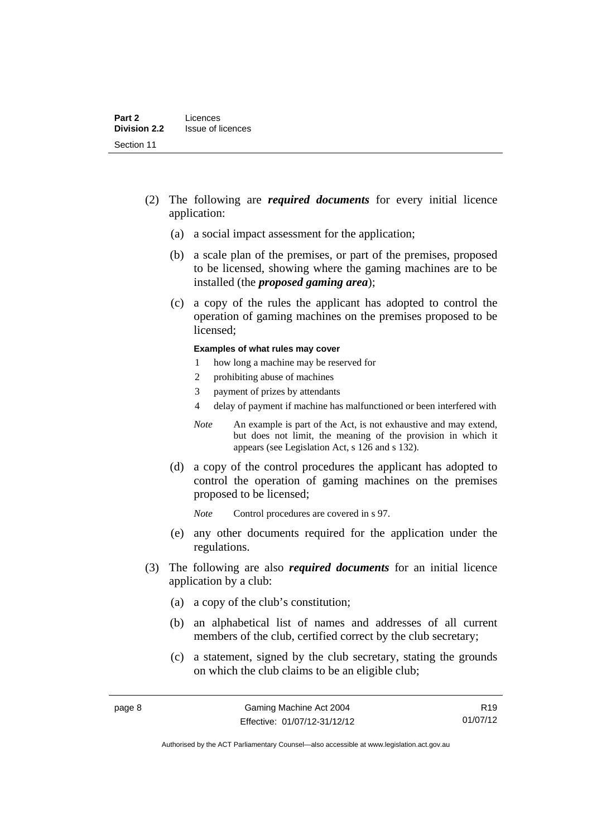- (2) The following are *required documents* for every initial licence application:
	- (a) a social impact assessment for the application;
	- (b) a scale plan of the premises, or part of the premises, proposed to be licensed, showing where the gaming machines are to be installed (the *proposed gaming area*);
	- (c) a copy of the rules the applicant has adopted to control the operation of gaming machines on the premises proposed to be licensed;

#### **Examples of what rules may cover**

- 1 how long a machine may be reserved for
- 2 prohibiting abuse of machines
- 3 payment of prizes by attendants
- 4 delay of payment if machine has malfunctioned or been interfered with
- *Note* An example is part of the Act, is not exhaustive and may extend, but does not limit, the meaning of the provision in which it appears (see Legislation Act, s 126 and s 132).
- (d) a copy of the control procedures the applicant has adopted to control the operation of gaming machines on the premises proposed to be licensed;
	- *Note* Control procedures are covered in s 97.
- (e) any other documents required for the application under the regulations.
- (3) The following are also *required documents* for an initial licence application by a club:
	- (a) a copy of the club's constitution;
	- (b) an alphabetical list of names and addresses of all current members of the club, certified correct by the club secretary;
	- (c) a statement, signed by the club secretary, stating the grounds on which the club claims to be an eligible club;

R19 01/07/12

Authorised by the ACT Parliamentary Counsel—also accessible at www.legislation.act.gov.au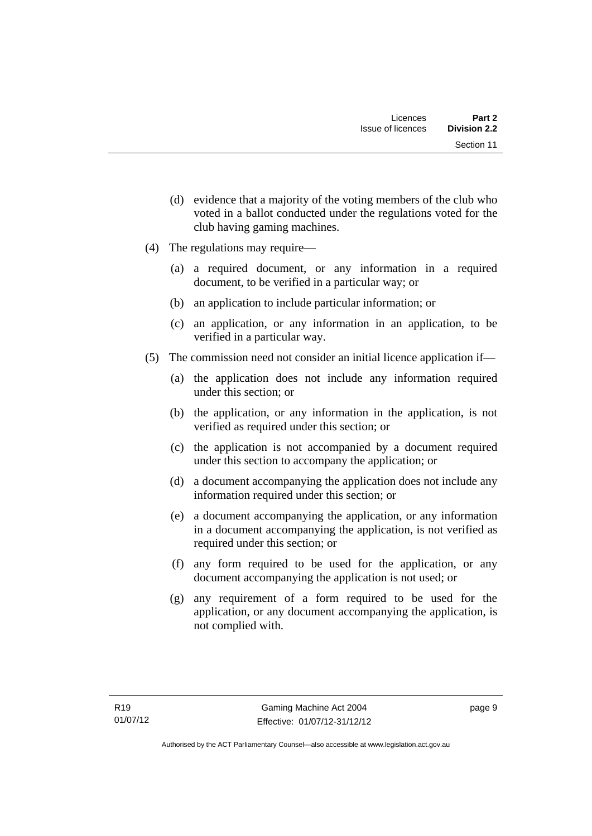- (d) evidence that a majority of the voting members of the club who voted in a ballot conducted under the regulations voted for the club having gaming machines.
- (4) The regulations may require—
	- (a) a required document, or any information in a required document, to be verified in a particular way; or
	- (b) an application to include particular information; or
	- (c) an application, or any information in an application, to be verified in a particular way.
- (5) The commission need not consider an initial licence application if—
	- (a) the application does not include any information required under this section; or
	- (b) the application, or any information in the application, is not verified as required under this section; or
	- (c) the application is not accompanied by a document required under this section to accompany the application; or
	- (d) a document accompanying the application does not include any information required under this section; or
	- (e) a document accompanying the application, or any information in a document accompanying the application, is not verified as required under this section; or
	- (f) any form required to be used for the application, or any document accompanying the application is not used; or
	- (g) any requirement of a form required to be used for the application, or any document accompanying the application, is not complied with.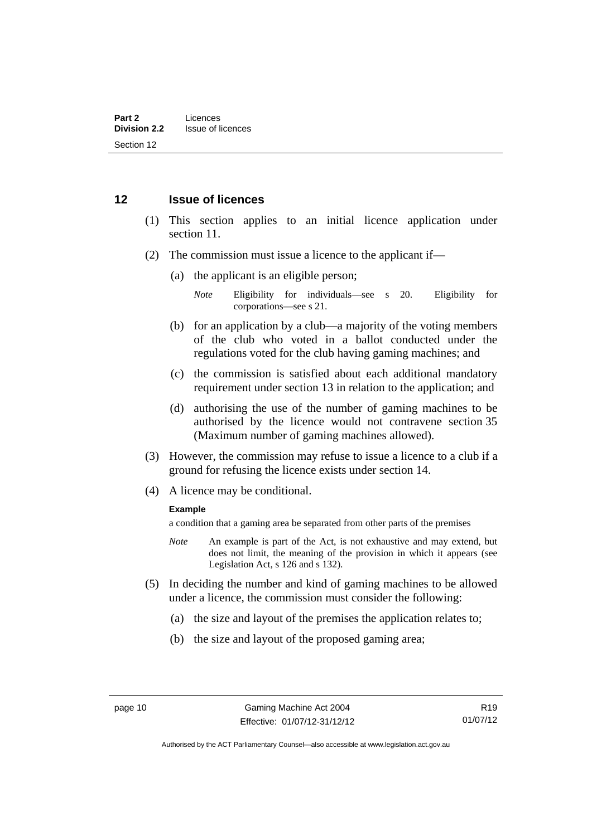## <span id="page-21-0"></span>**12 Issue of licences**

- (1) This section applies to an initial licence application under section 11.
- (2) The commission must issue a licence to the applicant if—
	- (a) the applicant is an eligible person;
		- *Note* Eligibility for individuals—see s 20. Eligibility for corporations—see s 21.
	- (b) for an application by a club—a majority of the voting members of the club who voted in a ballot conducted under the regulations voted for the club having gaming machines; and
	- (c) the commission is satisfied about each additional mandatory requirement under section 13 in relation to the application; and
	- (d) authorising the use of the number of gaming machines to be authorised by the licence would not contravene section 35 (Maximum number of gaming machines allowed).
- (3) However, the commission may refuse to issue a licence to a club if a ground for refusing the licence exists under section 14.
- (4) A licence may be conditional.

### **Example**

a condition that a gaming area be separated from other parts of the premises

- *Note* An example is part of the Act, is not exhaustive and may extend, but does not limit, the meaning of the provision in which it appears (see Legislation Act, s 126 and s 132).
- (5) In deciding the number and kind of gaming machines to be allowed under a licence, the commission must consider the following:
	- (a) the size and layout of the premises the application relates to;
	- (b) the size and layout of the proposed gaming area;

R19 01/07/12

Authorised by the ACT Parliamentary Counsel—also accessible at www.legislation.act.gov.au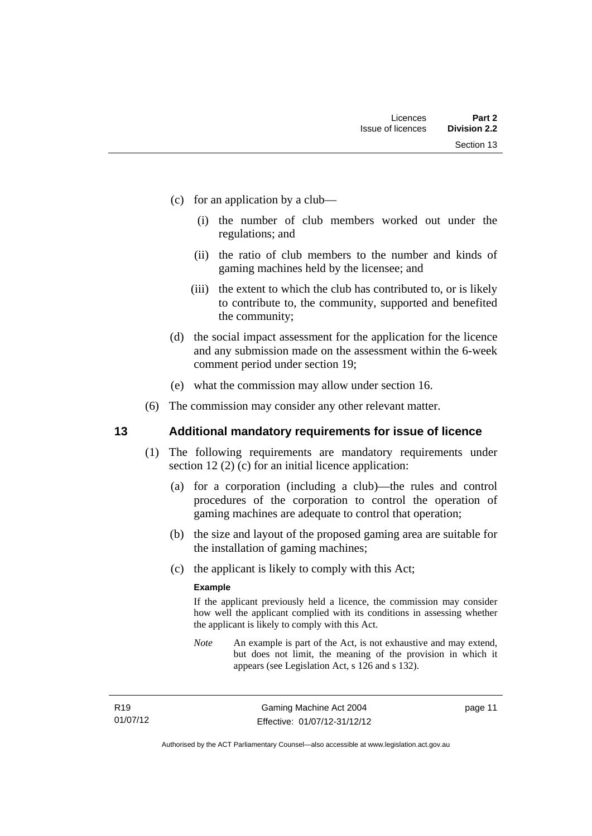- (c) for an application by a club—
	- (i) the number of club members worked out under the regulations; and
	- (ii) the ratio of club members to the number and kinds of gaming machines held by the licensee; and
	- (iii) the extent to which the club has contributed to, or is likely to contribute to, the community, supported and benefited the community;
- (d) the social impact assessment for the application for the licence and any submission made on the assessment within the 6-week comment period under section 19;
- (e) what the commission may allow under section 16.
- (6) The commission may consider any other relevant matter.

## <span id="page-22-0"></span>**13 Additional mandatory requirements for issue of licence**

- (1) The following requirements are mandatory requirements under section 12 (2) (c) for an initial licence application:
	- (a) for a corporation (including a club)—the rules and control procedures of the corporation to control the operation of gaming machines are adequate to control that operation;
	- (b) the size and layout of the proposed gaming area are suitable for the installation of gaming machines;
	- (c) the applicant is likely to comply with this Act;

### **Example**

If the applicant previously held a licence, the commission may consider how well the applicant complied with its conditions in assessing whether the applicant is likely to comply with this Act.

*Note* An example is part of the Act, is not exhaustive and may extend, but does not limit, the meaning of the provision in which it appears (see Legislation Act, s 126 and s 132).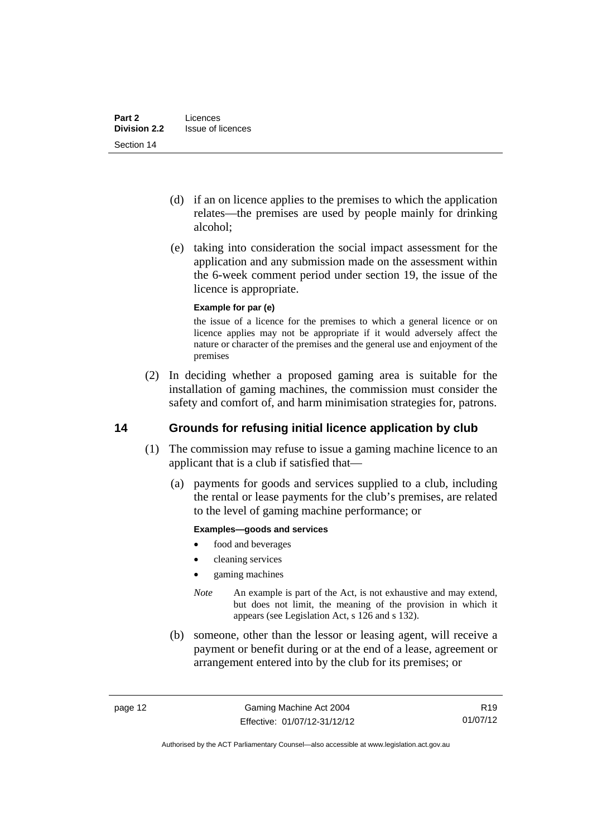- (d) if an on licence applies to the premises to which the application relates—the premises are used by people mainly for drinking alcohol;
- (e) taking into consideration the social impact assessment for the application and any submission made on the assessment within the 6-week comment period under section 19, the issue of the licence is appropriate.

### **Example for par (e)**

the issue of a licence for the premises to which a general licence or on licence applies may not be appropriate if it would adversely affect the nature or character of the premises and the general use and enjoyment of the premises

 (2) In deciding whether a proposed gaming area is suitable for the installation of gaming machines, the commission must consider the safety and comfort of, and harm minimisation strategies for, patrons.

# <span id="page-23-0"></span>**14 Grounds for refusing initial licence application by club**

- (1) The commission may refuse to issue a gaming machine licence to an applicant that is a club if satisfied that—
	- (a) payments for goods and services supplied to a club, including the rental or lease payments for the club's premises, are related to the level of gaming machine performance; or

### **Examples—goods and services**

- food and beverages
- cleaning services
- gaming machines
- *Note* An example is part of the Act, is not exhaustive and may extend, but does not limit, the meaning of the provision in which it appears (see Legislation Act, s 126 and s 132).
- (b) someone, other than the lessor or leasing agent, will receive a payment or benefit during or at the end of a lease, agreement or arrangement entered into by the club for its premises; or

R19 01/07/12

Authorised by the ACT Parliamentary Counsel—also accessible at www.legislation.act.gov.au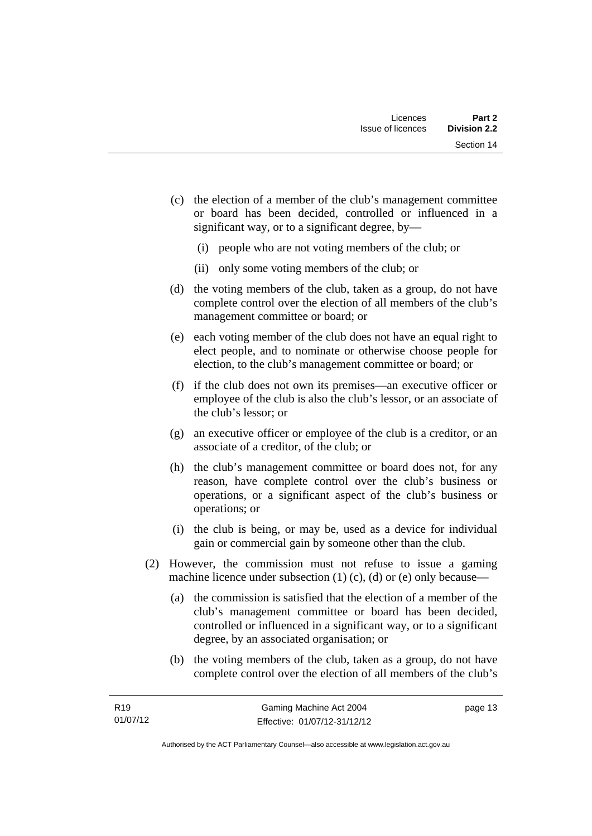- (c) the election of a member of the club's management committee or board has been decided, controlled or influenced in a significant way, or to a significant degree, by—
	- (i) people who are not voting members of the club; or
	- (ii) only some voting members of the club; or
- (d) the voting members of the club, taken as a group, do not have complete control over the election of all members of the club's management committee or board; or
- (e) each voting member of the club does not have an equal right to elect people, and to nominate or otherwise choose people for election, to the club's management committee or board; or
- (f) if the club does not own its premises—an executive officer or employee of the club is also the club's lessor, or an associate of the club's lessor; or
- (g) an executive officer or employee of the club is a creditor, or an associate of a creditor, of the club; or
- (h) the club's management committee or board does not, for any reason, have complete control over the club's business or operations, or a significant aspect of the club's business or operations; or
- (i) the club is being, or may be, used as a device for individual gain or commercial gain by someone other than the club.
- (2) However, the commission must not refuse to issue a gaming machine licence under subsection  $(1)$   $(c)$ ,  $(d)$  or  $(e)$  only because—
	- (a) the commission is satisfied that the election of a member of the club's management committee or board has been decided, controlled or influenced in a significant way, or to a significant degree, by an associated organisation; or
	- (b) the voting members of the club, taken as a group, do not have complete control over the election of all members of the club's

page 13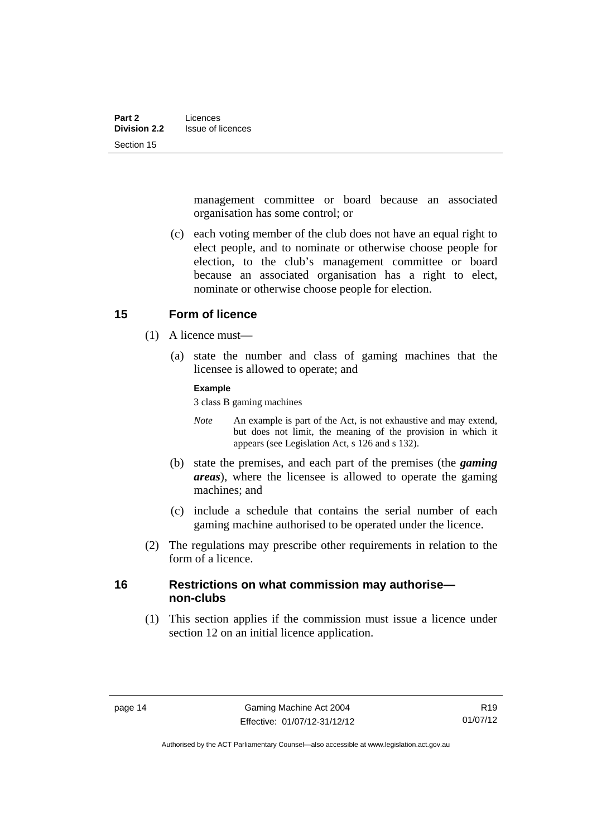management committee or board because an associated organisation has some control; or

 (c) each voting member of the club does not have an equal right to elect people, and to nominate or otherwise choose people for election, to the club's management committee or board because an associated organisation has a right to elect, nominate or otherwise choose people for election.

### <span id="page-25-0"></span>**15 Form of licence**

- (1) A licence must—
	- (a) state the number and class of gaming machines that the licensee is allowed to operate; and

### **Example**

3 class B gaming machines

- *Note* An example is part of the Act, is not exhaustive and may extend, but does not limit, the meaning of the provision in which it appears (see Legislation Act, s 126 and s 132).
- (b) state the premises, and each part of the premises (the *gaming areas*), where the licensee is allowed to operate the gaming machines; and
- (c) include a schedule that contains the serial number of each gaming machine authorised to be operated under the licence.
- (2) The regulations may prescribe other requirements in relation to the form of a licence.

## <span id="page-25-1"></span>**16 Restrictions on what commission may authorise non-clubs**

 (1) This section applies if the commission must issue a licence under section 12 on an initial licence application.

Authorised by the ACT Parliamentary Counsel—also accessible at www.legislation.act.gov.au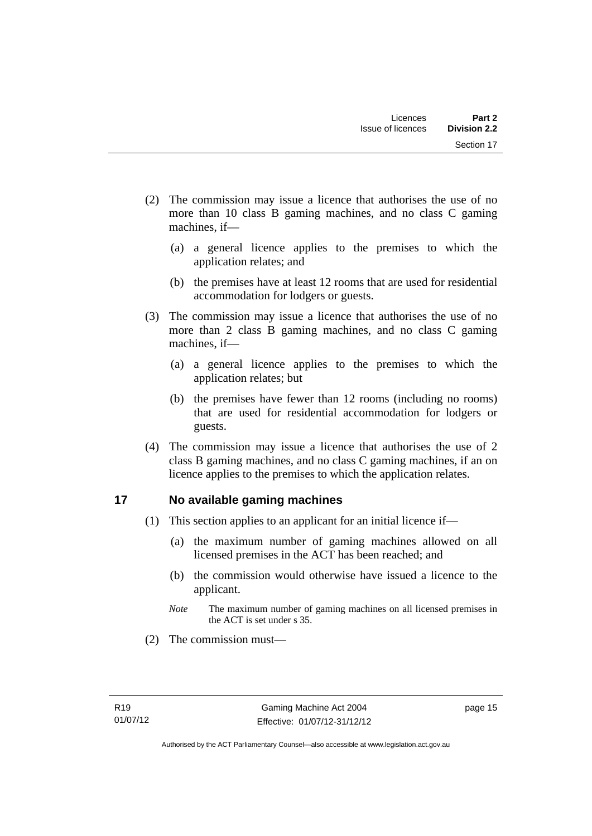- (2) The commission may issue a licence that authorises the use of no more than 10 class B gaming machines, and no class C gaming machines, if—
	- (a) a general licence applies to the premises to which the application relates; and
	- (b) the premises have at least 12 rooms that are used for residential accommodation for lodgers or guests.
- (3) The commission may issue a licence that authorises the use of no more than 2 class B gaming machines, and no class C gaming machines, if—
	- (a) a general licence applies to the premises to which the application relates; but
	- (b) the premises have fewer than 12 rooms (including no rooms) that are used for residential accommodation for lodgers or guests.
- (4) The commission may issue a licence that authorises the use of 2 class B gaming machines, and no class C gaming machines, if an on licence applies to the premises to which the application relates.

# <span id="page-26-0"></span>**17 No available gaming machines**

- (1) This section applies to an applicant for an initial licence if—
	- (a) the maximum number of gaming machines allowed on all licensed premises in the ACT has been reached; and
	- (b) the commission would otherwise have issued a licence to the applicant.
	- *Note* The maximum number of gaming machines on all licensed premises in the ACT is set under s 35.
- (2) The commission must—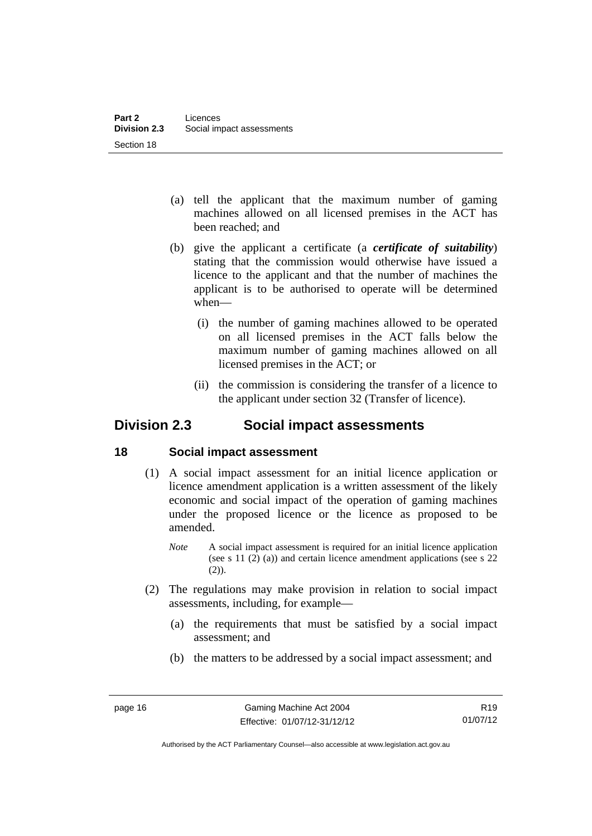- (a) tell the applicant that the maximum number of gaming machines allowed on all licensed premises in the ACT has been reached; and
- (b) give the applicant a certificate (a *certificate of suitability*) stating that the commission would otherwise have issued a licence to the applicant and that the number of machines the applicant is to be authorised to operate will be determined when—
	- (i) the number of gaming machines allowed to be operated on all licensed premises in the ACT falls below the maximum number of gaming machines allowed on all licensed premises in the ACT; or
	- (ii) the commission is considering the transfer of a licence to the applicant under section 32 (Transfer of licence).

# <span id="page-27-0"></span>**Division 2.3 Social impact assessments**

# <span id="page-27-1"></span>**18 Social impact assessment**

- (1) A social impact assessment for an initial licence application or licence amendment application is a written assessment of the likely economic and social impact of the operation of gaming machines under the proposed licence or the licence as proposed to be amended.
	- *Note* A social impact assessment is required for an initial licence application (see s 11 (2) (a)) and certain licence amendment applications (see s 22 (2)).
- (2) The regulations may make provision in relation to social impact assessments, including, for example—
	- (a) the requirements that must be satisfied by a social impact assessment; and
	- (b) the matters to be addressed by a social impact assessment; and

Authorised by the ACT Parliamentary Counsel—also accessible at www.legislation.act.gov.au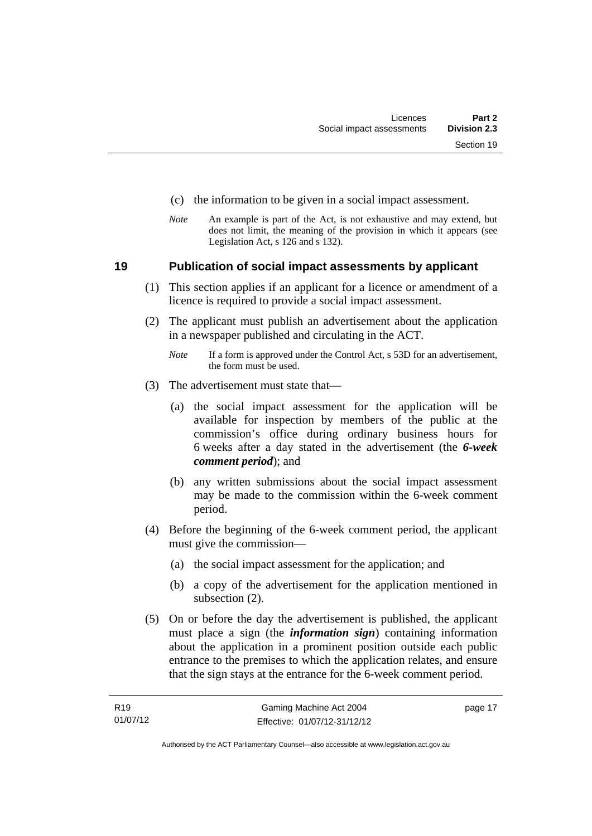- (c) the information to be given in a social impact assessment.
- *Note* An example is part of the Act, is not exhaustive and may extend, but does not limit, the meaning of the provision in which it appears (see Legislation Act, s 126 and s 132).

### <span id="page-28-0"></span>**19 Publication of social impact assessments by applicant**

- (1) This section applies if an applicant for a licence or amendment of a licence is required to provide a social impact assessment.
- (2) The applicant must publish an advertisement about the application in a newspaper published and circulating in the ACT.
	- *Note* If a form is approved under the Control Act, s 53D for an advertisement, the form must be used.
- (3) The advertisement must state that—
	- (a) the social impact assessment for the application will be available for inspection by members of the public at the commission's office during ordinary business hours for 6 weeks after a day stated in the advertisement (the *6-week comment period*); and
	- (b) any written submissions about the social impact assessment may be made to the commission within the 6-week comment period.
- (4) Before the beginning of the 6-week comment period, the applicant must give the commission—
	- (a) the social impact assessment for the application; and
	- (b) a copy of the advertisement for the application mentioned in subsection (2).
- (5) On or before the day the advertisement is published, the applicant must place a sign (the *information sign*) containing information about the application in a prominent position outside each public entrance to the premises to which the application relates, and ensure that the sign stays at the entrance for the 6-week comment period.

page 17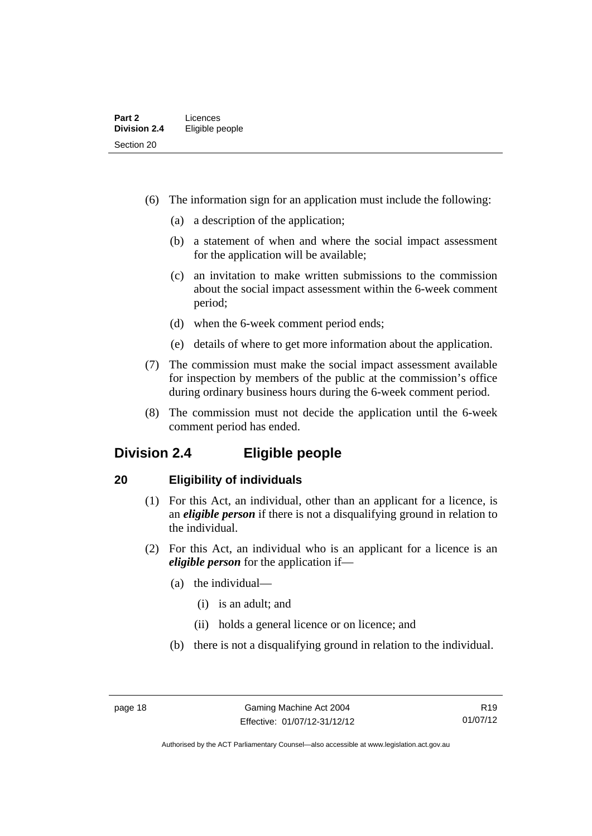- (6) The information sign for an application must include the following:
	- (a) a description of the application;
	- (b) a statement of when and where the social impact assessment for the application will be available;
	- (c) an invitation to make written submissions to the commission about the social impact assessment within the 6-week comment period;
	- (d) when the 6-week comment period ends;
	- (e) details of where to get more information about the application.
- (7) The commission must make the social impact assessment available for inspection by members of the public at the commission's office during ordinary business hours during the 6-week comment period.
- (8) The commission must not decide the application until the 6-week comment period has ended.

# <span id="page-29-0"></span>**Division 2.4 Eligible people**

# <span id="page-29-1"></span>**20 Eligibility of individuals**

- (1) For this Act, an individual, other than an applicant for a licence, is an *eligible person* if there is not a disqualifying ground in relation to the individual.
- (2) For this Act, an individual who is an applicant for a licence is an *eligible person* for the application if—
	- (a) the individual—
		- (i) is an adult; and
		- (ii) holds a general licence or on licence; and
	- (b) there is not a disqualifying ground in relation to the individual.

Authorised by the ACT Parliamentary Counsel—also accessible at www.legislation.act.gov.au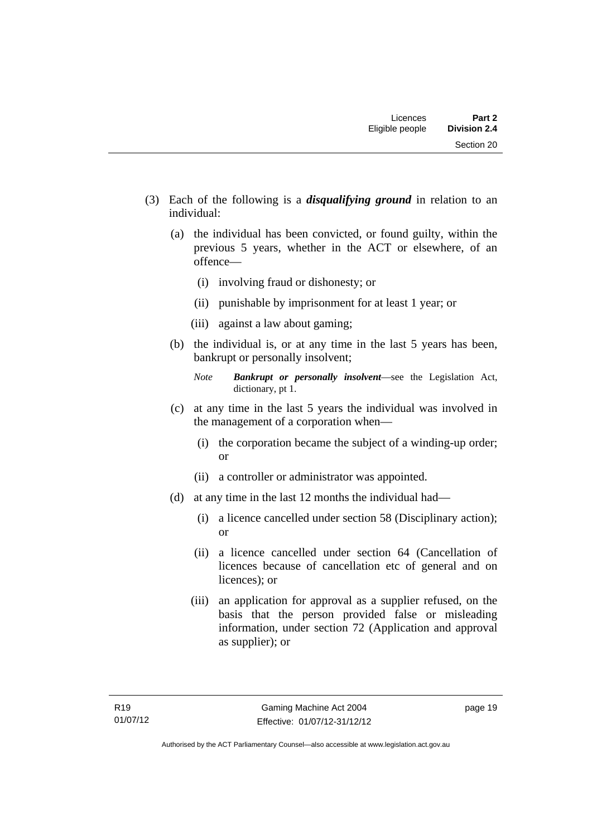- (3) Each of the following is a *disqualifying ground* in relation to an individual:
	- (a) the individual has been convicted, or found guilty, within the previous 5 years, whether in the ACT or elsewhere, of an offence—
		- (i) involving fraud or dishonesty; or
		- (ii) punishable by imprisonment for at least 1 year; or
		- (iii) against a law about gaming;
	- (b) the individual is, or at any time in the last 5 years has been, bankrupt or personally insolvent;

- (c) at any time in the last 5 years the individual was involved in the management of a corporation when—
	- (i) the corporation became the subject of a winding-up order; or
	- (ii) a controller or administrator was appointed.
- (d) at any time in the last 12 months the individual had—
	- (i) a licence cancelled under section 58 (Disciplinary action); or
	- (ii) a licence cancelled under section 64 (Cancellation of licences because of cancellation etc of general and on licences); or
	- (iii) an application for approval as a supplier refused, on the basis that the person provided false or misleading information, under section 72 (Application and approval as supplier); or

*Note Bankrupt or personally insolvent*—see the Legislation Act, dictionary, pt 1.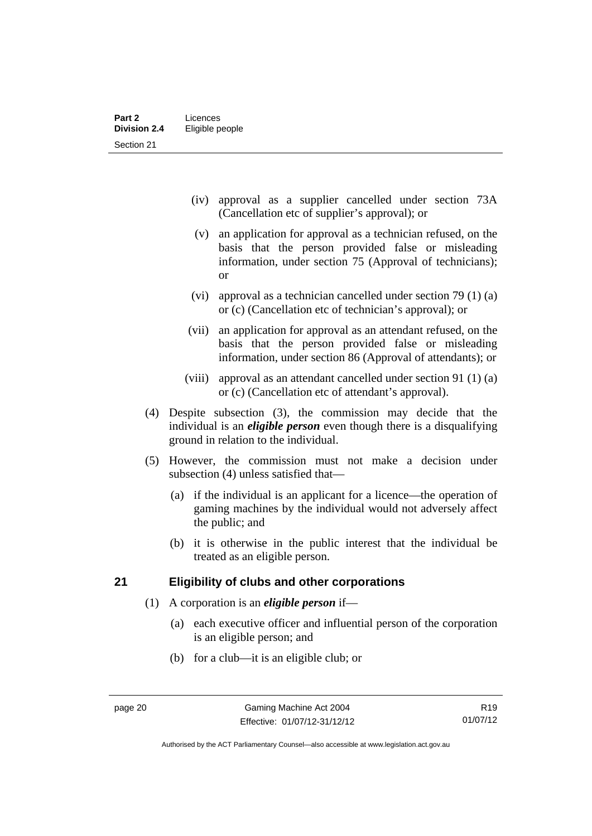- (iv) approval as a supplier cancelled under section 73A (Cancellation etc of supplier's approval); or
- (v) an application for approval as a technician refused, on the basis that the person provided false or misleading information, under section 75 (Approval of technicians); or
- (vi) approval as a technician cancelled under section 79 (1) (a) or (c) (Cancellation etc of technician's approval); or
- (vii) an application for approval as an attendant refused, on the basis that the person provided false or misleading information, under section 86 (Approval of attendants); or
- (viii) approval as an attendant cancelled under section 91 (1) (a) or (c) (Cancellation etc of attendant's approval).
- (4) Despite subsection (3), the commission may decide that the individual is an *eligible person* even though there is a disqualifying ground in relation to the individual.
- (5) However, the commission must not make a decision under subsection (4) unless satisfied that—
	- (a) if the individual is an applicant for a licence—the operation of gaming machines by the individual would not adversely affect the public; and
	- (b) it is otherwise in the public interest that the individual be treated as an eligible person.

# <span id="page-31-0"></span>**21 Eligibility of clubs and other corporations**

- (1) A corporation is an *eligible person* if—
	- (a) each executive officer and influential person of the corporation is an eligible person; and
	- (b) for a club—it is an eligible club; or

Authorised by the ACT Parliamentary Counsel—also accessible at www.legislation.act.gov.au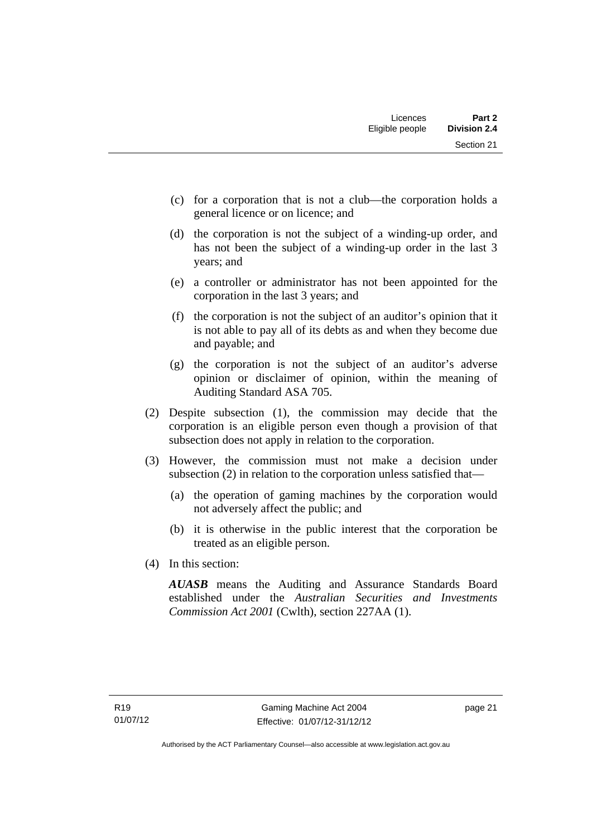- (c) for a corporation that is not a club—the corporation holds a general licence or on licence; and
- (d) the corporation is not the subject of a winding-up order, and has not been the subject of a winding-up order in the last 3 years; and
- (e) a controller or administrator has not been appointed for the corporation in the last 3 years; and
- (f) the corporation is not the subject of an auditor's opinion that it is not able to pay all of its debts as and when they become due and payable; and
- (g) the corporation is not the subject of an auditor's adverse opinion or disclaimer of opinion, within the meaning of Auditing Standard ASA 705.
- (2) Despite subsection (1), the commission may decide that the corporation is an eligible person even though a provision of that subsection does not apply in relation to the corporation.
- (3) However, the commission must not make a decision under subsection (2) in relation to the corporation unless satisfied that—
	- (a) the operation of gaming machines by the corporation would not adversely affect the public; and
	- (b) it is otherwise in the public interest that the corporation be treated as an eligible person.
- (4) In this section:

*AUASB* means the Auditing and Assurance Standards Board established under the *Australian Securities and Investments Commission Act 2001* (Cwlth), section 227AA (1).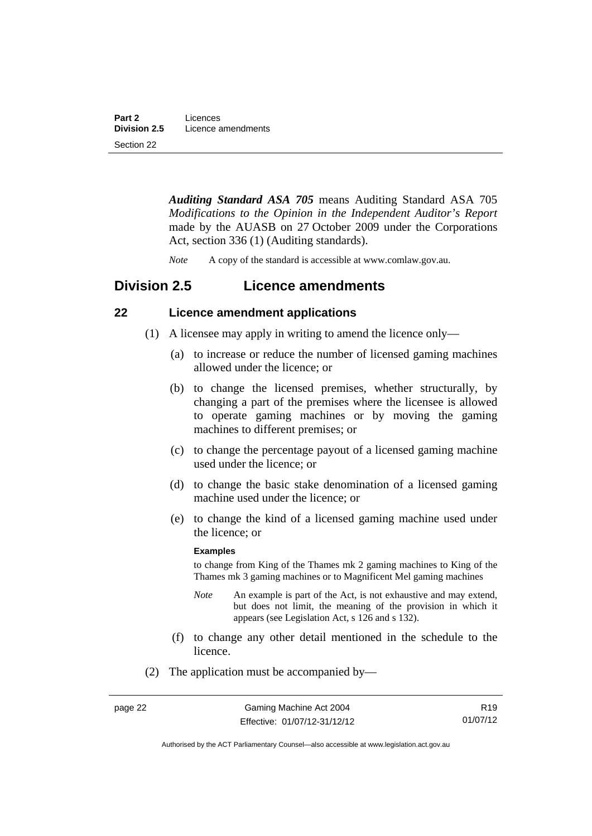*Auditing Standard ASA 705* means Auditing Standard ASA 705 *Modifications to the Opinion in the Independent Auditor's Report* made by the AUASB on 27 October 2009 under the Corporations Act, section 336 (1) (Auditing standards).

*Note* A copy of the standard is accessible at www.comlaw.gov.au.

# <span id="page-33-0"></span>**Division 2.5 Licence amendments**

# <span id="page-33-1"></span>**22 Licence amendment applications**

- (1) A licensee may apply in writing to amend the licence only—
	- (a) to increase or reduce the number of licensed gaming machines allowed under the licence; or
	- (b) to change the licensed premises, whether structurally, by changing a part of the premises where the licensee is allowed to operate gaming machines or by moving the gaming machines to different premises; or
	- (c) to change the percentage payout of a licensed gaming machine used under the licence; or
	- (d) to change the basic stake denomination of a licensed gaming machine used under the licence; or
	- (e) to change the kind of a licensed gaming machine used under the licence; or

#### **Examples**

to change from King of the Thames mk 2 gaming machines to King of the Thames mk 3 gaming machines or to Magnificent Mel gaming machines

- *Note* An example is part of the Act, is not exhaustive and may extend, but does not limit, the meaning of the provision in which it appears (see Legislation Act, s 126 and s 132).
- (f) to change any other detail mentioned in the schedule to the licence.
- (2) The application must be accompanied by—

R19 01/07/12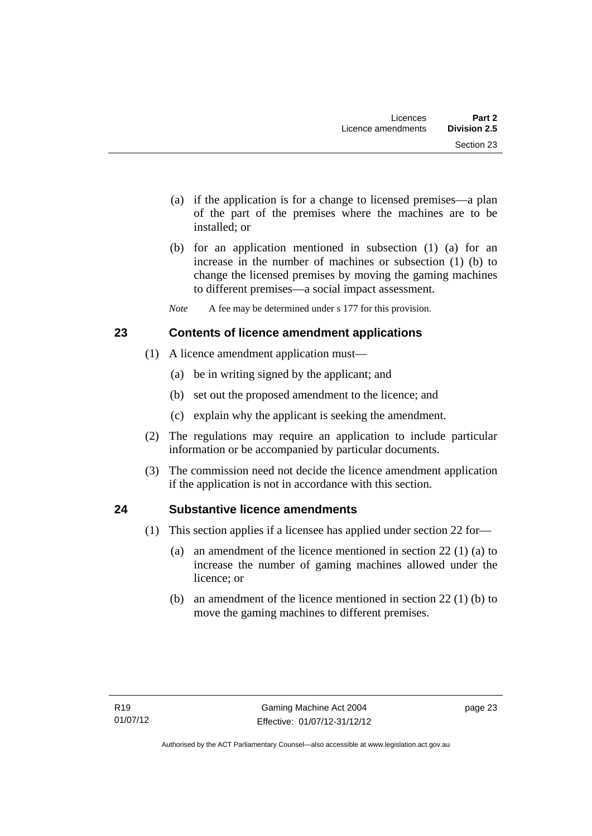- (a) if the application is for a change to licensed premises—a plan of the part of the premises where the machines are to be installed; or
- (b) for an application mentioned in subsection (1) (a) for an increase in the number of machines or subsection (1) (b) to change the licensed premises by moving the gaming machines to different premises—a social impact assessment.
- *Note* A fee may be determined under s 177 for this provision.

# <span id="page-34-0"></span>**23 Contents of licence amendment applications**

- (1) A licence amendment application must—
	- (a) be in writing signed by the applicant; and
	- (b) set out the proposed amendment to the licence; and
	- (c) explain why the applicant is seeking the amendment.
- (2) The regulations may require an application to include particular information or be accompanied by particular documents.
- (3) The commission need not decide the licence amendment application if the application is not in accordance with this section.

# <span id="page-34-1"></span>**24 Substantive licence amendments**

- (1) This section applies if a licensee has applied under section 22 for—
	- (a) an amendment of the licence mentioned in section 22 (1) (a) to increase the number of gaming machines allowed under the licence; or
	- (b) an amendment of the licence mentioned in section 22 (1) (b) to move the gaming machines to different premises.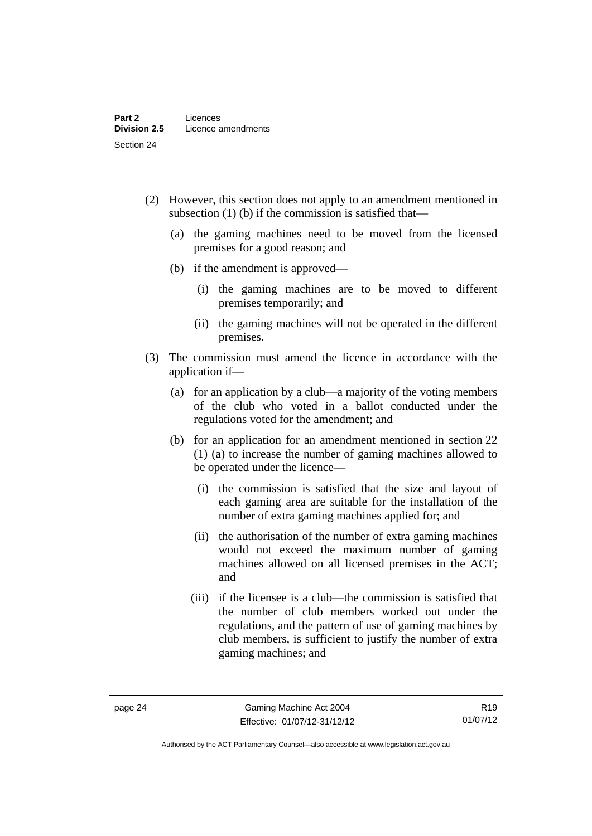- (2) However, this section does not apply to an amendment mentioned in subsection (1) (b) if the commission is satisfied that—
	- (a) the gaming machines need to be moved from the licensed premises for a good reason; and
	- (b) if the amendment is approved—
		- (i) the gaming machines are to be moved to different premises temporarily; and
		- (ii) the gaming machines will not be operated in the different premises.
- (3) The commission must amend the licence in accordance with the application if—
	- (a) for an application by a club—a majority of the voting members of the club who voted in a ballot conducted under the regulations voted for the amendment; and
	- (b) for an application for an amendment mentioned in section 22 (1) (a) to increase the number of gaming machines allowed to be operated under the licence—
		- (i) the commission is satisfied that the size and layout of each gaming area are suitable for the installation of the number of extra gaming machines applied for; and
		- (ii) the authorisation of the number of extra gaming machines would not exceed the maximum number of gaming machines allowed on all licensed premises in the ACT; and
		- (iii) if the licensee is a club—the commission is satisfied that the number of club members worked out under the regulations, and the pattern of use of gaming machines by club members, is sufficient to justify the number of extra gaming machines; and

R19 01/07/12

Authorised by the ACT Parliamentary Counsel—also accessible at www.legislation.act.gov.au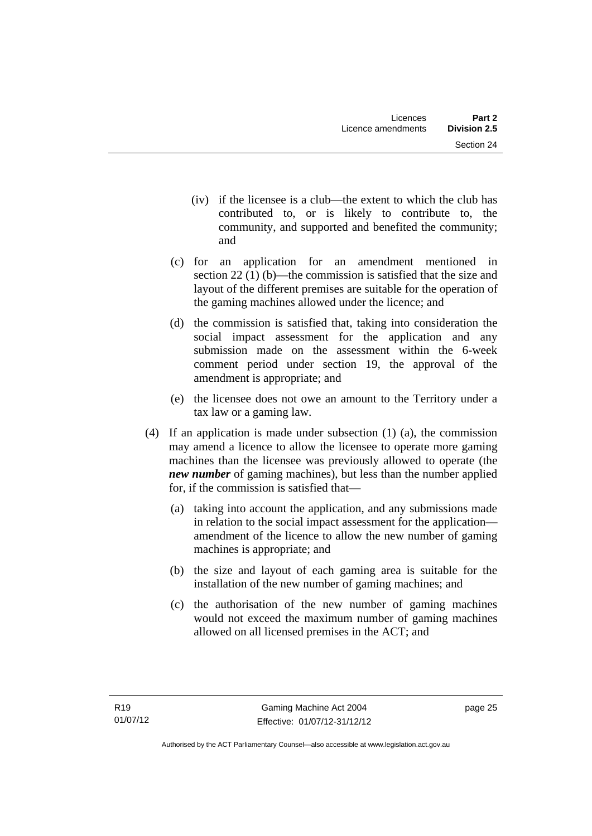- (iv) if the licensee is a club—the extent to which the club has contributed to, or is likely to contribute to, the community, and supported and benefited the community; and
- (c) for an application for an amendment mentioned in section 22 (1) (b)—the commission is satisfied that the size and layout of the different premises are suitable for the operation of the gaming machines allowed under the licence; and
- (d) the commission is satisfied that, taking into consideration the social impact assessment for the application and any submission made on the assessment within the 6-week comment period under section 19, the approval of the amendment is appropriate; and
- (e) the licensee does not owe an amount to the Territory under a tax law or a gaming law.
- (4) If an application is made under subsection (1) (a), the commission may amend a licence to allow the licensee to operate more gaming machines than the licensee was previously allowed to operate (the *new number* of gaming machines), but less than the number applied for, if the commission is satisfied that—
	- (a) taking into account the application, and any submissions made in relation to the social impact assessment for the application amendment of the licence to allow the new number of gaming machines is appropriate; and
	- (b) the size and layout of each gaming area is suitable for the installation of the new number of gaming machines; and
	- (c) the authorisation of the new number of gaming machines would not exceed the maximum number of gaming machines allowed on all licensed premises in the ACT; and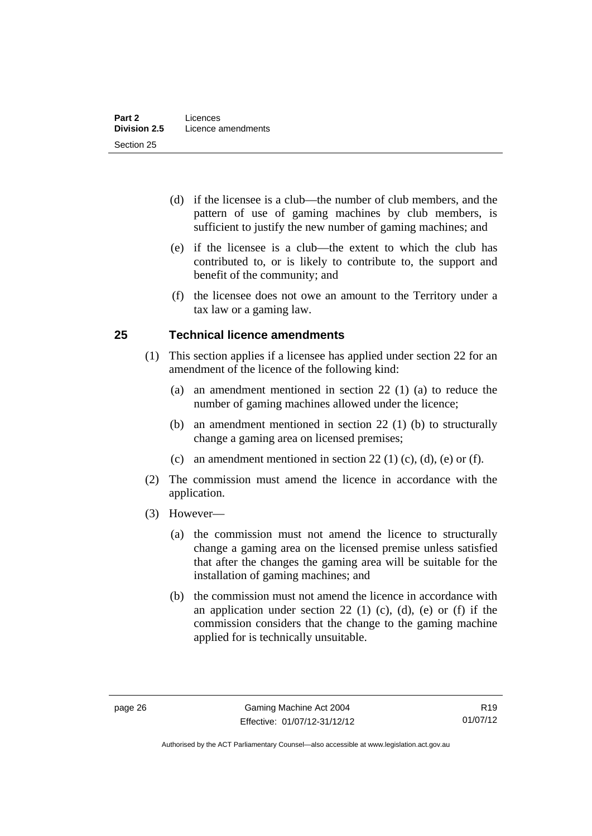- (d) if the licensee is a club—the number of club members, and the pattern of use of gaming machines by club members, is sufficient to justify the new number of gaming machines; and
- (e) if the licensee is a club—the extent to which the club has contributed to, or is likely to contribute to, the support and benefit of the community; and
- (f) the licensee does not owe an amount to the Territory under a tax law or a gaming law.

# **25 Technical licence amendments**

- (1) This section applies if a licensee has applied under section 22 for an amendment of the licence of the following kind:
	- (a) an amendment mentioned in section 22 (1) (a) to reduce the number of gaming machines allowed under the licence;
	- (b) an amendment mentioned in section 22 (1) (b) to structurally change a gaming area on licensed premises;
	- (c) an amendment mentioned in section 22 (1) (c), (d), (e) or (f).
- (2) The commission must amend the licence in accordance with the application.
- (3) However—
	- (a) the commission must not amend the licence to structurally change a gaming area on the licensed premise unless satisfied that after the changes the gaming area will be suitable for the installation of gaming machines; and
	- (b) the commission must not amend the licence in accordance with an application under section 22 (1) (c), (d), (e) or (f) if the commission considers that the change to the gaming machine applied for is technically unsuitable.

Authorised by the ACT Parliamentary Counsel—also accessible at www.legislation.act.gov.au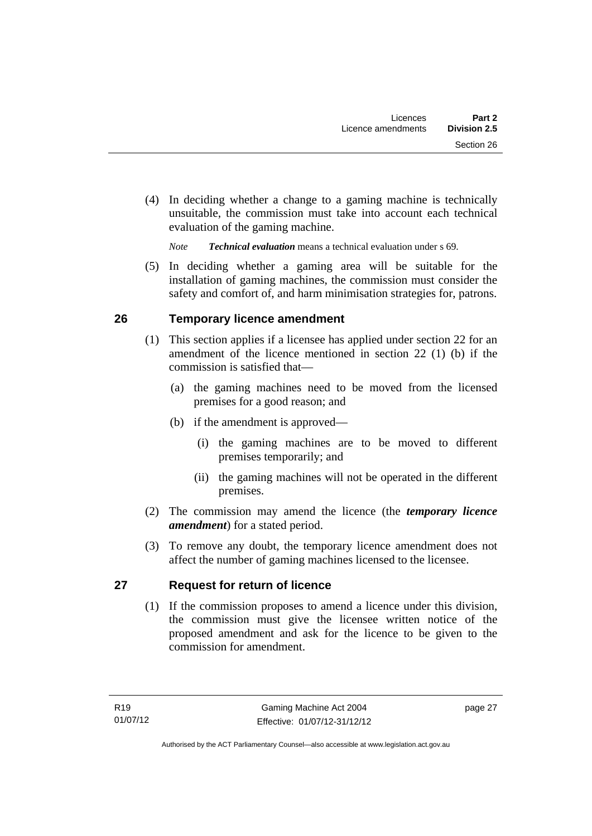(4) In deciding whether a change to a gaming machine is technically unsuitable, the commission must take into account each technical evaluation of the gaming machine.

*Note Technical evaluation* means a technical evaluation under s 69.

 (5) In deciding whether a gaming area will be suitable for the installation of gaming machines, the commission must consider the safety and comfort of, and harm minimisation strategies for, patrons.

# **26 Temporary licence amendment**

- (1) This section applies if a licensee has applied under section 22 for an amendment of the licence mentioned in section 22 (1) (b) if the commission is satisfied that—
	- (a) the gaming machines need to be moved from the licensed premises for a good reason; and
	- (b) if the amendment is approved—
		- (i) the gaming machines are to be moved to different premises temporarily; and
		- (ii) the gaming machines will not be operated in the different premises.
- (2) The commission may amend the licence (the *temporary licence amendment*) for a stated period.
- (3) To remove any doubt, the temporary licence amendment does not affect the number of gaming machines licensed to the licensee.

# **27 Request for return of licence**

(1) If the commission proposes to amend a licence under this division, the commission must give the licensee written notice of the proposed amendment and ask for the licence to be given to the commission for amendment.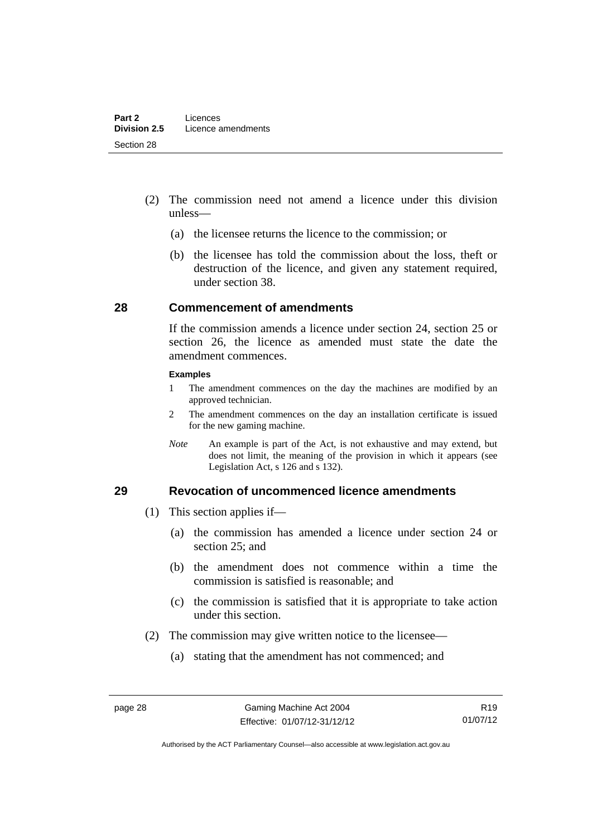- (2) The commission need not amend a licence under this division unless—
	- (a) the licensee returns the licence to the commission; or
	- (b) the licensee has told the commission about the loss, theft or destruction of the licence, and given any statement required, under section 38.

### **28 Commencement of amendments**

If the commission amends a licence under section 24, section 25 or section 26, the licence as amended must state the date the amendment commences.

#### **Examples**

- 1 The amendment commences on the day the machines are modified by an approved technician.
- 2 The amendment commences on the day an installation certificate is issued for the new gaming machine.
- *Note* An example is part of the Act, is not exhaustive and may extend, but does not limit, the meaning of the provision in which it appears (see Legislation Act, s 126 and s 132).

### **29 Revocation of uncommenced licence amendments**

- (1) This section applies if—
	- (a) the commission has amended a licence under section 24 or section 25; and
	- (b) the amendment does not commence within a time the commission is satisfied is reasonable; and
	- (c) the commission is satisfied that it is appropriate to take action under this section.
- (2) The commission may give written notice to the licensee—
	- (a) stating that the amendment has not commenced; and

Authorised by the ACT Parliamentary Counsel—also accessible at www.legislation.act.gov.au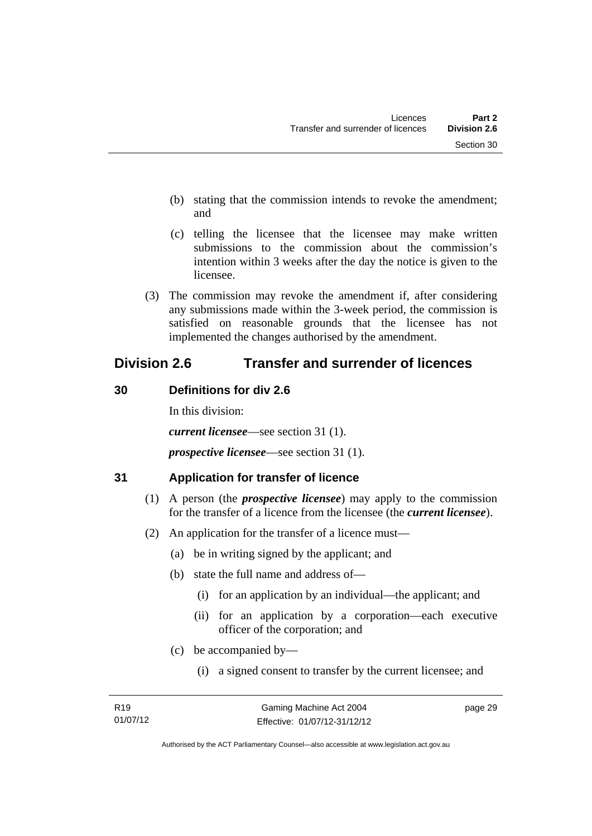- (b) stating that the commission intends to revoke the amendment; and
- (c) telling the licensee that the licensee may make written submissions to the commission about the commission's intention within 3 weeks after the day the notice is given to the licensee.
- (3) The commission may revoke the amendment if, after considering any submissions made within the 3-week period, the commission is satisfied on reasonable grounds that the licensee has not implemented the changes authorised by the amendment.

# **Division 2.6 Transfer and surrender of licences**

# **30 Definitions for div 2.6**

In this division:

*current licensee*—see section 31 (1).

*prospective licensee*—see section 31 (1).

# **31 Application for transfer of licence**

- (1) A person (the *prospective licensee*) may apply to the commission for the transfer of a licence from the licensee (the *current licensee*).
- (2) An application for the transfer of a licence must—
	- (a) be in writing signed by the applicant; and
	- (b) state the full name and address of—
		- (i) for an application by an individual—the applicant; and
		- (ii) for an application by a corporation—each executive officer of the corporation; and
	- (c) be accompanied by—
		- (i) a signed consent to transfer by the current licensee; and

page 29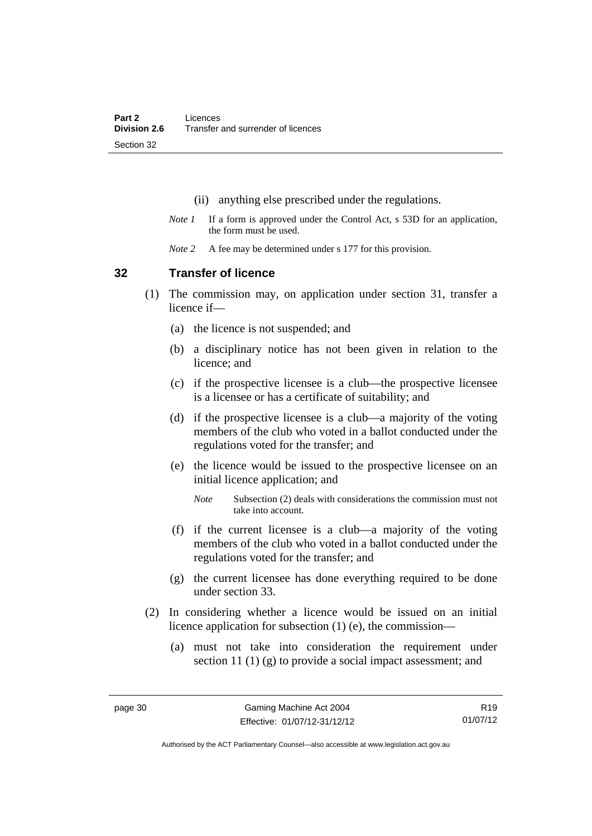- (ii) anything else prescribed under the regulations.
- *Note 1* If a form is approved under the Control Act, s 53D for an application, the form must be used.
- *Note 2* A fee may be determined under s 177 for this provision.

### **32 Transfer of licence**

- (1) The commission may, on application under section 31, transfer a licence if—
	- (a) the licence is not suspended; and
	- (b) a disciplinary notice has not been given in relation to the licence; and
	- (c) if the prospective licensee is a club—the prospective licensee is a licensee or has a certificate of suitability; and
	- (d) if the prospective licensee is a club—a majority of the voting members of the club who voted in a ballot conducted under the regulations voted for the transfer; and
	- (e) the licence would be issued to the prospective licensee on an initial licence application; and
		- *Note* Subsection (2) deals with considerations the commission must not take into account.
	- (f) if the current licensee is a club—a majority of the voting members of the club who voted in a ballot conducted under the regulations voted for the transfer; and
	- (g) the current licensee has done everything required to be done under section 33.
- (2) In considering whether a licence would be issued on an initial licence application for subsection (1) (e), the commission—
	- (a) must not take into consideration the requirement under section 11 (1) (g) to provide a social impact assessment; and

R19 01/07/12

Authorised by the ACT Parliamentary Counsel—also accessible at www.legislation.act.gov.au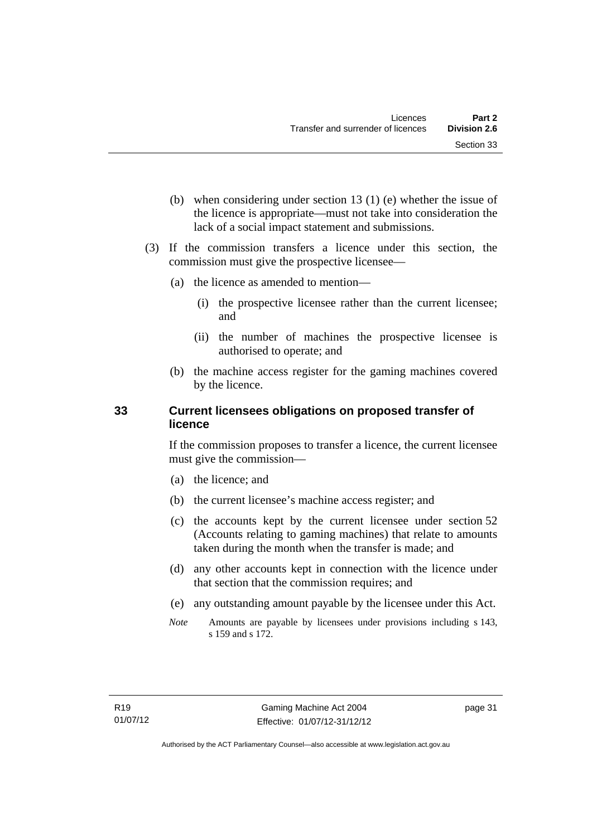- (b) when considering under section 13 (1) (e) whether the issue of the licence is appropriate—must not take into consideration the lack of a social impact statement and submissions.
- (3) If the commission transfers a licence under this section, the commission must give the prospective licensee—
	- (a) the licence as amended to mention—
		- (i) the prospective licensee rather than the current licensee; and
		- (ii) the number of machines the prospective licensee is authorised to operate; and
	- (b) the machine access register for the gaming machines covered by the licence.

# **33 Current licensees obligations on proposed transfer of licence**

If the commission proposes to transfer a licence, the current licensee must give the commission—

- (a) the licence; and
- (b) the current licensee's machine access register; and
- (c) the accounts kept by the current licensee under section 52 (Accounts relating to gaming machines) that relate to amounts taken during the month when the transfer is made; and
- (d) any other accounts kept in connection with the licence under that section that the commission requires; and
- (e) any outstanding amount payable by the licensee under this Act.
- *Note* Amounts are payable by licensees under provisions including s 143, s 159 and s 172.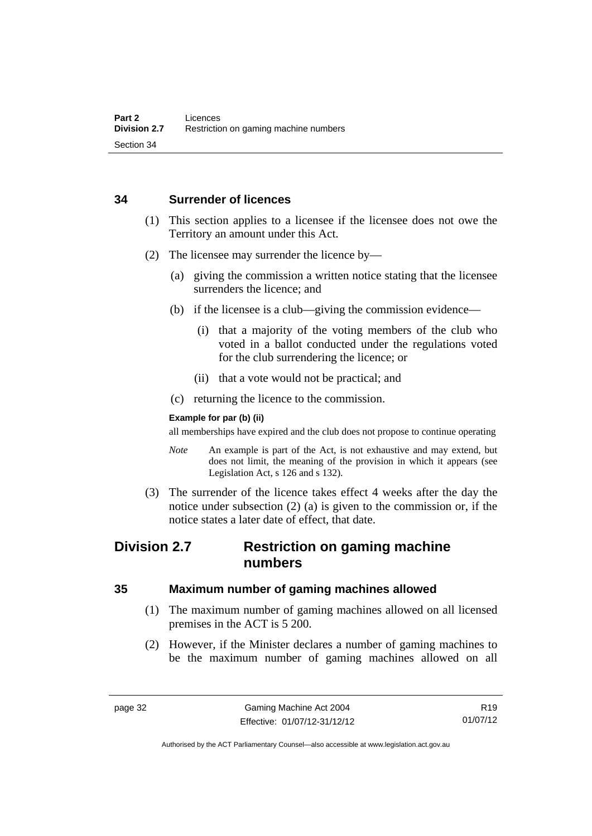### **34 Surrender of licences**

- (1) This section applies to a licensee if the licensee does not owe the Territory an amount under this Act.
- (2) The licensee may surrender the licence by—
	- (a) giving the commission a written notice stating that the licensee surrenders the licence; and
	- (b) if the licensee is a club—giving the commission evidence—
		- (i) that a majority of the voting members of the club who voted in a ballot conducted under the regulations voted for the club surrendering the licence; or
		- (ii) that a vote would not be practical; and
	- (c) returning the licence to the commission.

### **Example for par (b) (ii)**

all memberships have expired and the club does not propose to continue operating

- *Note* An example is part of the Act, is not exhaustive and may extend, but does not limit, the meaning of the provision in which it appears (see Legislation Act, s 126 and s 132).
- (3) The surrender of the licence takes effect 4 weeks after the day the notice under subsection (2) (a) is given to the commission or, if the notice states a later date of effect, that date.

# **Division 2.7 Restriction on gaming machine numbers**

# **35 Maximum number of gaming machines allowed**

- (1) The maximum number of gaming machines allowed on all licensed premises in the ACT is 5 200.
- (2) However, if the Minister declares a number of gaming machines to be the maximum number of gaming machines allowed on all

Authorised by the ACT Parliamentary Counsel—also accessible at www.legislation.act.gov.au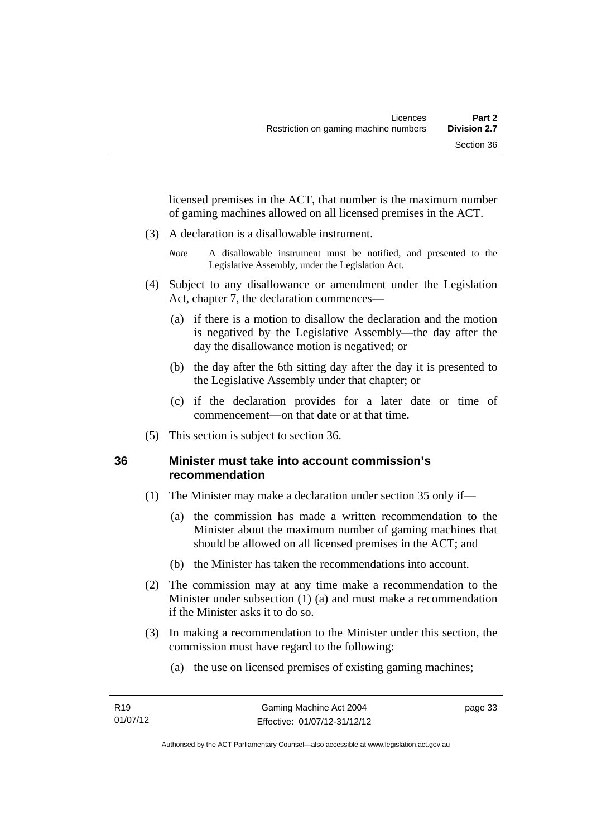licensed premises in the ACT, that number is the maximum number of gaming machines allowed on all licensed premises in the ACT.

- (3) A declaration is a disallowable instrument.
	- *Note* A disallowable instrument must be notified, and presented to the Legislative Assembly, under the Legislation Act.
- (4) Subject to any disallowance or amendment under the Legislation Act, chapter 7, the declaration commences—
	- (a) if there is a motion to disallow the declaration and the motion is negatived by the Legislative Assembly—the day after the day the disallowance motion is negatived; or
	- (b) the day after the 6th sitting day after the day it is presented to the Legislative Assembly under that chapter; or
	- (c) if the declaration provides for a later date or time of commencement—on that date or at that time.
- (5) This section is subject to section 36.

# **36 Minister must take into account commission's recommendation**

- (1) The Minister may make a declaration under section 35 only if—
	- (a) the commission has made a written recommendation to the Minister about the maximum number of gaming machines that should be allowed on all licensed premises in the ACT; and
	- (b) the Minister has taken the recommendations into account.
- (2) The commission may at any time make a recommendation to the Minister under subsection (1) (a) and must make a recommendation if the Minister asks it to do so.
- (3) In making a recommendation to the Minister under this section, the commission must have regard to the following:
	- (a) the use on licensed premises of existing gaming machines;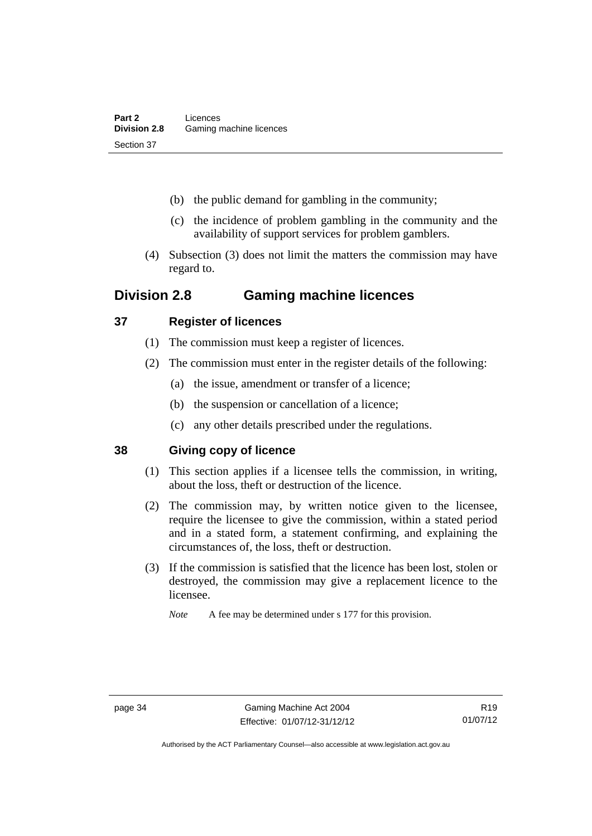- (b) the public demand for gambling in the community;
- (c) the incidence of problem gambling in the community and the availability of support services for problem gamblers.
- (4) Subsection (3) does not limit the matters the commission may have regard to.

# **Division 2.8 Gaming machine licences**

# **37 Register of licences**

- (1) The commission must keep a register of licences.
- (2) The commission must enter in the register details of the following:
	- (a) the issue, amendment or transfer of a licence;
	- (b) the suspension or cancellation of a licence;
	- (c) any other details prescribed under the regulations.

# **38 Giving copy of licence**

- (1) This section applies if a licensee tells the commission, in writing, about the loss, theft or destruction of the licence.
- (2) The commission may, by written notice given to the licensee, require the licensee to give the commission, within a stated period and in a stated form, a statement confirming, and explaining the circumstances of, the loss, theft or destruction.
- (3) If the commission is satisfied that the licence has been lost, stolen or destroyed, the commission may give a replacement licence to the licensee.

*Note* A fee may be determined under s 177 for this provision.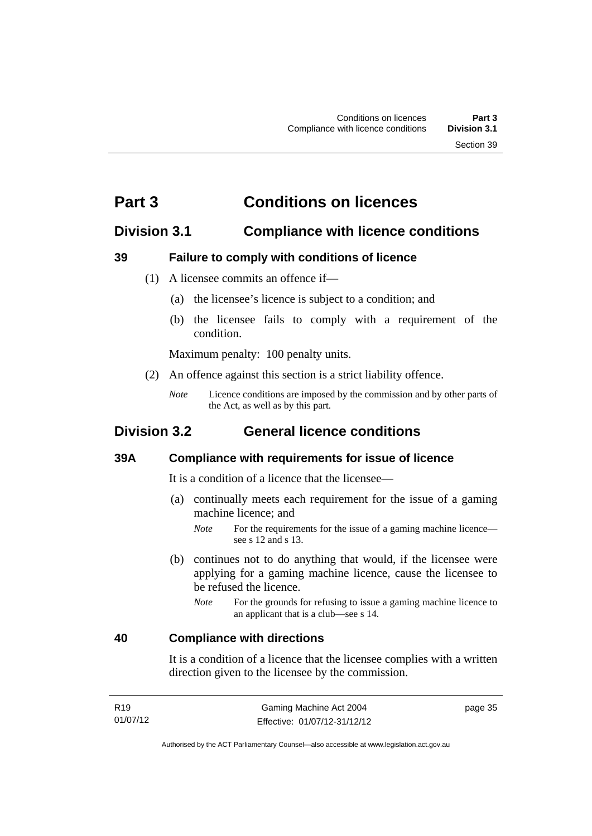# **Part 3 Conditions on licences**

# **Division 3.1 Compliance with licence conditions**

# **39 Failure to comply with conditions of licence**

- (1) A licensee commits an offence if—
	- (a) the licensee's licence is subject to a condition; and
	- (b) the licensee fails to comply with a requirement of the condition.

Maximum penalty: 100 penalty units.

- (2) An offence against this section is a strict liability offence.
	- *Note* Licence conditions are imposed by the commission and by other parts of the Act, as well as by this part.

# **Division 3.2 General licence conditions**

### **39A Compliance with requirements for issue of licence**

It is a condition of a licence that the licensee—

- (a) continually meets each requirement for the issue of a gaming machine licence; and
	- *Note* For the requirements for the issue of a gaming machine licence see s 12 and s 13.
- (b) continues not to do anything that would, if the licensee were applying for a gaming machine licence, cause the licensee to be refused the licence.
	- *Note* For the grounds for refusing to issue a gaming machine licence to an applicant that is a club—see s 14.

### **40 Compliance with directions**

It is a condition of a licence that the licensee complies with a written direction given to the licensee by the commission.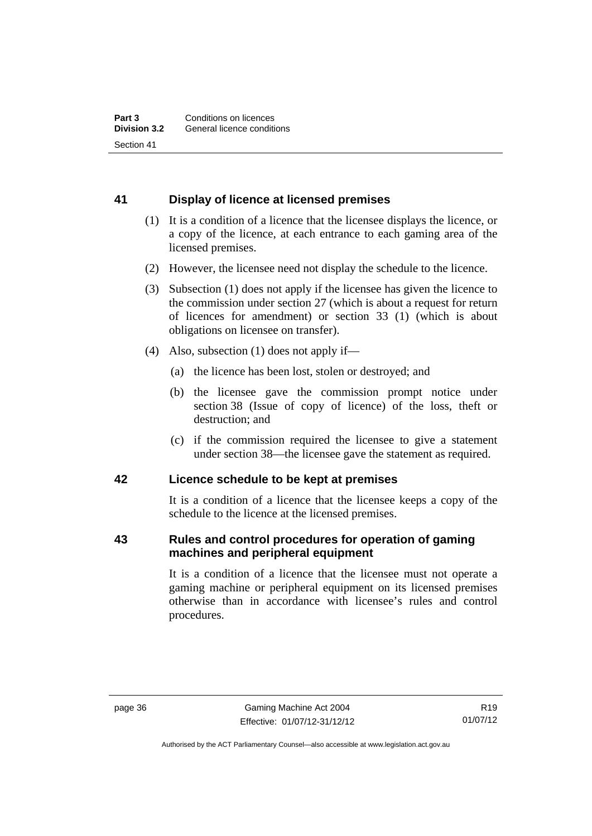# **41 Display of licence at licensed premises**

- (1) It is a condition of a licence that the licensee displays the licence, or a copy of the licence, at each entrance to each gaming area of the licensed premises.
- (2) However, the licensee need not display the schedule to the licence.
- (3) Subsection (1) does not apply if the licensee has given the licence to the commission under section 27 (which is about a request for return of licences for amendment) or section 33 (1) (which is about obligations on licensee on transfer).
- (4) Also, subsection (1) does not apply if—
	- (a) the licence has been lost, stolen or destroyed; and
	- (b) the licensee gave the commission prompt notice under section 38 (Issue of copy of licence) of the loss, theft or destruction; and
	- (c) if the commission required the licensee to give a statement under section 38—the licensee gave the statement as required.

### **42 Licence schedule to be kept at premises**

It is a condition of a licence that the licensee keeps a copy of the schedule to the licence at the licensed premises.

### **43 Rules and control procedures for operation of gaming machines and peripheral equipment**

It is a condition of a licence that the licensee must not operate a gaming machine or peripheral equipment on its licensed premises otherwise than in accordance with licensee's rules and control procedures.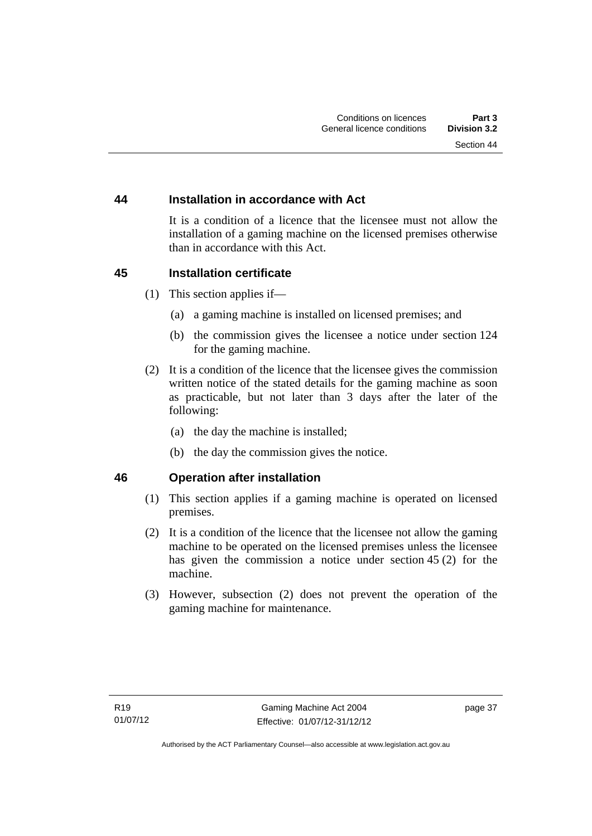# **44 Installation in accordance with Act**

It is a condition of a licence that the licensee must not allow the installation of a gaming machine on the licensed premises otherwise than in accordance with this Act.

# **45 Installation certificate**

- (1) This section applies if—
	- (a) a gaming machine is installed on licensed premises; and
	- (b) the commission gives the licensee a notice under section 124 for the gaming machine.
- (2) It is a condition of the licence that the licensee gives the commission written notice of the stated details for the gaming machine as soon as practicable, but not later than 3 days after the later of the following:
	- (a) the day the machine is installed;
	- (b) the day the commission gives the notice.

### **46 Operation after installation**

- (1) This section applies if a gaming machine is operated on licensed premises.
- (2) It is a condition of the licence that the licensee not allow the gaming machine to be operated on the licensed premises unless the licensee has given the commission a notice under section 45 (2) for the machine.
- (3) However, subsection (2) does not prevent the operation of the gaming machine for maintenance.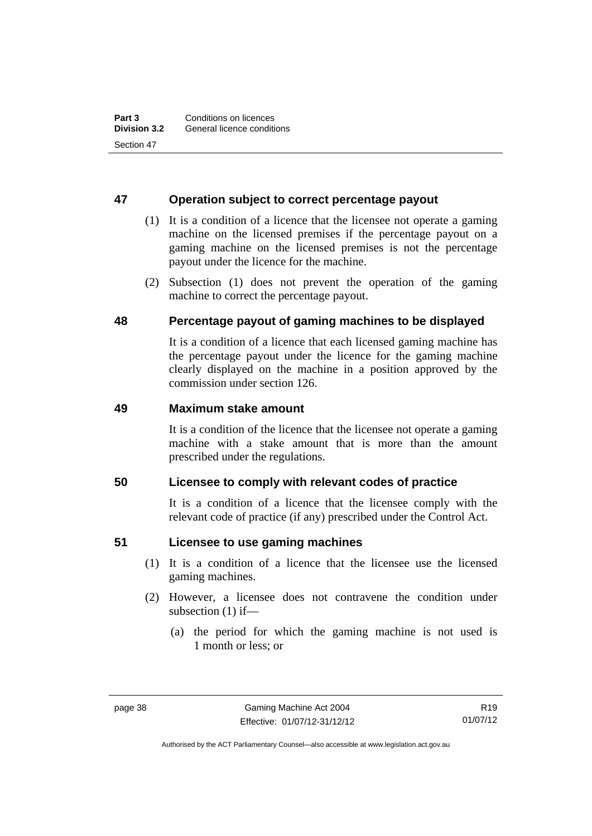# **47 Operation subject to correct percentage payout**

- (1) It is a condition of a licence that the licensee not operate a gaming machine on the licensed premises if the percentage payout on a gaming machine on the licensed premises is not the percentage payout under the licence for the machine.
- (2) Subsection (1) does not prevent the operation of the gaming machine to correct the percentage payout.

# **48 Percentage payout of gaming machines to be displayed**

It is a condition of a licence that each licensed gaming machine has the percentage payout under the licence for the gaming machine clearly displayed on the machine in a position approved by the commission under section 126.

# **49 Maximum stake amount**

It is a condition of the licence that the licensee not operate a gaming machine with a stake amount that is more than the amount prescribed under the regulations.

### **50 Licensee to comply with relevant codes of practice**

It is a condition of a licence that the licensee comply with the relevant code of practice (if any) prescribed under the Control Act.

### **51 Licensee to use gaming machines**

- (1) It is a condition of a licence that the licensee use the licensed gaming machines.
- (2) However, a licensee does not contravene the condition under subsection (1) if—
	- (a) the period for which the gaming machine is not used is 1 month or less; or

R19 01/07/12

Authorised by the ACT Parliamentary Counsel—also accessible at www.legislation.act.gov.au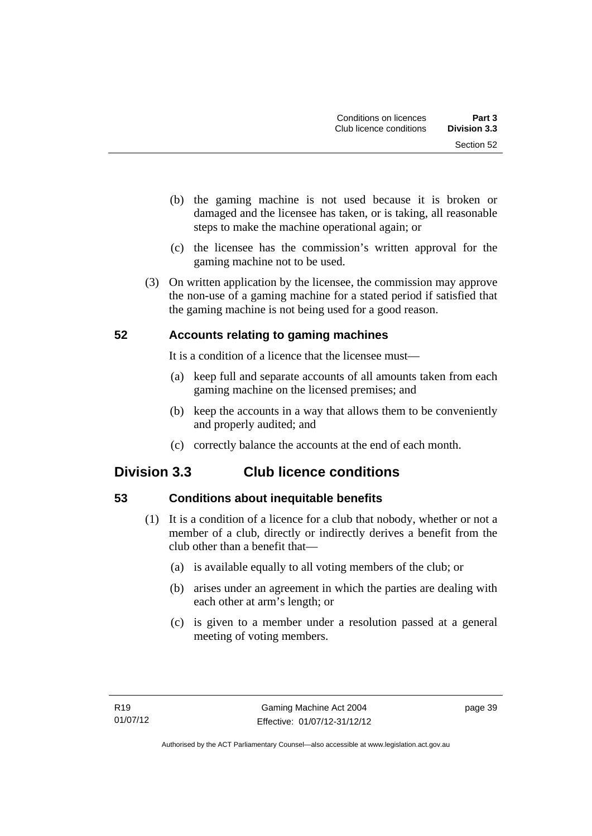- (b) the gaming machine is not used because it is broken or damaged and the licensee has taken, or is taking, all reasonable steps to make the machine operational again; or
- (c) the licensee has the commission's written approval for the gaming machine not to be used.
- (3) On written application by the licensee, the commission may approve the non-use of a gaming machine for a stated period if satisfied that the gaming machine is not being used for a good reason.

# **52 Accounts relating to gaming machines**

It is a condition of a licence that the licensee must—

- (a) keep full and separate accounts of all amounts taken from each gaming machine on the licensed premises; and
- (b) keep the accounts in a way that allows them to be conveniently and properly audited; and
- (c) correctly balance the accounts at the end of each month.

# **Division 3.3 Club licence conditions**

# **53 Conditions about inequitable benefits**

- (1) It is a condition of a licence for a club that nobody, whether or not a member of a club, directly or indirectly derives a benefit from the club other than a benefit that—
	- (a) is available equally to all voting members of the club; or
	- (b) arises under an agreement in which the parties are dealing with each other at arm's length; or
	- (c) is given to a member under a resolution passed at a general meeting of voting members.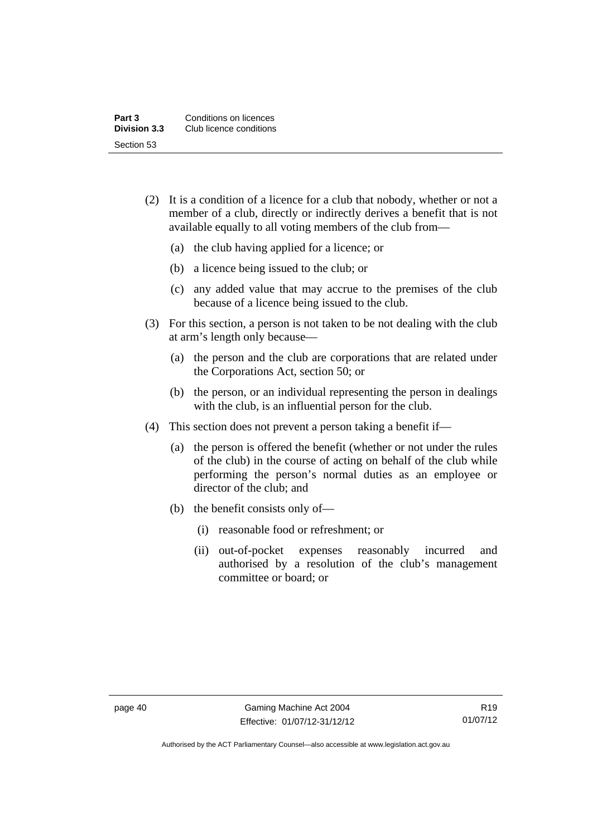| Part 3              | Conditions on licences  |
|---------------------|-------------------------|
| <b>Division 3.3</b> | Club licence conditions |
| Section 53          |                         |

- (2) It is a condition of a licence for a club that nobody, whether or not a member of a club, directly or indirectly derives a benefit that is not available equally to all voting members of the club from—
	- (a) the club having applied for a licence; or
	- (b) a licence being issued to the club; or
	- (c) any added value that may accrue to the premises of the club because of a licence being issued to the club.
- (3) For this section, a person is not taken to be not dealing with the club at arm's length only because—
	- (a) the person and the club are corporations that are related under the Corporations Act, section 50; or
	- (b) the person, or an individual representing the person in dealings with the club, is an influential person for the club.
- (4) This section does not prevent a person taking a benefit if—
	- (a) the person is offered the benefit (whether or not under the rules of the club) in the course of acting on behalf of the club while performing the person's normal duties as an employee or director of the club; and
	- (b) the benefit consists only of—
		- (i) reasonable food or refreshment; or
		- (ii) out-of-pocket expenses reasonably incurred and authorised by a resolution of the club's management committee or board; or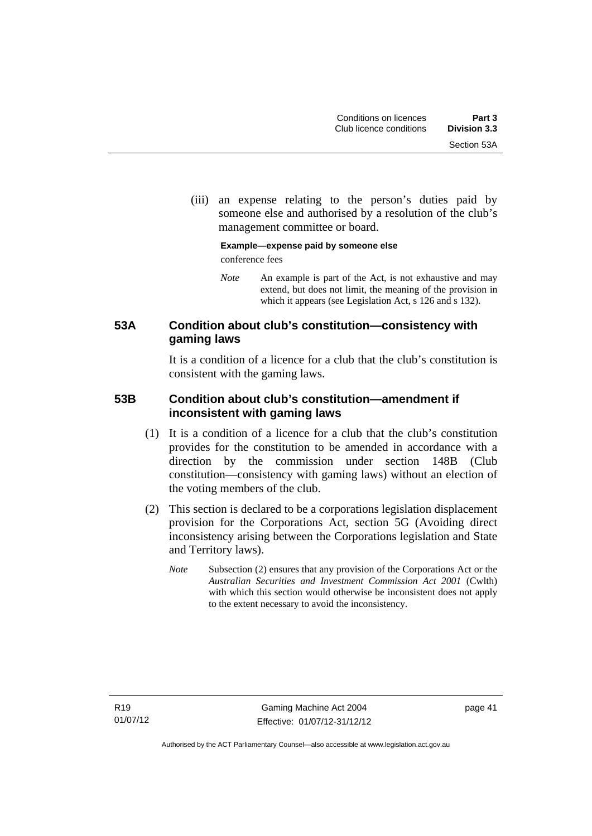(iii) an expense relating to the person's duties paid by someone else and authorised by a resolution of the club's management committee or board.

### **Example—expense paid by someone else**  conference fees

*Note* An example is part of the Act, is not exhaustive and may extend, but does not limit, the meaning of the provision in which it appears (see Legislation Act, s 126 and s 132).

# **53A Condition about club's constitution—consistency with gaming laws**

It is a condition of a licence for a club that the club's constitution is consistent with the gaming laws.

# **53B Condition about club's constitution—amendment if inconsistent with gaming laws**

- (1) It is a condition of a licence for a club that the club's constitution provides for the constitution to be amended in accordance with a direction by the commission under section 148B (Club constitution—consistency with gaming laws) without an election of the voting members of the club.
- (2) This section is declared to be a corporations legislation displacement provision for the Corporations Act, section 5G (Avoiding direct inconsistency arising between the Corporations legislation and State and Territory laws).
	- *Note* Subsection (2) ensures that any provision of the Corporations Act or the *Australian Securities and Investment Commission Act 2001* (Cwlth) with which this section would otherwise be inconsistent does not apply to the extent necessary to avoid the inconsistency.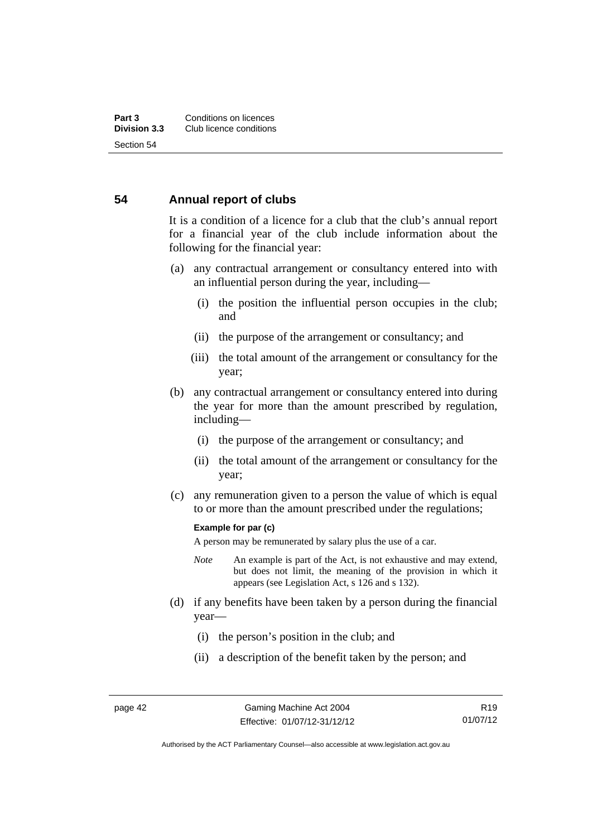# **54 Annual report of clubs**

It is a condition of a licence for a club that the club's annual report for a financial year of the club include information about the following for the financial year:

- (a) any contractual arrangement or consultancy entered into with an influential person during the year, including—
	- (i) the position the influential person occupies in the club; and
	- (ii) the purpose of the arrangement or consultancy; and
	- (iii) the total amount of the arrangement or consultancy for the year;
- (b) any contractual arrangement or consultancy entered into during the year for more than the amount prescribed by regulation, including—
	- (i) the purpose of the arrangement or consultancy; and
	- (ii) the total amount of the arrangement or consultancy for the year;
- (c) any remuneration given to a person the value of which is equal to or more than the amount prescribed under the regulations;

#### **Example for par (c)**

A person may be remunerated by salary plus the use of a car.

- *Note* An example is part of the Act, is not exhaustive and may extend, but does not limit, the meaning of the provision in which it appears (see Legislation Act, s 126 and s 132).
- (d) if any benefits have been taken by a person during the financial year—
	- (i) the person's position in the club; and
	- (ii) a description of the benefit taken by the person; and

R19 01/07/12

Authorised by the ACT Parliamentary Counsel—also accessible at www.legislation.act.gov.au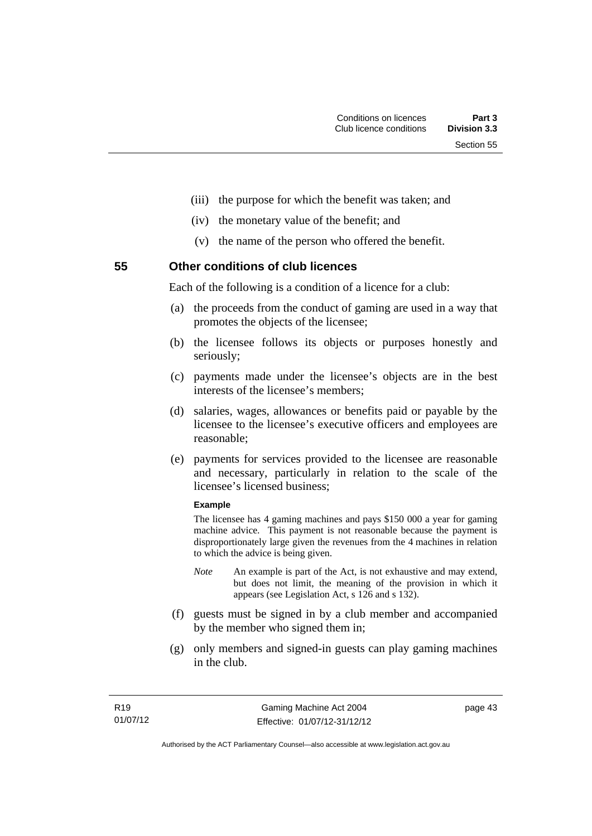- (iii) the purpose for which the benefit was taken; and
- (iv) the monetary value of the benefit; and
- (v) the name of the person who offered the benefit.

**55 Other conditions of club licences** 

Each of the following is a condition of a licence for a club:

- (a) the proceeds from the conduct of gaming are used in a way that promotes the objects of the licensee;
- (b) the licensee follows its objects or purposes honestly and seriously;
- (c) payments made under the licensee's objects are in the best interests of the licensee's members;
- (d) salaries, wages, allowances or benefits paid or payable by the licensee to the licensee's executive officers and employees are reasonable;
- (e) payments for services provided to the licensee are reasonable and necessary, particularly in relation to the scale of the licensee's licensed business;

#### **Example**

The licensee has 4 gaming machines and pays \$150 000 a year for gaming machine advice. This payment is not reasonable because the payment is disproportionately large given the revenues from the 4 machines in relation to which the advice is being given.

- *Note* An example is part of the Act, is not exhaustive and may extend, but does not limit, the meaning of the provision in which it appears (see Legislation Act, s 126 and s 132).
- (f) guests must be signed in by a club member and accompanied by the member who signed them in;
- (g) only members and signed-in guests can play gaming machines in the club.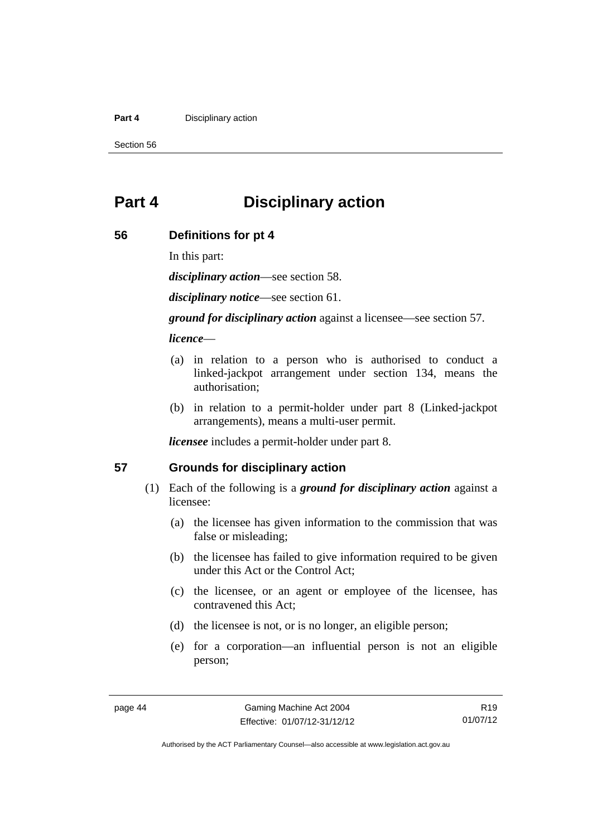#### **Part 4 Disciplinary action**

Section 56

# **Part 4 Disciplinary action**

### **56 Definitions for pt 4**

In this part:

*disciplinary action*—see section 58.

*disciplinary notice*—see section 61.

*ground for disciplinary action* against a licensee—see section 57.

### *licence*—

- (a) in relation to a person who is authorised to conduct a linked-jackpot arrangement under section 134, means the authorisation;
- (b) in relation to a permit-holder under part 8 (Linked-jackpot arrangements), means a multi-user permit.

*licensee* includes a permit-holder under part 8.

### **57 Grounds for disciplinary action**

- (1) Each of the following is a *ground for disciplinary action* against a licensee:
	- (a) the licensee has given information to the commission that was false or misleading;
	- (b) the licensee has failed to give information required to be given under this Act or the Control Act;
	- (c) the licensee, or an agent or employee of the licensee, has contravened this Act;
	- (d) the licensee is not, or is no longer, an eligible person;
	- (e) for a corporation—an influential person is not an eligible person;

R19 01/07/12

Authorised by the ACT Parliamentary Counsel—also accessible at www.legislation.act.gov.au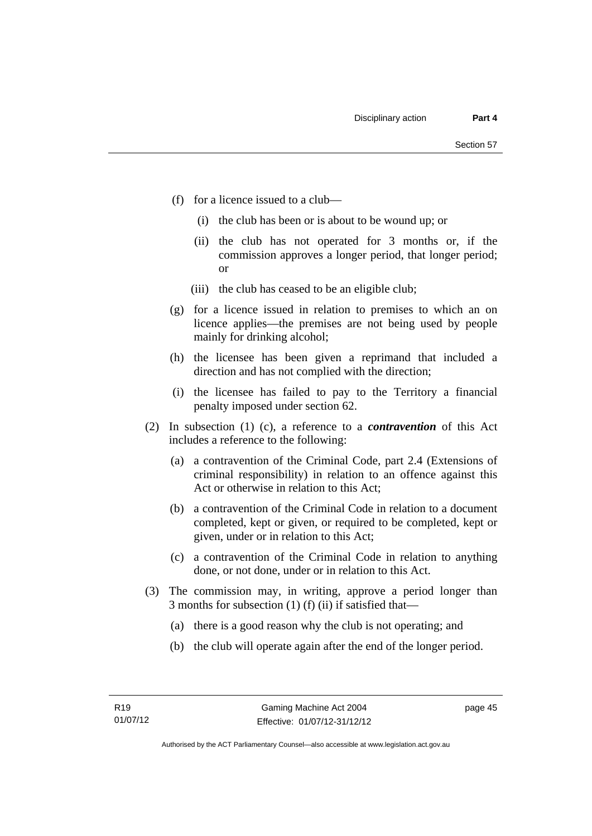- (f) for a licence issued to a club—
	- (i) the club has been or is about to be wound up; or
	- (ii) the club has not operated for 3 months or, if the commission approves a longer period, that longer period; or
	- (iii) the club has ceased to be an eligible club;
- (g) for a licence issued in relation to premises to which an on licence applies—the premises are not being used by people mainly for drinking alcohol;
- (h) the licensee has been given a reprimand that included a direction and has not complied with the direction;
- (i) the licensee has failed to pay to the Territory a financial penalty imposed under section 62.
- (2) In subsection (1) (c), a reference to a *contravention* of this Act includes a reference to the following:
	- (a) a contravention of the Criminal Code, part 2.4 (Extensions of criminal responsibility) in relation to an offence against this Act or otherwise in relation to this Act;
	- (b) a contravention of the Criminal Code in relation to a document completed, kept or given, or required to be completed, kept or given, under or in relation to this Act;
	- (c) a contravention of the Criminal Code in relation to anything done, or not done, under or in relation to this Act.
- (3) The commission may, in writing, approve a period longer than 3 months for subsection (1) (f) (ii) if satisfied that—
	- (a) there is a good reason why the club is not operating; and
	- (b) the club will operate again after the end of the longer period.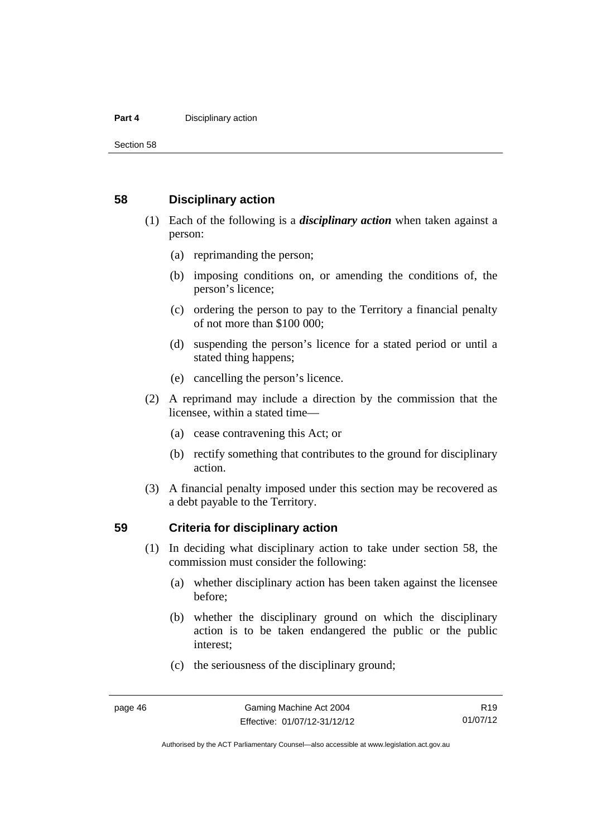#### **Part 4 Disciplinary action**

Section 58

### **58 Disciplinary action**

- (1) Each of the following is a *disciplinary action* when taken against a person:
	- (a) reprimanding the person;
	- (b) imposing conditions on, or amending the conditions of, the person's licence;
	- (c) ordering the person to pay to the Territory a financial penalty of not more than \$100 000;
	- (d) suspending the person's licence for a stated period or until a stated thing happens;
	- (e) cancelling the person's licence.
- (2) A reprimand may include a direction by the commission that the licensee, within a stated time—
	- (a) cease contravening this Act; or
	- (b) rectify something that contributes to the ground for disciplinary action.
- (3) A financial penalty imposed under this section may be recovered as a debt payable to the Territory.

### **59 Criteria for disciplinary action**

- (1) In deciding what disciplinary action to take under section 58, the commission must consider the following:
	- (a) whether disciplinary action has been taken against the licensee before;
	- (b) whether the disciplinary ground on which the disciplinary action is to be taken endangered the public or the public interest;
	- (c) the seriousness of the disciplinary ground;

Authorised by the ACT Parliamentary Counsel—also accessible at www.legislation.act.gov.au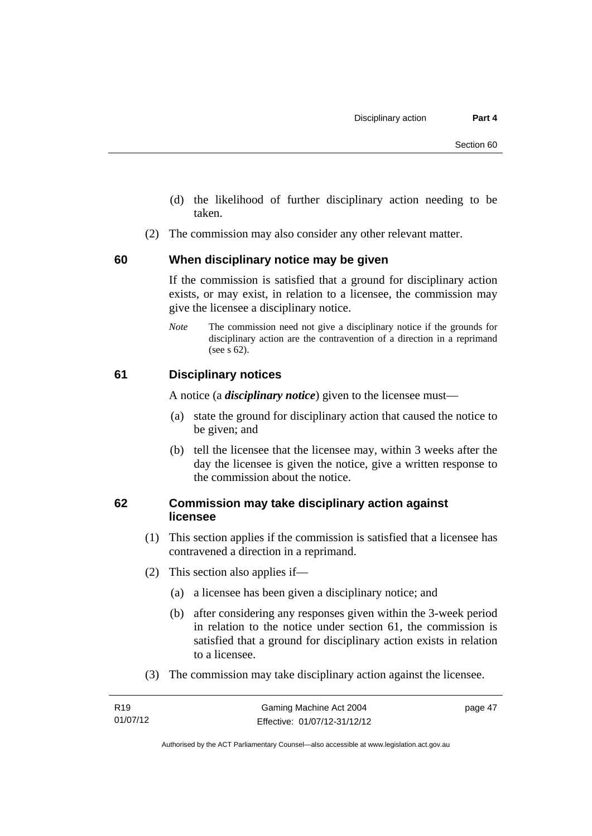- (d) the likelihood of further disciplinary action needing to be taken.
- (2) The commission may also consider any other relevant matter.

### **60 When disciplinary notice may be given**

If the commission is satisfied that a ground for disciplinary action exists, or may exist, in relation to a licensee, the commission may give the licensee a disciplinary notice.

*Note* The commission need not give a disciplinary notice if the grounds for disciplinary action are the contravention of a direction in a reprimand (see s 62).

### **61 Disciplinary notices**

A notice (a *disciplinary notice*) given to the licensee must—

- (a) state the ground for disciplinary action that caused the notice to be given; and
- (b) tell the licensee that the licensee may, within 3 weeks after the day the licensee is given the notice, give a written response to the commission about the notice.

# **62 Commission may take disciplinary action against licensee**

- (1) This section applies if the commission is satisfied that a licensee has contravened a direction in a reprimand.
- (2) This section also applies if—
	- (a) a licensee has been given a disciplinary notice; and
	- (b) after considering any responses given within the 3-week period in relation to the notice under section 61, the commission is satisfied that a ground for disciplinary action exists in relation to a licensee.
- (3) The commission may take disciplinary action against the licensee.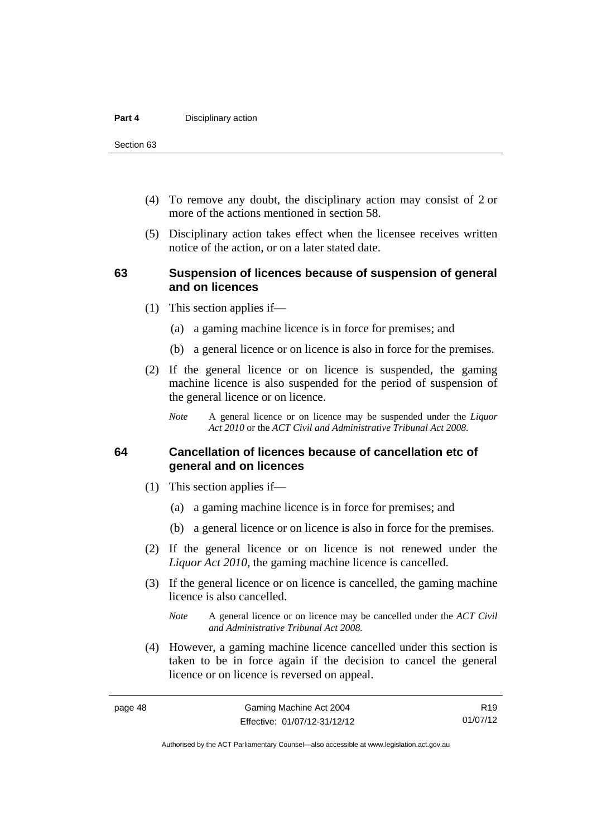Section 63

- (4) To remove any doubt, the disciplinary action may consist of 2 or more of the actions mentioned in section 58.
- (5) Disciplinary action takes effect when the licensee receives written notice of the action, or on a later stated date.

### **63 Suspension of licences because of suspension of general and on licences**

- (1) This section applies if—
	- (a) a gaming machine licence is in force for premises; and
	- (b) a general licence or on licence is also in force for the premises.
- (2) If the general licence or on licence is suspended, the gaming machine licence is also suspended for the period of suspension of the general licence or on licence.
	- *Note* A general licence or on licence may be suspended under the *Liquor Act 2010* or the *ACT Civil and Administrative Tribunal Act 2008.*

# **64 Cancellation of licences because of cancellation etc of general and on licences**

- (1) This section applies if—
	- (a) a gaming machine licence is in force for premises; and
	- (b) a general licence or on licence is also in force for the premises.
- (2) If the general licence or on licence is not renewed under the *Liquor Act 2010*, the gaming machine licence is cancelled.
- (3) If the general licence or on licence is cancelled, the gaming machine licence is also cancelled.
	- *Note* A general licence or on licence may be cancelled under the *ACT Civil and Administrative Tribunal Act 2008.*
- (4) However, a gaming machine licence cancelled under this section is taken to be in force again if the decision to cancel the general licence or on licence is reversed on appeal.

R19 01/07/12

Authorised by the ACT Parliamentary Counsel—also accessible at www.legislation.act.gov.au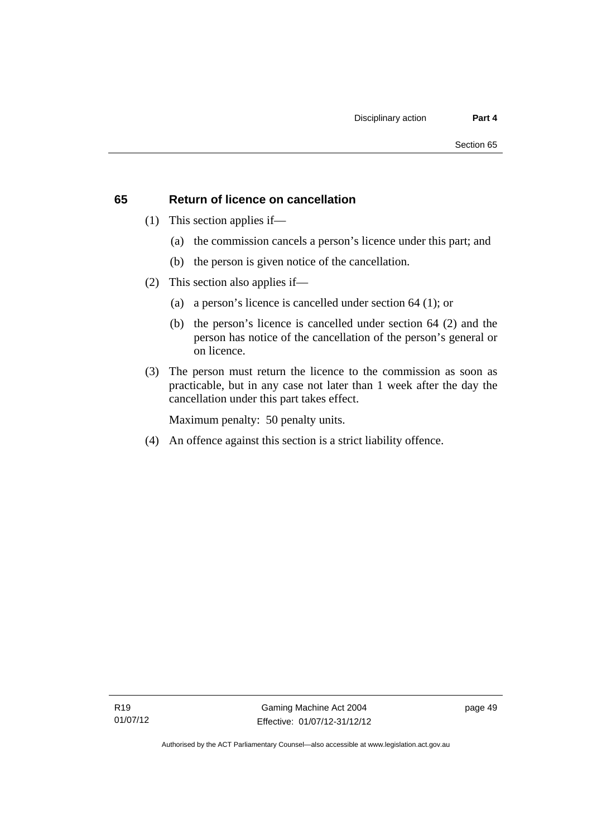# **65 Return of licence on cancellation**

- (1) This section applies if—
	- (a) the commission cancels a person's licence under this part; and
	- (b) the person is given notice of the cancellation.
- (2) This section also applies if—
	- (a) a person's licence is cancelled under section 64 (1); or
	- (b) the person's licence is cancelled under section 64 (2) and the person has notice of the cancellation of the person's general or on licence.
- (3) The person must return the licence to the commission as soon as practicable, but in any case not later than 1 week after the day the cancellation under this part takes effect.

Maximum penalty: 50 penalty units.

(4) An offence against this section is a strict liability offence.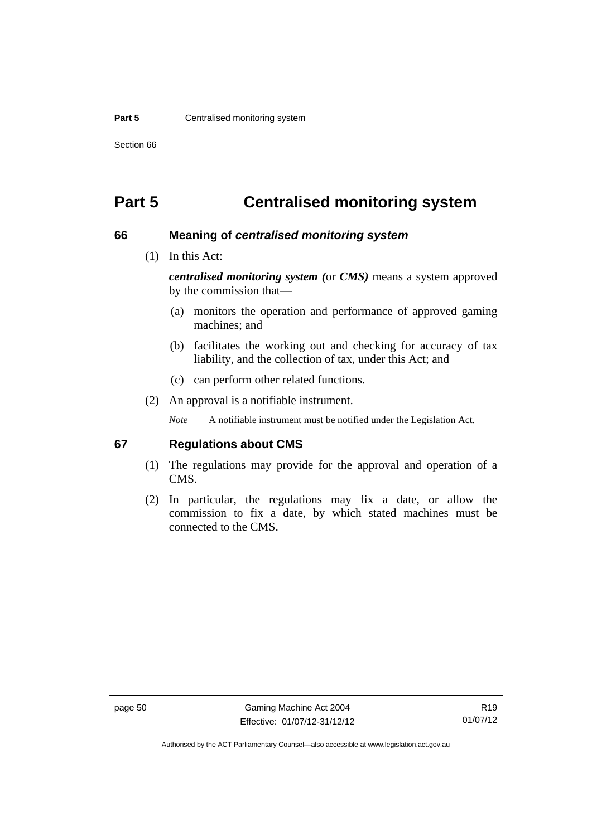#### **Part 5 Centralised monitoring system**

Section 66

# **Part 5 Centralised monitoring system**

### **66 Meaning of** *centralised monitoring system*

(1) In this Act:

*centralised monitoring system (*or *CMS)* means a system approved by the commission that—

- (a) monitors the operation and performance of approved gaming machines; and
- (b) facilitates the working out and checking for accuracy of tax liability, and the collection of tax, under this Act; and
- (c) can perform other related functions.
- (2) An approval is a notifiable instrument.

*Note* A notifiable instrument must be notified under the Legislation Act.

### **67 Regulations about CMS**

- (1) The regulations may provide for the approval and operation of a CMS.
- (2) In particular, the regulations may fix a date, or allow the commission to fix a date, by which stated machines must be connected to the CMS.

Authorised by the ACT Parliamentary Counsel—also accessible at www.legislation.act.gov.au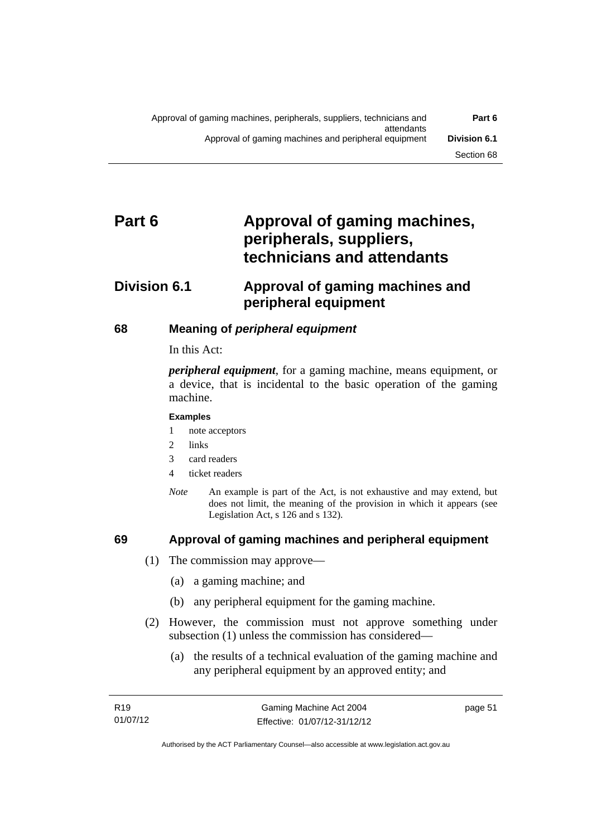# Part 6 **Approval of gaming machines, peripherals, suppliers, technicians and attendants**

# **Division 6.1 Approval of gaming machines and peripheral equipment**

# **68 Meaning of** *peripheral equipment*

### In this Act:

*peripheral equipment*, for a gaming machine, means equipment, or a device, that is incidental to the basic operation of the gaming machine.

### **Examples**

- 1 note acceptors
- 2 links
- 3 card readers
- 4 ticket readers
- *Note* An example is part of the Act, is not exhaustive and may extend, but does not limit, the meaning of the provision in which it appears (see Legislation Act, s 126 and s 132).

# **69 Approval of gaming machines and peripheral equipment**

- (1) The commission may approve—
	- (a) a gaming machine; and
	- (b) any peripheral equipment for the gaming machine.
- (2) However, the commission must not approve something under subsection (1) unless the commission has considered—
	- (a) the results of a technical evaluation of the gaming machine and any peripheral equipment by an approved entity; and

page 51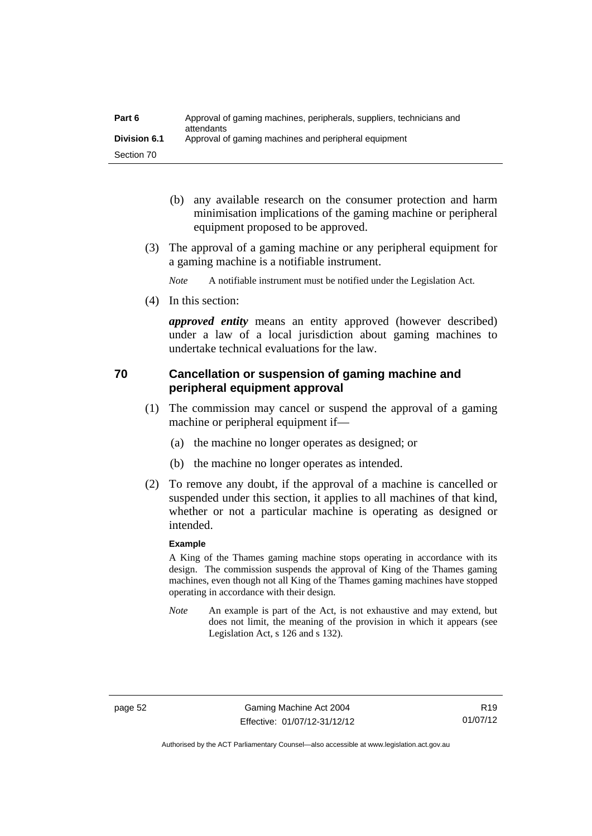| Part 6              | Approval of gaming machines, peripherals, suppliers, technicians and<br>attendants |
|---------------------|------------------------------------------------------------------------------------|
| <b>Division 6.1</b> | Approval of gaming machines and peripheral equipment                               |
| Section 70          |                                                                                    |

- (b) any available research on the consumer protection and harm minimisation implications of the gaming machine or peripheral equipment proposed to be approved.
- (3) The approval of a gaming machine or any peripheral equipment for a gaming machine is a notifiable instrument.

*Note* A notifiable instrument must be notified under the Legislation Act.

(4) In this section:

*approved entity* means an entity approved (however described) under a law of a local jurisdiction about gaming machines to undertake technical evaluations for the law.

# **70 Cancellation or suspension of gaming machine and peripheral equipment approval**

- (1) The commission may cancel or suspend the approval of a gaming machine or peripheral equipment if—
	- (a) the machine no longer operates as designed; or
	- (b) the machine no longer operates as intended.
- (2) To remove any doubt, if the approval of a machine is cancelled or suspended under this section, it applies to all machines of that kind, whether or not a particular machine is operating as designed or intended.

### **Example**

A King of the Thames gaming machine stops operating in accordance with its design. The commission suspends the approval of King of the Thames gaming machines, even though not all King of the Thames gaming machines have stopped operating in accordance with their design.

*Note* An example is part of the Act, is not exhaustive and may extend, but does not limit, the meaning of the provision in which it appears (see Legislation Act, s 126 and s 132).

page 52 Gaming Machine Act 2004 Effective: 01/07/12-31/12/12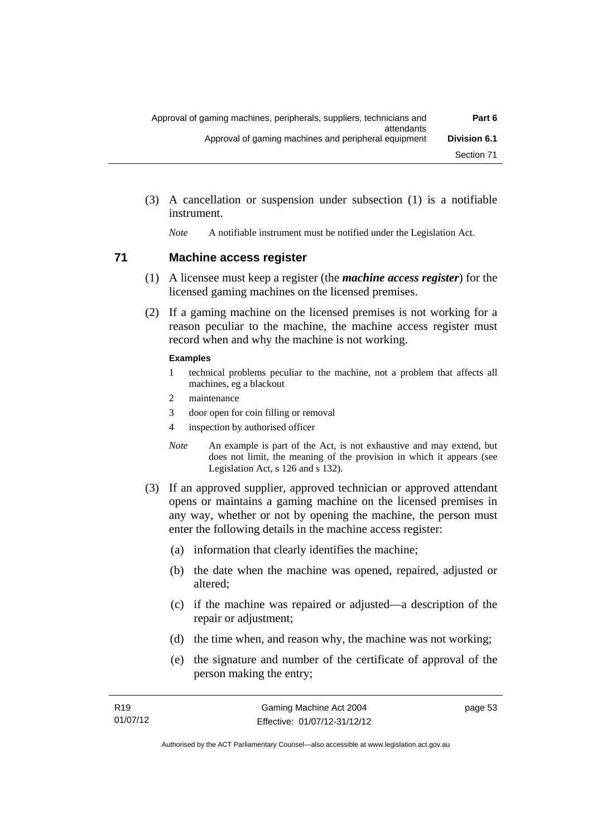(3) A cancellation or suspension under subsection (1) is a notifiable instrument.

*Note* A notifiable instrument must be notified under the Legislation Act.

### **71 Machine access register**

- (1) A licensee must keep a register (the *machine access register*) for the licensed gaming machines on the licensed premises.
- (2) If a gaming machine on the licensed premises is not working for a reason peculiar to the machine, the machine access register must record when and why the machine is not working.

#### **Examples**

- 1 technical problems peculiar to the machine, not a problem that affects all machines, eg a blackout
- 2 maintenance
- 3 door open for coin filling or removal
- 4 inspection by authorised officer
- *Note* An example is part of the Act, is not exhaustive and may extend, but does not limit, the meaning of the provision in which it appears (see Legislation Act, s 126 and s 132).
- (3) If an approved supplier, approved technician or approved attendant opens or maintains a gaming machine on the licensed premises in any way, whether or not by opening the machine, the person must enter the following details in the machine access register:
	- (a) information that clearly identifies the machine;
	- (b) the date when the machine was opened, repaired, adjusted or altered;
	- (c) if the machine was repaired or adjusted—a description of the repair or adjustment;
	- (d) the time when, and reason why, the machine was not working;
	- (e) the signature and number of the certificate of approval of the person making the entry;

page 53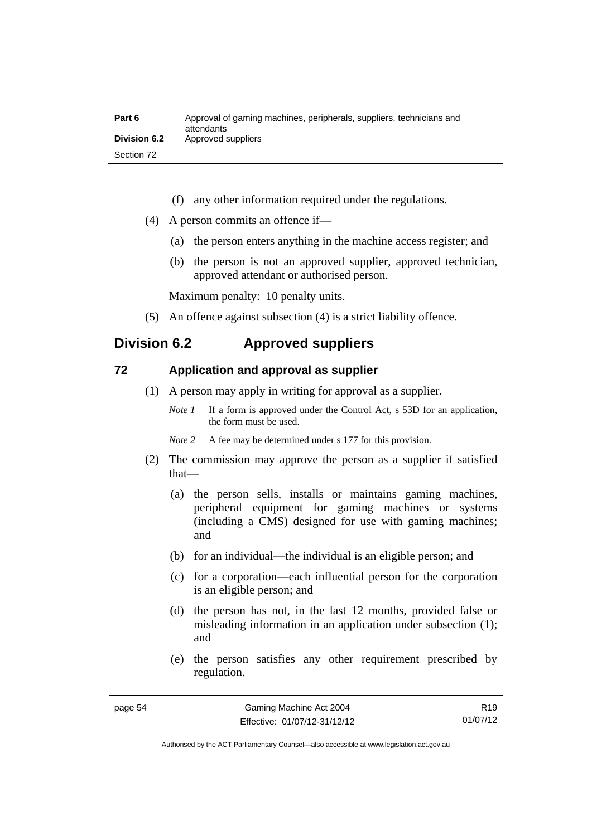| Part 6       | Approval of gaming machines, peripherals, suppliers, technicians and<br>attendants |
|--------------|------------------------------------------------------------------------------------|
| Division 6.2 | Approved suppliers                                                                 |
| Section 72   |                                                                                    |

- (f) any other information required under the regulations.
- (4) A person commits an offence if—
	- (a) the person enters anything in the machine access register; and
	- (b) the person is not an approved supplier, approved technician, approved attendant or authorised person.

Maximum penalty: 10 penalty units.

(5) An offence against subsection (4) is a strict liability offence.

# **Division 6.2 Approved suppliers**

### **72 Application and approval as supplier**

- (1) A person may apply in writing for approval as a supplier.
	- *Note 1* If a form is approved under the Control Act, s 53D for an application, the form must be used.
	- *Note* 2 A fee may be determined under s 177 for this provision.
- (2) The commission may approve the person as a supplier if satisfied that—
	- (a) the person sells, installs or maintains gaming machines, peripheral equipment for gaming machines or systems (including a CMS) designed for use with gaming machines; and
	- (b) for an individual—the individual is an eligible person; and
	- (c) for a corporation—each influential person for the corporation is an eligible person; and
	- (d) the person has not, in the last 12 months, provided false or misleading information in an application under subsection (1); and
	- (e) the person satisfies any other requirement prescribed by regulation.

R19 01/07/12

Authorised by the ACT Parliamentary Counsel—also accessible at www.legislation.act.gov.au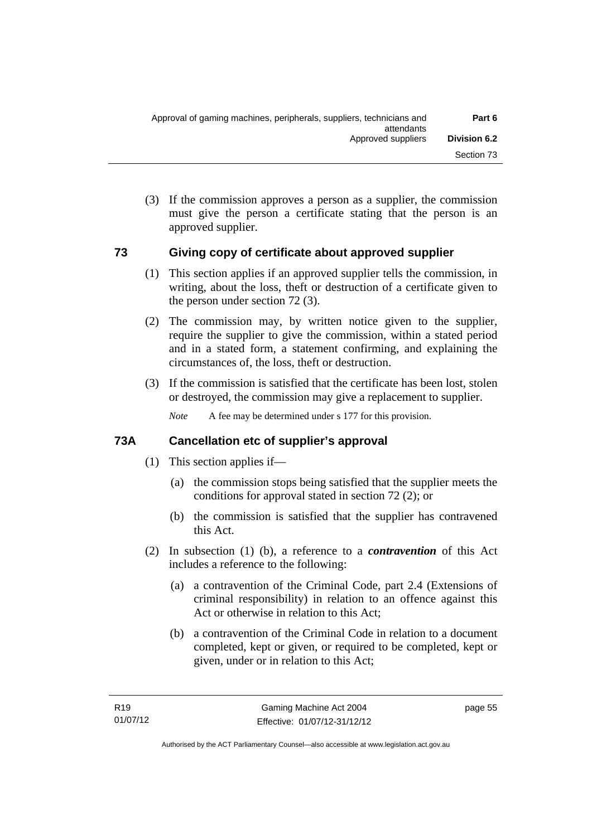(3) If the commission approves a person as a supplier, the commission must give the person a certificate stating that the person is an approved supplier.

# **73 Giving copy of certificate about approved supplier**

- (1) This section applies if an approved supplier tells the commission, in writing, about the loss, theft or destruction of a certificate given to the person under section 72 (3).
- (2) The commission may, by written notice given to the supplier, require the supplier to give the commission, within a stated period and in a stated form, a statement confirming, and explaining the circumstances of, the loss, theft or destruction.
- (3) If the commission is satisfied that the certificate has been lost, stolen or destroyed, the commission may give a replacement to supplier.

*Note* A fee may be determined under s 177 for this provision.

# **73A Cancellation etc of supplier's approval**

- (1) This section applies if—
	- (a) the commission stops being satisfied that the supplier meets the conditions for approval stated in section 72 (2); or
	- (b) the commission is satisfied that the supplier has contravened this Act.
- (2) In subsection (1) (b), a reference to a *contravention* of this Act includes a reference to the following:
	- (a) a contravention of the Criminal Code, part 2.4 (Extensions of criminal responsibility) in relation to an offence against this Act or otherwise in relation to this Act;
	- (b) a contravention of the Criminal Code in relation to a document completed, kept or given, or required to be completed, kept or given, under or in relation to this Act;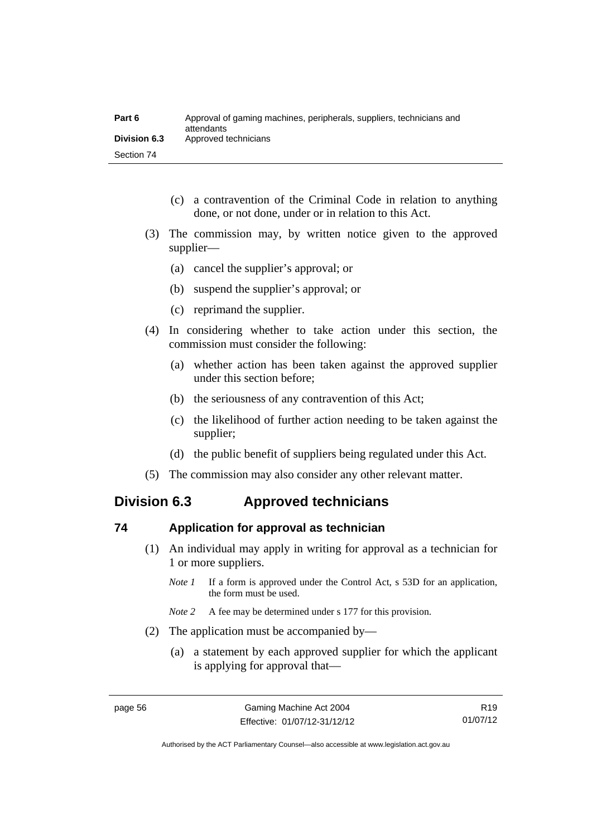| Part 6              | Approval of gaming machines, peripherals, suppliers, technicians and<br>attendants |
|---------------------|------------------------------------------------------------------------------------|
| <b>Division 6.3</b> | Approved technicians                                                               |
| Section 74          |                                                                                    |

- (c) a contravention of the Criminal Code in relation to anything done, or not done, under or in relation to this Act.
- (3) The commission may, by written notice given to the approved supplier—
	- (a) cancel the supplier's approval; or
	- (b) suspend the supplier's approval; or
	- (c) reprimand the supplier.
- (4) In considering whether to take action under this section, the commission must consider the following:
	- (a) whether action has been taken against the approved supplier under this section before;
	- (b) the seriousness of any contravention of this Act;
	- (c) the likelihood of further action needing to be taken against the supplier;
	- (d) the public benefit of suppliers being regulated under this Act.
- (5) The commission may also consider any other relevant matter.

# **Division 6.3 Approved technicians**

### **74 Application for approval as technician**

- (1) An individual may apply in writing for approval as a technician for 1 or more suppliers.
	- *Note 1* If a form is approved under the Control Act, s 53D for an application, the form must be used.
	- *Note* 2 A fee may be determined under s 177 for this provision.
- (2) The application must be accompanied by—
	- (a) a statement by each approved supplier for which the applicant is applying for approval that—

Authorised by the ACT Parliamentary Counsel—also accessible at www.legislation.act.gov.au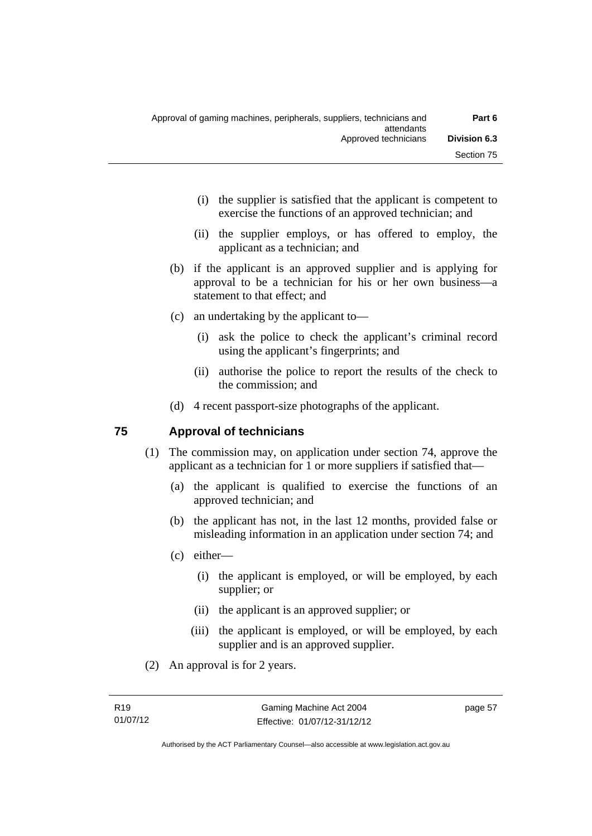- (i) the supplier is satisfied that the applicant is competent to exercise the functions of an approved technician; and
- (ii) the supplier employs, or has offered to employ, the applicant as a technician; and
- (b) if the applicant is an approved supplier and is applying for approval to be a technician for his or her own business—a statement to that effect; and
- (c) an undertaking by the applicant to—
	- (i) ask the police to check the applicant's criminal record using the applicant's fingerprints; and
	- (ii) authorise the police to report the results of the check to the commission; and
- (d) 4 recent passport-size photographs of the applicant.

### **75 Approval of technicians**

- (1) The commission may, on application under section 74, approve the applicant as a technician for 1 or more suppliers if satisfied that—
	- (a) the applicant is qualified to exercise the functions of an approved technician; and
	- (b) the applicant has not, in the last 12 months, provided false or misleading information in an application under section 74; and
	- (c) either—
		- (i) the applicant is employed, or will be employed, by each supplier; or
		- (ii) the applicant is an approved supplier; or
		- (iii) the applicant is employed, or will be employed, by each supplier and is an approved supplier.
- (2) An approval is for 2 years.

page 57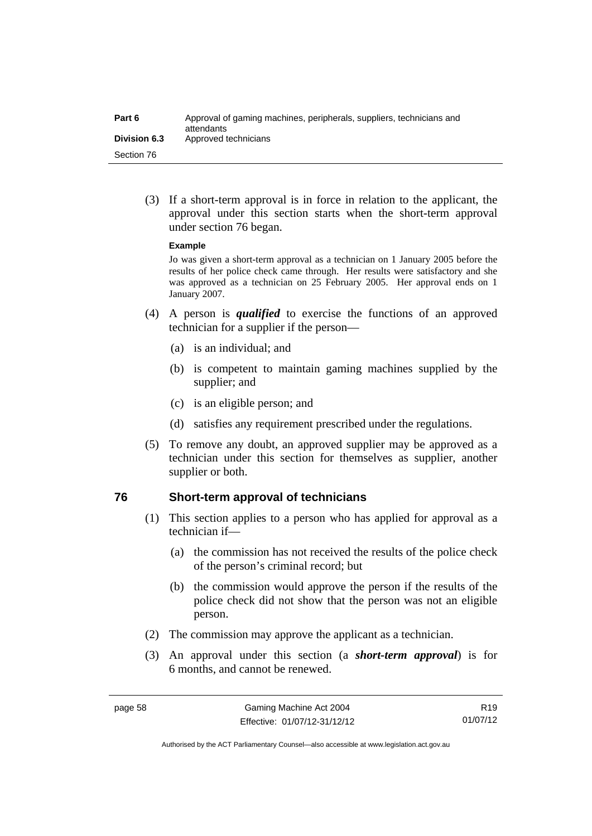| Part 6              | Approval of gaming machines, peripherals, suppliers, technicians and<br>attendants |
|---------------------|------------------------------------------------------------------------------------|
| <b>Division 6.3</b> | Approved technicians                                                               |
| Section 76          |                                                                                    |

 (3) If a short-term approval is in force in relation to the applicant, the approval under this section starts when the short-term approval under section 76 began.

#### **Example**

Jo was given a short-term approval as a technician on 1 January 2005 before the results of her police check came through. Her results were satisfactory and she was approved as a technician on 25 February 2005. Her approval ends on 1 January 2007.

- (4) A person is *qualified* to exercise the functions of an approved technician for a supplier if the person—
	- (a) is an individual; and
	- (b) is competent to maintain gaming machines supplied by the supplier; and
	- (c) is an eligible person; and
	- (d) satisfies any requirement prescribed under the regulations.
- (5) To remove any doubt, an approved supplier may be approved as a technician under this section for themselves as supplier, another supplier or both.

### **76 Short-term approval of technicians**

- (1) This section applies to a person who has applied for approval as a technician if—
	- (a) the commission has not received the results of the police check of the person's criminal record; but
	- (b) the commission would approve the person if the results of the police check did not show that the person was not an eligible person.
- (2) The commission may approve the applicant as a technician.
- (3) An approval under this section (a *short-term approval*) is for 6 months, and cannot be renewed.

R19 01/07/12

Authorised by the ACT Parliamentary Counsel—also accessible at www.legislation.act.gov.au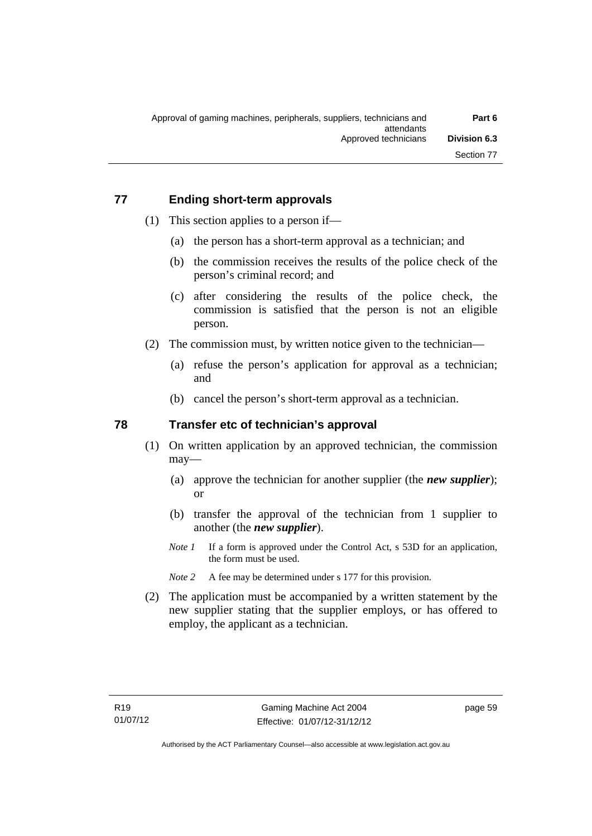# **77 Ending short-term approvals**

- (1) This section applies to a person if—
	- (a) the person has a short-term approval as a technician; and
	- (b) the commission receives the results of the police check of the person's criminal record; and
	- (c) after considering the results of the police check, the commission is satisfied that the person is not an eligible person.
- (2) The commission must, by written notice given to the technician—
	- (a) refuse the person's application for approval as a technician; and
	- (b) cancel the person's short-term approval as a technician.

### **78 Transfer etc of technician's approval**

- (1) On written application by an approved technician, the commission may—
	- (a) approve the technician for another supplier (the *new supplier*); or
	- (b) transfer the approval of the technician from 1 supplier to another (the *new supplier*).
	- *Note 1* If a form is approved under the Control Act, s 53D for an application, the form must be used.
	- *Note 2* A fee may be determined under s 177 for this provision.
- (2) The application must be accompanied by a written statement by the new supplier stating that the supplier employs, or has offered to employ, the applicant as a technician.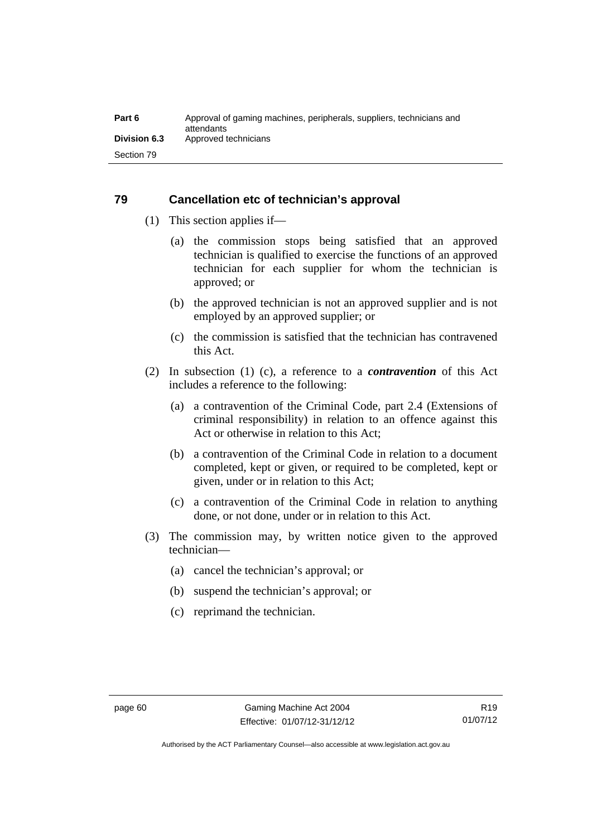# **79 Cancellation etc of technician's approval**

- (1) This section applies if—
	- (a) the commission stops being satisfied that an approved technician is qualified to exercise the functions of an approved technician for each supplier for whom the technician is approved; or
	- (b) the approved technician is not an approved supplier and is not employed by an approved supplier; or
	- (c) the commission is satisfied that the technician has contravened this Act.
- (2) In subsection (1) (c), a reference to a *contravention* of this Act includes a reference to the following:
	- (a) a contravention of the Criminal Code, part 2.4 (Extensions of criminal responsibility) in relation to an offence against this Act or otherwise in relation to this Act;
	- (b) a contravention of the Criminal Code in relation to a document completed, kept or given, or required to be completed, kept or given, under or in relation to this Act;
	- (c) a contravention of the Criminal Code in relation to anything done, or not done, under or in relation to this Act.
- (3) The commission may, by written notice given to the approved technician—
	- (a) cancel the technician's approval; or
	- (b) suspend the technician's approval; or
	- (c) reprimand the technician.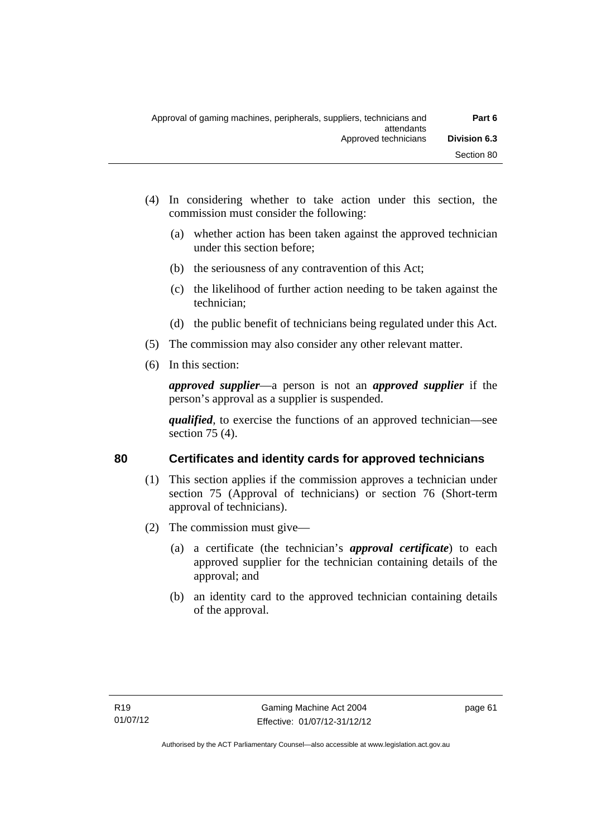- (4) In considering whether to take action under this section, the commission must consider the following:
	- (a) whether action has been taken against the approved technician under this section before;
	- (b) the seriousness of any contravention of this Act;
	- (c) the likelihood of further action needing to be taken against the technician;
	- (d) the public benefit of technicians being regulated under this Act.
- (5) The commission may also consider any other relevant matter.
- (6) In this section:

*approved supplier*—a person is not an *approved supplier* if the person's approval as a supplier is suspended.

*qualified*, to exercise the functions of an approved technician—see section 75 (4).

# **80 Certificates and identity cards for approved technicians**

- (1) This section applies if the commission approves a technician under section 75 (Approval of technicians) or section 76 (Short-term approval of technicians).
- (2) The commission must give—
	- (a) a certificate (the technician's *approval certificate*) to each approved supplier for the technician containing details of the approval; and
	- (b) an identity card to the approved technician containing details of the approval.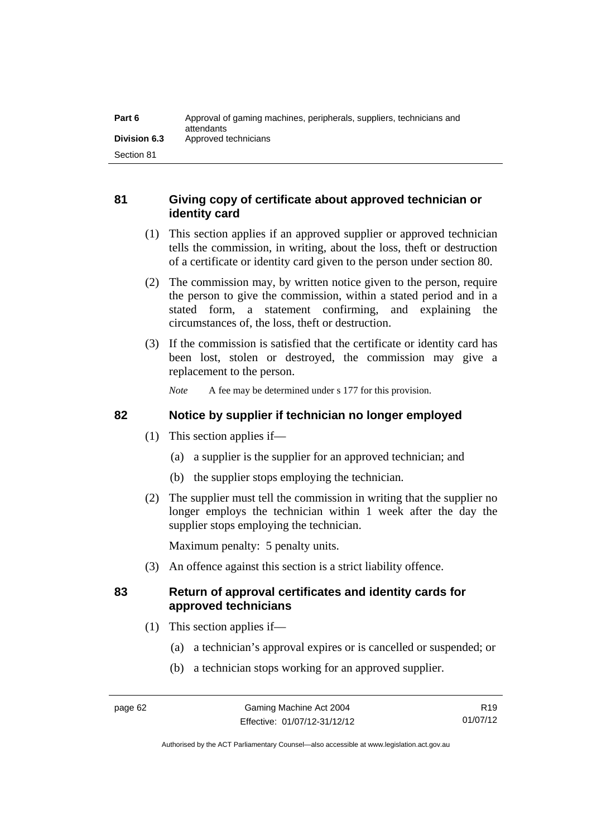| Part 6              | Approval of gaming machines, peripherals, suppliers, technicians and<br>attendants |
|---------------------|------------------------------------------------------------------------------------|
| <b>Division 6.3</b> | Approved technicians                                                               |
| Section 81          |                                                                                    |

# **81 Giving copy of certificate about approved technician or identity card**

- (1) This section applies if an approved supplier or approved technician tells the commission, in writing, about the loss, theft or destruction of a certificate or identity card given to the person under section 80.
- (2) The commission may, by written notice given to the person, require the person to give the commission, within a stated period and in a stated form, a statement confirming, and explaining the circumstances of, the loss, theft or destruction.
- (3) If the commission is satisfied that the certificate or identity card has been lost, stolen or destroyed, the commission may give a replacement to the person.

*Note* A fee may be determined under s 177 for this provision.

# **82 Notice by supplier if technician no longer employed**

- (1) This section applies if—
	- (a) a supplier is the supplier for an approved technician; and
	- (b) the supplier stops employing the technician.
- (2) The supplier must tell the commission in writing that the supplier no longer employs the technician within 1 week after the day the supplier stops employing the technician.

Maximum penalty: 5 penalty units.

(3) An offence against this section is a strict liability offence.

# **83 Return of approval certificates and identity cards for approved technicians**

- (1) This section applies if—
	- (a) a technician's approval expires or is cancelled or suspended; or
	- (b) a technician stops working for an approved supplier.

Authorised by the ACT Parliamentary Counsel—also accessible at www.legislation.act.gov.au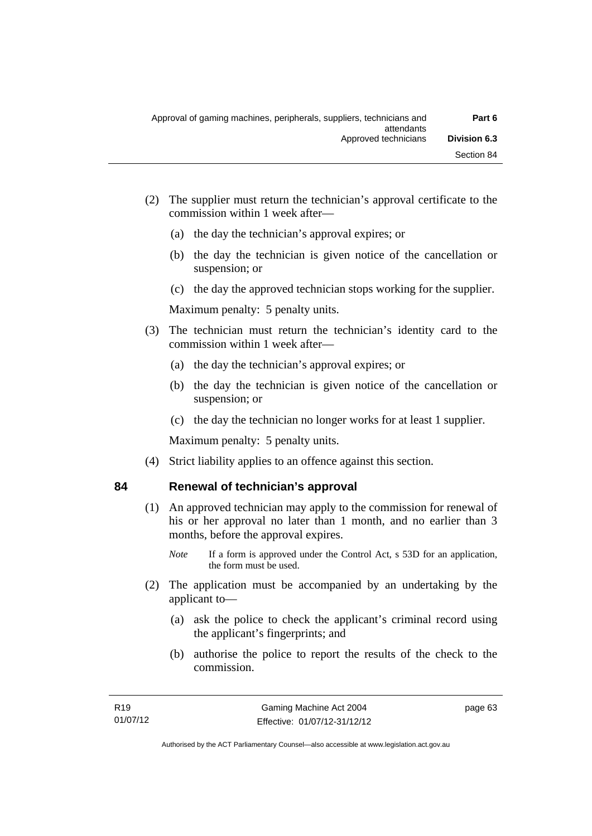- (2) The supplier must return the technician's approval certificate to the commission within 1 week after—
	- (a) the day the technician's approval expires; or
	- (b) the day the technician is given notice of the cancellation or suspension; or
	- (c) the day the approved technician stops working for the supplier.

Maximum penalty: 5 penalty units.

- (3) The technician must return the technician's identity card to the commission within 1 week after—
	- (a) the day the technician's approval expires; or
	- (b) the day the technician is given notice of the cancellation or suspension; or
	- (c) the day the technician no longer works for at least 1 supplier.

Maximum penalty: 5 penalty units.

(4) Strict liability applies to an offence against this section.

# **84 Renewal of technician's approval**

# (1) An approved technician may apply to the commission for renewal of his or her approval no later than 1 month, and no earlier than 3 months, before the approval expires.

- *Note* If a form is approved under the Control Act, s 53D for an application, the form must be used.
- (2) The application must be accompanied by an undertaking by the applicant to—
	- (a) ask the police to check the applicant's criminal record using the applicant's fingerprints; and
	- (b) authorise the police to report the results of the check to the commission.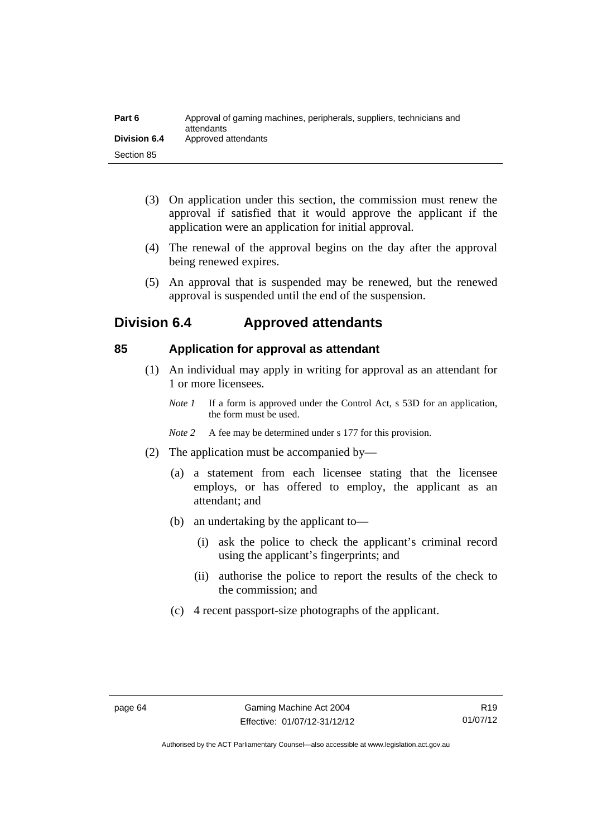| Part 6              | Approval of gaming machines, peripherals, suppliers, technicians and<br>attendants |
|---------------------|------------------------------------------------------------------------------------|
| <b>Division 6.4</b> | Approved attendants                                                                |
| Section 85          |                                                                                    |

- (3) On application under this section, the commission must renew the approval if satisfied that it would approve the applicant if the application were an application for initial approval.
- (4) The renewal of the approval begins on the day after the approval being renewed expires.
- (5) An approval that is suspended may be renewed, but the renewed approval is suspended until the end of the suspension.

# **Division 6.4 Approved attendants**

# **85 Application for approval as attendant**

- (1) An individual may apply in writing for approval as an attendant for 1 or more licensees.
	- *Note 1* If a form is approved under the Control Act, s 53D for an application, the form must be used.
	- *Note* 2 A fee may be determined under s 177 for this provision.
- (2) The application must be accompanied by—
	- (a) a statement from each licensee stating that the licensee employs, or has offered to employ, the applicant as an attendant; and
	- (b) an undertaking by the applicant to—
		- (i) ask the police to check the applicant's criminal record using the applicant's fingerprints; and
		- (ii) authorise the police to report the results of the check to the commission; and
	- (c) 4 recent passport-size photographs of the applicant.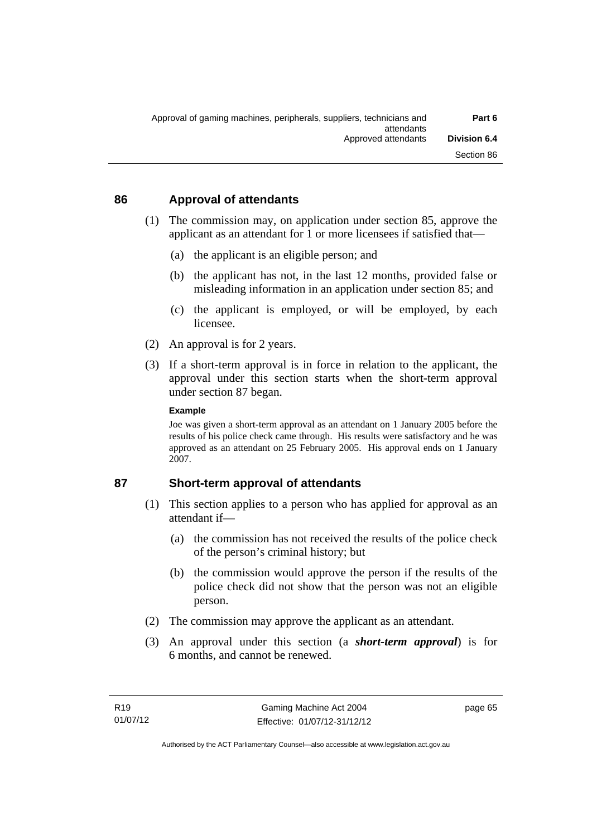# **86 Approval of attendants**

- (1) The commission may, on application under section 85, approve the applicant as an attendant for 1 or more licensees if satisfied that—
	- (a) the applicant is an eligible person; and
	- (b) the applicant has not, in the last 12 months, provided false or misleading information in an application under section 85; and
	- (c) the applicant is employed, or will be employed, by each licensee.
- (2) An approval is for 2 years.
- (3) If a short-term approval is in force in relation to the applicant, the approval under this section starts when the short-term approval under section 87 began.

#### **Example**

Joe was given a short-term approval as an attendant on 1 January 2005 before the results of his police check came through. His results were satisfactory and he was approved as an attendant on 25 February 2005. His approval ends on 1 January 2007.

# **87 Short-term approval of attendants**

- (1) This section applies to a person who has applied for approval as an attendant if—
	- (a) the commission has not received the results of the police check of the person's criminal history; but
	- (b) the commission would approve the person if the results of the police check did not show that the person was not an eligible person.
- (2) The commission may approve the applicant as an attendant.
- (3) An approval under this section (a *short-term approval*) is for 6 months, and cannot be renewed.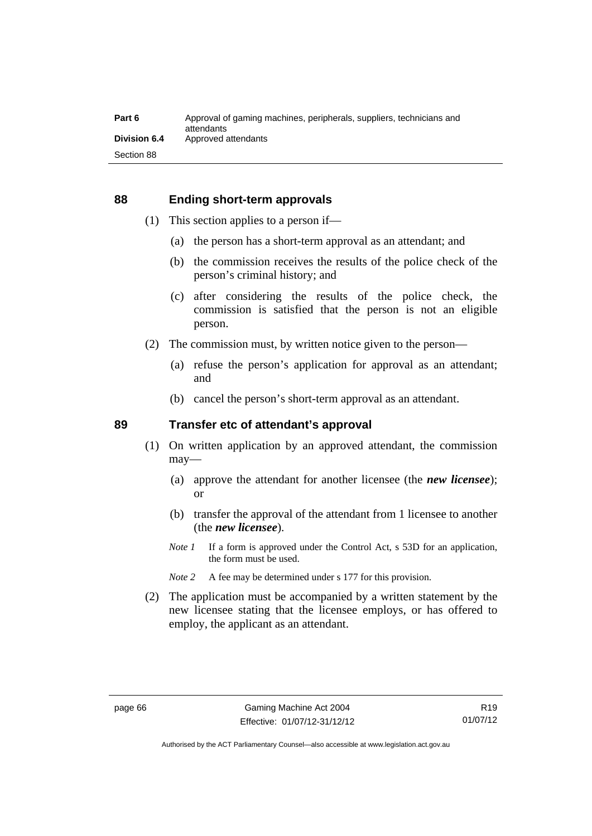## **88 Ending short-term approvals**

- (1) This section applies to a person if—
	- (a) the person has a short-term approval as an attendant; and
	- (b) the commission receives the results of the police check of the person's criminal history; and
	- (c) after considering the results of the police check, the commission is satisfied that the person is not an eligible person.
- (2) The commission must, by written notice given to the person—
	- (a) refuse the person's application for approval as an attendant; and
	- (b) cancel the person's short-term approval as an attendant.

# **89 Transfer etc of attendant's approval**

- (1) On written application by an approved attendant, the commission may—
	- (a) approve the attendant for another licensee (the *new licensee*); or
	- (b) transfer the approval of the attendant from 1 licensee to another (the *new licensee*).
	- *Note 1* If a form is approved under the Control Act, s 53D for an application, the form must be used.
	- *Note* 2 A fee may be determined under s 177 for this provision.
- (2) The application must be accompanied by a written statement by the new licensee stating that the licensee employs, or has offered to employ, the applicant as an attendant.

Authorised by the ACT Parliamentary Counsel—also accessible at www.legislation.act.gov.au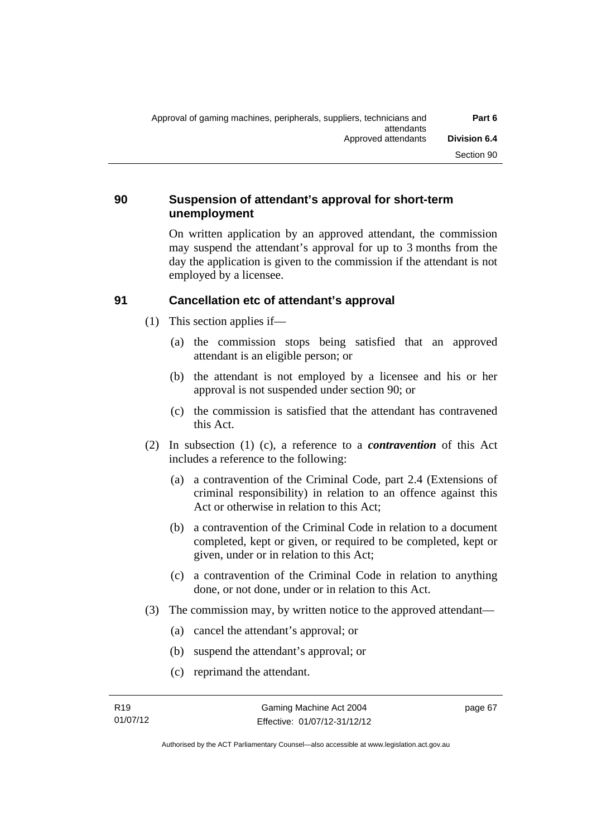# **90 Suspension of attendant's approval for short-term unemployment**

On written application by an approved attendant, the commission may suspend the attendant's approval for up to 3 months from the day the application is given to the commission if the attendant is not employed by a licensee.

# **91 Cancellation etc of attendant's approval**

- (1) This section applies if—
	- (a) the commission stops being satisfied that an approved attendant is an eligible person; or
	- (b) the attendant is not employed by a licensee and his or her approval is not suspended under section 90; or
	- (c) the commission is satisfied that the attendant has contravened this Act.
- (2) In subsection (1) (c), a reference to a *contravention* of this Act includes a reference to the following:
	- (a) a contravention of the Criminal Code, part 2.4 (Extensions of criminal responsibility) in relation to an offence against this Act or otherwise in relation to this Act;
	- (b) a contravention of the Criminal Code in relation to a document completed, kept or given, or required to be completed, kept or given, under or in relation to this Act;
	- (c) a contravention of the Criminal Code in relation to anything done, or not done, under or in relation to this Act.
- (3) The commission may, by written notice to the approved attendant—
	- (a) cancel the attendant's approval; or
	- (b) suspend the attendant's approval; or
	- (c) reprimand the attendant.

page 67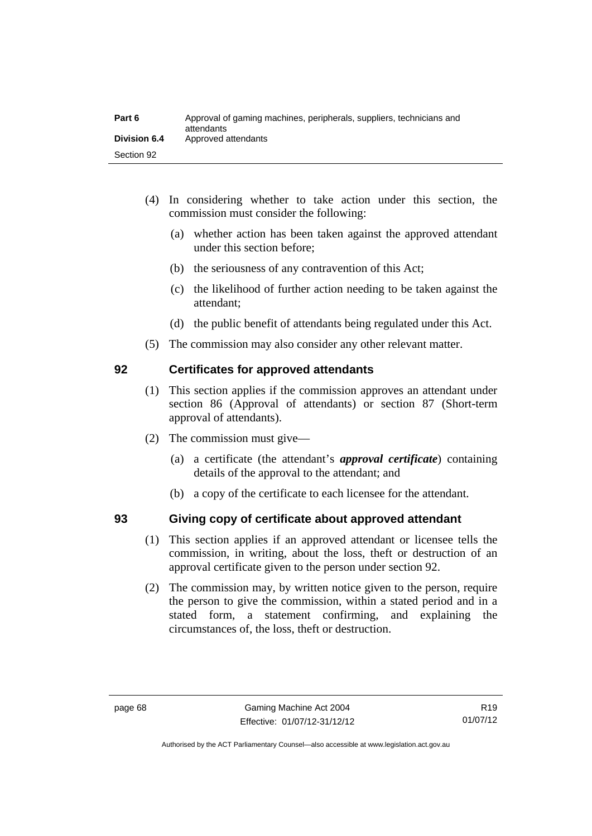| Part 6              | Approval of gaming machines, peripherals, suppliers, technicians and<br>attendants |
|---------------------|------------------------------------------------------------------------------------|
| <b>Division 6.4</b> | Approved attendants                                                                |
| Section 92          |                                                                                    |

- (4) In considering whether to take action under this section, the commission must consider the following:
	- (a) whether action has been taken against the approved attendant under this section before;
	- (b) the seriousness of any contravention of this Act;
	- (c) the likelihood of further action needing to be taken against the attendant;
	- (d) the public benefit of attendants being regulated under this Act.
- (5) The commission may also consider any other relevant matter.

# **92 Certificates for approved attendants**

- (1) This section applies if the commission approves an attendant under section 86 (Approval of attendants) or section 87 (Short-term approval of attendants).
- (2) The commission must give—
	- (a) a certificate (the attendant's *approval certificate*) containing details of the approval to the attendant; and
	- (b) a copy of the certificate to each licensee for the attendant.

# **93 Giving copy of certificate about approved attendant**

- (1) This section applies if an approved attendant or licensee tells the commission, in writing, about the loss, theft or destruction of an approval certificate given to the person under section 92.
- (2) The commission may, by written notice given to the person, require the person to give the commission, within a stated period and in a stated form, a statement confirming, and explaining the circumstances of, the loss, theft or destruction.

Authorised by the ACT Parliamentary Counsel—also accessible at www.legislation.act.gov.au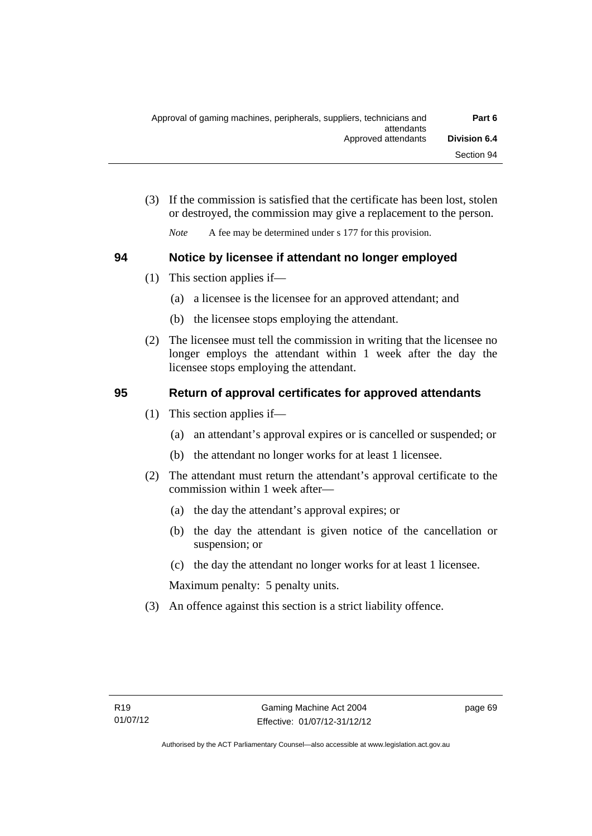(3) If the commission is satisfied that the certificate has been lost, stolen or destroyed, the commission may give a replacement to the person.

*Note* A fee may be determined under s 177 for this provision.

# **94 Notice by licensee if attendant no longer employed**

- (1) This section applies if—
	- (a) a licensee is the licensee for an approved attendant; and
	- (b) the licensee stops employing the attendant.
- (2) The licensee must tell the commission in writing that the licensee no longer employs the attendant within 1 week after the day the licensee stops employing the attendant.

# **95 Return of approval certificates for approved attendants**

- (1) This section applies if—
	- (a) an attendant's approval expires or is cancelled or suspended; or
	- (b) the attendant no longer works for at least 1 licensee.
- (2) The attendant must return the attendant's approval certificate to the commission within 1 week after—
	- (a) the day the attendant's approval expires; or
	- (b) the day the attendant is given notice of the cancellation or suspension; or
	- (c) the day the attendant no longer works for at least 1 licensee.

Maximum penalty: 5 penalty units.

(3) An offence against this section is a strict liability offence.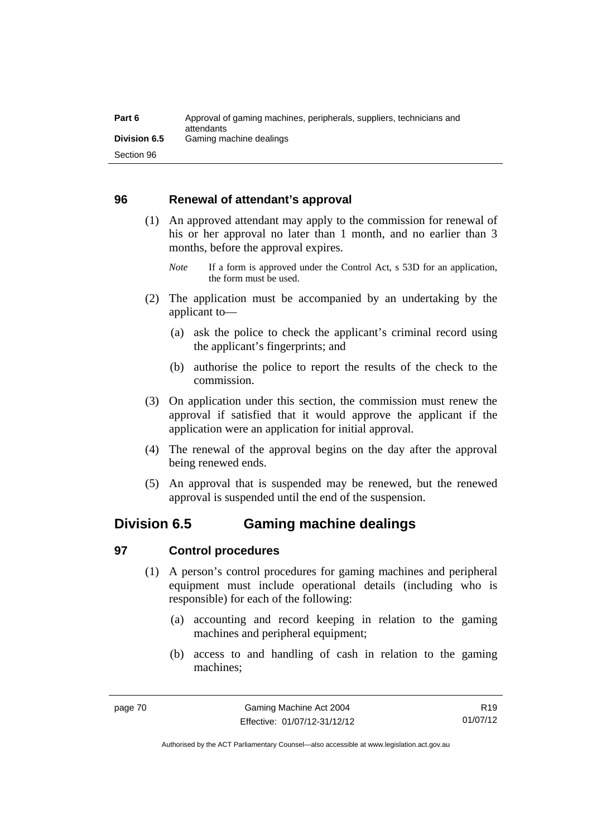| Part 6              | Approval of gaming machines, peripherals, suppliers, technicians and<br>attendants |
|---------------------|------------------------------------------------------------------------------------|
| <b>Division 6.5</b> | Gaming machine dealings                                                            |
| Section 96          |                                                                                    |

# **96 Renewal of attendant's approval**

- (1) An approved attendant may apply to the commission for renewal of his or her approval no later than 1 month, and no earlier than 3 months, before the approval expires.
	- *Note* If a form is approved under the Control Act, s 53D for an application, the form must be used.
- (2) The application must be accompanied by an undertaking by the applicant to—
	- (a) ask the police to check the applicant's criminal record using the applicant's fingerprints; and
	- (b) authorise the police to report the results of the check to the commission.
- (3) On application under this section, the commission must renew the approval if satisfied that it would approve the applicant if the application were an application for initial approval.
- (4) The renewal of the approval begins on the day after the approval being renewed ends.
- (5) An approval that is suspended may be renewed, but the renewed approval is suspended until the end of the suspension.

# **Division 6.5 Gaming machine dealings**

# **97 Control procedures**

- (1) A person's control procedures for gaming machines and peripheral equipment must include operational details (including who is responsible) for each of the following:
	- (a) accounting and record keeping in relation to the gaming machines and peripheral equipment;
	- (b) access to and handling of cash in relation to the gaming machines;

R19 01/07/12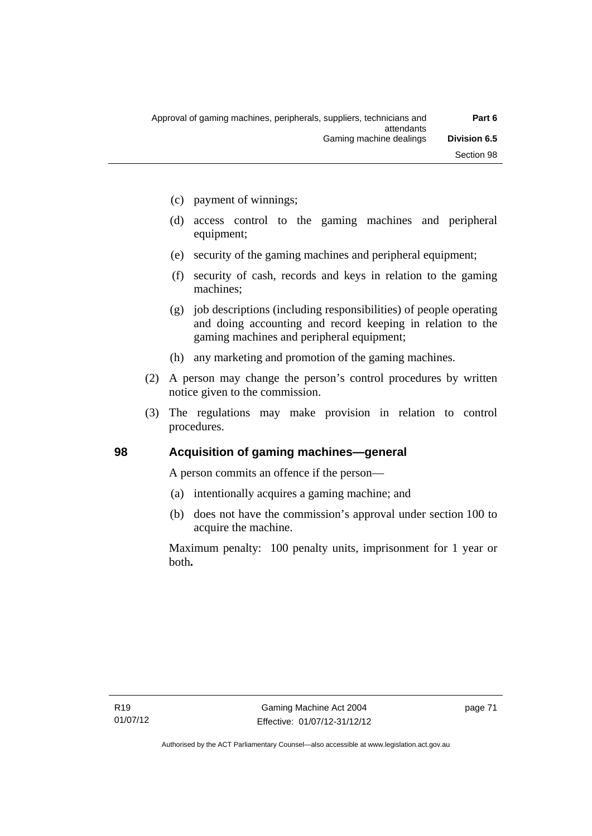- (c) payment of winnings;
- (d) access control to the gaming machines and peripheral equipment;
- (e) security of the gaming machines and peripheral equipment;
- (f) security of cash, records and keys in relation to the gaming machines;
- (g) job descriptions (including responsibilities) of people operating and doing accounting and record keeping in relation to the gaming machines and peripheral equipment;
- (h) any marketing and promotion of the gaming machines.
- (2) A person may change the person's control procedures by written notice given to the commission.
- (3) The regulations may make provision in relation to control procedures.

# **98 Acquisition of gaming machines—general**

A person commits an offence if the person—

- (a) intentionally acquires a gaming machine; and
- (b) does not have the commission's approval under section 100 to acquire the machine.

Maximum penalty: 100 penalty units, imprisonment for 1 year or both**.**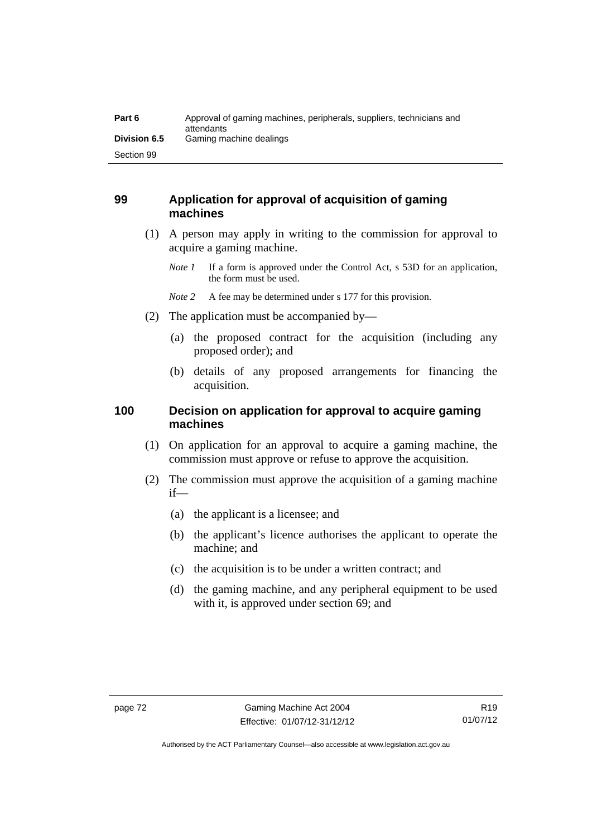| Part 6              | Approval of gaming machines, peripherals, suppliers, technicians and<br>attendants |
|---------------------|------------------------------------------------------------------------------------|
| <b>Division 6.5</b> | Gaming machine dealings                                                            |
| Section 99          |                                                                                    |

# **99 Application for approval of acquisition of gaming machines**

- (1) A person may apply in writing to the commission for approval to acquire a gaming machine.
	- *Note 1* If a form is approved under the Control Act, s 53D for an application, the form must be used.
	- *Note* 2 A fee may be determined under s 177 for this provision.
- (2) The application must be accompanied by—
	- (a) the proposed contract for the acquisition (including any proposed order); and
	- (b) details of any proposed arrangements for financing the acquisition.

# **100 Decision on application for approval to acquire gaming machines**

- (1) On application for an approval to acquire a gaming machine, the commission must approve or refuse to approve the acquisition.
- (2) The commission must approve the acquisition of a gaming machine if—
	- (a) the applicant is a licensee; and
	- (b) the applicant's licence authorises the applicant to operate the machine; and
	- (c) the acquisition is to be under a written contract; and
	- (d) the gaming machine, and any peripheral equipment to be used with it, is approved under section 69; and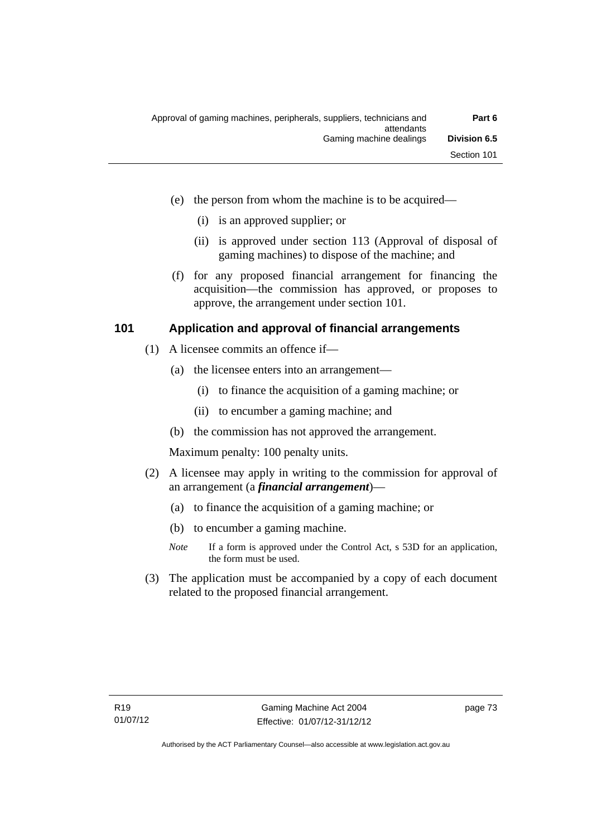- (e) the person from whom the machine is to be acquired—
	- (i) is an approved supplier; or
	- (ii) is approved under section 113 (Approval of disposal of gaming machines) to dispose of the machine; and
- (f) for any proposed financial arrangement for financing the acquisition—the commission has approved, or proposes to approve, the arrangement under section 101.

# **101 Application and approval of financial arrangements**

- (1) A licensee commits an offence if—
	- (a) the licensee enters into an arrangement—
		- (i) to finance the acquisition of a gaming machine; or
		- (ii) to encumber a gaming machine; and
	- (b) the commission has not approved the arrangement.

Maximum penalty: 100 penalty units.

- (2) A licensee may apply in writing to the commission for approval of an arrangement (a *financial arrangement*)—
	- (a) to finance the acquisition of a gaming machine; or
	- (b) to encumber a gaming machine.
	- *Note* If a form is approved under the Control Act, s 53D for an application, the form must be used.
- (3) The application must be accompanied by a copy of each document related to the proposed financial arrangement.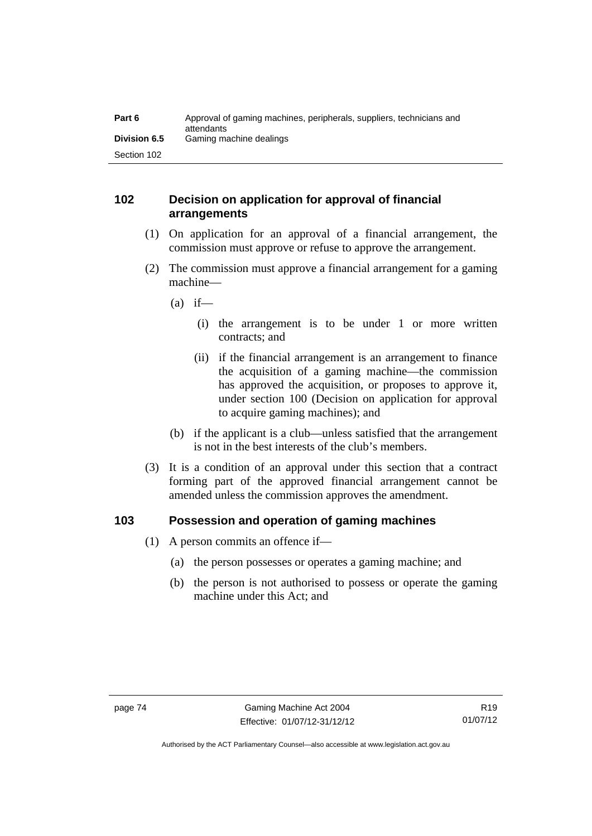| Part 6              | Approval of gaming machines, peripherals, suppliers, technicians and<br>attendants |
|---------------------|------------------------------------------------------------------------------------|
| <b>Division 6.5</b> | Gaming machine dealings                                                            |
| Section 102         |                                                                                    |

# **102 Decision on application for approval of financial arrangements**

- (1) On application for an approval of a financial arrangement, the commission must approve or refuse to approve the arrangement.
- (2) The commission must approve a financial arrangement for a gaming machine—
	- $(a)$  if—
		- (i) the arrangement is to be under 1 or more written contracts; and
		- (ii) if the financial arrangement is an arrangement to finance the acquisition of a gaming machine—the commission has approved the acquisition, or proposes to approve it, under section 100 (Decision on application for approval to acquire gaming machines); and
	- (b) if the applicant is a club—unless satisfied that the arrangement is not in the best interests of the club's members.
- (3) It is a condition of an approval under this section that a contract forming part of the approved financial arrangement cannot be amended unless the commission approves the amendment.

# **103 Possession and operation of gaming machines**

- (1) A person commits an offence if—
	- (a) the person possesses or operates a gaming machine; and
	- (b) the person is not authorised to possess or operate the gaming machine under this Act; and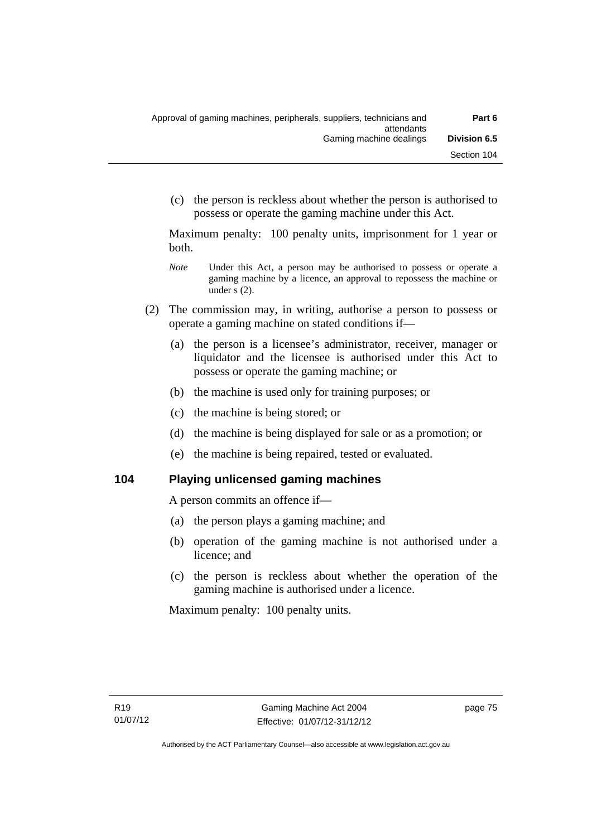(c) the person is reckless about whether the person is authorised to possess or operate the gaming machine under this Act.

Maximum penalty: 100 penalty units, imprisonment for 1 year or both.

- *Note* **Under this Act, a person may be authorised to possess or operate a** gaming machine by a licence, an approval to repossess the machine or under s (2).
- (2) The commission may, in writing, authorise a person to possess or operate a gaming machine on stated conditions if—
	- (a) the person is a licensee's administrator, receiver, manager or liquidator and the licensee is authorised under this Act to possess or operate the gaming machine; or
	- (b) the machine is used only for training purposes; or
	- (c) the machine is being stored; or
	- (d) the machine is being displayed for sale or as a promotion; or
	- (e) the machine is being repaired, tested or evaluated.

# **104 Playing unlicensed gaming machines**

A person commits an offence if—

- (a) the person plays a gaming machine; and
- (b) operation of the gaming machine is not authorised under a licence; and
- (c) the person is reckless about whether the operation of the gaming machine is authorised under a licence.

Maximum penalty: 100 penalty units.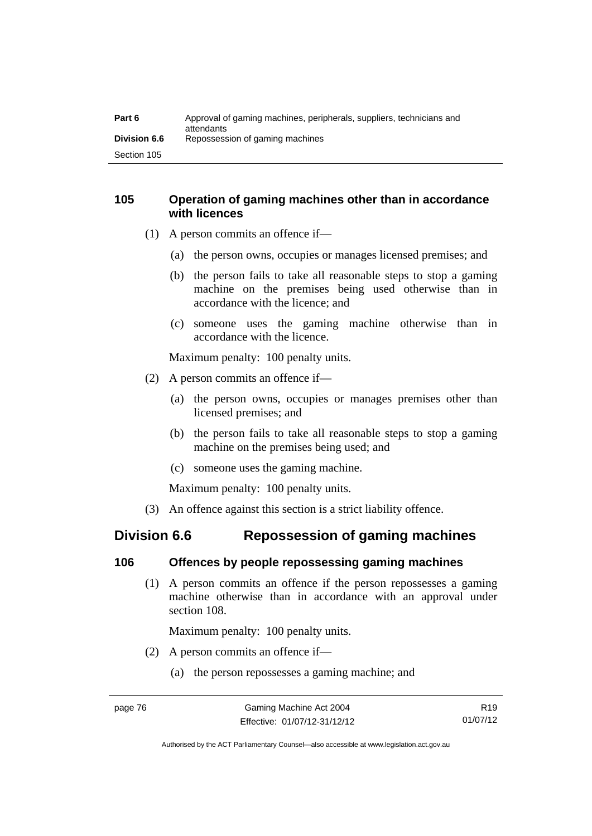| Part 6              | Approval of gaming machines, peripherals, suppliers, technicians and<br>attendants |
|---------------------|------------------------------------------------------------------------------------|
| <b>Division 6.6</b> | Repossession of gaming machines                                                    |
| Section 105         |                                                                                    |

# **105 Operation of gaming machines other than in accordance with licences**

- (1) A person commits an offence if—
	- (a) the person owns, occupies or manages licensed premises; and
	- (b) the person fails to take all reasonable steps to stop a gaming machine on the premises being used otherwise than in accordance with the licence; and
	- (c) someone uses the gaming machine otherwise than in accordance with the licence.

Maximum penalty: 100 penalty units.

- (2) A person commits an offence if—
	- (a) the person owns, occupies or manages premises other than licensed premises; and
	- (b) the person fails to take all reasonable steps to stop a gaming machine on the premises being used; and
	- (c) someone uses the gaming machine.

Maximum penalty: 100 penalty units.

(3) An offence against this section is a strict liability offence.

# **Division 6.6 Repossession of gaming machines**

# **106 Offences by people repossessing gaming machines**

 (1) A person commits an offence if the person repossesses a gaming machine otherwise than in accordance with an approval under section 108.

Maximum penalty: 100 penalty units.

- (2) A person commits an offence if—
	- (a) the person repossesses a gaming machine; and

R19 01/07/12

Authorised by the ACT Parliamentary Counsel—also accessible at www.legislation.act.gov.au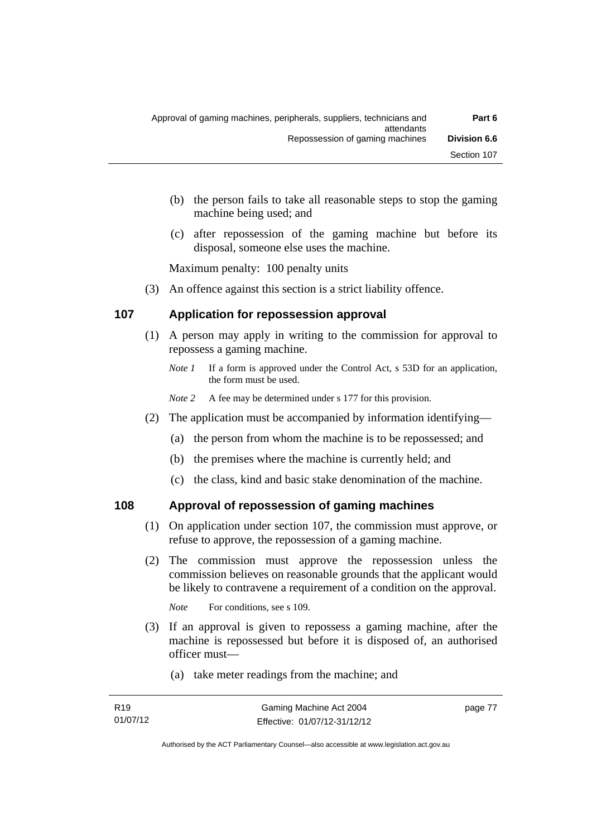- (b) the person fails to take all reasonable steps to stop the gaming machine being used; and
- (c) after repossession of the gaming machine but before its disposal, someone else uses the machine.

Maximum penalty: 100 penalty units

(3) An offence against this section is a strict liability offence.

#### **107 Application for repossession approval**

- (1) A person may apply in writing to the commission for approval to repossess a gaming machine.
	- *Note 1* If a form is approved under the Control Act, s 53D for an application, the form must be used.
	- *Note 2* A fee may be determined under s 177 for this provision.
- (2) The application must be accompanied by information identifying—
	- (a) the person from whom the machine is to be repossessed; and
	- (b) the premises where the machine is currently held; and
	- (c) the class, kind and basic stake denomination of the machine.

# **108 Approval of repossession of gaming machines**

- (1) On application under section 107, the commission must approve, or refuse to approve, the repossession of a gaming machine.
- (2) The commission must approve the repossession unless the commission believes on reasonable grounds that the applicant would be likely to contravene a requirement of a condition on the approval.

*Note* For conditions, see s 109.

- (3) If an approval is given to repossess a gaming machine, after the machine is repossessed but before it is disposed of, an authorised officer must—
	- (a) take meter readings from the machine; and

page 77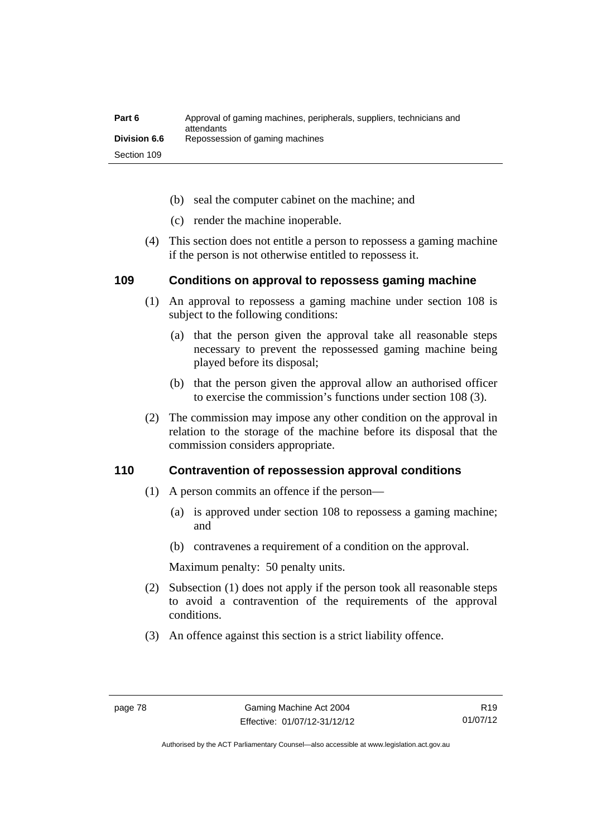| Part 6              | Approval of gaming machines, peripherals, suppliers, technicians and<br>attendants |
|---------------------|------------------------------------------------------------------------------------|
| <b>Division 6.6</b> | Repossession of gaming machines                                                    |
| Section 109         |                                                                                    |

- (b) seal the computer cabinet on the machine; and
- (c) render the machine inoperable.
- (4) This section does not entitle a person to repossess a gaming machine if the person is not otherwise entitled to repossess it.

# **109 Conditions on approval to repossess gaming machine**

- (1) An approval to repossess a gaming machine under section 108 is subject to the following conditions:
	- (a) that the person given the approval take all reasonable steps necessary to prevent the repossessed gaming machine being played before its disposal;
	- (b) that the person given the approval allow an authorised officer to exercise the commission's functions under section 108 (3).
- (2) The commission may impose any other condition on the approval in relation to the storage of the machine before its disposal that the commission considers appropriate.

# **110 Contravention of repossession approval conditions**

- (1) A person commits an offence if the person—
	- (a) is approved under section 108 to repossess a gaming machine; and
	- (b) contravenes a requirement of a condition on the approval.

Maximum penalty: 50 penalty units.

- (2) Subsection (1) does not apply if the person took all reasonable steps to avoid a contravention of the requirements of the approval conditions.
- (3) An offence against this section is a strict liability offence.

Authorised by the ACT Parliamentary Counsel—also accessible at www.legislation.act.gov.au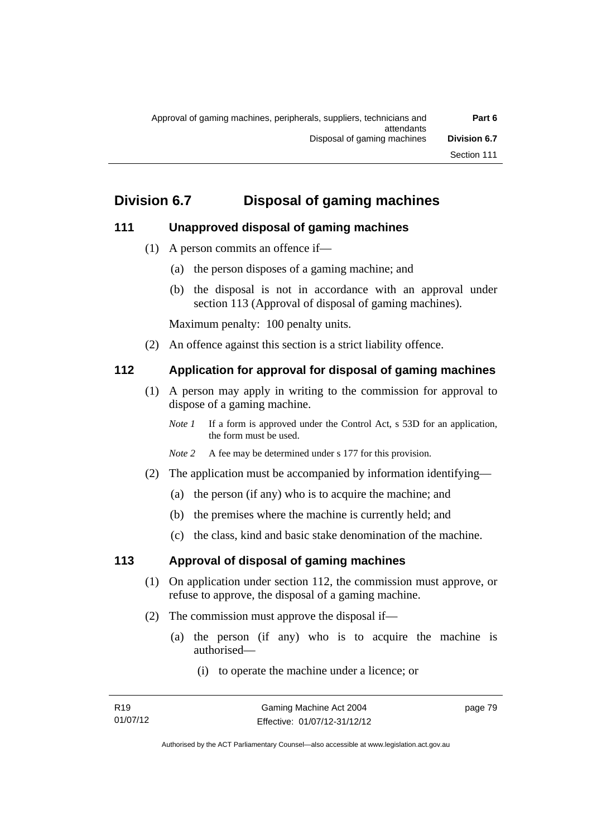# **Division 6.7 Disposal of gaming machines**

# **111 Unapproved disposal of gaming machines**

- (1) A person commits an offence if—
	- (a) the person disposes of a gaming machine; and
	- (b) the disposal is not in accordance with an approval under section 113 (Approval of disposal of gaming machines).

Maximum penalty: 100 penalty units.

(2) An offence against this section is a strict liability offence.

# **112 Application for approval for disposal of gaming machines**

- (1) A person may apply in writing to the commission for approval to dispose of a gaming machine.
	- *Note 1* If a form is approved under the Control Act, s 53D for an application, the form must be used.
	- *Note 2* A fee may be determined under s 177 for this provision.
- (2) The application must be accompanied by information identifying—
	- (a) the person (if any) who is to acquire the machine; and
	- (b) the premises where the machine is currently held; and
	- (c) the class, kind and basic stake denomination of the machine.

# **113 Approval of disposal of gaming machines**

- (1) On application under section 112, the commission must approve, or refuse to approve, the disposal of a gaming machine.
- (2) The commission must approve the disposal if—
	- (a) the person (if any) who is to acquire the machine is authorised—
		- (i) to operate the machine under a licence; or

page 79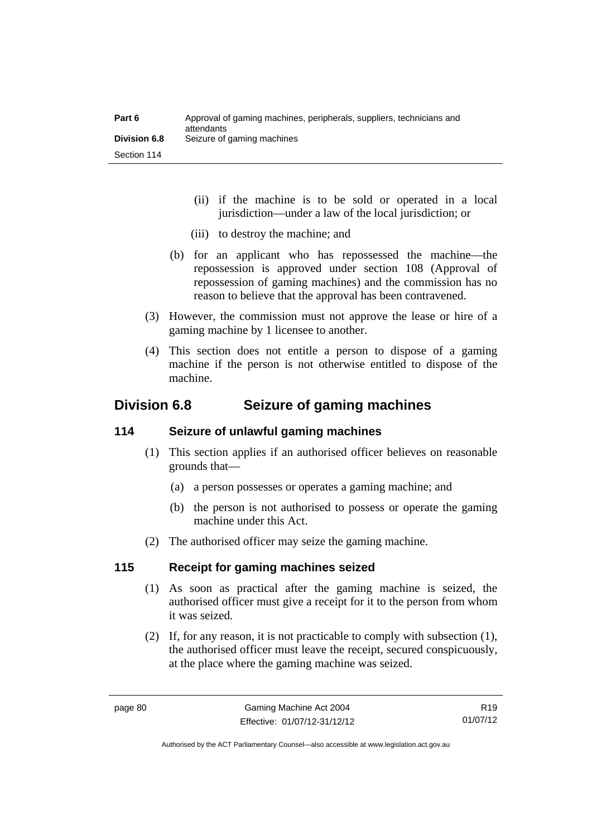| Part 6              | Approval of gaming machines, peripherals, suppliers, technicians and<br>attendants |
|---------------------|------------------------------------------------------------------------------------|
| <b>Division 6.8</b> | Seizure of gaming machines                                                         |
| Section 114         |                                                                                    |

- (ii) if the machine is to be sold or operated in a local jurisdiction—under a law of the local jurisdiction; or
- (iii) to destroy the machine; and
- (b) for an applicant who has repossessed the machine—the repossession is approved under section 108 (Approval of repossession of gaming machines) and the commission has no reason to believe that the approval has been contravened.
- (3) However, the commission must not approve the lease or hire of a gaming machine by 1 licensee to another.
- (4) This section does not entitle a person to dispose of a gaming machine if the person is not otherwise entitled to dispose of the machine.

# **Division 6.8 Seizure of gaming machines**

# **114 Seizure of unlawful gaming machines**

- (1) This section applies if an authorised officer believes on reasonable grounds that—
	- (a) a person possesses or operates a gaming machine; and
	- (b) the person is not authorised to possess or operate the gaming machine under this Act.
- (2) The authorised officer may seize the gaming machine.

# **115 Receipt for gaming machines seized**

- (1) As soon as practical after the gaming machine is seized, the authorised officer must give a receipt for it to the person from whom it was seized.
- (2) If, for any reason, it is not practicable to comply with subsection (1), the authorised officer must leave the receipt, secured conspicuously, at the place where the gaming machine was seized.

R19 01/07/12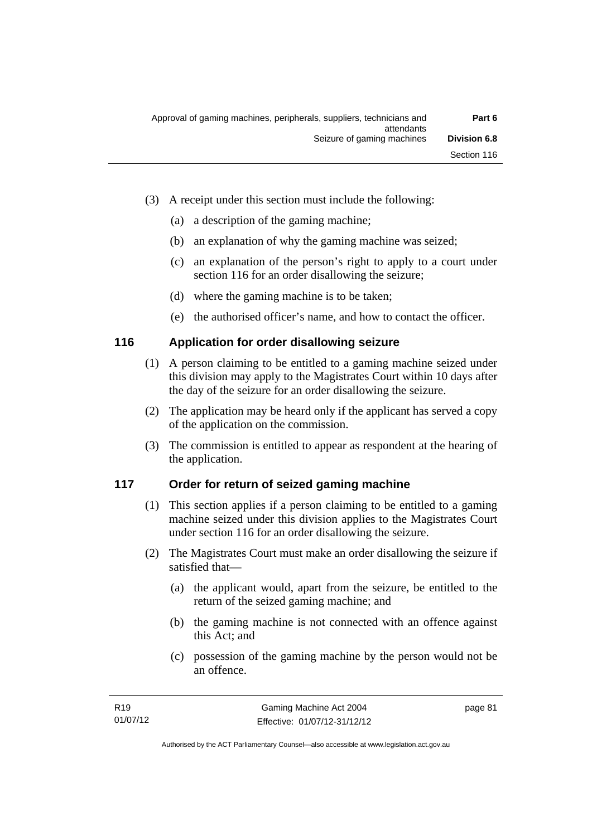- (3) A receipt under this section must include the following:
	- (a) a description of the gaming machine;
	- (b) an explanation of why the gaming machine was seized;
	- (c) an explanation of the person's right to apply to a court under section 116 for an order disallowing the seizure;
	- (d) where the gaming machine is to be taken;
	- (e) the authorised officer's name, and how to contact the officer.

# **116 Application for order disallowing seizure**

- (1) A person claiming to be entitled to a gaming machine seized under this division may apply to the Magistrates Court within 10 days after the day of the seizure for an order disallowing the seizure.
- (2) The application may be heard only if the applicant has served a copy of the application on the commission.
- (3) The commission is entitled to appear as respondent at the hearing of the application.

# **117 Order for return of seized gaming machine**

- (1) This section applies if a person claiming to be entitled to a gaming machine seized under this division applies to the Magistrates Court under section 116 for an order disallowing the seizure.
- (2) The Magistrates Court must make an order disallowing the seizure if satisfied that—
	- (a) the applicant would, apart from the seizure, be entitled to the return of the seized gaming machine; and
	- (b) the gaming machine is not connected with an offence against this Act; and
	- (c) possession of the gaming machine by the person would not be an offence.

page 81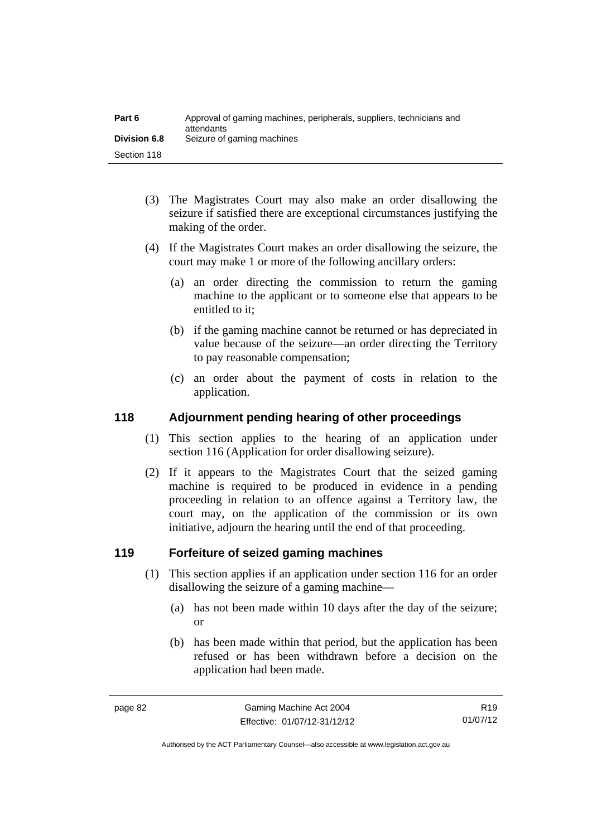| Part 6              | Approval of gaming machines, peripherals, suppliers, technicians and<br>attendants |
|---------------------|------------------------------------------------------------------------------------|
| <b>Division 6.8</b> | Seizure of gaming machines                                                         |
| Section 118         |                                                                                    |

- (3) The Magistrates Court may also make an order disallowing the seizure if satisfied there are exceptional circumstances justifying the making of the order.
- (4) If the Magistrates Court makes an order disallowing the seizure, the court may make 1 or more of the following ancillary orders:
	- (a) an order directing the commission to return the gaming machine to the applicant or to someone else that appears to be entitled to it;
	- (b) if the gaming machine cannot be returned or has depreciated in value because of the seizure—an order directing the Territory to pay reasonable compensation;
	- (c) an order about the payment of costs in relation to the application.

# **118 Adjournment pending hearing of other proceedings**

- (1) This section applies to the hearing of an application under section 116 (Application for order disallowing seizure).
- (2) If it appears to the Magistrates Court that the seized gaming machine is required to be produced in evidence in a pending proceeding in relation to an offence against a Territory law, the court may, on the application of the commission or its own initiative, adjourn the hearing until the end of that proceeding.

# **119 Forfeiture of seized gaming machines**

- (1) This section applies if an application under section 116 for an order disallowing the seizure of a gaming machine—
	- (a) has not been made within 10 days after the day of the seizure; or
	- (b) has been made within that period, but the application has been refused or has been withdrawn before a decision on the application had been made.

R19 01/07/12

Authorised by the ACT Parliamentary Counsel—also accessible at www.legislation.act.gov.au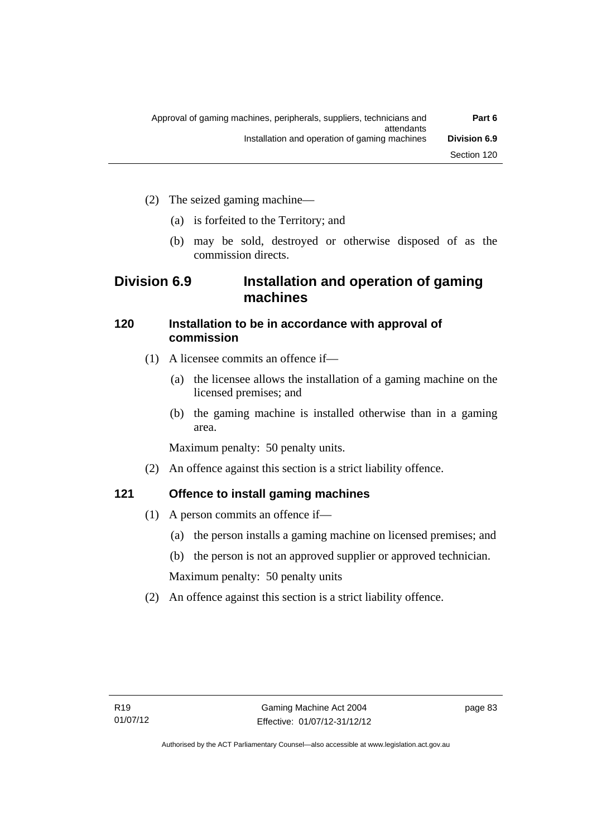- (2) The seized gaming machine—
	- (a) is forfeited to the Territory; and
	- (b) may be sold, destroyed or otherwise disposed of as the commission directs.

# **Division 6.9 Installation and operation of gaming machines**

# **120 Installation to be in accordance with approval of commission**

- (1) A licensee commits an offence if—
	- (a) the licensee allows the installation of a gaming machine on the licensed premises; and
	- (b) the gaming machine is installed otherwise than in a gaming area.

Maximum penalty: 50 penalty units.

(2) An offence against this section is a strict liability offence.

# **121 Offence to install gaming machines**

- (1) A person commits an offence if—
	- (a) the person installs a gaming machine on licensed premises; and
	- (b) the person is not an approved supplier or approved technician.

Maximum penalty: 50 penalty units

(2) An offence against this section is a strict liability offence.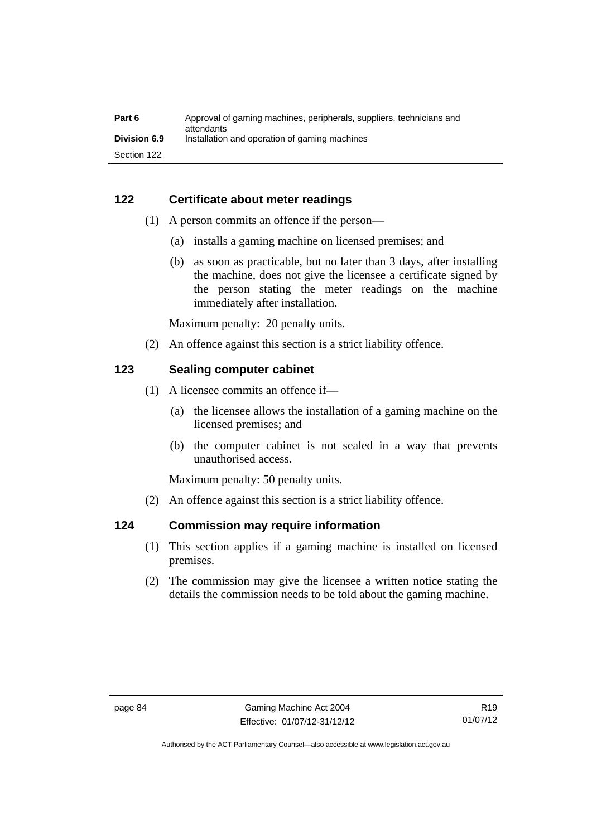| Part 6              | Approval of gaming machines, peripherals, suppliers, technicians and<br>attendants |
|---------------------|------------------------------------------------------------------------------------|
| <b>Division 6.9</b> | Installation and operation of gaming machines                                      |
| Section 122         |                                                                                    |

# **122 Certificate about meter readings**

- (1) A person commits an offence if the person—
	- (a) installs a gaming machine on licensed premises; and
	- (b) as soon as practicable, but no later than 3 days, after installing the machine, does not give the licensee a certificate signed by the person stating the meter readings on the machine immediately after installation.

Maximum penalty: 20 penalty units.

(2) An offence against this section is a strict liability offence.

# **123 Sealing computer cabinet**

- (1) A licensee commits an offence if—
	- (a) the licensee allows the installation of a gaming machine on the licensed premises; and
	- (b) the computer cabinet is not sealed in a way that prevents unauthorised access.

Maximum penalty: 50 penalty units.

(2) An offence against this section is a strict liability offence.

# **124 Commission may require information**

- (1) This section applies if a gaming machine is installed on licensed premises.
- (2) The commission may give the licensee a written notice stating the details the commission needs to be told about the gaming machine.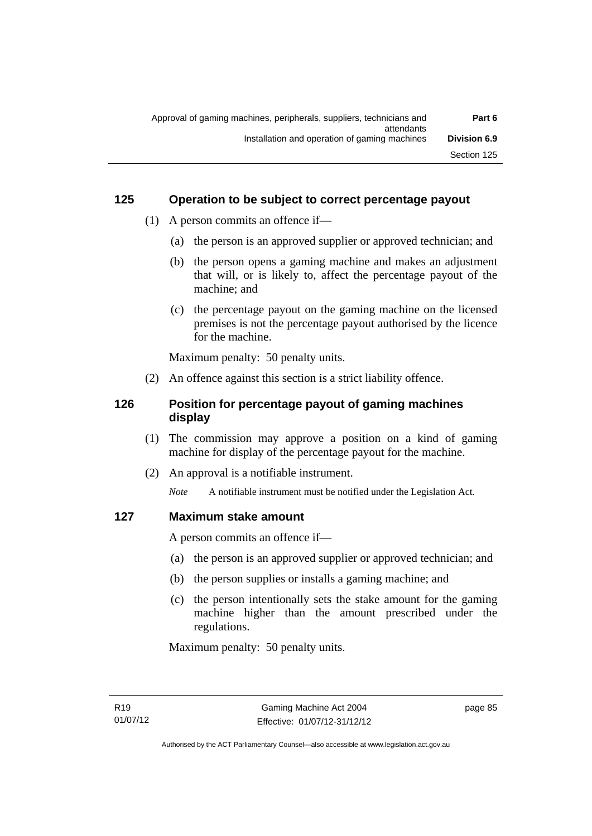# **125 Operation to be subject to correct percentage payout**

- (1) A person commits an offence if—
	- (a) the person is an approved supplier or approved technician; and
	- (b) the person opens a gaming machine and makes an adjustment that will, or is likely to, affect the percentage payout of the machine; and
	- (c) the percentage payout on the gaming machine on the licensed premises is not the percentage payout authorised by the licence for the machine.

Maximum penalty: 50 penalty units.

(2) An offence against this section is a strict liability offence.

# **126 Position for percentage payout of gaming machines display**

- (1) The commission may approve a position on a kind of gaming machine for display of the percentage payout for the machine.
- (2) An approval is a notifiable instrument.

*Note* A notifiable instrument must be notified under the Legislation Act.

# **127 Maximum stake amount**

A person commits an offence if—

- (a) the person is an approved supplier or approved technician; and
- (b) the person supplies or installs a gaming machine; and
- (c) the person intentionally sets the stake amount for the gaming machine higher than the amount prescribed under the regulations.

Maximum penalty: 50 penalty units.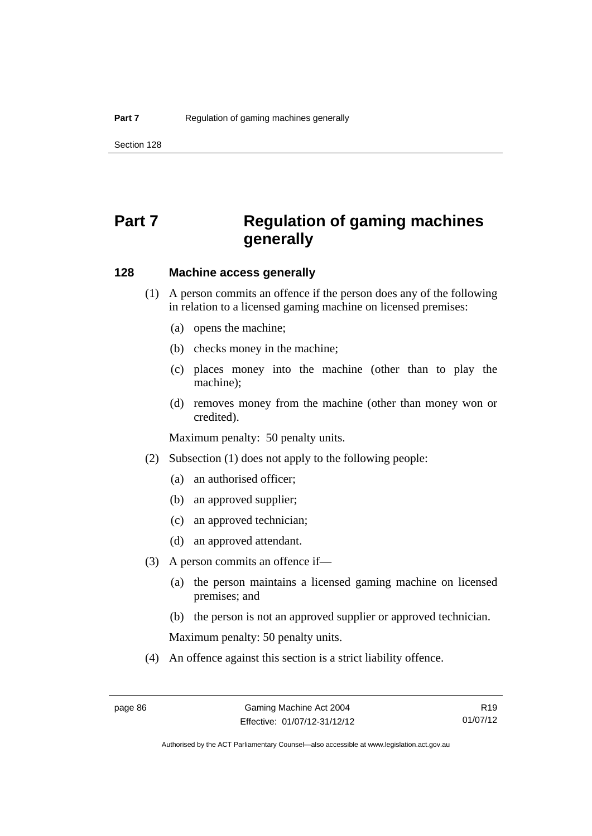Section 128

# **Part 7 Regulation of gaming machines generally**

# **128 Machine access generally**

- (1) A person commits an offence if the person does any of the following in relation to a licensed gaming machine on licensed premises:
	- (a) opens the machine;
	- (b) checks money in the machine;
	- (c) places money into the machine (other than to play the machine);
	- (d) removes money from the machine (other than money won or credited).

Maximum penalty: 50 penalty units.

- (2) Subsection (1) does not apply to the following people:
	- (a) an authorised officer;
	- (b) an approved supplier;
	- (c) an approved technician;
	- (d) an approved attendant.
- (3) A person commits an offence if—
	- (a) the person maintains a licensed gaming machine on licensed premises; and
	- (b) the person is not an approved supplier or approved technician.

Maximum penalty: 50 penalty units.

(4) An offence against this section is a strict liability offence.

R19 01/07/12

Authorised by the ACT Parliamentary Counsel—also accessible at www.legislation.act.gov.au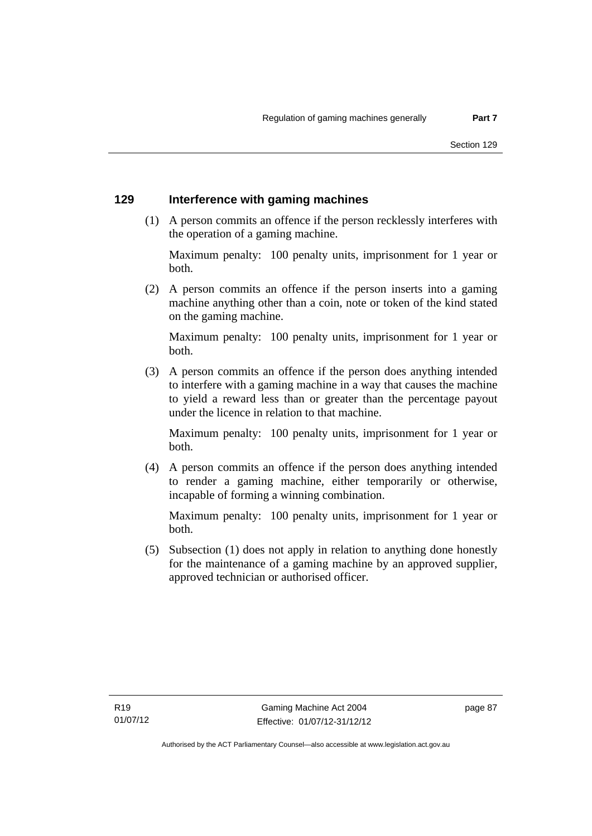#### **129 Interference with gaming machines**

 (1) A person commits an offence if the person recklessly interferes with the operation of a gaming machine.

Maximum penalty: 100 penalty units, imprisonment for 1 year or both.

 (2) A person commits an offence if the person inserts into a gaming machine anything other than a coin, note or token of the kind stated on the gaming machine.

Maximum penalty: 100 penalty units, imprisonment for 1 year or both.

 (3) A person commits an offence if the person does anything intended to interfere with a gaming machine in a way that causes the machine to yield a reward less than or greater than the percentage payout under the licence in relation to that machine.

Maximum penalty: 100 penalty units, imprisonment for 1 year or both.

 (4) A person commits an offence if the person does anything intended to render a gaming machine, either temporarily or otherwise, incapable of forming a winning combination.

Maximum penalty: 100 penalty units, imprisonment for 1 year or both.

 (5) Subsection (1) does not apply in relation to anything done honestly for the maintenance of a gaming machine by an approved supplier, approved technician or authorised officer.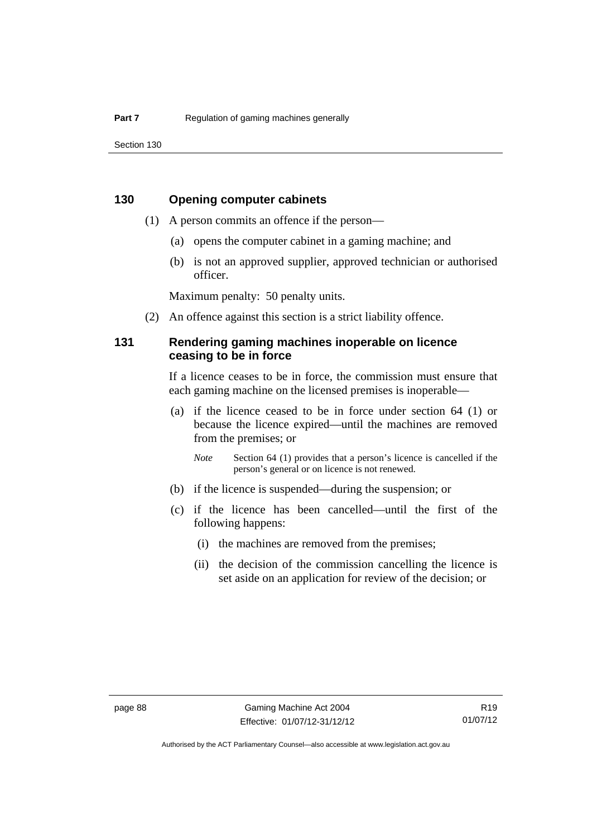Section 130

## **130 Opening computer cabinets**

- (1) A person commits an offence if the person—
	- (a) opens the computer cabinet in a gaming machine; and
	- (b) is not an approved supplier, approved technician or authorised officer.

Maximum penalty: 50 penalty units.

(2) An offence against this section is a strict liability offence.

# **131 Rendering gaming machines inoperable on licence ceasing to be in force**

If a licence ceases to be in force, the commission must ensure that each gaming machine on the licensed premises is inoperable—

 (a) if the licence ceased to be in force under section 64 (1) or because the licence expired—until the machines are removed from the premises; or

*Note* Section 64 (1) provides that a person's licence is cancelled if the person's general or on licence is not renewed.

- (b) if the licence is suspended—during the suspension; or
- (c) if the licence has been cancelled—until the first of the following happens:
	- (i) the machines are removed from the premises;
	- (ii) the decision of the commission cancelling the licence is set aside on an application for review of the decision; or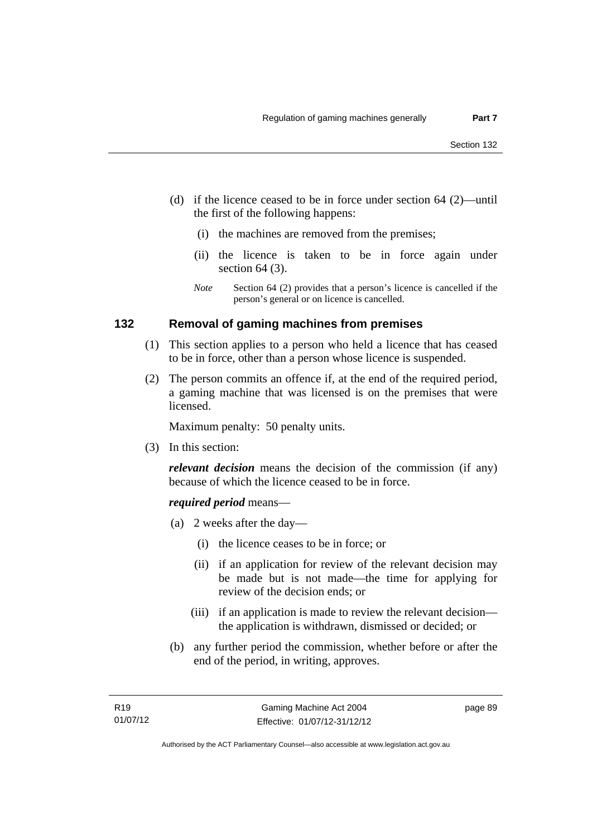- (d) if the licence ceased to be in force under section 64 (2)—until the first of the following happens:
	- (i) the machines are removed from the premises;
	- (ii) the licence is taken to be in force again under section 64 (3).
	- *Note* Section 64 (2) provides that a person's licence is cancelled if the person's general or on licence is cancelled.

#### **132 Removal of gaming machines from premises**

- (1) This section applies to a person who held a licence that has ceased to be in force, other than a person whose licence is suspended.
- (2) The person commits an offence if, at the end of the required period, a gaming machine that was licensed is on the premises that were licensed.

Maximum penalty: 50 penalty units.

(3) In this section:

*relevant decision* means the decision of the commission (if any) because of which the licence ceased to be in force.

#### *required period* means—

- (a) 2 weeks after the day—
	- (i) the licence ceases to be in force; or
	- (ii) if an application for review of the relevant decision may be made but is not made—the time for applying for review of the decision ends; or
	- (iii) if an application is made to review the relevant decision the application is withdrawn, dismissed or decided; or
- (b) any further period the commission, whether before or after the end of the period, in writing, approves.

page 89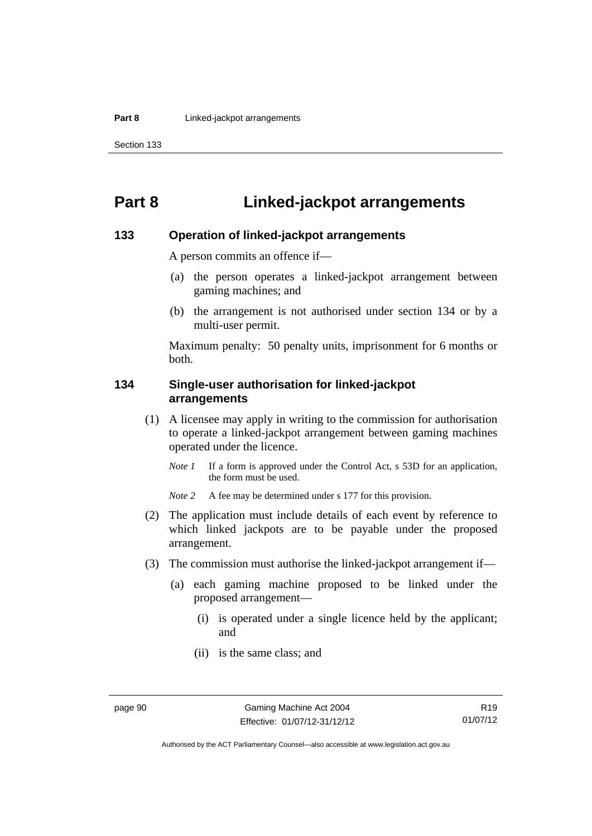# **Part 8 Linked-jackpot arrangements**

#### **133 Operation of linked-jackpot arrangements**

A person commits an offence if—

- (a) the person operates a linked-jackpot arrangement between gaming machines; and
- (b) the arrangement is not authorised under section 134 or by a multi-user permit.

Maximum penalty: 50 penalty units, imprisonment for 6 months or both.

## **134 Single-user authorisation for linked-jackpot arrangements**

- (1) A licensee may apply in writing to the commission for authorisation to operate a linked-jackpot arrangement between gaming machines operated under the licence.
	- *Note 1* If a form is approved under the Control Act, s 53D for an application, the form must be used.

*Note* 2 A fee may be determined under s 177 for this provision.

- (2) The application must include details of each event by reference to which linked jackpots are to be payable under the proposed arrangement.
- (3) The commission must authorise the linked-jackpot arrangement if—
	- (a) each gaming machine proposed to be linked under the proposed arrangement—
		- (i) is operated under a single licence held by the applicant; and
		- (ii) is the same class; and

Authorised by the ACT Parliamentary Counsel—also accessible at www.legislation.act.gov.au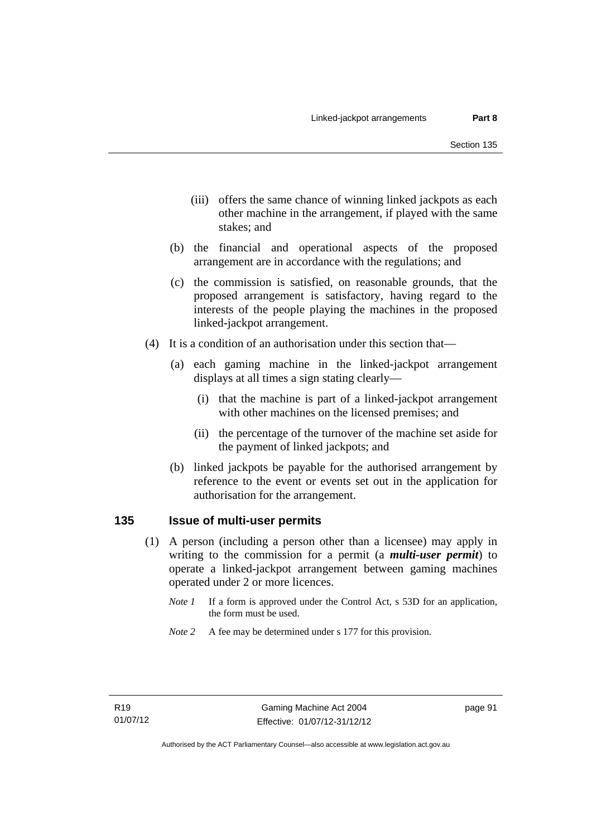- (iii) offers the same chance of winning linked jackpots as each other machine in the arrangement, if played with the same stakes; and
- (b) the financial and operational aspects of the proposed arrangement are in accordance with the regulations; and
- (c) the commission is satisfied, on reasonable grounds, that the proposed arrangement is satisfactory, having regard to the interests of the people playing the machines in the proposed linked-jackpot arrangement.
- (4) It is a condition of an authorisation under this section that—
	- (a) each gaming machine in the linked-jackpot arrangement displays at all times a sign stating clearly—
		- (i) that the machine is part of a linked-jackpot arrangement with other machines on the licensed premises; and
		- (ii) the percentage of the turnover of the machine set aside for the payment of linked jackpots; and
	- (b) linked jackpots be payable for the authorised arrangement by reference to the event or events set out in the application for authorisation for the arrangement.

#### **135 Issue of multi-user permits**

- (1) A person (including a person other than a licensee) may apply in writing to the commission for a permit (a *multi-user permit*) to operate a linked-jackpot arrangement between gaming machines operated under 2 or more licences.
	- *Note 1* If a form is approved under the Control Act, s 53D for an application, the form must be used.
	- *Note* 2 A fee may be determined under s 177 for this provision.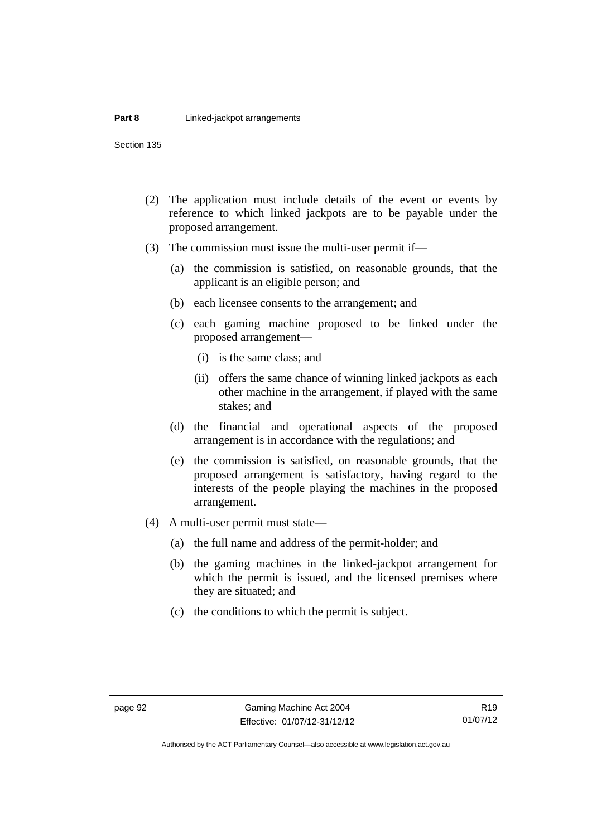Section 135

- (2) The application must include details of the event or events by reference to which linked jackpots are to be payable under the proposed arrangement.
- (3) The commission must issue the multi-user permit if—
	- (a) the commission is satisfied, on reasonable grounds, that the applicant is an eligible person; and
	- (b) each licensee consents to the arrangement; and
	- (c) each gaming machine proposed to be linked under the proposed arrangement—
		- (i) is the same class; and
		- (ii) offers the same chance of winning linked jackpots as each other machine in the arrangement, if played with the same stakes; and
	- (d) the financial and operational aspects of the proposed arrangement is in accordance with the regulations; and
	- (e) the commission is satisfied, on reasonable grounds, that the proposed arrangement is satisfactory, having regard to the interests of the people playing the machines in the proposed arrangement.
- (4) A multi-user permit must state—
	- (a) the full name and address of the permit-holder; and
	- (b) the gaming machines in the linked-jackpot arrangement for which the permit is issued, and the licensed premises where they are situated; and
	- (c) the conditions to which the permit is subject.

R19 01/07/12

Authorised by the ACT Parliamentary Counsel—also accessible at www.legislation.act.gov.au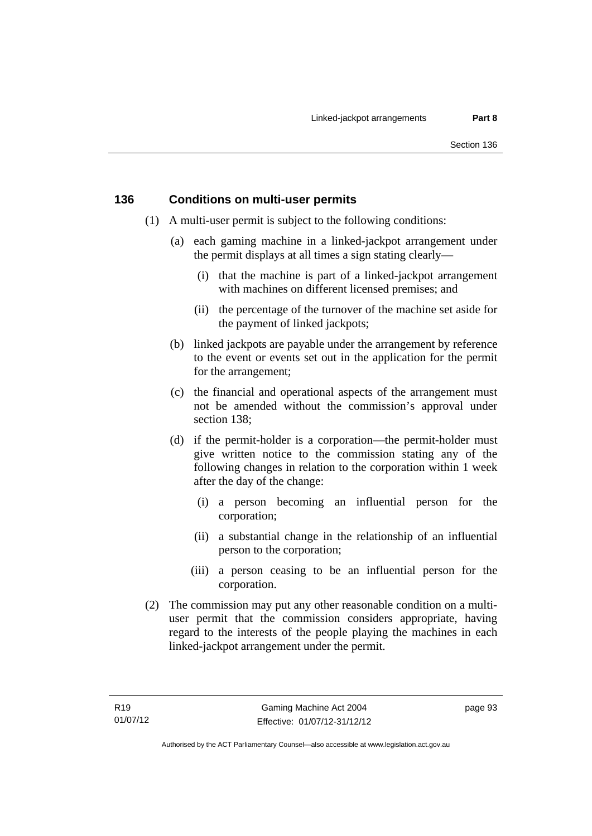# **136 Conditions on multi-user permits**

- (1) A multi-user permit is subject to the following conditions:
	- (a) each gaming machine in a linked-jackpot arrangement under the permit displays at all times a sign stating clearly—
		- (i) that the machine is part of a linked-jackpot arrangement with machines on different licensed premises; and
		- (ii) the percentage of the turnover of the machine set aside for the payment of linked jackpots;
	- (b) linked jackpots are payable under the arrangement by reference to the event or events set out in the application for the permit for the arrangement;
	- (c) the financial and operational aspects of the arrangement must not be amended without the commission's approval under section 138;
	- (d) if the permit-holder is a corporation—the permit-holder must give written notice to the commission stating any of the following changes in relation to the corporation within 1 week after the day of the change:
		- (i) a person becoming an influential person for the corporation;
		- (ii) a substantial change in the relationship of an influential person to the corporation;
		- (iii) a person ceasing to be an influential person for the corporation.
- (2) The commission may put any other reasonable condition on a multiuser permit that the commission considers appropriate, having regard to the interests of the people playing the machines in each linked-jackpot arrangement under the permit.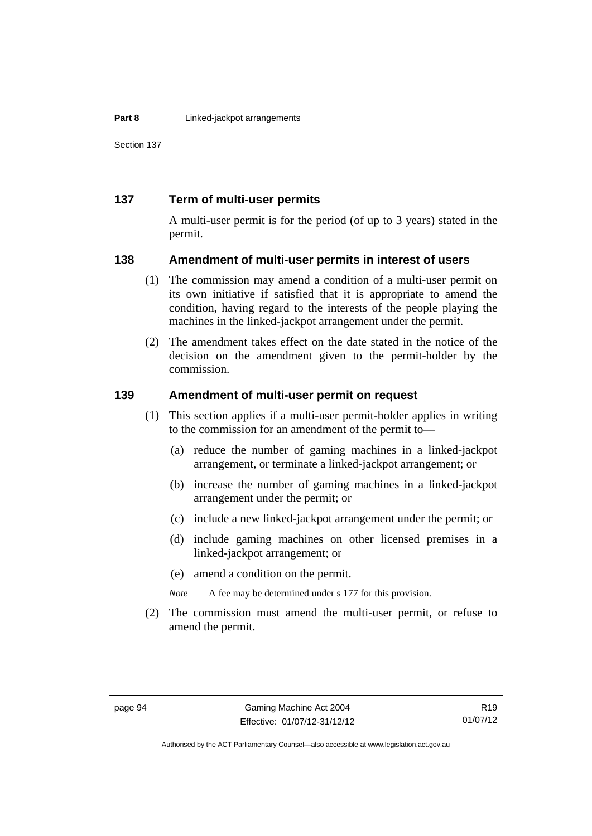Section 137

#### **137 Term of multi-user permits**

A multi-user permit is for the period (of up to 3 years) stated in the permit.

#### **138 Amendment of multi-user permits in interest of users**

- (1) The commission may amend a condition of a multi-user permit on its own initiative if satisfied that it is appropriate to amend the condition, having regard to the interests of the people playing the machines in the linked-jackpot arrangement under the permit.
- (2) The amendment takes effect on the date stated in the notice of the decision on the amendment given to the permit-holder by the commission.

#### **139 Amendment of multi-user permit on request**

- (1) This section applies if a multi-user permit-holder applies in writing to the commission for an amendment of the permit to—
	- (a) reduce the number of gaming machines in a linked-jackpot arrangement, or terminate a linked-jackpot arrangement; or
	- (b) increase the number of gaming machines in a linked-jackpot arrangement under the permit; or
	- (c) include a new linked-jackpot arrangement under the permit; or
	- (d) include gaming machines on other licensed premises in a linked-jackpot arrangement; or
	- (e) amend a condition on the permit.

*Note* A fee may be determined under s 177 for this provision.

 (2) The commission must amend the multi-user permit, or refuse to amend the permit.

Authorised by the ACT Parliamentary Counsel—also accessible at www.legislation.act.gov.au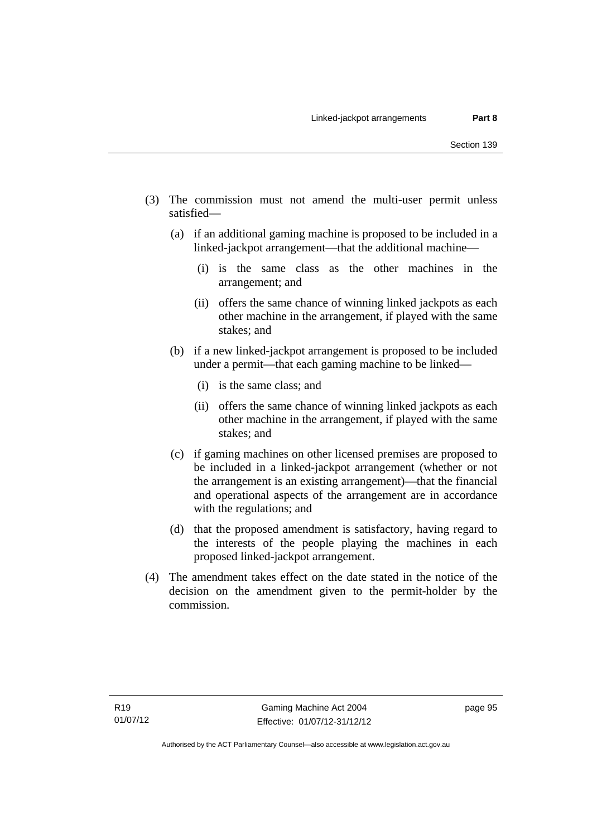- (3) The commission must not amend the multi-user permit unless satisfied—
	- (a) if an additional gaming machine is proposed to be included in a linked-jackpot arrangement—that the additional machine—
		- (i) is the same class as the other machines in the arrangement; and
		- (ii) offers the same chance of winning linked jackpots as each other machine in the arrangement, if played with the same stakes; and
	- (b) if a new linked-jackpot arrangement is proposed to be included under a permit—that each gaming machine to be linked—
		- (i) is the same class; and
		- (ii) offers the same chance of winning linked jackpots as each other machine in the arrangement, if played with the same stakes; and
	- (c) if gaming machines on other licensed premises are proposed to be included in a linked-jackpot arrangement (whether or not the arrangement is an existing arrangement)—that the financial and operational aspects of the arrangement are in accordance with the regulations; and
	- (d) that the proposed amendment is satisfactory, having regard to the interests of the people playing the machines in each proposed linked-jackpot arrangement.
- (4) The amendment takes effect on the date stated in the notice of the decision on the amendment given to the permit-holder by the commission.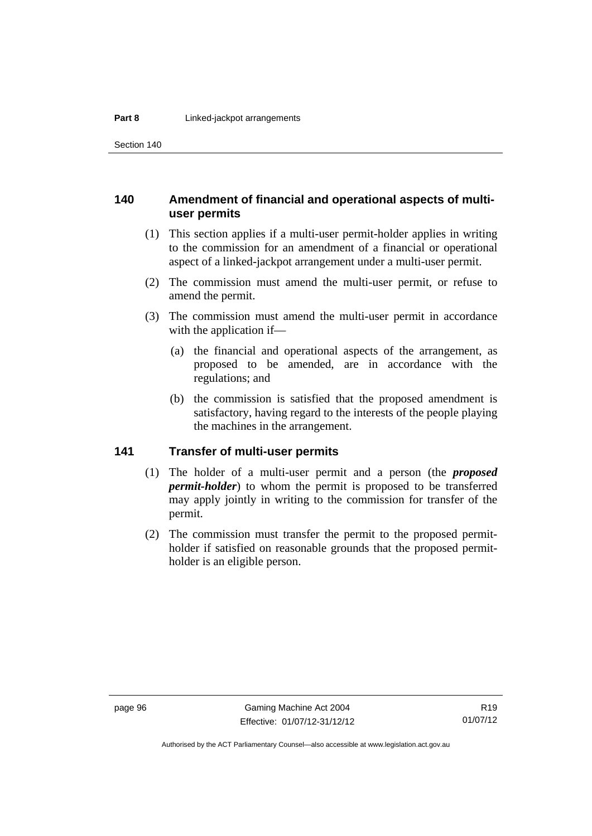Section 140

# **140 Amendment of financial and operational aspects of multiuser permits**

- (1) This section applies if a multi-user permit-holder applies in writing to the commission for an amendment of a financial or operational aspect of a linked-jackpot arrangement under a multi-user permit.
- (2) The commission must amend the multi-user permit, or refuse to amend the permit.
- (3) The commission must amend the multi-user permit in accordance with the application if—
	- (a) the financial and operational aspects of the arrangement, as proposed to be amended, are in accordance with the regulations; and
	- (b) the commission is satisfied that the proposed amendment is satisfactory, having regard to the interests of the people playing the machines in the arrangement.

# **141 Transfer of multi-user permits**

- (1) The holder of a multi-user permit and a person (the *proposed permit-holder*) to whom the permit is proposed to be transferred may apply jointly in writing to the commission for transfer of the permit.
- (2) The commission must transfer the permit to the proposed permitholder if satisfied on reasonable grounds that the proposed permitholder is an eligible person.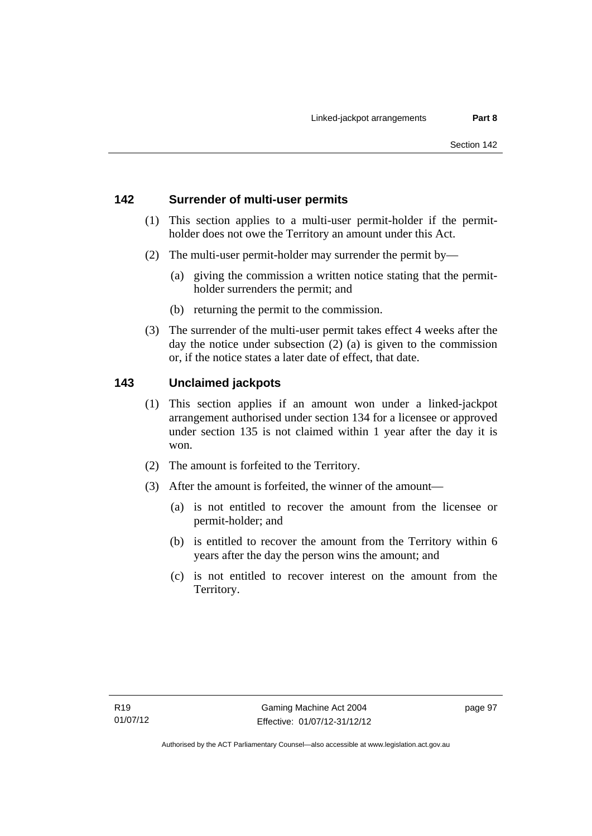# **142 Surrender of multi-user permits**

- (1) This section applies to a multi-user permit-holder if the permitholder does not owe the Territory an amount under this Act.
- (2) The multi-user permit-holder may surrender the permit by—
	- (a) giving the commission a written notice stating that the permitholder surrenders the permit; and
	- (b) returning the permit to the commission.
- (3) The surrender of the multi-user permit takes effect 4 weeks after the day the notice under subsection (2) (a) is given to the commission or, if the notice states a later date of effect, that date.

# **143 Unclaimed jackpots**

- (1) This section applies if an amount won under a linked-jackpot arrangement authorised under section 134 for a licensee or approved under section 135 is not claimed within 1 year after the day it is won.
- (2) The amount is forfeited to the Territory.
- (3) After the amount is forfeited, the winner of the amount—
	- (a) is not entitled to recover the amount from the licensee or permit-holder; and
	- (b) is entitled to recover the amount from the Territory within 6 years after the day the person wins the amount; and
	- (c) is not entitled to recover interest on the amount from the Territory.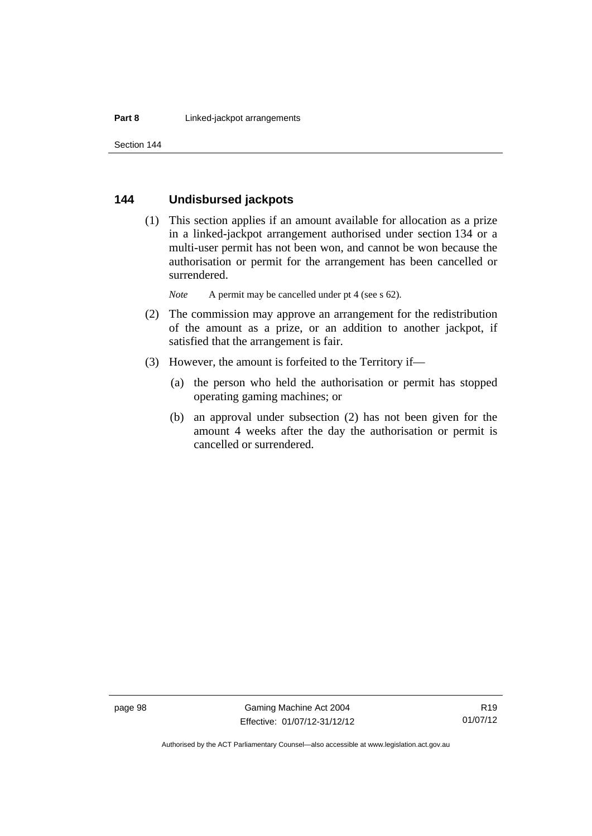# **144 Undisbursed jackpots**

 (1) This section applies if an amount available for allocation as a prize in a linked-jackpot arrangement authorised under section 134 or a multi-user permit has not been won, and cannot be won because the authorisation or permit for the arrangement has been cancelled or surrendered.

*Note* A permit may be cancelled under pt 4 (see s 62).

- (2) The commission may approve an arrangement for the redistribution of the amount as a prize, or an addition to another jackpot, if satisfied that the arrangement is fair.
- (3) However, the amount is forfeited to the Territory if—
	- (a) the person who held the authorisation or permit has stopped operating gaming machines; or
	- (b) an approval under subsection (2) has not been given for the amount 4 weeks after the day the authorisation or permit is cancelled or surrendered.

Authorised by the ACT Parliamentary Counsel—also accessible at www.legislation.act.gov.au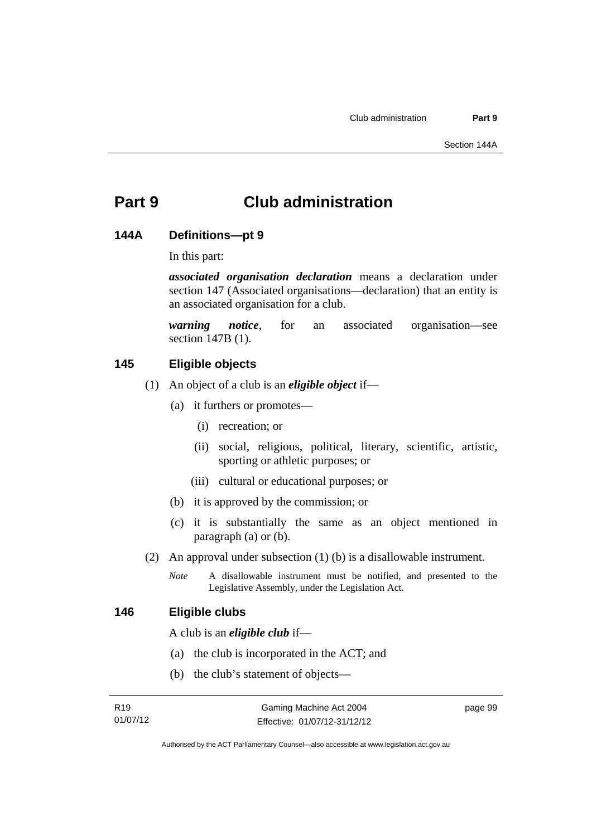# **Part 9 Club administration**

# **144A Definitions—pt 9**

In this part:

*associated organisation declaration* means a declaration under section 147 (Associated organisations—declaration) that an entity is an associated organisation for a club.

*warning notice*, for an associated organisation—see section 147B (1).

# **145 Eligible objects**

- (1) An object of a club is an *eligible object* if—
	- (a) it furthers or promotes—
		- (i) recreation; or
		- (ii) social, religious, political, literary, scientific, artistic, sporting or athletic purposes; or
		- (iii) cultural or educational purposes; or
	- (b) it is approved by the commission; or
	- (c) it is substantially the same as an object mentioned in paragraph (a) or (b).
- (2) An approval under subsection (1) (b) is a disallowable instrument.
	- *Note* A disallowable instrument must be notified, and presented to the Legislative Assembly, under the Legislation Act.

# **146 Eligible clubs**

A club is an *eligible club* if—

- (a) the club is incorporated in the ACT; and
- (b) the club's statement of objects—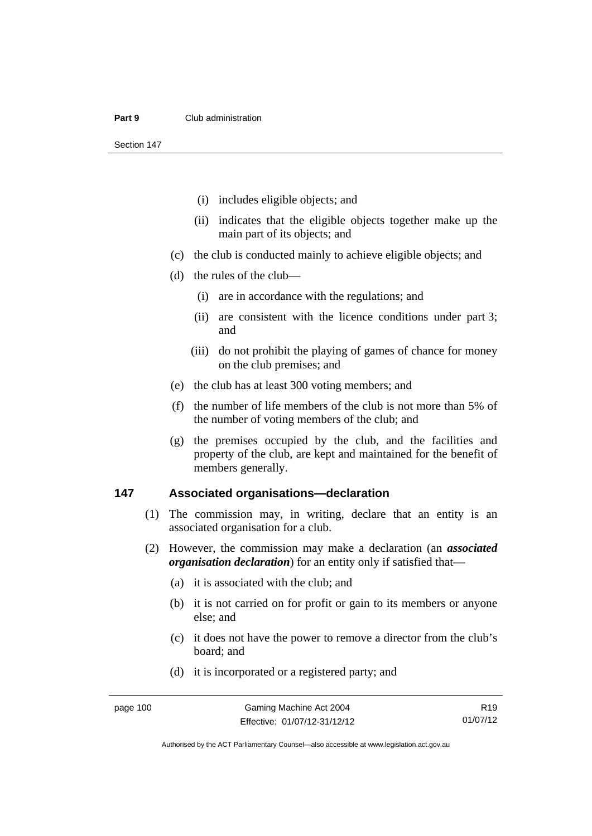#### **Part 9** Club administration

Section 147

- (i) includes eligible objects; and
- (ii) indicates that the eligible objects together make up the main part of its objects; and
- (c) the club is conducted mainly to achieve eligible objects; and
- (d) the rules of the club—
	- (i) are in accordance with the regulations; and
	- (ii) are consistent with the licence conditions under part 3; and
	- (iii) do not prohibit the playing of games of chance for money on the club premises; and
- (e) the club has at least 300 voting members; and
- (f) the number of life members of the club is not more than 5% of the number of voting members of the club; and
- (g) the premises occupied by the club, and the facilities and property of the club, are kept and maintained for the benefit of members generally.

## **147 Associated organisations—declaration**

- (1) The commission may, in writing, declare that an entity is an associated organisation for a club.
- (2) However, the commission may make a declaration (an *associated organisation declaration*) for an entity only if satisfied that—
	- (a) it is associated with the club; and
	- (b) it is not carried on for profit or gain to its members or anyone else; and
	- (c) it does not have the power to remove a director from the club's board; and
	- (d) it is incorporated or a registered party; and

R19 01/07/12

Authorised by the ACT Parliamentary Counsel—also accessible at www.legislation.act.gov.au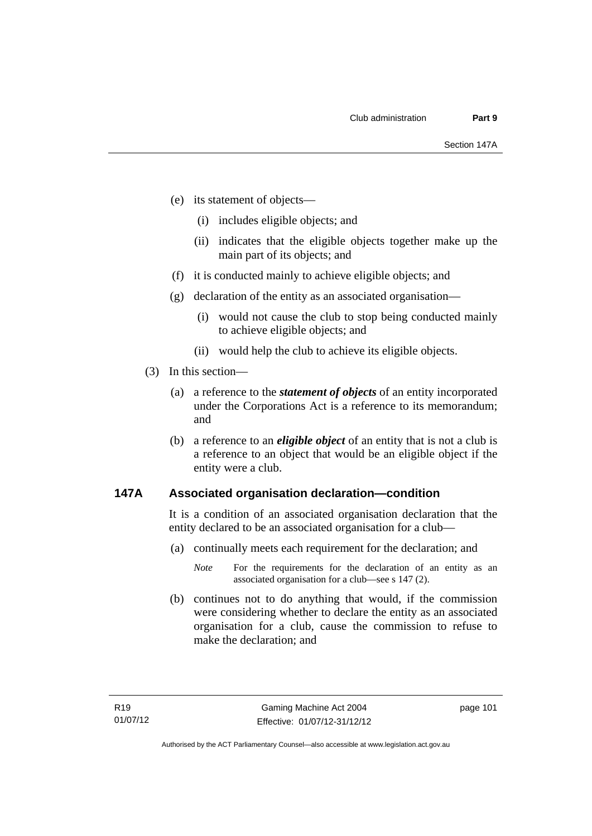- (e) its statement of objects—
	- (i) includes eligible objects; and
	- (ii) indicates that the eligible objects together make up the main part of its objects; and
- (f) it is conducted mainly to achieve eligible objects; and
- (g) declaration of the entity as an associated organisation—
	- (i) would not cause the club to stop being conducted mainly to achieve eligible objects; and
	- (ii) would help the club to achieve its eligible objects.
- (3) In this section—
	- (a) a reference to the *statement of objects* of an entity incorporated under the Corporations Act is a reference to its memorandum; and
	- (b) a reference to an *eligible object* of an entity that is not a club is a reference to an object that would be an eligible object if the entity were a club.

# **147A Associated organisation declaration—condition**

It is a condition of an associated organisation declaration that the entity declared to be an associated organisation for a club—

- (a) continually meets each requirement for the declaration; and
	- *Note* For the requirements for the declaration of an entity as an associated organisation for a club—see s 147 (2).
- (b) continues not to do anything that would, if the commission were considering whether to declare the entity as an associated organisation for a club, cause the commission to refuse to make the declaration; and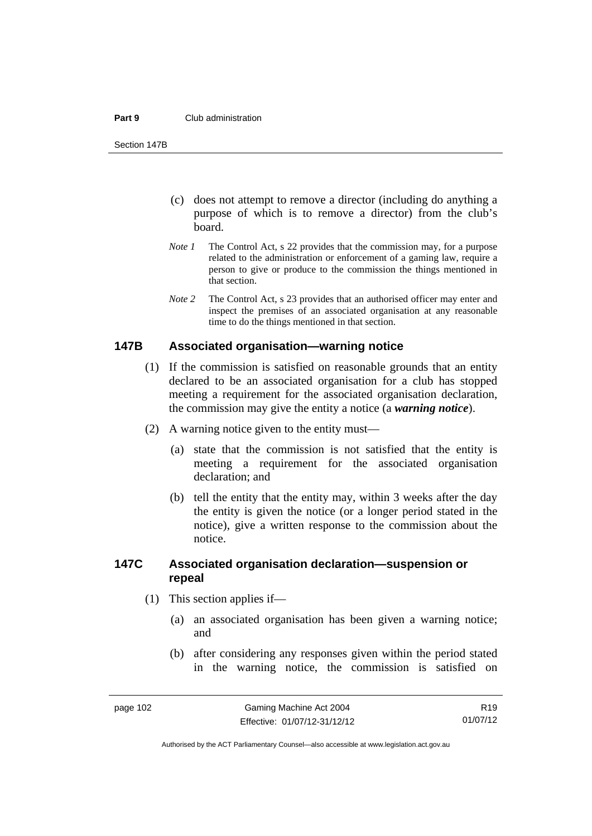#### **Part 9** Club administration

Section 147B

- (c) does not attempt to remove a director (including do anything a purpose of which is to remove a director) from the club's board.
- *Note 1* The Control Act, s 22 provides that the commission may, for a purpose related to the administration or enforcement of a gaming law, require a person to give or produce to the commission the things mentioned in that section.
- *Note 2* The Control Act, s 23 provides that an authorised officer may enter and inspect the premises of an associated organisation at any reasonable time to do the things mentioned in that section.

# **147B Associated organisation—warning notice**

- (1) If the commission is satisfied on reasonable grounds that an entity declared to be an associated organisation for a club has stopped meeting a requirement for the associated organisation declaration, the commission may give the entity a notice (a *warning notice*).
- (2) A warning notice given to the entity must—
	- (a) state that the commission is not satisfied that the entity is meeting a requirement for the associated organisation declaration; and
	- (b) tell the entity that the entity may, within 3 weeks after the day the entity is given the notice (or a longer period stated in the notice), give a written response to the commission about the notice.

# **147C Associated organisation declaration—suspension or repeal**

- (1) This section applies if—
	- (a) an associated organisation has been given a warning notice; and
	- (b) after considering any responses given within the period stated in the warning notice, the commission is satisfied on

R19 01/07/12

Authorised by the ACT Parliamentary Counsel—also accessible at www.legislation.act.gov.au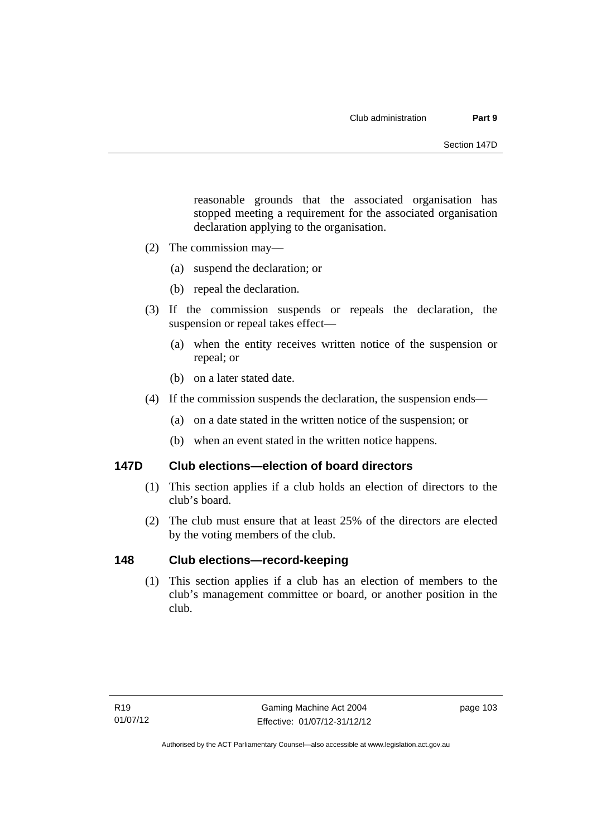reasonable grounds that the associated organisation has stopped meeting a requirement for the associated organisation declaration applying to the organisation.

- (2) The commission may—
	- (a) suspend the declaration; or
	- (b) repeal the declaration.
- (3) If the commission suspends or repeals the declaration, the suspension or repeal takes effect—
	- (a) when the entity receives written notice of the suspension or repeal; or
	- (b) on a later stated date.
- (4) If the commission suspends the declaration, the suspension ends—
	- (a) on a date stated in the written notice of the suspension; or
	- (b) when an event stated in the written notice happens.

# **147D Club elections—election of board directors**

- (1) This section applies if a club holds an election of directors to the club's board.
- (2) The club must ensure that at least 25% of the directors are elected by the voting members of the club.

# **148 Club elections—record-keeping**

(1) This section applies if a club has an election of members to the club's management committee or board, or another position in the club.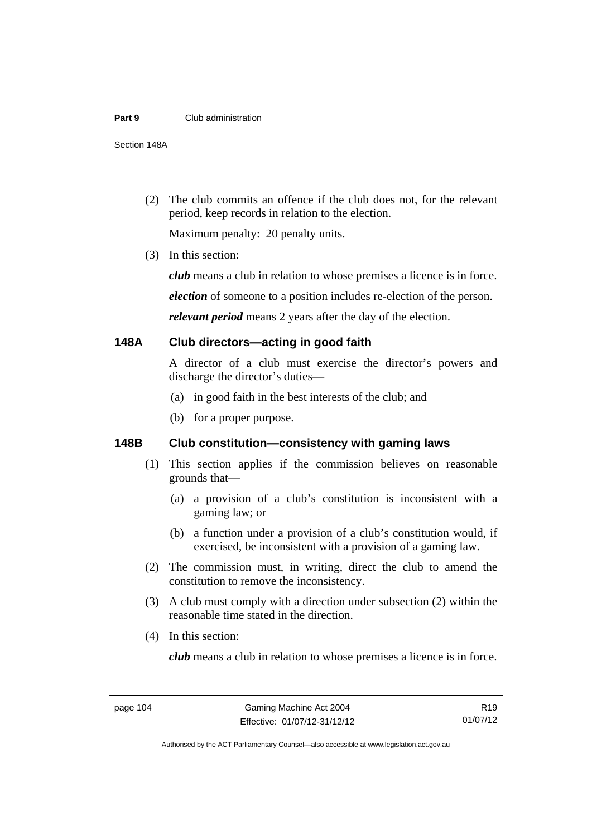#### **Part 9** Club administration

Section 148A

 (2) The club commits an offence if the club does not, for the relevant period, keep records in relation to the election.

Maximum penalty: 20 penalty units.

(3) In this section:

*club* means a club in relation to whose premises a licence is in force.

*election* of someone to a position includes re-election of the person.

*relevant period* means 2 years after the day of the election.

## **148A Club directors—acting in good faith**

A director of a club must exercise the director's powers and discharge the director's duties—

- (a) in good faith in the best interests of the club; and
- (b) for a proper purpose.

# **148B Club constitution—consistency with gaming laws**

- (1) This section applies if the commission believes on reasonable grounds that—
	- (a) a provision of a club's constitution is inconsistent with a gaming law; or
	- (b) a function under a provision of a club's constitution would, if exercised, be inconsistent with a provision of a gaming law.
- (2) The commission must, in writing, direct the club to amend the constitution to remove the inconsistency.
- (3) A club must comply with a direction under subsection (2) within the reasonable time stated in the direction.
- (4) In this section:

*club* means a club in relation to whose premises a licence is in force.

R19 01/07/12

Authorised by the ACT Parliamentary Counsel—also accessible at www.legislation.act.gov.au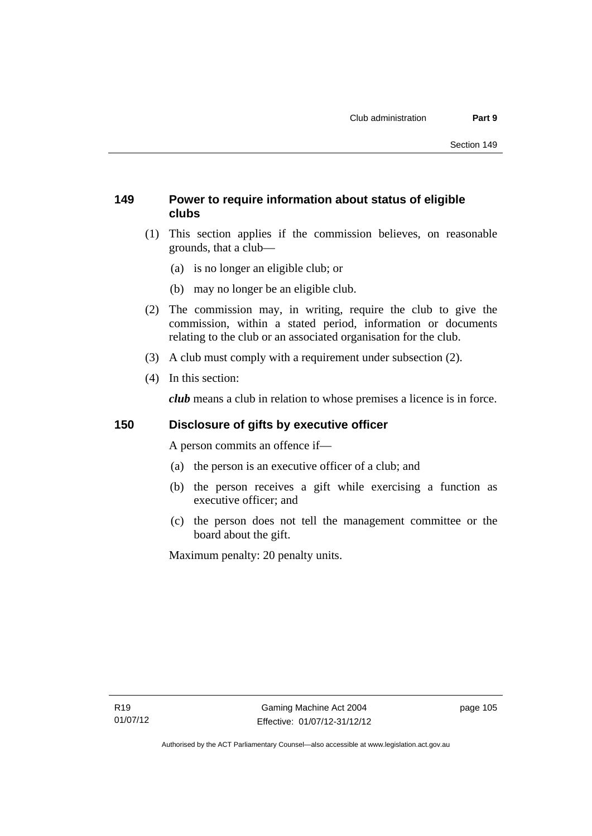# **149 Power to require information about status of eligible clubs**

- (1) This section applies if the commission believes, on reasonable grounds, that a club—
	- (a) is no longer an eligible club; or
	- (b) may no longer be an eligible club.
- (2) The commission may, in writing, require the club to give the commission, within a stated period, information or documents relating to the club or an associated organisation for the club.
- (3) A club must comply with a requirement under subsection (2).
- (4) In this section:

*club* means a club in relation to whose premises a licence is in force.

# **150 Disclosure of gifts by executive officer**

A person commits an offence if—

- (a) the person is an executive officer of a club; and
- (b) the person receives a gift while exercising a function as executive officer; and
- (c) the person does not tell the management committee or the board about the gift.

Maximum penalty: 20 penalty units.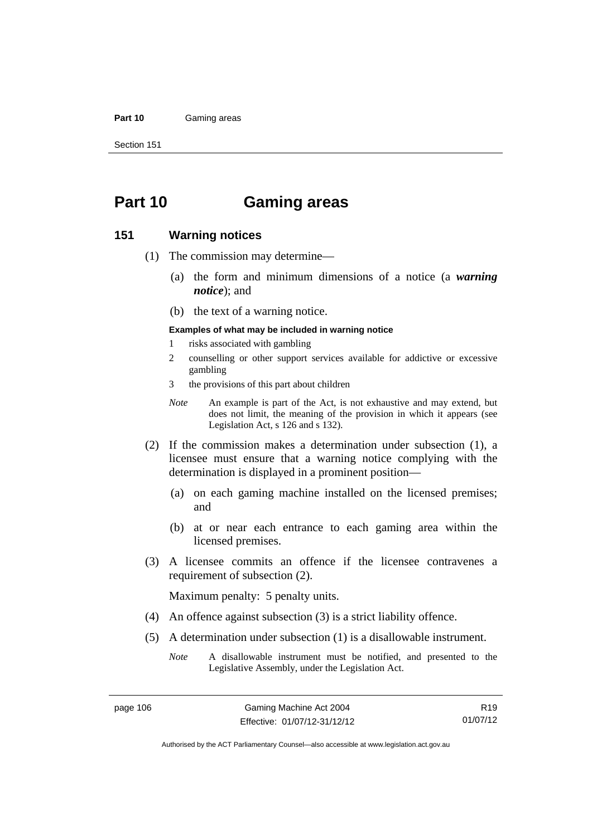## **Part 10** Gaming areas

Section 151

# **Part 10 Gaming areas**

# **151 Warning notices**

- (1) The commission may determine—
	- (a) the form and minimum dimensions of a notice (a *warning notice*); and
	- (b) the text of a warning notice.
	- **Examples of what may be included in warning notice**
	- 1 risks associated with gambling
	- 2 counselling or other support services available for addictive or excessive gambling
	- 3 the provisions of this part about children
	- *Note* An example is part of the Act, is not exhaustive and may extend, but does not limit, the meaning of the provision in which it appears (see Legislation Act, s 126 and s 132).
- (2) If the commission makes a determination under subsection (1), a licensee must ensure that a warning notice complying with the determination is displayed in a prominent position—
	- (a) on each gaming machine installed on the licensed premises; and
	- (b) at or near each entrance to each gaming area within the licensed premises.
- (3) A licensee commits an offence if the licensee contravenes a requirement of subsection (2).

Maximum penalty: 5 penalty units.

- (4) An offence against subsection (3) is a strict liability offence.
- (5) A determination under subsection (1) is a disallowable instrument.

R19 01/07/12

*Note* A disallowable instrument must be notified, and presented to the Legislative Assembly, under the Legislation Act.

Authorised by the ACT Parliamentary Counsel—also accessible at www.legislation.act.gov.au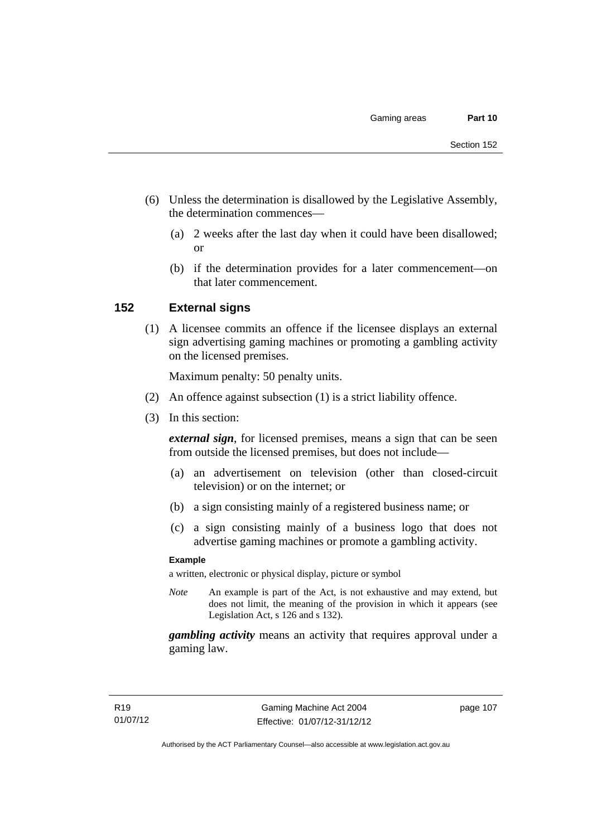- (6) Unless the determination is disallowed by the Legislative Assembly, the determination commences—
	- (a) 2 weeks after the last day when it could have been disallowed; or
	- (b) if the determination provides for a later commencement—on that later commencement.

# **152 External signs**

(1) A licensee commits an offence if the licensee displays an external sign advertising gaming machines or promoting a gambling activity on the licensed premises.

Maximum penalty: 50 penalty units.

- (2) An offence against subsection (1) is a strict liability offence.
- (3) In this section:

*external sign*, for licensed premises, means a sign that can be seen from outside the licensed premises, but does not include—

- (a) an advertisement on television (other than closed-circuit television) or on the internet; or
- (b) a sign consisting mainly of a registered business name; or
- (c) a sign consisting mainly of a business logo that does not advertise gaming machines or promote a gambling activity.

## **Example**

a written, electronic or physical display, picture or symbol

*Note* An example is part of the Act, is not exhaustive and may extend, but does not limit, the meaning of the provision in which it appears (see Legislation Act, s 126 and s 132).

*gambling activity* means an activity that requires approval under a gaming law.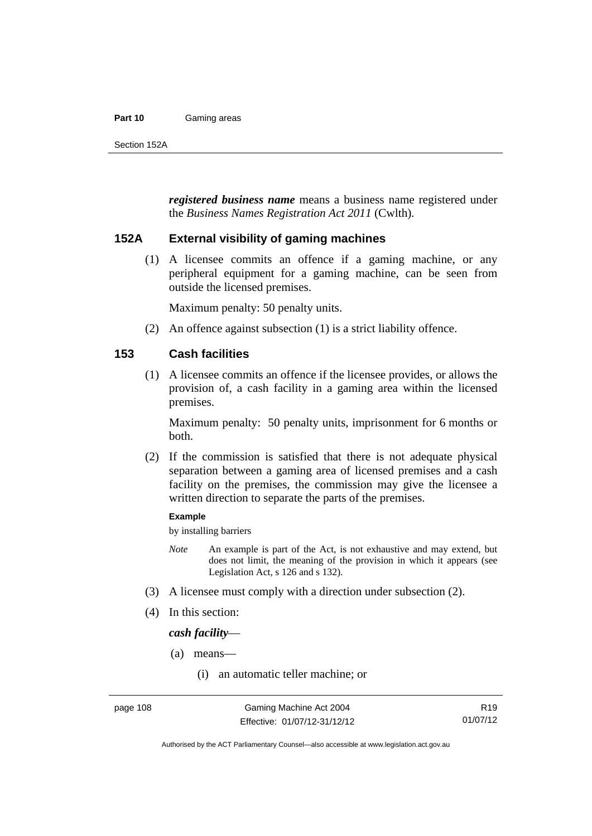## **Part 10** Gaming areas

*registered business name* means a business name registered under the *Business Names Registration Act 2011* (Cwlth)*.*

# **152A External visibility of gaming machines**

(1) A licensee commits an offence if a gaming machine, or any peripheral equipment for a gaming machine, can be seen from outside the licensed premises.

Maximum penalty: 50 penalty units.

(2) An offence against subsection (1) is a strict liability offence.

# **153 Cash facilities**

(1) A licensee commits an offence if the licensee provides, or allows the provision of, a cash facility in a gaming area within the licensed premises.

Maximum penalty: 50 penalty units, imprisonment for 6 months or both.

 (2) If the commission is satisfied that there is not adequate physical separation between a gaming area of licensed premises and a cash facility on the premises, the commission may give the licensee a written direction to separate the parts of the premises.

## **Example**

by installing barriers

- *Note* An example is part of the Act, is not exhaustive and may extend, but does not limit, the meaning of the provision in which it appears (see Legislation Act, s 126 and s 132).
- (3) A licensee must comply with a direction under subsection (2).
- (4) In this section:

*cash facility*—

- (a) means—
	- (i) an automatic teller machine; or

R19 01/07/12

Authorised by the ACT Parliamentary Counsel—also accessible at www.legislation.act.gov.au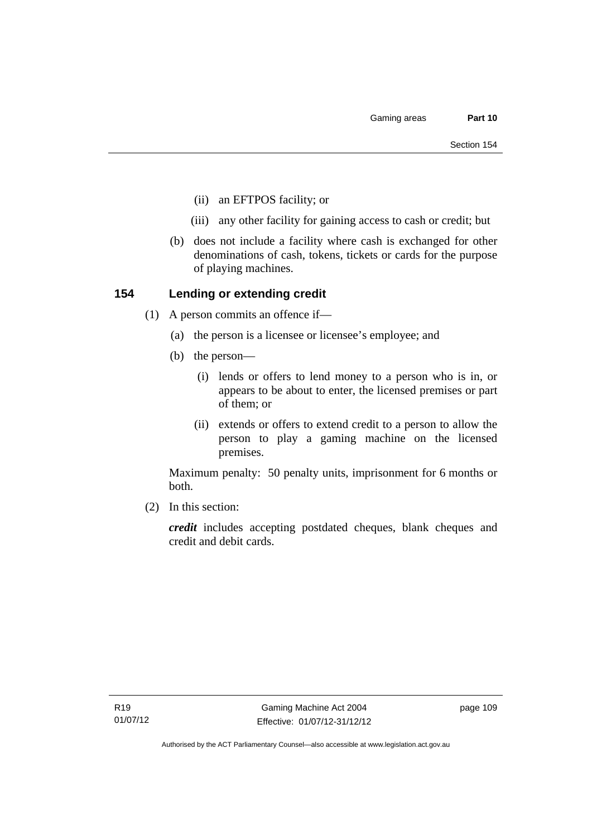- (ii) an EFTPOS facility; or
- (iii) any other facility for gaining access to cash or credit; but
- (b) does not include a facility where cash is exchanged for other denominations of cash, tokens, tickets or cards for the purpose of playing machines.

# **154 Lending or extending credit**

- (1) A person commits an offence if—
	- (a) the person is a licensee or licensee's employee; and
	- (b) the person—
		- (i) lends or offers to lend money to a person who is in, or appears to be about to enter, the licensed premises or part of them; or
		- (ii) extends or offers to extend credit to a person to allow the person to play a gaming machine on the licensed premises.

Maximum penalty: 50 penalty units, imprisonment for 6 months or both.

(2) In this section:

*credit* includes accepting postdated cheques, blank cheques and credit and debit cards.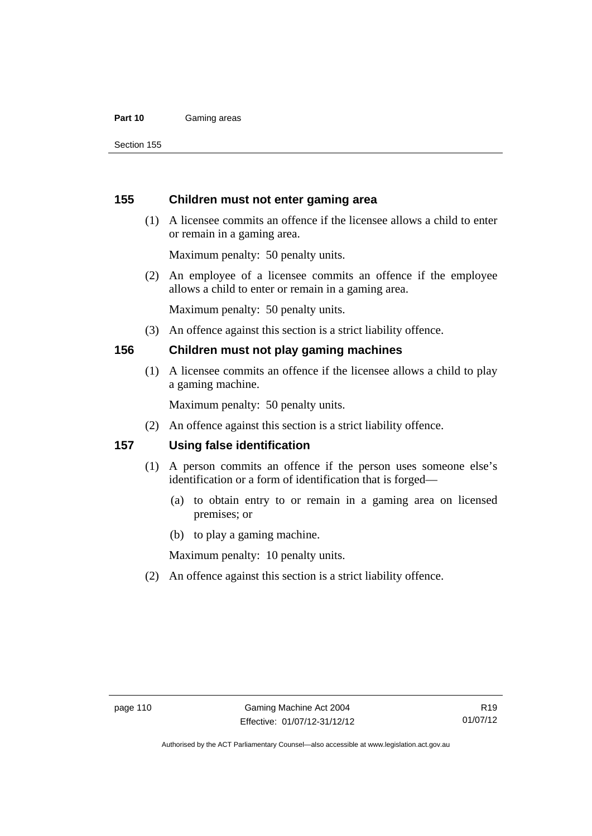## **Part 10** Gaming areas

Section 155

# **155 Children must not enter gaming area**

 (1) A licensee commits an offence if the licensee allows a child to enter or remain in a gaming area.

Maximum penalty: 50 penalty units.

 (2) An employee of a licensee commits an offence if the employee allows a child to enter or remain in a gaming area.

Maximum penalty: 50 penalty units.

(3) An offence against this section is a strict liability offence.

# **156 Children must not play gaming machines**

(1) A licensee commits an offence if the licensee allows a child to play a gaming machine.

Maximum penalty: 50 penalty units.

(2) An offence against this section is a strict liability offence.

# **157 Using false identification**

- (1) A person commits an offence if the person uses someone else's identification or a form of identification that is forged—
	- (a) to obtain entry to or remain in a gaming area on licensed premises; or
	- (b) to play a gaming machine.

Maximum penalty: 10 penalty units.

(2) An offence against this section is a strict liability offence.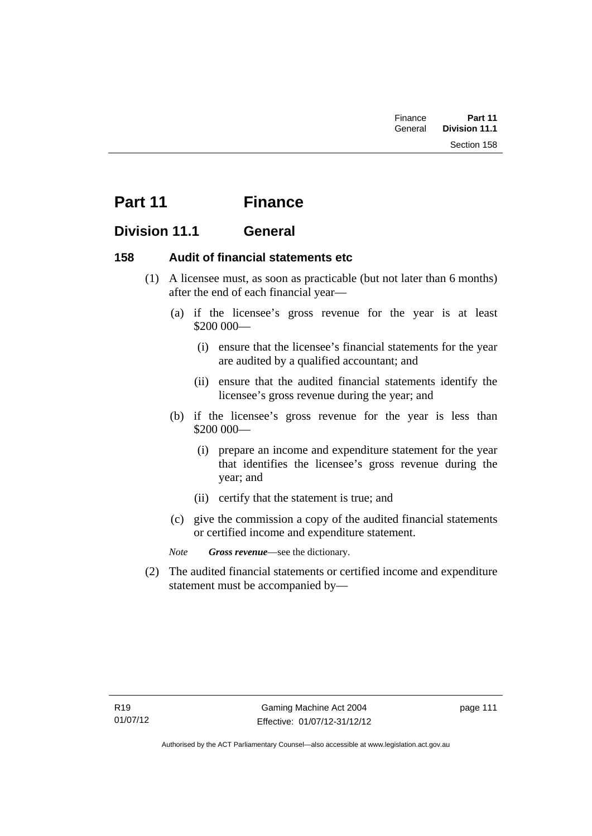| Finance | Part 11              |  |
|---------|----------------------|--|
| General | <b>Division 11.1</b> |  |
|         | Section 158          |  |

# **Part 11 Finance**

# **Division 11.1 General**

# **158 Audit of financial statements etc**

- (1) A licensee must, as soon as practicable (but not later than 6 months) after the end of each financial year—
	- (a) if the licensee's gross revenue for the year is at least \$200 000—
		- (i) ensure that the licensee's financial statements for the year are audited by a qualified accountant; and
		- (ii) ensure that the audited financial statements identify the licensee's gross revenue during the year; and
	- (b) if the licensee's gross revenue for the year is less than \$200 000—
		- (i) prepare an income and expenditure statement for the year that identifies the licensee's gross revenue during the year; and
		- (ii) certify that the statement is true; and
	- (c) give the commission a copy of the audited financial statements or certified income and expenditure statement.

*Note Gross revenue*—see the dictionary.

 (2) The audited financial statements or certified income and expenditure statement must be accompanied by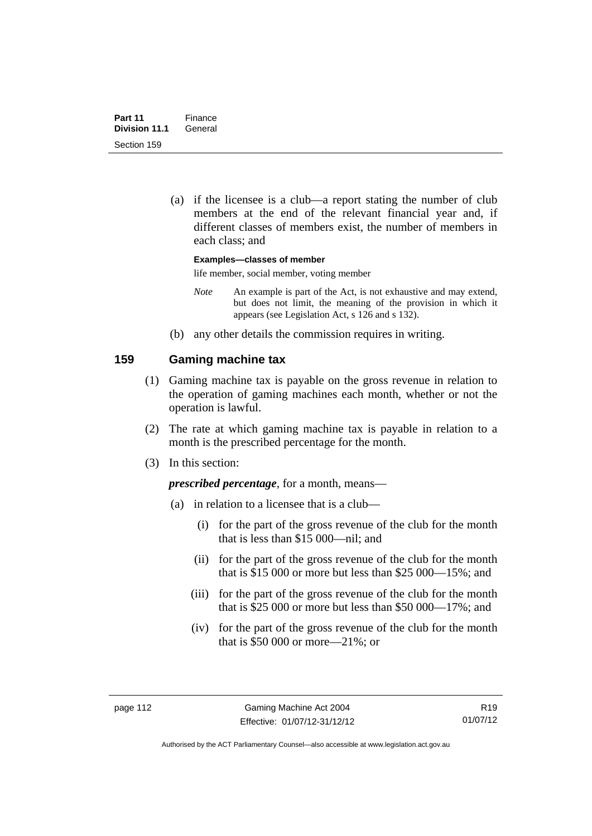(a) if the licensee is a club—a report stating the number of club members at the end of the relevant financial year and, if different classes of members exist, the number of members in each class; and

**Examples—classes of member** 

life member, social member, voting member

- *Note* An example is part of the Act, is not exhaustive and may extend, but does not limit, the meaning of the provision in which it appears (see Legislation Act, s 126 and s 132).
- (b) any other details the commission requires in writing.

# **159 Gaming machine tax**

- (1) Gaming machine tax is payable on the gross revenue in relation to the operation of gaming machines each month, whether or not the operation is lawful.
- (2) The rate at which gaming machine tax is payable in relation to a month is the prescribed percentage for the month.
- (3) In this section:

*prescribed percentage*, for a month, means—

- (a) in relation to a licensee that is a club—
	- (i) for the part of the gross revenue of the club for the month that is less than \$15 000—nil; and
	- (ii) for the part of the gross revenue of the club for the month that is \$15 000 or more but less than \$25 000—15%; and
	- (iii) for the part of the gross revenue of the club for the month that is \$25 000 or more but less than \$50 000—17%; and
	- (iv) for the part of the gross revenue of the club for the month that is \$50 000 or more—21%; or

R19 01/07/12

Authorised by the ACT Parliamentary Counsel—also accessible at www.legislation.act.gov.au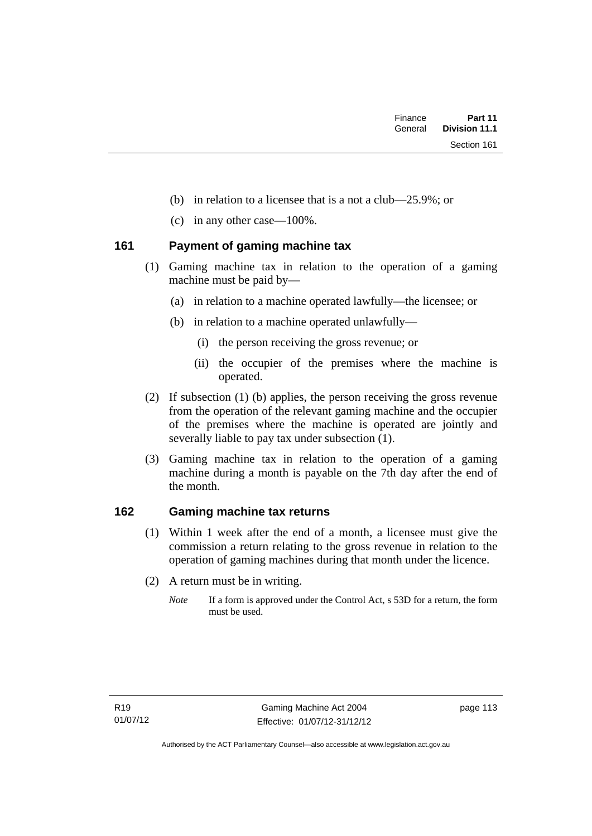- (b) in relation to a licensee that is a not a club—25.9%; or
- (c) in any other case—100%.

# **161 Payment of gaming machine tax**

- (1) Gaming machine tax in relation to the operation of a gaming machine must be paid by—
	- (a) in relation to a machine operated lawfully—the licensee; or
	- (b) in relation to a machine operated unlawfully—
		- (i) the person receiving the gross revenue; or
		- (ii) the occupier of the premises where the machine is operated.
- (2) If subsection (1) (b) applies, the person receiving the gross revenue from the operation of the relevant gaming machine and the occupier of the premises where the machine is operated are jointly and severally liable to pay tax under subsection (1).
- (3) Gaming machine tax in relation to the operation of a gaming machine during a month is payable on the 7th day after the end of the month.

# **162 Gaming machine tax returns**

- (1) Within 1 week after the end of a month, a licensee must give the commission a return relating to the gross revenue in relation to the operation of gaming machines during that month under the licence.
- (2) A return must be in writing.
	- *Note* If a form is approved under the Control Act, s 53D for a return, the form must be used.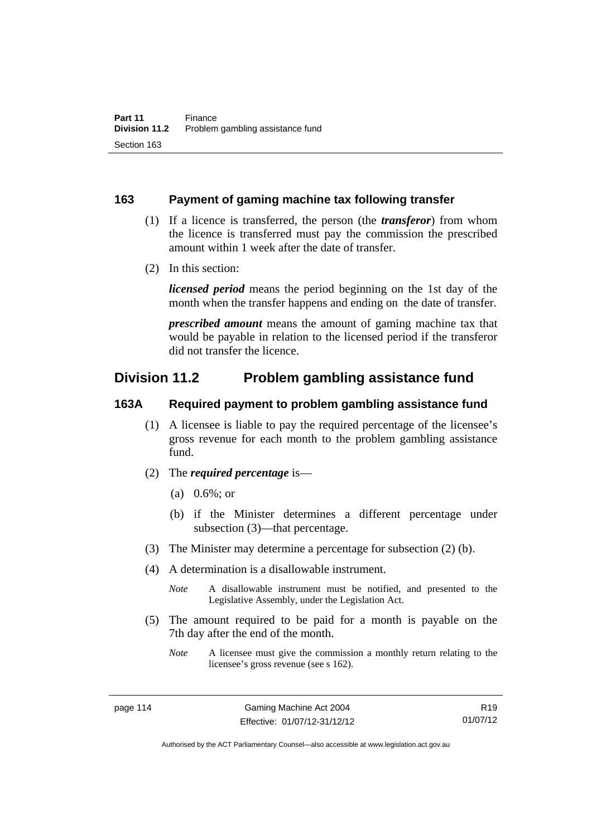# **163 Payment of gaming machine tax following transfer**

- (1) If a licence is transferred, the person (the *transferor*) from whom the licence is transferred must pay the commission the prescribed amount within 1 week after the date of transfer.
- (2) In this section:

*licensed period* means the period beginning on the 1st day of the month when the transfer happens and ending on the date of transfer.

*prescribed amount* means the amount of gaming machine tax that would be payable in relation to the licensed period if the transferor did not transfer the licence.

# **Division 11.2 Problem gambling assistance fund**

# **163A Required payment to problem gambling assistance fund**

- (1) A licensee is liable to pay the required percentage of the licensee's gross revenue for each month to the problem gambling assistance fund.
- (2) The *required percentage* is—
	- (a) 0.6%; or
	- (b) if the Minister determines a different percentage under subsection (3)—that percentage.
- (3) The Minister may determine a percentage for subsection (2) (b).
- (4) A determination is a disallowable instrument.

*Note* A disallowable instrument must be notified, and presented to the Legislative Assembly, under the Legislation Act.

- (5) The amount required to be paid for a month is payable on the 7th day after the end of the month.
	- *Note* A licensee must give the commission a monthly return relating to the licensee's gross revenue (see s 162).

R19 01/07/12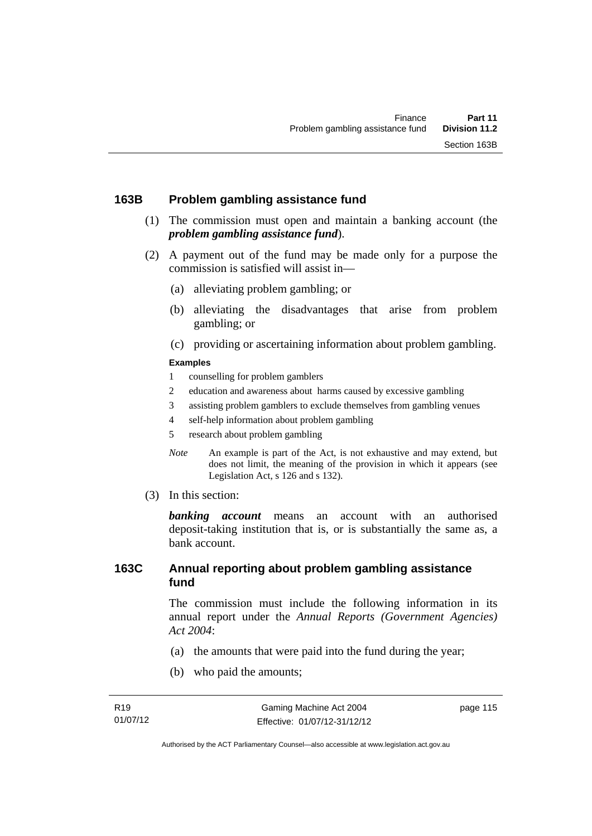# **163B Problem gambling assistance fund**

- (1) The commission must open and maintain a banking account (the *problem gambling assistance fund*).
- (2) A payment out of the fund may be made only for a purpose the commission is satisfied will assist in—
	- (a) alleviating problem gambling; or
	- (b) alleviating the disadvantages that arise from problem gambling; or
	- (c) providing or ascertaining information about problem gambling.

## **Examples**

- 1 counselling for problem gamblers
- 2 education and awareness about harms caused by excessive gambling
- 3 assisting problem gamblers to exclude themselves from gambling venues
- 4 self-help information about problem gambling
- 5 research about problem gambling
- *Note* An example is part of the Act, is not exhaustive and may extend, but does not limit, the meaning of the provision in which it appears (see Legislation Act, s 126 and s 132).
- (3) In this section:

*banking account* means an account with an authorised deposit-taking institution that is, or is substantially the same as, a bank account.

# **163C Annual reporting about problem gambling assistance fund**

The commission must include the following information in its annual report under the *Annual Reports (Government Agencies) Act 2004*:

- (a) the amounts that were paid into the fund during the year;
- (b) who paid the amounts;

page 115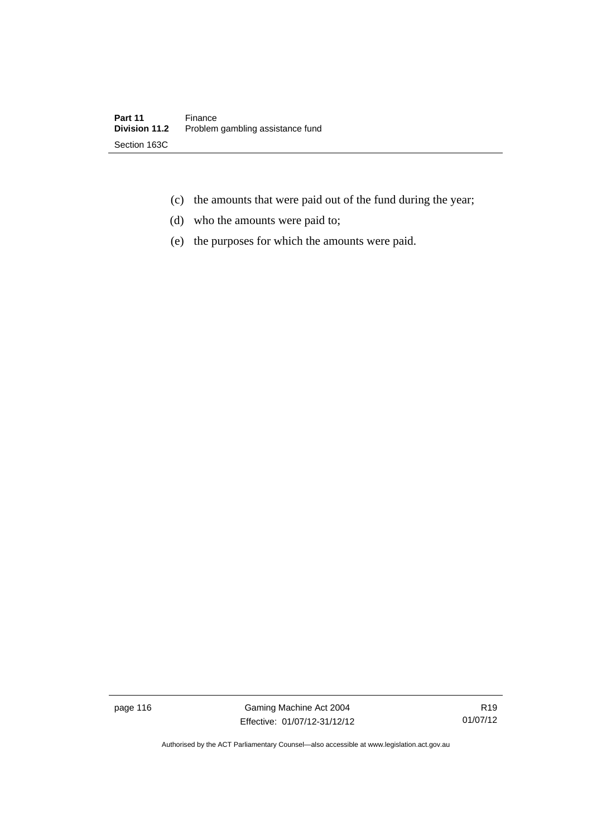- (c) the amounts that were paid out of the fund during the year;
- (d) who the amounts were paid to;
- (e) the purposes for which the amounts were paid.

page 116 Gaming Machine Act 2004 Effective: 01/07/12-31/12/12

R19 01/07/12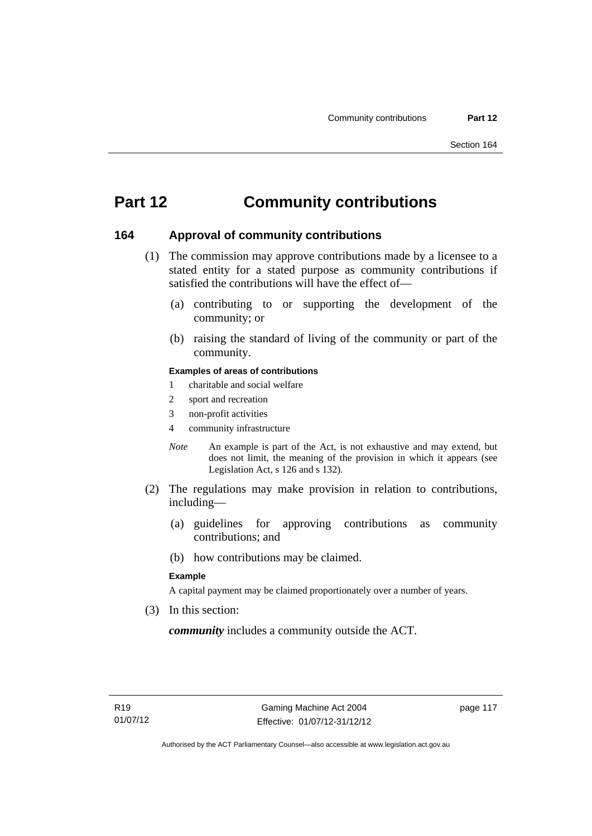# **Part 12 Community contributions**

# **164 Approval of community contributions**

- (1) The commission may approve contributions made by a licensee to a stated entity for a stated purpose as community contributions if satisfied the contributions will have the effect of—
	- (a) contributing to or supporting the development of the community; or
	- (b) raising the standard of living of the community or part of the community.

## **Examples of areas of contributions**

- 1 charitable and social welfare
- 2 sport and recreation
- 3 non-profit activities
- 4 community infrastructure
- *Note* An example is part of the Act, is not exhaustive and may extend, but does not limit, the meaning of the provision in which it appears (see Legislation Act, s 126 and s 132).
- (2) The regulations may make provision in relation to contributions, including—
	- (a) guidelines for approving contributions as community contributions; and
	- (b) how contributions may be claimed.

#### **Example**

A capital payment may be claimed proportionately over a number of years.

(3) In this section:

*community* includes a community outside the ACT.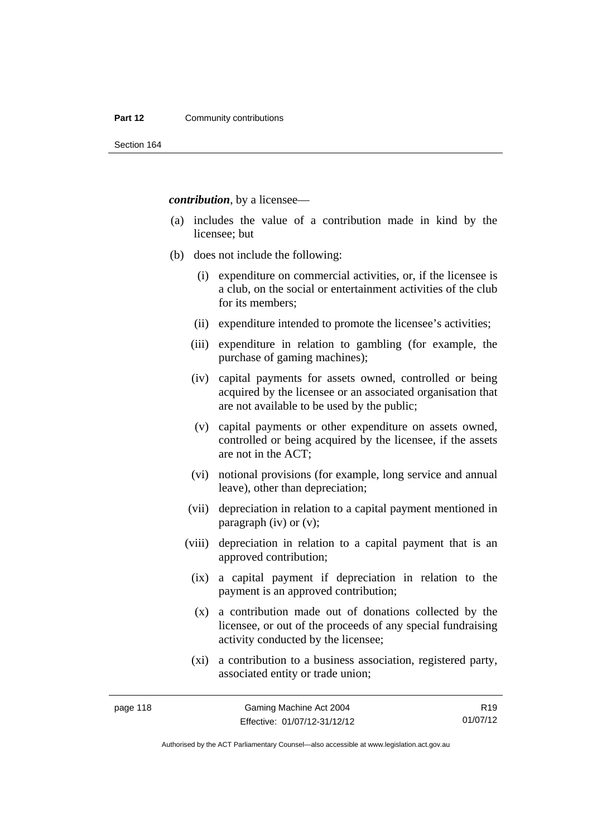## **Part 12 Community contributions**

Section 164

*contribution*, by a licensee—

- (a) includes the value of a contribution made in kind by the licensee; but
- (b) does not include the following:
	- (i) expenditure on commercial activities, or, if the licensee is a club, on the social or entertainment activities of the club for its members;
	- (ii) expenditure intended to promote the licensee's activities;
	- (iii) expenditure in relation to gambling (for example, the purchase of gaming machines);
	- (iv) capital payments for assets owned, controlled or being acquired by the licensee or an associated organisation that are not available to be used by the public;
	- (v) capital payments or other expenditure on assets owned, controlled or being acquired by the licensee, if the assets are not in the ACT;
	- (vi) notional provisions (for example, long service and annual leave), other than depreciation;
	- (vii) depreciation in relation to a capital payment mentioned in paragraph (iv) or (v);
	- (viii) depreciation in relation to a capital payment that is an approved contribution;
		- (ix) a capital payment if depreciation in relation to the payment is an approved contribution;
		- (x) a contribution made out of donations collected by the licensee, or out of the proceeds of any special fundraising activity conducted by the licensee;
		- (xi) a contribution to a business association, registered party, associated entity or trade union;

R19 01/07/12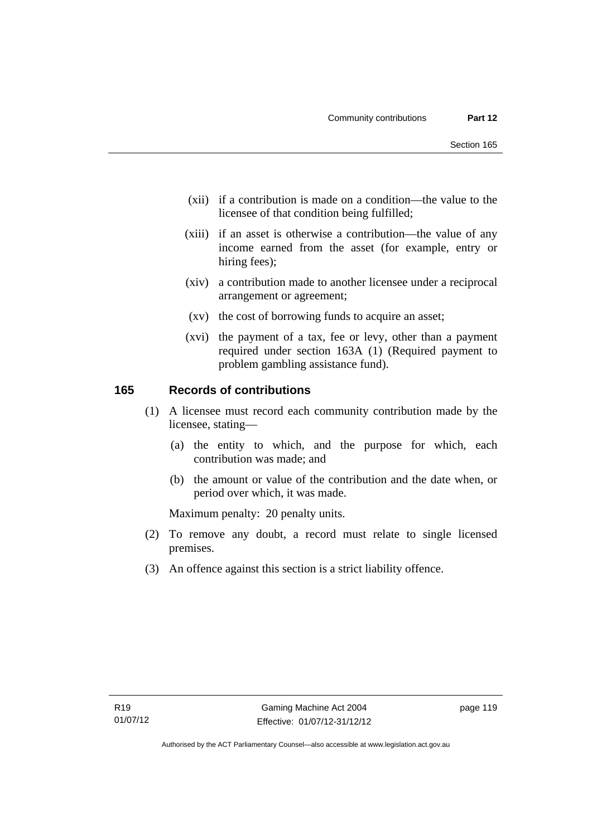- (xii) if a contribution is made on a condition—the value to the licensee of that condition being fulfilled;
- (xiii) if an asset is otherwise a contribution—the value of any income earned from the asset (for example, entry or hiring fees);
- (xiv) a contribution made to another licensee under a reciprocal arrangement or agreement;
- (xv) the cost of borrowing funds to acquire an asset;
- (xvi) the payment of a tax, fee or levy, other than a payment required under section 163A (1) (Required payment to problem gambling assistance fund).

# **165 Records of contributions**

- (1) A licensee must record each community contribution made by the licensee, stating—
	- (a) the entity to which, and the purpose for which, each contribution was made; and
	- (b) the amount or value of the contribution and the date when, or period over which, it was made.

Maximum penalty: 20 penalty units.

- (2) To remove any doubt, a record must relate to single licensed premises.
- (3) An offence against this section is a strict liability offence.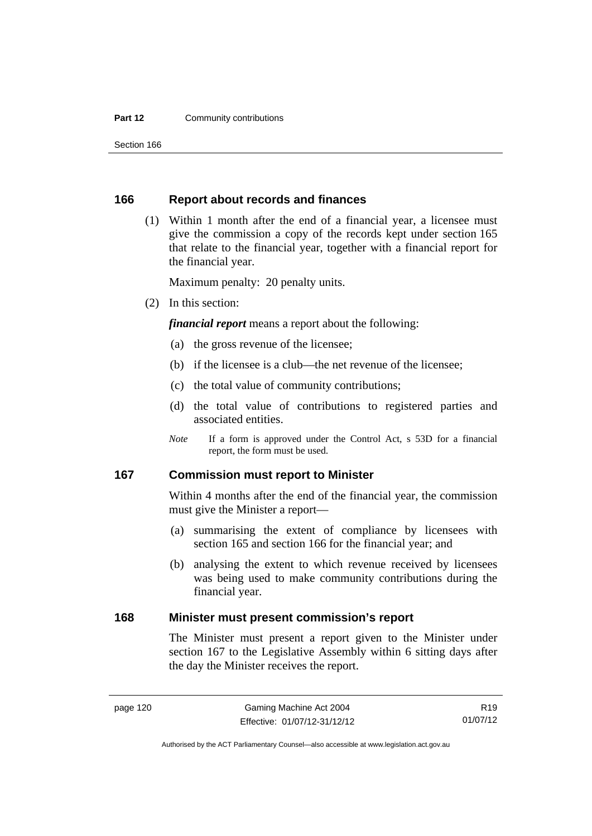## **Part 12 Community contributions**

Section 166

## **166 Report about records and finances**

 (1) Within 1 month after the end of a financial year, a licensee must give the commission a copy of the records kept under section 165 that relate to the financial year, together with a financial report for the financial year.

Maximum penalty: 20 penalty units.

(2) In this section:

*financial report* means a report about the following:

- (a) the gross revenue of the licensee;
- (b) if the licensee is a club—the net revenue of the licensee;
- (c) the total value of community contributions;
- (d) the total value of contributions to registered parties and associated entities.
- *Note* If a form is approved under the Control Act, s 53D for a financial report, the form must be used.

# **167 Commission must report to Minister**

Within 4 months after the end of the financial year, the commission must give the Minister a report—

- (a) summarising the extent of compliance by licensees with section 165 and section 166 for the financial year; and
- (b) analysing the extent to which revenue received by licensees was being used to make community contributions during the financial year.

# **168 Minister must present commission's report**

The Minister must present a report given to the Minister under section 167 to the Legislative Assembly within 6 sitting days after the day the Minister receives the report.

R19 01/07/12

Authorised by the ACT Parliamentary Counsel—also accessible at www.legislation.act.gov.au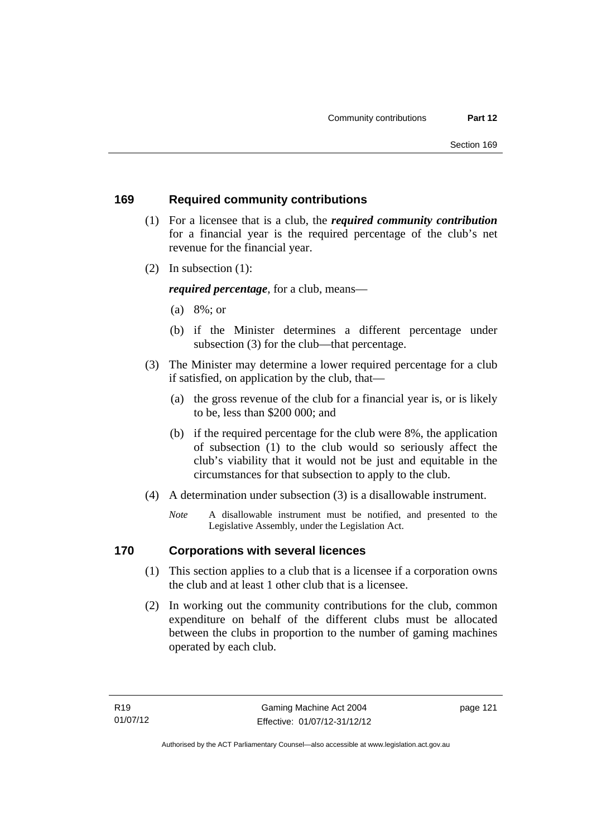# **169 Required community contributions**

- (1) For a licensee that is a club, the *required community contribution* for a financial year is the required percentage of the club's net revenue for the financial year.
- (2) In subsection (1):

*required percentage*, for a club, means—

- (a) 8%; or
- (b) if the Minister determines a different percentage under subsection (3) for the club—that percentage.
- (3) The Minister may determine a lower required percentage for a club if satisfied, on application by the club, that—
	- (a) the gross revenue of the club for a financial year is, or is likely to be, less than \$200 000; and
	- (b) if the required percentage for the club were 8%, the application of subsection (1) to the club would so seriously affect the club's viability that it would not be just and equitable in the circumstances for that subsection to apply to the club.
- (4) A determination under subsection (3) is a disallowable instrument.
	- *Note* A disallowable instrument must be notified, and presented to the Legislative Assembly, under the Legislation Act.

# **170 Corporations with several licences**

- (1) This section applies to a club that is a licensee if a corporation owns the club and at least 1 other club that is a licensee.
- (2) In working out the community contributions for the club, common expenditure on behalf of the different clubs must be allocated between the clubs in proportion to the number of gaming machines operated by each club.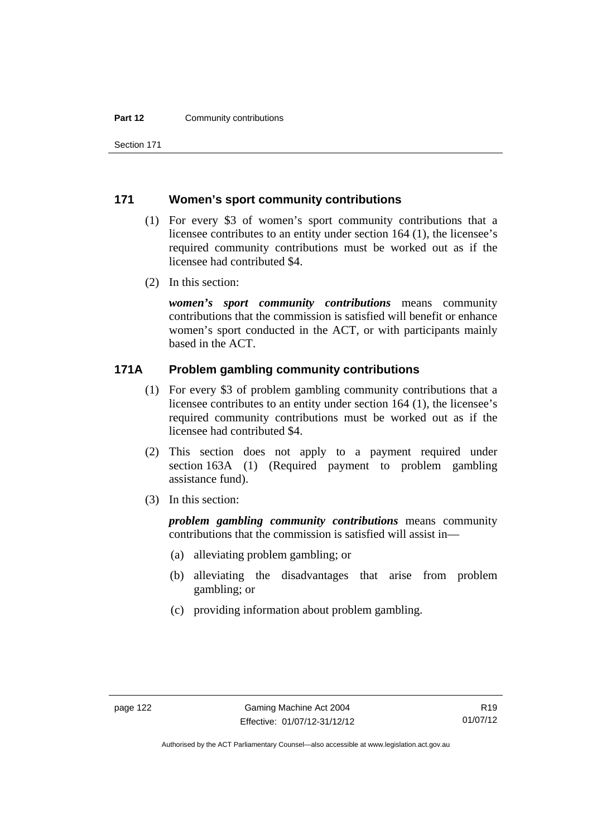Section 171

# **171 Women's sport community contributions**

- (1) For every \$3 of women's sport community contributions that a licensee contributes to an entity under section 164 (1), the licensee's required community contributions must be worked out as if the licensee had contributed \$4.
- (2) In this section:

*women's sport community contributions* means community contributions that the commission is satisfied will benefit or enhance women's sport conducted in the ACT, or with participants mainly based in the ACT.

# **171A Problem gambling community contributions**

- (1) For every \$3 of problem gambling community contributions that a licensee contributes to an entity under section 164 (1), the licensee's required community contributions must be worked out as if the licensee had contributed \$4.
- (2) This section does not apply to a payment required under section 163A (1) (Required payment to problem gambling assistance fund).
- (3) In this section:

*problem gambling community contributions* means community contributions that the commission is satisfied will assist in—

- (a) alleviating problem gambling; or
- (b) alleviating the disadvantages that arise from problem gambling; or
- (c) providing information about problem gambling.

Authorised by the ACT Parliamentary Counsel—also accessible at www.legislation.act.gov.au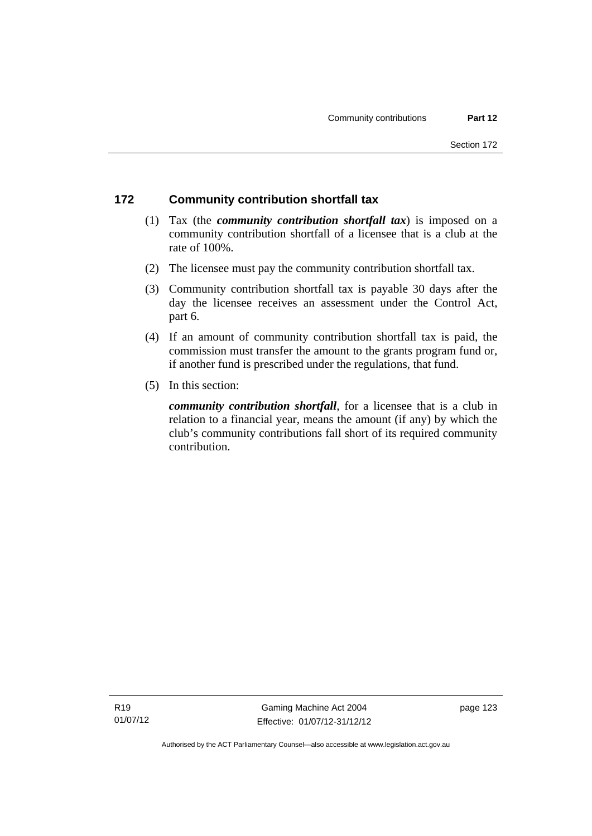# **172 Community contribution shortfall tax**

- (1) Tax (the *community contribution shortfall tax*) is imposed on a community contribution shortfall of a licensee that is a club at the rate of 100%.
- (2) The licensee must pay the community contribution shortfall tax.
- (3) Community contribution shortfall tax is payable 30 days after the day the licensee receives an assessment under the Control Act, part 6.
- (4) If an amount of community contribution shortfall tax is paid, the commission must transfer the amount to the grants program fund or, if another fund is prescribed under the regulations, that fund.
- (5) In this section:

*community contribution shortfall*, for a licensee that is a club in relation to a financial year, means the amount (if any) by which the club's community contributions fall short of its required community contribution.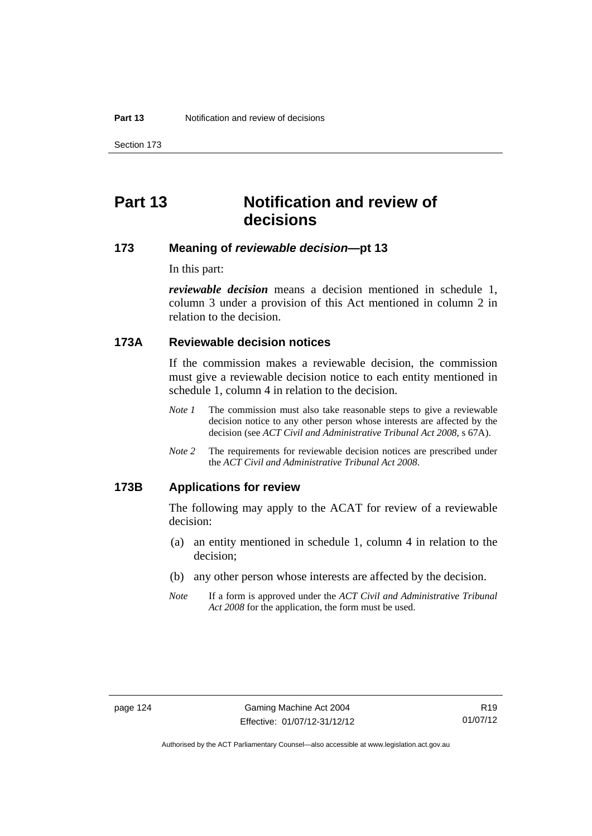Section 173

# **Part 13 Notification and review of decisions**

# **173 Meaning of** *reviewable decision***—pt 13**

In this part:

*reviewable decision* means a decision mentioned in schedule 1, column 3 under a provision of this Act mentioned in column 2 in relation to the decision.

# **173A Reviewable decision notices**

If the commission makes a reviewable decision, the commission must give a reviewable decision notice to each entity mentioned in schedule 1, column 4 in relation to the decision.

- *Note 1* The commission must also take reasonable steps to give a reviewable decision notice to any other person whose interests are affected by the decision (see *ACT Civil and Administrative Tribunal Act 2008*, s 67A).
- *Note 2* The requirements for reviewable decision notices are prescribed under the *ACT Civil and Administrative Tribunal Act 2008*.

## **173B Applications for review**

The following may apply to the ACAT for review of a reviewable decision:

- (a) an entity mentioned in schedule 1, column 4 in relation to the decision;
- (b) any other person whose interests are affected by the decision.
- *Note* If a form is approved under the *ACT Civil and Administrative Tribunal Act 2008* for the application, the form must be used.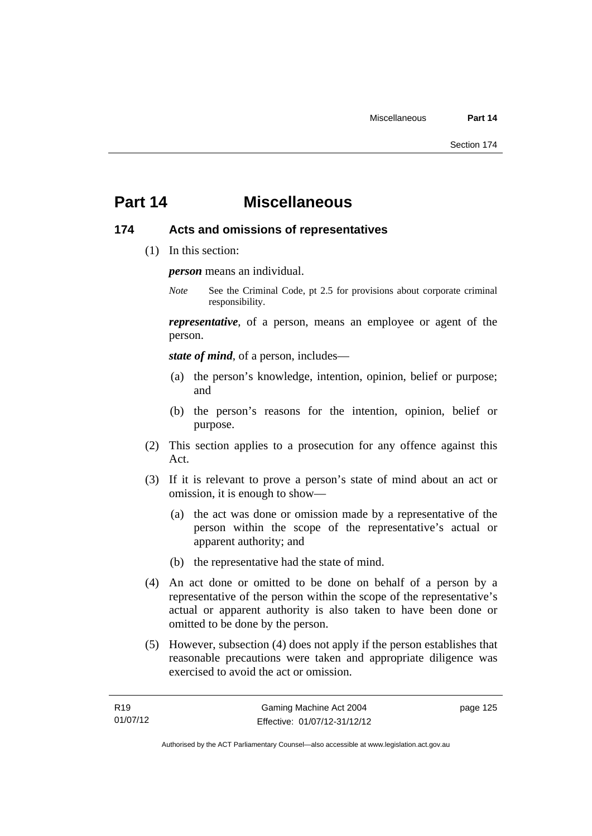# **Part 14 Miscellaneous**

# **174 Acts and omissions of representatives**

(1) In this section:

*person* means an individual.

*Note* See the Criminal Code, pt 2.5 for provisions about corporate criminal responsibility.

*representative*, of a person, means an employee or agent of the person.

*state of mind*, of a person, includes—

- (a) the person's knowledge, intention, opinion, belief or purpose; and
- (b) the person's reasons for the intention, opinion, belief or purpose.
- (2) This section applies to a prosecution for any offence against this Act.
- (3) If it is relevant to prove a person's state of mind about an act or omission, it is enough to show—
	- (a) the act was done or omission made by a representative of the person within the scope of the representative's actual or apparent authority; and
	- (b) the representative had the state of mind.
- (4) An act done or omitted to be done on behalf of a person by a representative of the person within the scope of the representative's actual or apparent authority is also taken to have been done or omitted to be done by the person.
- (5) However, subsection (4) does not apply if the person establishes that reasonable precautions were taken and appropriate diligence was exercised to avoid the act or omission.

page 125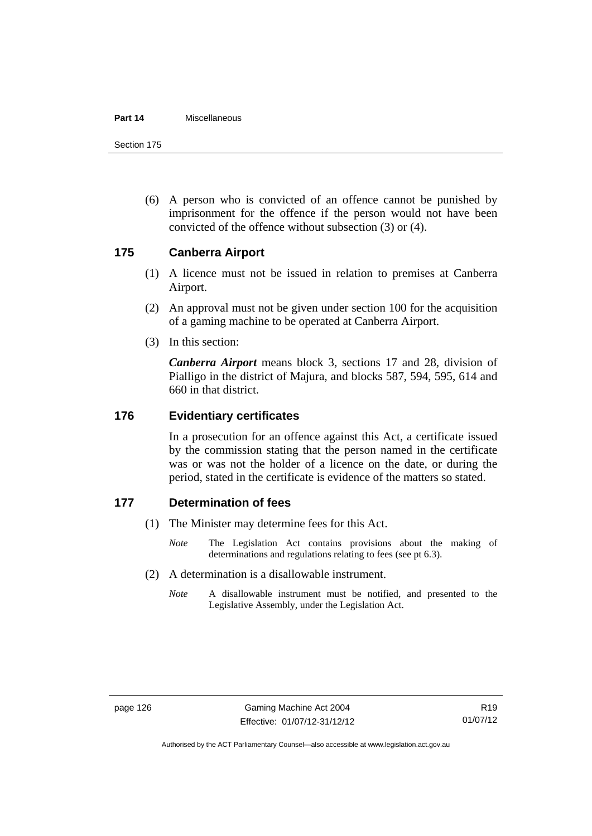#### **Part 14** Miscellaneous

Section 175

 (6) A person who is convicted of an offence cannot be punished by imprisonment for the offence if the person would not have been convicted of the offence without subsection (3) or (4).

# **175 Canberra Airport**

- (1) A licence must not be issued in relation to premises at Canberra Airport.
- (2) An approval must not be given under section 100 for the acquisition of a gaming machine to be operated at Canberra Airport.
- (3) In this section:

*Canberra Airport* means block 3, sections 17 and 28, division of Pialligo in the district of Majura, and blocks 587, 594, 595, 614 and 660 in that district.

# **176 Evidentiary certificates**

In a prosecution for an offence against this Act, a certificate issued by the commission stating that the person named in the certificate was or was not the holder of a licence on the date, or during the period, stated in the certificate is evidence of the matters so stated.

# **177 Determination of fees**

- (1) The Minister may determine fees for this Act.
	- *Note* The Legislation Act contains provisions about the making of determinations and regulations relating to fees (see pt 6.3).
- (2) A determination is a disallowable instrument.
	- *Note* A disallowable instrument must be notified, and presented to the Legislative Assembly, under the Legislation Act.

Authorised by the ACT Parliamentary Counsel—also accessible at www.legislation.act.gov.au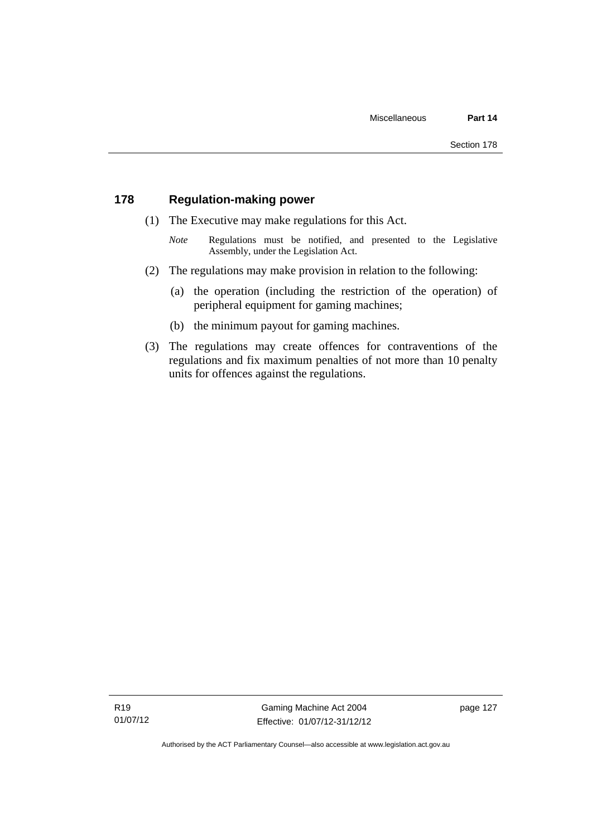# **178 Regulation-making power**

- (1) The Executive may make regulations for this Act.
	- *Note* **Regulations** must be notified, and presented to the Legislative Assembly, under the Legislation Act.
- (2) The regulations may make provision in relation to the following:
	- (a) the operation (including the restriction of the operation) of peripheral equipment for gaming machines;
	- (b) the minimum payout for gaming machines.
- (3) The regulations may create offences for contraventions of the regulations and fix maximum penalties of not more than 10 penalty units for offences against the regulations.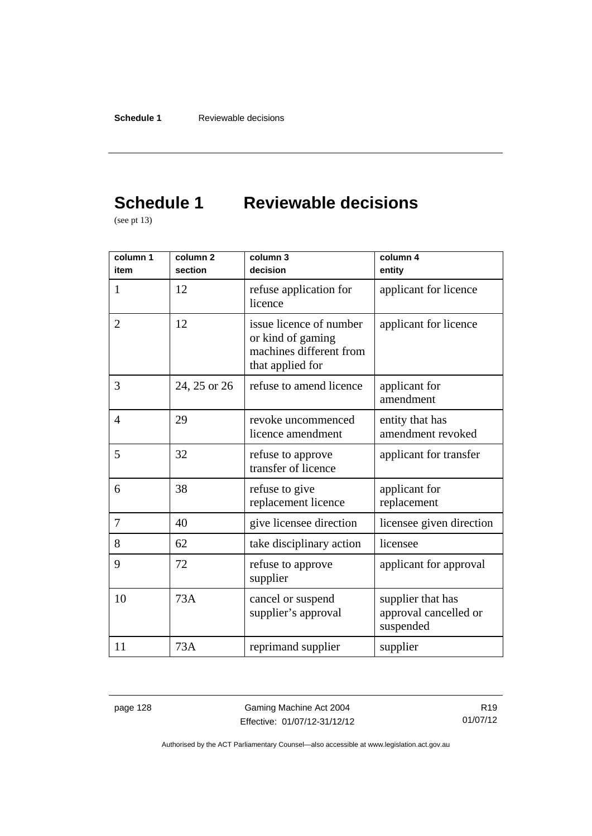# **Schedule 1 Reviewable decisions**

(see pt 13)

| column 1<br>item | column <sub>2</sub><br>section | column 3<br>decision                                                                        | column 4<br>entity                                      |
|------------------|--------------------------------|---------------------------------------------------------------------------------------------|---------------------------------------------------------|
| 1                | 12                             | refuse application for<br>licence                                                           | applicant for licence                                   |
| $\overline{2}$   | 12                             | issue licence of number<br>or kind of gaming<br>machines different from<br>that applied for | applicant for licence                                   |
| 3                | 24, 25 or 26                   | refuse to amend licence                                                                     | applicant for<br>amendment                              |
| 4                | 29                             | revoke uncommenced<br>licence amendment                                                     | entity that has<br>amendment revoked                    |
| 5                | 32                             | refuse to approve<br>transfer of licence                                                    | applicant for transfer                                  |
| 6                | 38                             | refuse to give<br>replacement licence                                                       | applicant for<br>replacement                            |
| 7                | 40                             | give licensee direction                                                                     | licensee given direction                                |
| 8                | 62                             | take disciplinary action                                                                    | licensee                                                |
| 9                | 72                             | refuse to approve<br>supplier                                                               | applicant for approval                                  |
| 10               | 73A                            | cancel or suspend<br>supplier's approval                                                    | supplier that has<br>approval cancelled or<br>suspended |
| 11               | 73A                            | reprimand supplier                                                                          | supplier                                                |

page 128 Gaming Machine Act 2004 Effective: 01/07/12-31/12/12

R19 01/07/12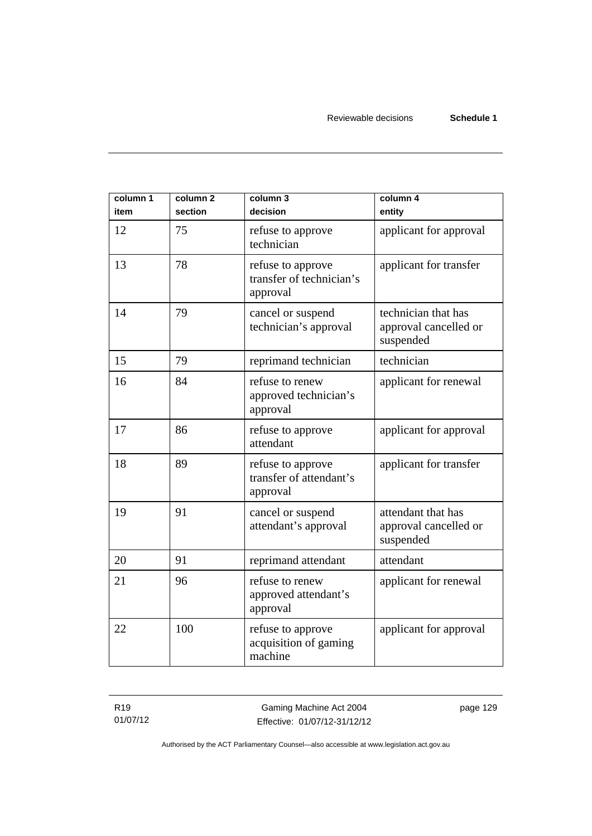| column 1<br>item | column <sub>2</sub><br>section | column 3<br>decision                                      | column 4<br>entity                                        |
|------------------|--------------------------------|-----------------------------------------------------------|-----------------------------------------------------------|
| 12               | 75                             | refuse to approve<br>technician                           | applicant for approval                                    |
| 13               | 78                             | refuse to approve<br>transfer of technician's<br>approval | applicant for transfer                                    |
| 14               | 79                             | cancel or suspend<br>technician's approval                | technician that has<br>approval cancelled or<br>suspended |
| 15               | 79                             | reprimand technician                                      | technician                                                |
| 16               | 84                             | refuse to renew<br>approved technician's<br>approval      | applicant for renewal                                     |
| 17               | 86                             | refuse to approve<br>attendant                            | applicant for approval                                    |
| 18               | 89                             | refuse to approve<br>transfer of attendant's<br>approval  | applicant for transfer                                    |
| 19               | 91                             | cancel or suspend<br>attendant's approval                 | attendant that has<br>approval cancelled or<br>suspended  |
| 20               | 91                             | reprimand attendant                                       | attendant                                                 |
| 21               | 96                             | refuse to renew<br>approved attendant's<br>approval       | applicant for renewal                                     |
| 22               | 100                            | refuse to approve<br>acquisition of gaming<br>machine     | applicant for approval                                    |

R19 01/07/12 page 129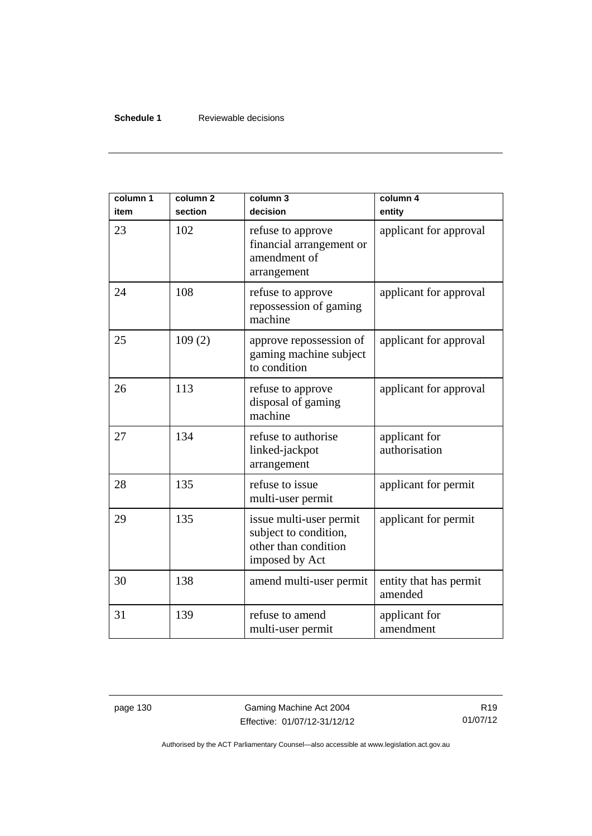## **Schedule 1** Reviewable decisions

| column 1<br>item | column <sub>2</sub><br>section | column 3<br>decision                                                                       | column 4<br>entity                |
|------------------|--------------------------------|--------------------------------------------------------------------------------------------|-----------------------------------|
| 23               | 102                            | refuse to approve<br>financial arrangement or<br>amendment of<br>arrangement               | applicant for approval            |
| 24               | 108                            | refuse to approve<br>repossession of gaming<br>machine                                     | applicant for approval            |
| 25               | 109(2)                         | approve repossession of<br>gaming machine subject<br>to condition                          | applicant for approval            |
| 26               | 113                            | refuse to approve<br>disposal of gaming<br>machine                                         | applicant for approval            |
| 27               | 134                            | refuse to authorise<br>linked-jackpot<br>arrangement                                       | applicant for<br>authorisation    |
| 28               | 135                            | refuse to issue<br>multi-user permit                                                       | applicant for permit              |
| 29               | 135                            | issue multi-user permit<br>subject to condition,<br>other than condition<br>imposed by Act | applicant for permit              |
| 30               | 138                            | amend multi-user permit                                                                    | entity that has permit<br>amended |
| 31               | 139                            | refuse to amend<br>multi-user permit                                                       | applicant for<br>amendment        |

page 130 Gaming Machine Act 2004 Effective: 01/07/12-31/12/12

R19 01/07/12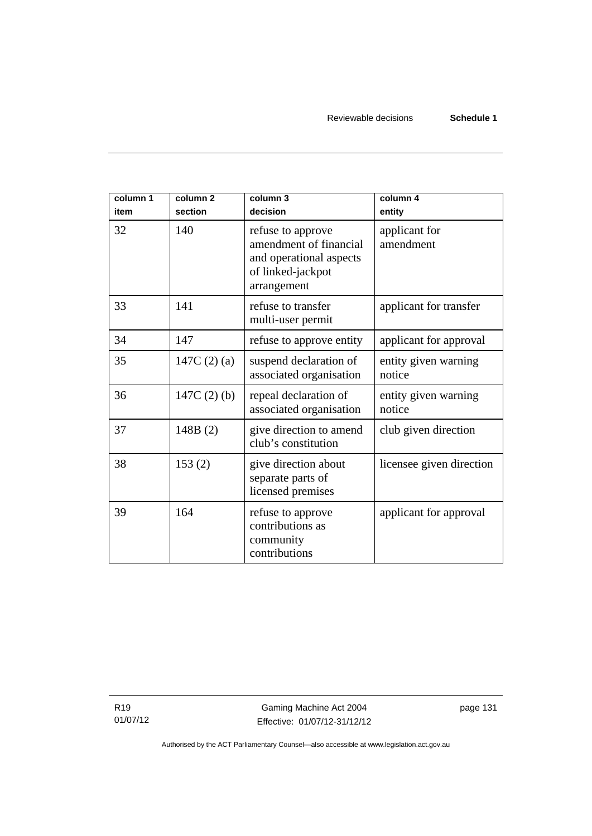| column 1<br>item | column <sub>2</sub><br>section | column 3<br>decision                                                                                       | column 4<br>entity             |
|------------------|--------------------------------|------------------------------------------------------------------------------------------------------------|--------------------------------|
| 32               | 140                            | refuse to approve<br>amendment of financial<br>and operational aspects<br>of linked-jackpot<br>arrangement | applicant for<br>amendment     |
| 33               | 141                            | refuse to transfer<br>multi-user permit                                                                    | applicant for transfer         |
| 34               | 147                            | refuse to approve entity                                                                                   | applicant for approval         |
| 35               | 147C $(2)$ $(a)$               | suspend declaration of<br>associated organisation                                                          | entity given warning<br>notice |
| 36               | $147C(2)$ (b)                  | repeal declaration of<br>associated organisation                                                           | entity given warning<br>notice |
| 37               | 148B(2)                        | give direction to amend<br>club's constitution                                                             | club given direction           |
| 38               | 153(2)                         | give direction about<br>separate parts of<br>licensed premises                                             | licensee given direction       |
| 39               | 164                            | refuse to approve<br>contributions as<br>community<br>contributions                                        | applicant for approval         |

R19 01/07/12 page 131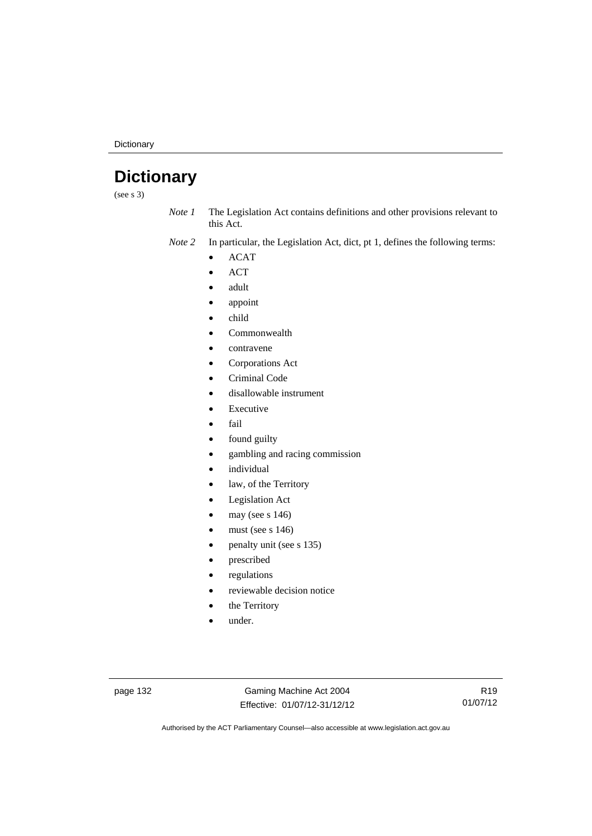**Dictionary** 

# **Dictionary**

(see s 3)

*Note 1* The Legislation Act contains definitions and other provisions relevant to this Act.

*Note 2* In particular, the Legislation Act, dict, pt 1, defines the following terms:

- ACAT
- ACT
- adult
- appoint
- child
- Commonwealth
- contravene
- Corporations Act
- Criminal Code
- disallowable instrument
- Executive
- fail
- found guilty
- gambling and racing commission
- individual
- law, of the Territory
- Legislation Act
- may (see s 146)
- must (see s 146)
- penalty unit (see s 135)
- prescribed
- regulations
- reviewable decision notice
- the Territory
- under.

page 132 Gaming Machine Act 2004 Effective: 01/07/12-31/12/12

R19 01/07/12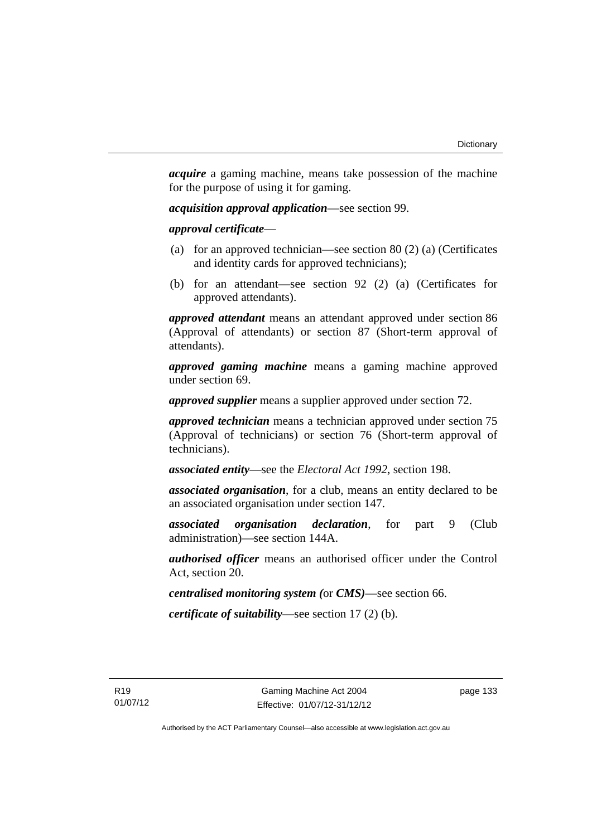*acquire* a gaming machine, means take possession of the machine for the purpose of using it for gaming.

*acquisition approval application*—see section 99.

*approval certificate*—

- (a) for an approved technician—see section 80 (2) (a) (Certificates and identity cards for approved technicians);
- (b) for an attendant—see section 92 (2) (a) (Certificates for approved attendants).

*approved attendant* means an attendant approved under section 86 (Approval of attendants) or section 87 (Short-term approval of attendants).

*approved gaming machine* means a gaming machine approved under section 69.

*approved supplier* means a supplier approved under section 72.

*approved technician* means a technician approved under section 75 (Approval of technicians) or section 76 (Short-term approval of technicians).

*associated entity*—see the *Electoral Act 1992*, section 198.

*associated organisation*, for a club, means an entity declared to be an associated organisation under section 147.

*associated organisation declaration*, for part 9 (Club administration)—see section 144A.

*authorised officer* means an authorised officer under the Control Act, section 20.

*centralised monitoring system (*or *CMS)*—see section 66.

*certificate of suitability*—see section 17 (2) (b).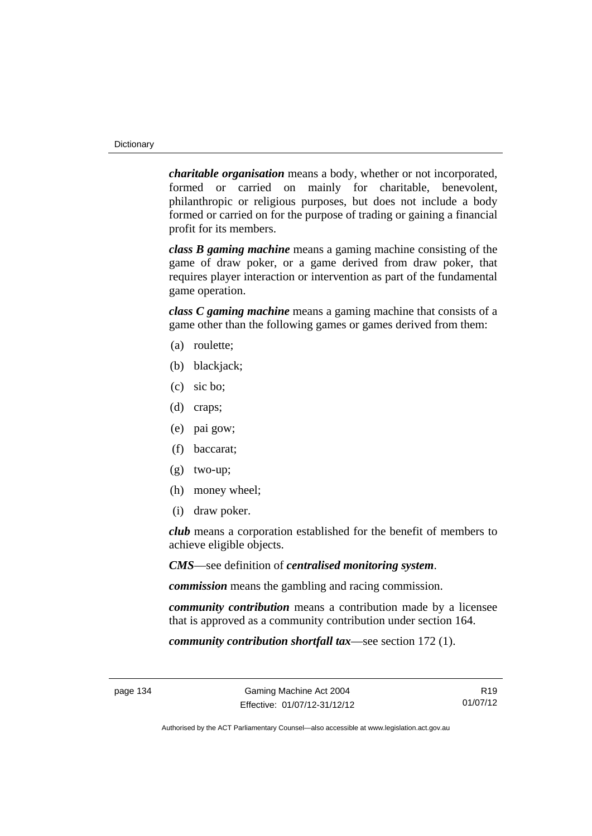*charitable organisation* means a body, whether or not incorporated, formed or carried on mainly for charitable, benevolent, philanthropic or religious purposes, but does not include a body formed or carried on for the purpose of trading or gaining a financial profit for its members.

*class B gaming machine* means a gaming machine consisting of the game of draw poker, or a game derived from draw poker, that requires player interaction or intervention as part of the fundamental game operation.

*class C gaming machine* means a gaming machine that consists of a game other than the following games or games derived from them:

- (a) roulette;
- (b) blackjack;
- (c) sic bo;
- (d) craps;
- (e) pai gow;
- (f) baccarat;
- (g) two-up;
- (h) money wheel;
- (i) draw poker.

*club* means a corporation established for the benefit of members to achieve eligible objects.

*CMS*—see definition of *centralised monitoring system*.

*commission* means the gambling and racing commission.

*community contribution* means a contribution made by a licensee that is approved as a community contribution under section 164.

*community contribution shortfall tax*—see section 172 (1).

R19 01/07/12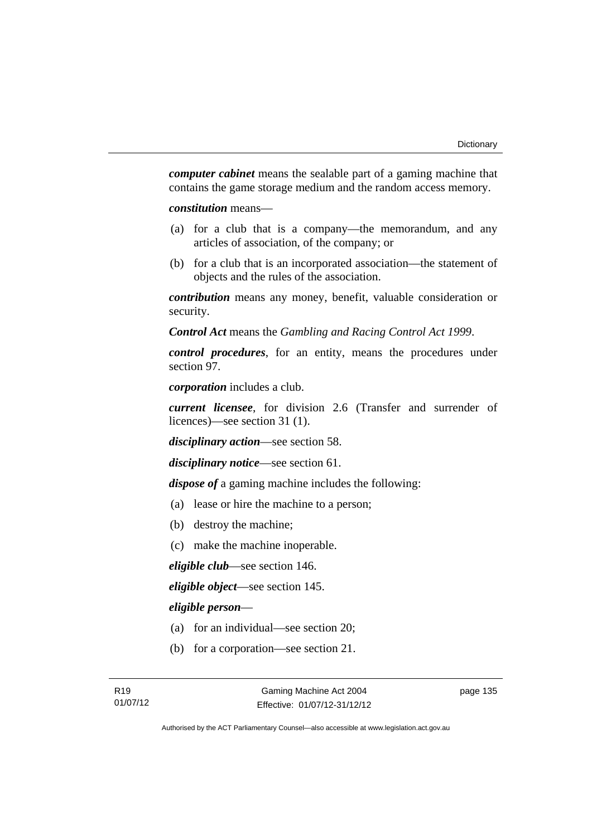*computer cabinet* means the sealable part of a gaming machine that contains the game storage medium and the random access memory.

*constitution* means—

- (a) for a club that is a company—the memorandum, and any articles of association, of the company; or
- (b) for a club that is an incorporated association—the statement of objects and the rules of the association.

*contribution* means any money, benefit, valuable consideration or security.

*Control Act* means the *Gambling and Racing Control Act 1999*.

*control procedures*, for an entity, means the procedures under section 97.

*corporation* includes a club.

*current licensee*, for division 2.6 (Transfer and surrender of licences)—see section 31 (1).

*disciplinary action*—see section 58.

*disciplinary notice*—see section 61.

*dispose of* a gaming machine includes the following:

- (a) lease or hire the machine to a person;
- (b) destroy the machine;
- (c) make the machine inoperable.

*eligible club*—see section 146.

*eligible object*—see section 145.

### *eligible person*—

- (a) for an individual—see section 20;
- (b) for a corporation—see section 21.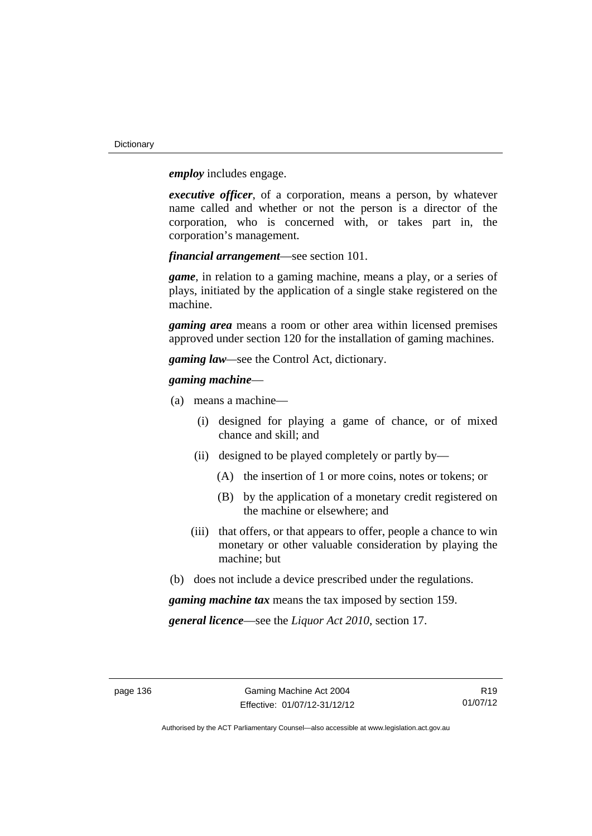**Dictionary** 

*employ* includes engage.

*executive officer*, of a corporation, means a person, by whatever name called and whether or not the person is a director of the corporation, who is concerned with, or takes part in, the corporation's management.

*financial arrangement*—see section 101.

*game*, in relation to a gaming machine, means a play, or a series of plays, initiated by the application of a single stake registered on the machine.

*gaming area* means a room or other area within licensed premises approved under section 120 for the installation of gaming machines.

*gaming law—*see the Control Act, dictionary.

### *gaming machine*—

- (a) means a machine—
	- (i) designed for playing a game of chance, or of mixed chance and skill; and
	- (ii) designed to be played completely or partly by—
		- (A) the insertion of 1 or more coins, notes or tokens; or
		- (B) by the application of a monetary credit registered on the machine or elsewhere; and
	- (iii) that offers, or that appears to offer, people a chance to win monetary or other valuable consideration by playing the machine; but
- (b) does not include a device prescribed under the regulations.

*gaming machine tax* means the tax imposed by section 159.

*general licence*—see the *Liquor Act 2010*, section 17.

R19 01/07/12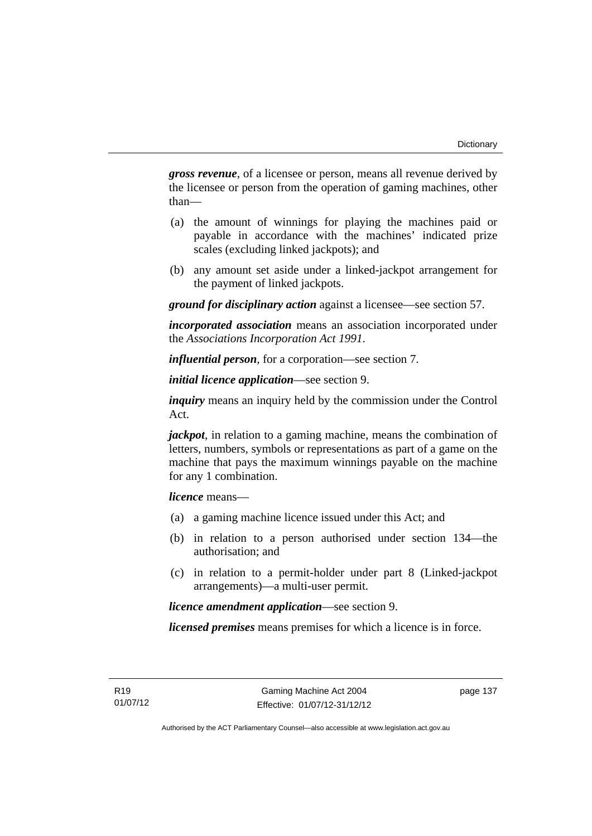*gross revenue*, of a licensee or person, means all revenue derived by the licensee or person from the operation of gaming machines, other than—

- (a) the amount of winnings for playing the machines paid or payable in accordance with the machines' indicated prize scales (excluding linked jackpots); and
- (b) any amount set aside under a linked-jackpot arrangement for the payment of linked jackpots.

*ground for disciplinary action* against a licensee—see section 57.

*incorporated association* means an association incorporated under the *Associations Incorporation Act 1991*.

*influential person*, for a corporation—see section 7.

*initial licence application*—see section 9.

*inquiry* means an inquiry held by the commission under the Control Act.

*jackpot*, in relation to a gaming machine, means the combination of letters, numbers, symbols or representations as part of a game on the machine that pays the maximum winnings payable on the machine for any 1 combination.

*licence* means—

- (a) a gaming machine licence issued under this Act; and
- (b) in relation to a person authorised under section 134—the authorisation; and
- (c) in relation to a permit-holder under part 8 (Linked-jackpot arrangements)—a multi-user permit.

*licence amendment application*—see section 9.

*licensed premises* means premises for which a licence is in force.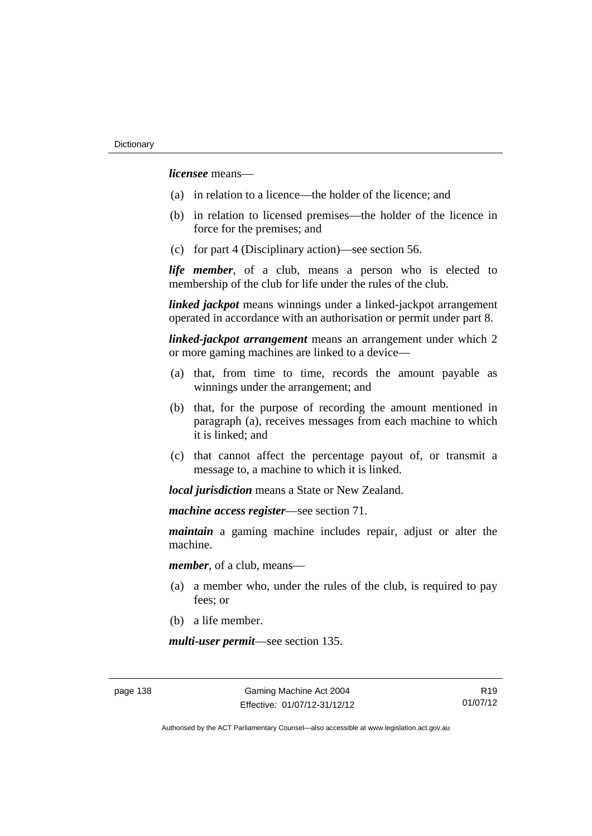*licensee* means—

- (a) in relation to a licence—the holder of the licence; and
- (b) in relation to licensed premises—the holder of the licence in force for the premises; and
- (c) for part 4 (Disciplinary action)—see section 56.

*life member*, of a club, means a person who is elected to membership of the club for life under the rules of the club.

*linked jackpot* means winnings under a linked-jackpot arrangement operated in accordance with an authorisation or permit under part 8.

*linked-jackpot arrangement* means an arrangement under which 2 or more gaming machines are linked to a device—

- (a) that, from time to time, records the amount payable as winnings under the arrangement; and
- (b) that, for the purpose of recording the amount mentioned in paragraph (a), receives messages from each machine to which it is linked; and
- (c) that cannot affect the percentage payout of, or transmit a message to, a machine to which it is linked.

*local jurisdiction* means a State or New Zealand.

*machine access register*—see section 71.

*maintain* a gaming machine includes repair, adjust or alter the machine.

*member*, of a club, means—

- (a) a member who, under the rules of the club, is required to pay fees; or
- (b) a life member.

*multi-user permit*—see section 135.

R19 01/07/12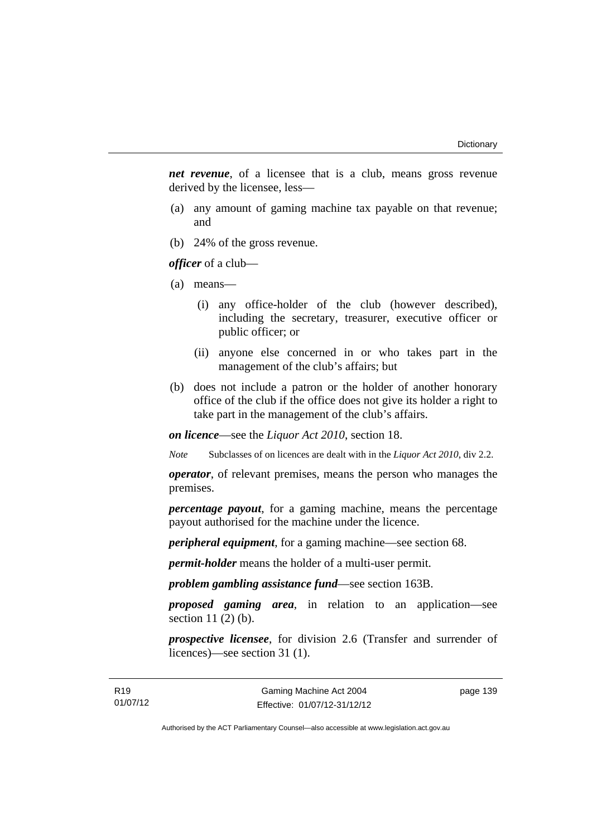*net revenue*, of a licensee that is a club, means gross revenue derived by the licensee, less—

- (a) any amount of gaming machine tax payable on that revenue; and
- (b) 24% of the gross revenue.

*officer* of a club—

- (a) means—
	- (i) any office-holder of the club (however described), including the secretary, treasurer, executive officer or public officer; or
	- (ii) anyone else concerned in or who takes part in the management of the club's affairs; but
- (b) does not include a patron or the holder of another honorary office of the club if the office does not give its holder a right to take part in the management of the club's affairs.

*on licence*—see the *Liquor Act 2010*, section 18.

*Note* Subclasses of on licences are dealt with in the *Liquor Act 2010*, div 2.2.

*operator*, of relevant premises, means the person who manages the premises.

*percentage payout*, for a gaming machine, means the percentage payout authorised for the machine under the licence.

*peripheral equipment*, for a gaming machine—see section 68.

*permit-holder* means the holder of a multi-user permit.

*problem gambling assistance fund*—see section 163B.

*proposed gaming area*, in relation to an application—see section 11 (2) (b).

*prospective licensee*, for division 2.6 (Transfer and surrender of licences)—see section 31 (1).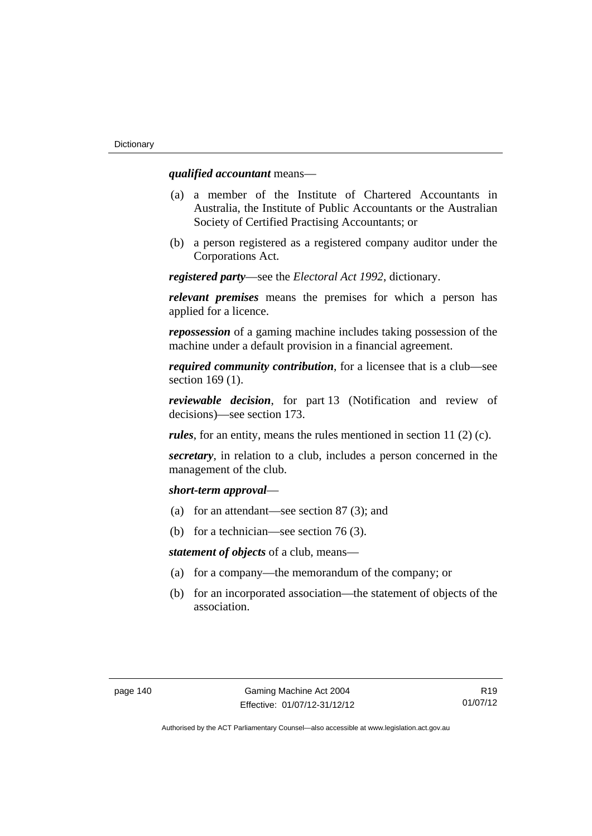### *qualified accountant* means—

- (a) a member of the Institute of Chartered Accountants in Australia, the Institute of Public Accountants or the Australian Society of Certified Practising Accountants; or
- (b) a person registered as a registered company auditor under the Corporations Act.

*registered party*—see the *Electoral Act 1992*, dictionary.

*relevant premises* means the premises for which a person has applied for a licence.

*repossession* of a gaming machine includes taking possession of the machine under a default provision in a financial agreement.

*required community contribution*, for a licensee that is a club—see section 169 (1).

*reviewable decision*, for part 13 (Notification and review of decisions)—see section 173.

*rules*, for an entity, means the rules mentioned in section 11 (2) (c).

*secretary*, in relation to a club, includes a person concerned in the management of the club.

#### *short-term approval*—

- (a) for an attendant—see section 87 (3); and
- (b) for a technician—see section 76 (3).

*statement of objects* of a club, means—

- (a) for a company—the memorandum of the company; or
- (b) for an incorporated association—the statement of objects of the association.

R19 01/07/12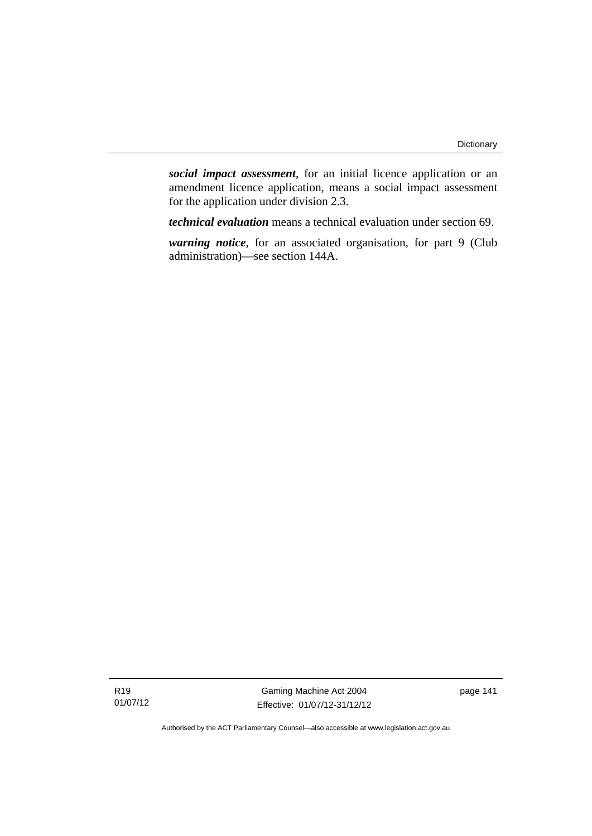*social impact assessment*, for an initial licence application or an amendment licence application, means a social impact assessment for the application under division 2.3.

*technical evaluation* means a technical evaluation under section 69.

*warning notice*, for an associated organisation, for part 9 (Club administration)—see section 144A.

R19 01/07/12

Gaming Machine Act 2004 Effective: 01/07/12-31/12/12 page 141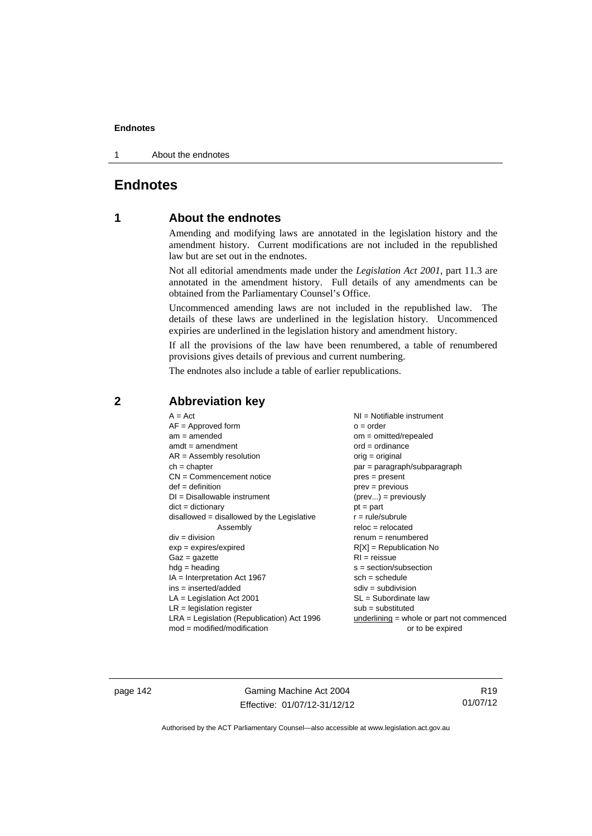1 About the endnotes

# **Endnotes**

# **1 About the endnotes**

Amending and modifying laws are annotated in the legislation history and the amendment history. Current modifications are not included in the republished law but are set out in the endnotes.

Not all editorial amendments made under the *Legislation Act 2001*, part 11.3 are annotated in the amendment history. Full details of any amendments can be obtained from the Parliamentary Counsel's Office.

Uncommenced amending laws are not included in the republished law. The details of these laws are underlined in the legislation history. Uncommenced expiries are underlined in the legislation history and amendment history.

If all the provisions of the law have been renumbered, a table of renumbered provisions gives details of previous and current numbering.

The endnotes also include a table of earlier republications.

## **2 Abbreviation key**

page 142 Gaming Machine Act 2004 Effective: 01/07/12-31/12/12

R19 01/07/12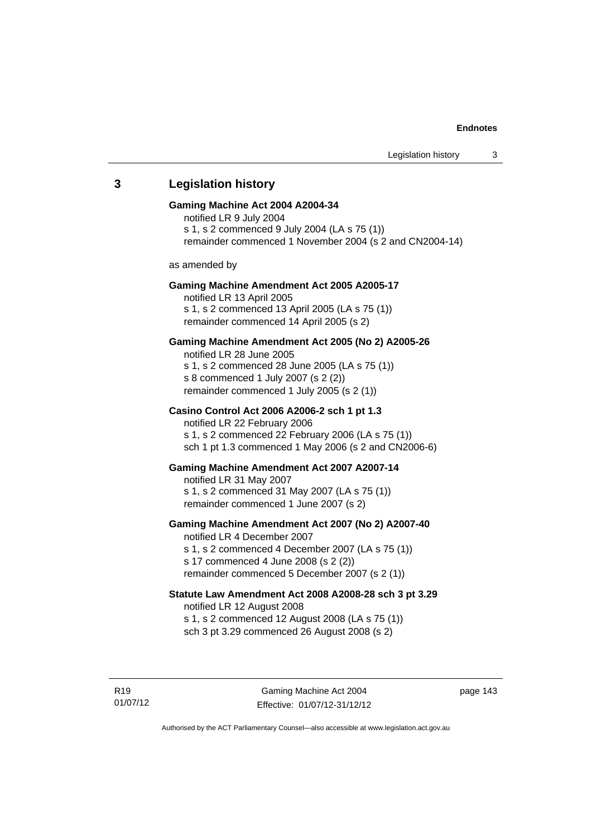# 01/07/12 Gaming Machine Act 2004 Effective: 01/07/12-31/12/12 **3 Legislation history Gaming Machine Act 2004 A2004-34**  notified LR 9 July 2004 s 1, s 2 commenced 9 July 2004 (LA s 75 (1)) remainder commenced 1 November 2004 (s 2 and CN2004-14) as amended by **Gaming Machine Amendment Act 2005 A2005-17**  notified LR 13 April 2005 s 1, s 2 commenced 13 April 2005 (LA s 75 (1)) remainder commenced 14 April 2005 (s 2) **Gaming Machine Amendment Act 2005 (No 2) A2005-26**  notified LR 28 June 2005 s 1, s 2 commenced 28 June 2005 (LA s 75 (1)) s 8 commenced 1 July 2007 (s 2 (2)) remainder commenced 1 July 2005 (s 2 (1)) **Casino Control Act 2006 A2006-2 sch 1 pt 1.3**  notified LR 22 February 2006 s 1, s 2 commenced 22 February 2006 (LA s 75 (1)) sch 1 pt 1.3 commenced 1 May 2006 (s 2 and CN2006-6) **Gaming Machine Amendment Act 2007 A2007-14**  notified LR 31 May 2007 s 1, s 2 commenced 31 May 2007 (LA s 75 (1)) remainder commenced 1 June 2007 (s 2) **Gaming Machine Amendment Act 2007 (No 2) A2007-40**  notified LR 4 December 2007 s 1, s 2 commenced 4 December 2007 (LA s 75 (1)) s 17 commenced 4 June 2008 (s 2 (2)) remainder commenced 5 December 2007 (s 2 (1)) **Statute Law Amendment Act 2008 A2008-28 sch 3 pt 3.29**  notified LR 12 August 2008 s 1, s 2 commenced 12 August 2008 (LA s 75 (1)) sch 3 pt 3.29 commenced 26 August 2008 (s 2)

page 143

Authorised by the ACT Parliamentary Counsel—also accessible at www.legislation.act.gov.au

R19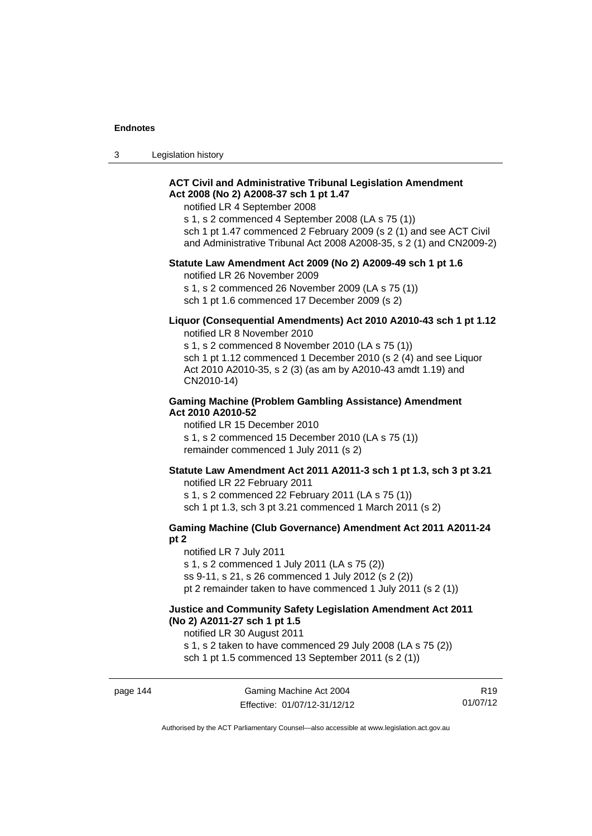3 Legislation history

### **ACT Civil and Administrative Tribunal Legislation Amendment Act 2008 (No 2) A2008-37 sch 1 pt 1.47**

notified LR 4 September 2008

s 1, s 2 commenced 4 September 2008 (LA s 75 (1)) sch 1 pt 1.47 commenced 2 February 2009 (s 2 (1) and see ACT Civil

and Administrative Tribunal Act 2008 A2008-35, s 2 (1) and CN2009-2)

### **Statute Law Amendment Act 2009 (No 2) A2009-49 sch 1 pt 1.6**

notified LR 26 November 2009

s 1, s 2 commenced 26 November 2009 (LA s 75 (1)) sch 1 pt 1.6 commenced 17 December 2009 (s 2)

#### **Liquor (Consequential Amendments) Act 2010 A2010-43 sch 1 pt 1.12**  notified LR 8 November 2010

s 1, s 2 commenced 8 November 2010 (LA s 75 (1)) sch 1 pt 1.12 commenced 1 December 2010 (s 2 (4) and see Liquor Act 2010 A2010-35, s 2 (3) (as am by A2010-43 amdt 1.19) and CN2010-14)

#### **Gaming Machine (Problem Gambling Assistance) Amendment Act 2010 A2010-52**

notified LR 15 December 2010 s 1, s 2 commenced 15 December 2010 (LA s 75 (1)) remainder commenced 1 July 2011 (s 2)

#### **Statute Law Amendment Act 2011 A2011-3 sch 1 pt 1.3, sch 3 pt 3.21**

notified LR 22 February 2011 s 1, s 2 commenced 22 February 2011 (LA s 75 (1)) sch 1 pt 1.3, sch 3 pt 3.21 commenced 1 March 2011 (s 2)

#### **Gaming Machine (Club Governance) Amendment Act 2011 A2011-24 pt 2**

notified LR 7 July 2011 s 1, s 2 commenced 1 July 2011 (LA s 75 (2)) ss 9-11, s 21, s 26 commenced 1 July 2012 (s 2 (2)) pt 2 remainder taken to have commenced 1 July 2011 (s 2 (1))

### **Justice and Community Safety Legislation Amendment Act 2011 (No 2) A2011-27 sch 1 pt 1.5**

notified LR 30 August 2011

s 1, s 2 taken to have commenced 29 July 2008 (LA s 75 (2))

sch 1 pt 1.5 commenced 13 September 2011 (s 2 (1))

R19 01/07/12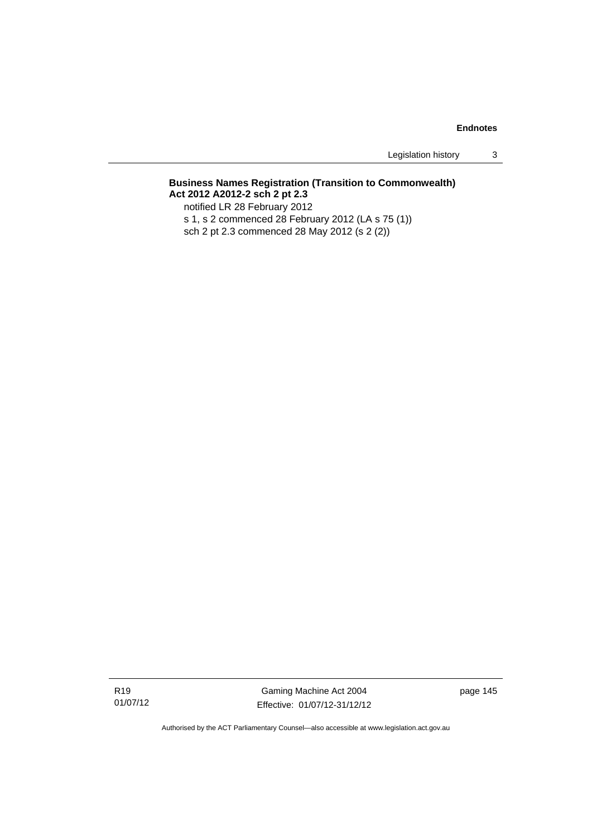Legislation history 3

# **Business Names Registration (Transition to Commonwealth) Act 2012 A2012-2 sch 2 pt 2.3**

notified LR 28 February 2012

s 1, s 2 commenced 28 February 2012 (LA s 75 (1))

sch 2 pt 2.3 commenced 28 May 2012 (s 2 (2))

Gaming Machine Act 2004 Effective: 01/07/12-31/12/12 page 145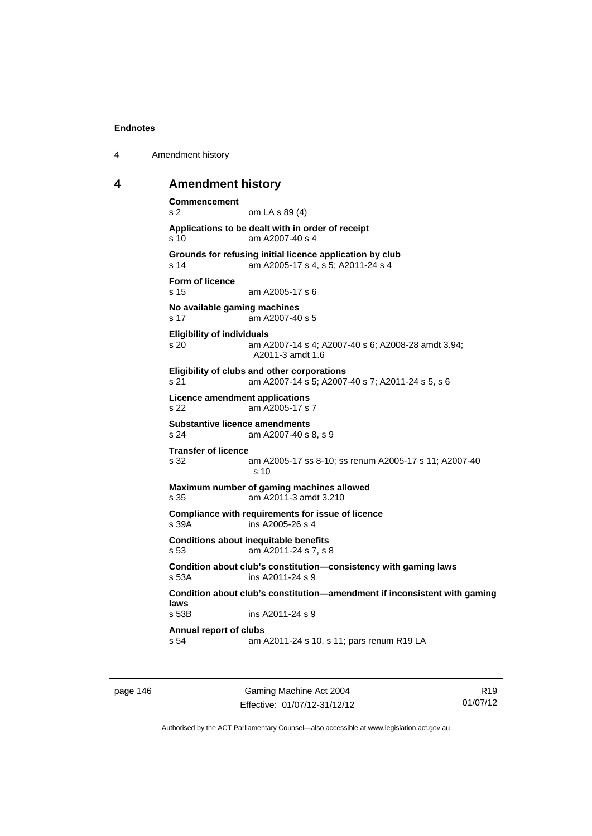4 Amendment history

### **4 Amendment history**

```
Commencement 
s 2 om LA s 89 (4) 
Applications to be dealt with in order of receipt 
s 10 am A2007-40 s 4 
Grounds for refusing initial licence application by club 
s 14 am A2005-17 s 4, s 5; A2011-24 s 4 
Form of licence 
s 15 am A2005-17 s 6 
No available gaming machines 
s 17 am A2007-40 s 5 
Eligibility of individuals 
s 20 am A2007-14 s 4; A2007-40 s 6; A2008-28 amdt 3.94; 
                 A2011-3 amdt 1.6 
Eligibility of clubs and other corporations 
s 21 am A2007-14 s 5; A2007-40 s 7; A2011-24 s 5, s 6 
Licence amendment applications 
s 22 am A2005-17 s 7 
Substantive licence amendments 
s 24 am A2007-40 s 8, s 9 
Transfer of licence 
                am A2005-17 ss 8-10; ss renum A2005-17 s 11; A2007-40
                 s 10 
Maximum number of gaming machines allowed 
s 35 am A2011-3 amdt 3.210 
Compliance with requirements for issue of licence 
s 39A ins A2005-26 s 4 
Conditions about inequitable benefits 
s 53 am A2011-24 s 7, s 8 
Condition about club's constitution—consistency with gaming laws 
s 53A ins A2011-24 s 9 
Condition about club's constitution—amendment if inconsistent with gaming 
laws 
                ins A2011-24 s 9
Annual report of clubs 
s 54 am A2011-24 s 10, s 11; pars renum R19 LA
```
page 146 Gaming Machine Act 2004 Effective: 01/07/12-31/12/12

R19 01/07/12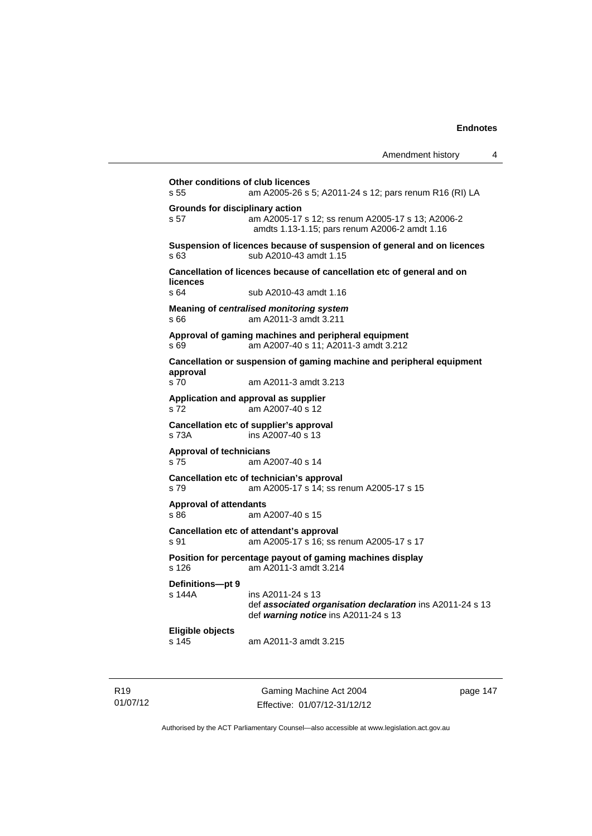|                                           | Amendment history                                                                                                      | 4 |
|-------------------------------------------|------------------------------------------------------------------------------------------------------------------------|---|
| Other conditions of club licences<br>s 55 | am A2005-26 s 5; A2011-24 s 12; pars renum R16 (RI) LA                                                                 |   |
| Grounds for disciplinary action<br>s 57   | am A2005-17 s 12; ss renum A2005-17 s 13; A2006-2<br>amdts 1.13-1.15; pars renum A2006-2 amdt 1.16                     |   |
| s 63                                      | Suspension of licences because of suspension of general and on licences<br>sub A2010-43 amdt 1.15                      |   |
| licences                                  | Cancellation of licences because of cancellation etc of general and on                                                 |   |
| s 64                                      | sub A2010-43 amdt 1.16                                                                                                 |   |
| s66                                       | Meaning of centralised monitoring system<br>am A2011-3 amdt 3.211                                                      |   |
| s 69                                      | Approval of gaming machines and peripheral equipment<br>am A2007-40 s 11; A2011-3 amdt 3.212                           |   |
| approval                                  | Cancellation or suspension of gaming machine and peripheral equipment                                                  |   |
| s 70                                      | am A2011-3 amdt 3.213                                                                                                  |   |
| s 72                                      | Application and approval as supplier<br>am A2007-40 s 12                                                               |   |
| s 73A                                     | Cancellation etc of supplier's approval<br>ins A2007-40 s 13                                                           |   |
| <b>Approval of technicians</b><br>s 75    | am A2007-40 s 14                                                                                                       |   |
| s 79                                      | Cancellation etc of technician's approval<br>am A2005-17 s 14; ss renum A2005-17 s 15                                  |   |
| <b>Approval of attendants</b><br>s 86     | am A2007-40 s 15                                                                                                       |   |
| s 91                                      | Cancellation etc of attendant's approval<br>am A2005-17 s 16; ss renum A2005-17 s 17                                   |   |
| s 126                                     | Position for percentage payout of gaming machines display<br>am A2011-3 amdt 3.214                                     |   |
| <b>Definitions-ot 9</b><br>s 144A         | ins A2011-24 s 13<br>def associated organisation declaration ins A2011-24 s 13<br>def warning notice ins A2011-24 s 13 |   |
| Eligible objects                          | am A2011-3 amdt 3.215                                                                                                  |   |

R19 01/07/12

Gaming Machine Act 2004 Effective: 01/07/12-31/12/12 page 147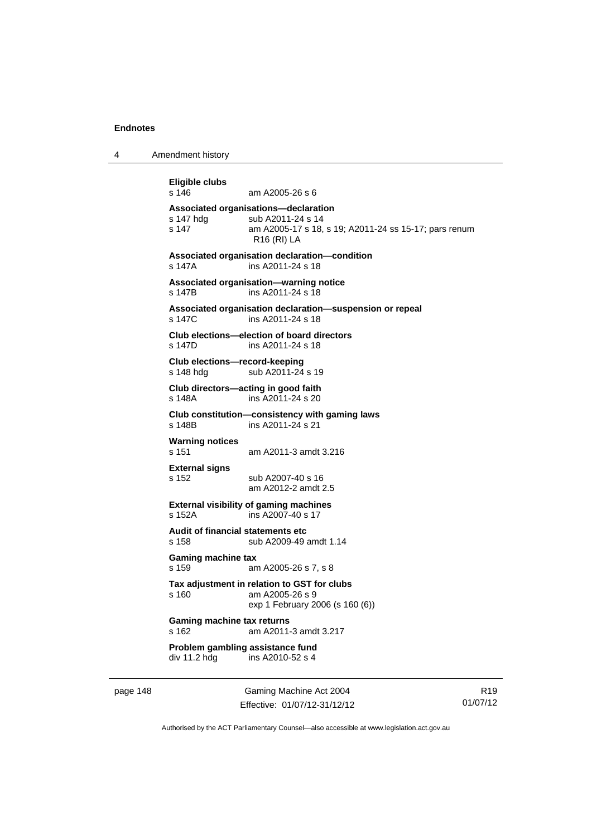4 Amendment history

```
Eligible clubs 
                 am A2005-26 s 6
Associated organisations—declaration 
s 147 hdg sub A2011-24 s 14<br>s 147 s 18.
                 am A2005-17 s 18, s 19; A2011-24 ss 15-17; pars renum
                 R16 (RI) LA 
Associated organisation declaration—condition 
s 147A ins A2011-24 s 18 
Associated organisation—warning notice 
s 147B ins A2011-24 s 18 
Associated organisation declaration—suspension or repeal 
s 147C ins A2011-24 s 18 
Club elections—election of board directors 
s 147D ins A2011-24 s 18 
Club elections—record-keeping 
s 148 hdg sub A2011-24 s 19
Club directors—acting in good faith 
s 148A ins A2011-24 s 20 
Club constitution—consistency with gaming laws 
s 148B ins A2011-24 s 21 
Warning notices 
s 151 am A2011-3 amdt 3.216 
External signs 
s 152 sub A2007-40 s 16 
                  am A2012-2 amdt 2.5 
External visibility of gaming machines 
s 152A ins A2007-40 s 17 
Audit of financial statements etc 
s 158 sub A2009-49 amdt 1.14 
Gaming machine tax 
s 159 am A2005-26 s 7, s 8 
Tax adjustment in relation to GST for clubs 
s 160 am A2005-26 s 9 
                  exp 1 February 2006 (s 160 (6)) 
Gaming machine tax returns 
s 162 am A2011-3 amdt 3.217 
Problem gambling assistance fund<br>div 11.2 hdg ins A2010-52 s 4
                 ins A2010-52 s 4
```
page 148 Gaming Machine Act 2004 Effective: 01/07/12-31/12/12

R19 01/07/12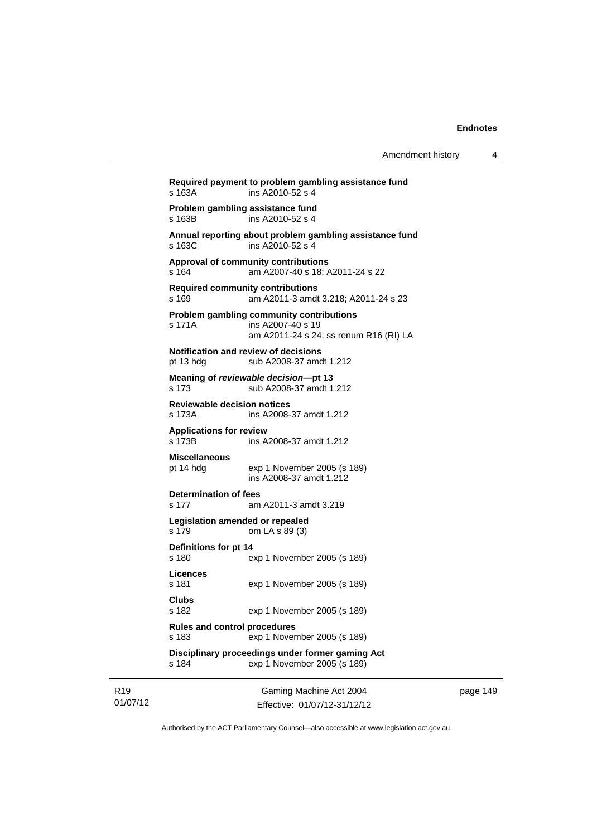Gaming Machine Act 2004 **Required payment to problem gambling assistance fund**  s 163A ins A2010-52 s 4 **Problem gambling assistance fund**  s 163B ins A2010-52 s 4 **Annual reporting about problem gambling assistance fund**  s 163C ins A2010-52 s 4 **Approval of community contributions**  s 164 am A2007-40 s 18; A2011-24 s 22 **Required community contributions**  s 169 am A2011-3 amdt 3.218; A2011-24 s 23 **Problem gambling community contributions**  s 171A ins A2007-40 s 19 am A2011-24 s 24; ss renum R16 (RI) LA **Notification and review of decisions**  pt 13 hdg sub A2008-37 amdt 1.212 **Meaning of** *reviewable decision***—pt 13**  s 173 sub A2008-37 amdt 1.212 **Reviewable decision notices**  s 173A ins A2008-37 amdt 1.212 **Applications for review**  ins A2008-37 amdt 1.212 **Miscellaneous**  pt 14 hdg exp 1 November 2005 (s 189) ins A2008-37 amdt 1.212 **Determination of fees**  s 177 am A2011-3 amdt 3.219 **Legislation amended or repealed**  s 179 om LA s 89 (3) **Definitions for pt 14**  s 180 exp 1 November 2005 (s 189) **Licences**  s 181 exp 1 November 2005 (s 189) **Clubs**  s 182 exp 1 November 2005 (s 189) **Rules and control procedures**  s 183 exp 1 November 2005 (s 189) **Disciplinary proceedings under former gaming Act**  s 184 exp 1 November 2005 (s 189)

page 149

Authorised by the ACT Parliamentary Counsel—also accessible at www.legislation.act.gov.au

Effective: 01/07/12-31/12/12

R19 01/07/12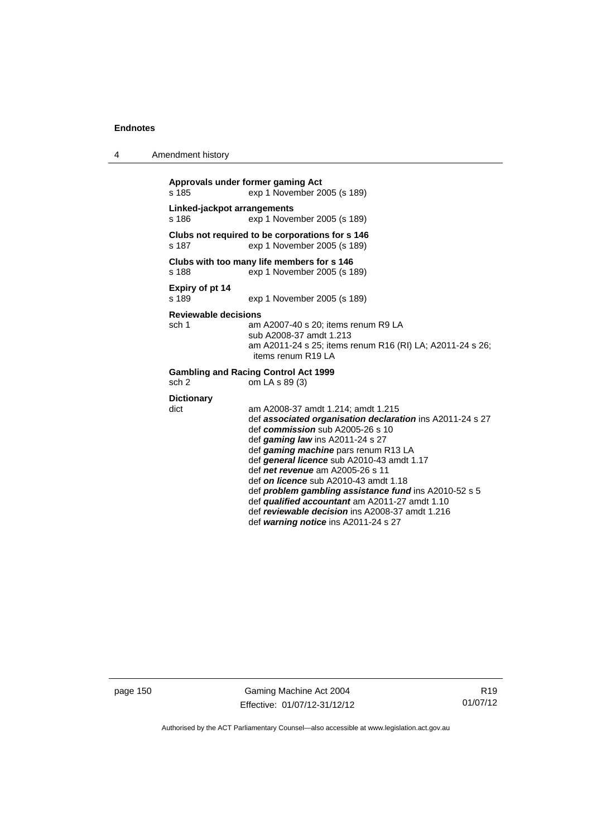4 Amendment history

| s.185                                                                             | Approvals under former gaming Act<br>exp 1 November 2005 (s 189)                                                                                                                                                                                                                                                                                                                                                                                                                                                                                            |  |  |  |  |
|-----------------------------------------------------------------------------------|-------------------------------------------------------------------------------------------------------------------------------------------------------------------------------------------------------------------------------------------------------------------------------------------------------------------------------------------------------------------------------------------------------------------------------------------------------------------------------------------------------------------------------------------------------------|--|--|--|--|
| s 186                                                                             | Linked-jackpot arrangements<br>exp 1 November 2005 (s 189)                                                                                                                                                                                                                                                                                                                                                                                                                                                                                                  |  |  |  |  |
| s 187                                                                             | Clubs not required to be corporations for s 146<br>exp 1 November 2005 (s 189)                                                                                                                                                                                                                                                                                                                                                                                                                                                                              |  |  |  |  |
| s 188                                                                             | Clubs with too many life members for s 146<br>exp 1 November 2005 (s 189)                                                                                                                                                                                                                                                                                                                                                                                                                                                                                   |  |  |  |  |
| Expiry of pt 14<br>s 189                                                          | exp 1 November 2005 (s 189)                                                                                                                                                                                                                                                                                                                                                                                                                                                                                                                                 |  |  |  |  |
| Reviewable decisions<br>sch 1                                                     | am A2007-40 s 20; items renum R9 LA<br>sub A2008-37 amdt 1.213<br>am A2011-24 s 25; items renum R16 (RI) LA; A2011-24 s 26;<br>items renum R19 LA                                                                                                                                                                                                                                                                                                                                                                                                           |  |  |  |  |
| <b>Gambling and Racing Control Act 1999</b><br>sch <sub>2</sub><br>om LA s 89 (3) |                                                                                                                                                                                                                                                                                                                                                                                                                                                                                                                                                             |  |  |  |  |
| <b>Dictionary</b><br>dict                                                         | am A2008-37 amdt 1.214; amdt 1.215<br>def associated organisation declaration ins A2011-24 s 27<br>def commission sub $A2005-26$ s 10<br>def gaming law ins $A2011-24$ s 27<br>def gaming machine pars renum R13 LA<br>def general licence sub A2010-43 amdt 1.17<br>def net revenue am A2005-26 s 11<br>def on licence sub A2010-43 amdt 1.18<br>def <b>problem gambling assistance fund</b> ins A2010-52 s 5<br>def qualified accountant am A2011-27 amdt 1.10<br>def reviewable decision ins A2008-37 amdt 1.216<br>def warning notice ins A2011-24 s 27 |  |  |  |  |

page 150 Gaming Machine Act 2004 Effective: 01/07/12-31/12/12

R19 01/07/12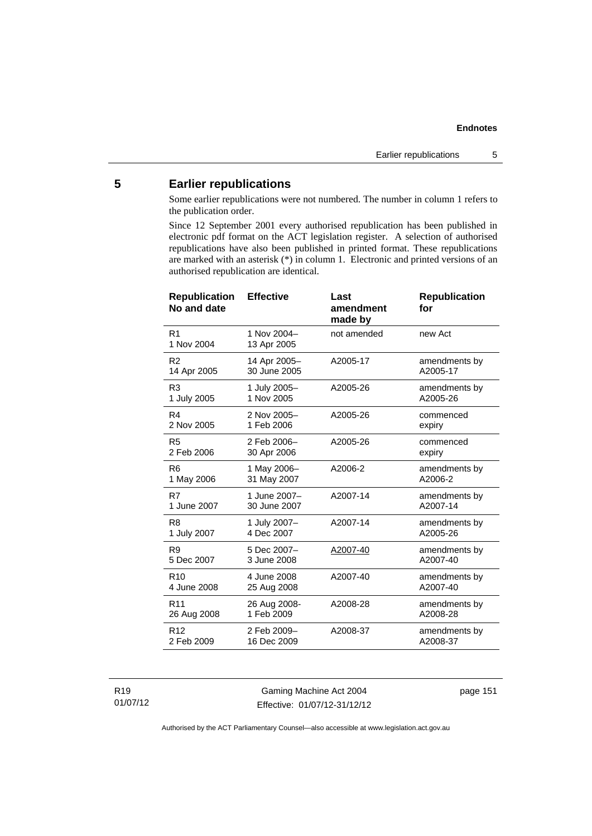# **5 Earlier republications**

Some earlier republications were not numbered. The number in column 1 refers to the publication order.

Since 12 September 2001 every authorised republication has been published in electronic pdf format on the ACT legislation register. A selection of authorised republications have also been published in printed format. These republications are marked with an asterisk (\*) in column 1. Electronic and printed versions of an authorised republication are identical.

| <b>Republication</b><br>No and date | <b>Effective</b>           | Last<br>amendment<br>made by | <b>Republication</b><br>for |
|-------------------------------------|----------------------------|------------------------------|-----------------------------|
| R <sub>1</sub><br>1 Nov 2004        | 1 Nov 2004-<br>13 Apr 2005 | not amended                  | new Act                     |
| R <sub>2</sub>                      | 14 Apr 2005-               | A2005-17                     | amendments by               |
| 14 Apr 2005                         | 30 June 2005               |                              | A2005-17                    |
| R <sub>3</sub>                      | 1 July 2005-               | A2005-26                     | amendments by               |
| 1 July 2005                         | 1 Nov 2005                 |                              | A2005-26                    |
| R4                                  | 2 Nov 2005-                | A2005-26                     | commenced                   |
| 2 Nov 2005                          | 1 Feb 2006                 |                              | expiry                      |
| R <sub>5</sub>                      | 2 Feb 2006-                | A2005-26                     | commenced                   |
| 2 Feb 2006                          | 30 Apr 2006                |                              | expiry                      |
| R <sub>6</sub>                      | 1 May 2006-                | A2006-2                      | amendments by               |
| 1 May 2006                          | 31 May 2007                |                              | A2006-2                     |
| R7                                  | 1 June 2007-               | A2007-14                     | amendments by               |
| 1 June 2007                         | 30 June 2007               |                              | A2007-14                    |
| R8                                  | 1 July 2007-               | A2007-14                     | amendments by               |
| 1 July 2007                         | 4 Dec 2007                 |                              | A2005-26                    |
| R <sub>9</sub>                      | 5 Dec 2007-                | A2007-40                     | amendments by               |
| 5 Dec 2007                          | 3 June 2008                |                              | A2007-40                    |
| R <sub>10</sub>                     | 4 June 2008                | A2007-40                     | amendments by               |
| 4 June 2008                         | 25 Aug 2008                |                              | A2007-40                    |
| R <sub>11</sub>                     | 26 Aug 2008-               | A2008-28                     | amendments by               |
| 26 Aug 2008                         | 1 Feb 2009                 |                              | A2008-28                    |
| R <sub>12</sub>                     | 2 Feb 2009-                | A2008-37                     | amendments by               |
| 2 Feb 2009                          | 16 Dec 2009                |                              | A2008-37                    |
|                                     |                            |                              |                             |

R19 01/07/12

Gaming Machine Act 2004 Effective: 01/07/12-31/12/12 page 151